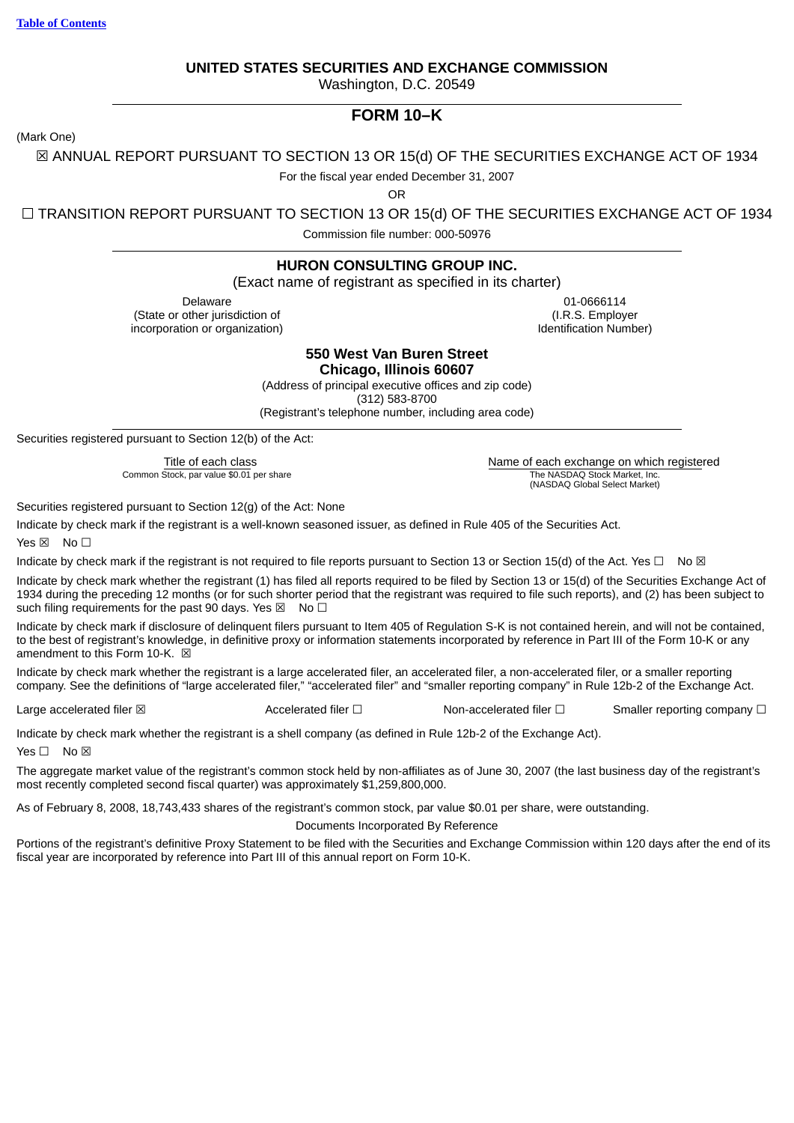# **UNITED STATES SECURITIES AND EXCHANGE COMMISSION**

Washington, D.C. 20549

# **FORM 10–K**

(Mark One)

☒ ANNUAL REPORT PURSUANT TO SECTION 13 OR 15(d) OF THE SECURITIES EXCHANGE ACT OF 1934

For the fiscal year ended December 31, 2007

OR

☐ TRANSITION REPORT PURSUANT TO SECTION 13 OR 15(d) OF THE SECURITIES EXCHANGE ACT OF 1934

Commission file number: 000-50976

# **HURON CONSULTING GROUP INC.**

(Exact name of registrant as specified in its charter)

Delaware 01-0666114 (State or other jurisdiction of incorporation or organization)

(I.R.S. Employer Identification Number)

**550 West Van Buren Street**

**Chicago, Illinois 60607** (Address of principal executive offices and zip code) (312) 583-8700

(Registrant's telephone number, including area code)

Securities registered pursuant to Section 12(b) of the Act:

Common Stock, par value \$0.01 per share

Title of each class and class and the Name of each exchange on which registered<br>Stock, par value \$0.01 per share and the NASDAQ Stock Market, Inc. (NASDAQ Global Select Market)

Securities registered pursuant to Section 12(g) of the Act: None

Indicate by check mark if the registrant is a well-known seasoned issuer, as defined in Rule 405 of the Securities Act.

Yes ⊠ No

Indicate by check mark if the registrant is not required to file reports pursuant to Section 13 or Section 15(d) of the Act. Yes  $\square$  No  $\boxtimes$ 

Indicate by check mark whether the registrant (1) has filed all reports required to be filed by Section 13 or 15(d) of the Securities Exchange Act of 1934 during the preceding 12 months (or for such shorter period that the registrant was required to file such reports), and (2) has been subject to such filing requirements for the past 90 days. Yes  $\boxtimes$  No  $\Box$ 

Indicate by check mark if disclosure of delinquent filers pursuant to Item 405 of Regulation S-K is not contained herein, and will not be contained, to the best of registrant's knowledge, in definitive proxy or information statements incorporated by reference in Part III of the Form 10-K or any amendment to this Form 10-K.  $\boxtimes$ 

Indicate by check mark whether the registrant is a large accelerated filer, an accelerated filer, a non-accelerated filer, or a smaller reporting company. See the definitions of "large accelerated filer," "accelerated filer" and "smaller reporting company" in Rule 12b-2 of the Exchange Act.

Large accelerated filer ⊠ Accelerated filer □ Non-accelerated filer □ Smaller reporting company □

Indicate by check mark whether the registrant is a shell company (as defined in Rule 12b-2 of the Exchange Act).

Yes □ No ⊠

The aggregate market value of the registrant's common stock held by non-affiliates as of June 30, 2007 (the last business day of the registrant's most recently completed second fiscal quarter) was approximately \$1,259,800,000.

As of February 8, 2008, 18,743,433 shares of the registrant's common stock, par value \$0.01 per share, were outstanding.

Documents Incorporated By Reference

Portions of the registrant's definitive Proxy Statement to be filed with the Securities and Exchange Commission within 120 days after the end of its fiscal year are incorporated by reference into Part III of this annual report on Form 10-K.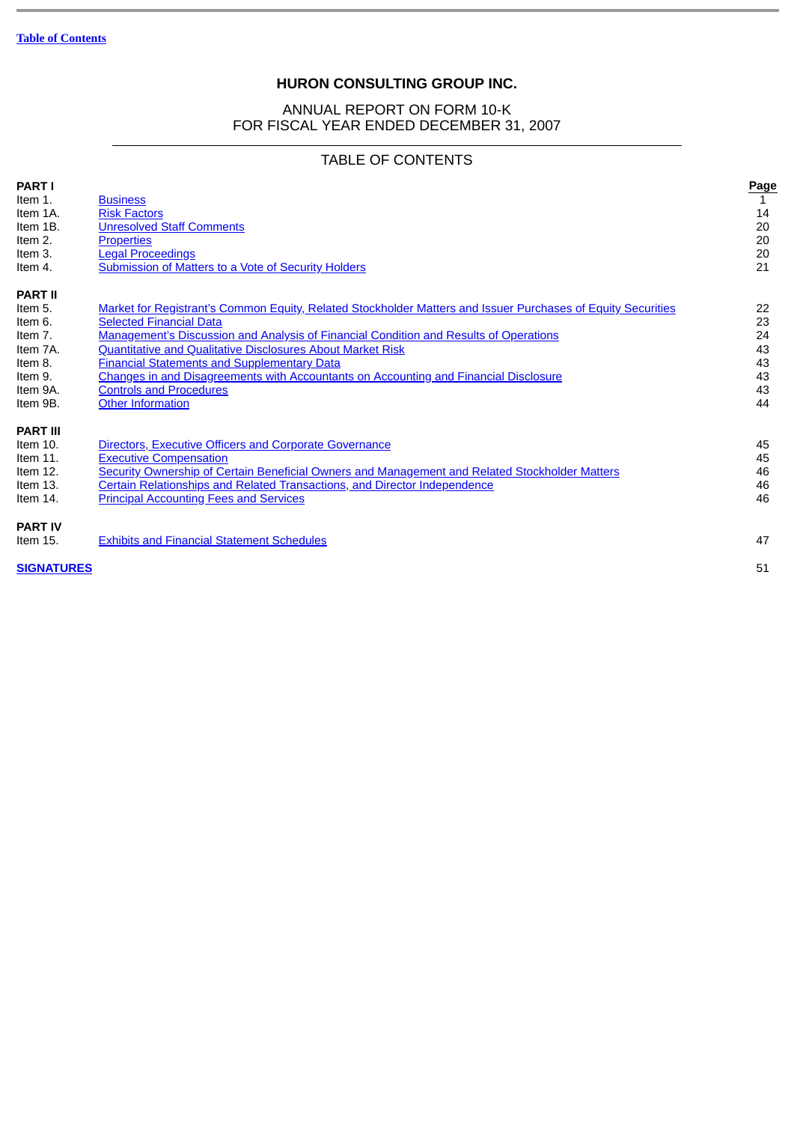# **HURON CONSULTING GROUP INC.**

# ANNUAL REPORT ON FORM 10-K FOR FISCAL YEAR ENDED DECEMBER 31, 2007

<span id="page-1-0"></span>

|                                                                                                           | <b>TABLE OF CONTENTS</b>                                                                                                                                                                                                                                                                                                                                                                                                                                                                                                               |                                                           |
|-----------------------------------------------------------------------------------------------------------|----------------------------------------------------------------------------------------------------------------------------------------------------------------------------------------------------------------------------------------------------------------------------------------------------------------------------------------------------------------------------------------------------------------------------------------------------------------------------------------------------------------------------------------|-----------------------------------------------------------|
| <b>PART I</b><br>Item 1.<br>Item 1A.<br>Item 1B.<br>Item 2.<br>Item 3.<br>Item 4.                         | <b>Business</b><br><b>Risk Factors</b><br><b>Unresolved Staff Comments</b><br><b>Properties</b><br><b>Legal Proceedings</b><br><b>Submission of Matters to a Vote of Security Holders</b>                                                                                                                                                                                                                                                                                                                                              | <u>Page</u><br>$\mathbf{1}$<br>14<br>20<br>20<br>20<br>21 |
| <b>PART II</b><br>Item 5.<br>Item 6.<br>Item 7.<br>Item 7A.<br>Item 8.<br>Item 9.<br>Item 9A.<br>Item 9B. | Market for Registrant's Common Equity, Related Stockholder Matters and Issuer Purchases of Equity Securities<br><b>Selected Financial Data</b><br><b>Management's Discussion and Analysis of Financial Condition and Results of Operations</b><br><b>Quantitative and Qualitative Disclosures About Market Risk</b><br><b>Financial Statements and Supplementary Data</b><br><b>Changes in and Disagreements with Accountants on Accounting and Financial Disclosure</b><br><b>Controls and Procedures</b><br><b>Other Information</b> | 22<br>23<br>24<br>43<br>43<br>43<br>43<br>44              |
| <b>PART III</b><br>Item $10.$<br>Item $11$ .<br>Item $12$ .<br>Item $13.$<br>Item $14.$                   | <b>Directors, Executive Officers and Corporate Governance</b><br><b>Executive Compensation</b><br>Security Ownership of Certain Beneficial Owners and Management and Related Stockholder Matters<br>Certain Relationships and Related Transactions, and Director Independence<br><b>Principal Accounting Fees and Services</b>                                                                                                                                                                                                         | 45<br>45<br>46<br>46<br>46                                |
| <b>PART IV</b><br>Item $15.$<br><b>SIGNATURES</b>                                                         | <b>Exhibits and Financial Statement Schedules</b>                                                                                                                                                                                                                                                                                                                                                                                                                                                                                      | 47<br>51                                                  |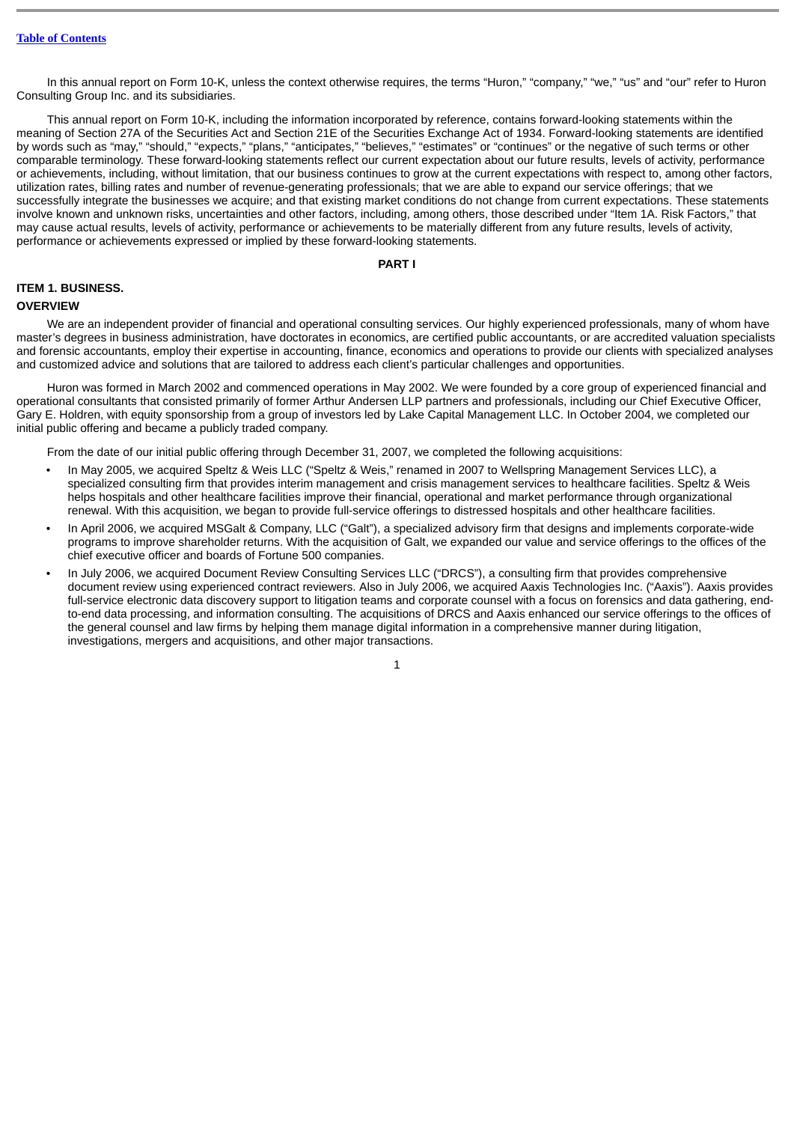In this annual report on Form 10-K, unless the context otherwise requires, the terms "Huron," "company," "we," "us" and "our" refer to Huron Consulting Group Inc. and its subsidiaries.

This annual report on Form 10-K, including the information incorporated by reference, contains forward-looking statements within the meaning of Section 27A of the Securities Act and Section 21E of the Securities Exchange Act of 1934. Forward-looking statements are identified by words such as "may," "should," "expects," "plans," "anticipates," "believes," "estimates" or "continues" or the negative of such terms or other comparable terminology. These forward-looking statements reflect our current expectation about our future results, levels of activity, performance or achievements, including, without limitation, that our business continues to grow at the current expectations with respect to, among other factors, utilization rates, billing rates and number of revenue-generating professionals; that we are able to expand our service offerings; that we successfully integrate the businesses we acquire; and that existing market conditions do not change from current expectations. These statements involve known and unknown risks, uncertainties and other factors, including, among others, those described under "Item 1A. Risk Factors," that may cause actual results, levels of activity, performance or achievements to be materially different from any future results, levels of activity, performance or achievements expressed or implied by these forward-looking statements.

# **PART I**

# <span id="page-2-0"></span>**ITEM 1. BUSINESS.**

### **OVERVIEW**

We are an independent provider of financial and operational consulting services. Our highly experienced professionals, many of whom have master's degrees in business administration, have doctorates in economics, are certified public accountants, or are accredited valuation specialists and forensic accountants, employ their expertise in accounting, finance, economics and operations to provide our clients with specialized analyses and customized advice and solutions that are tailored to address each client's particular challenges and opportunities.

Huron was formed in March 2002 and commenced operations in May 2002. We were founded by a core group of experienced financial and operational consultants that consisted primarily of former Arthur Andersen LLP partners and professionals, including our Chief Executive Officer, Gary E. Holdren, with equity sponsorship from a group of investors led by Lake Capital Management LLC. In October 2004, we completed our initial public offering and became a publicly traded company.

From the date of our initial public offering through December 31, 2007, we completed the following acquisitions:

- In May 2005, we acquired Speltz & Weis LLC ("Speltz & Weis," renamed in 2007 to Wellspring Management Services LLC), a specialized consulting firm that provides interim management and crisis management services to healthcare facilities. Speltz & Weis helps hospitals and other healthcare facilities improve their financial, operational and market performance through organizational renewal. With this acquisition, we began to provide full-service offerings to distressed hospitals and other healthcare facilities.
- In April 2006, we acquired MSGalt & Company, LLC ("Galt"), a specialized advisory firm that designs and implements corporate-wide programs to improve shareholder returns. With the acquisition of Galt, we expanded our value and service offerings to the offices of the chief executive officer and boards of Fortune 500 companies.
- In July 2006, we acquired Document Review Consulting Services LLC ("DRCS"), a consulting firm that provides comprehensive document review using experienced contract reviewers. Also in July 2006, we acquired Aaxis Technologies Inc. ("Aaxis"). Aaxis provides full-service electronic data discovery support to litigation teams and corporate counsel with a focus on forensics and data gathering, endto-end data processing, and information consulting. The acquisitions of DRCS and Aaxis enhanced our service offerings to the offices of the general counsel and law firms by helping them manage digital information in a comprehensive manner during litigation, investigations, mergers and acquisitions, and other major transactions.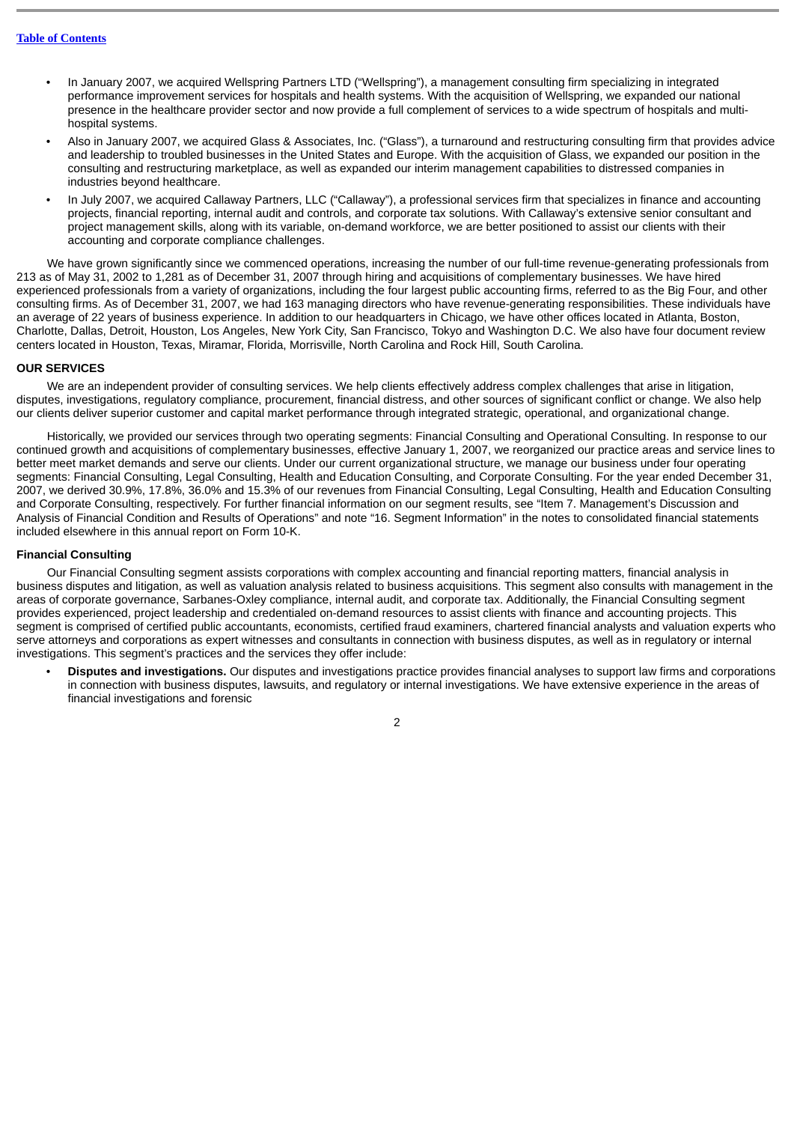- In January 2007, we acquired Wellspring Partners LTD ("Wellspring"), a management consulting firm specializing in integrated performance improvement services for hospitals and health systems. With the acquisition of Wellspring, we expanded our national presence in the healthcare provider sector and now provide a full complement of services to a wide spectrum of hospitals and multihospital systems.
- Also in January 2007, we acquired Glass & Associates, Inc. ("Glass"), a turnaround and restructuring consulting firm that provides advice and leadership to troubled businesses in the United States and Europe. With the acquisition of Glass, we expanded our position in the consulting and restructuring marketplace, as well as expanded our interim management capabilities to distressed companies in industries beyond healthcare.
- In July 2007, we acquired Callaway Partners, LLC ("Callaway"), a professional services firm that specializes in finance and accounting projects, financial reporting, internal audit and controls, and corporate tax solutions. With Callaway's extensive senior consultant and project management skills, along with its variable, on-demand workforce, we are better positioned to assist our clients with their accounting and corporate compliance challenges.

We have grown significantly since we commenced operations, increasing the number of our full-time revenue-generating professionals from 213 as of May 31, 2002 to 1,281 as of December 31, 2007 through hiring and acquisitions of complementary businesses. We have hired experienced professionals from a variety of organizations, including the four largest public accounting firms, referred to as the Big Four, and other consulting firms. As of December 31, 2007, we had 163 managing directors who have revenue-generating responsibilities. These individuals have an average of 22 years of business experience. In addition to our headquarters in Chicago, we have other offices located in Atlanta, Boston, Charlotte, Dallas, Detroit, Houston, Los Angeles, New York City, San Francisco, Tokyo and Washington D.C. We also have four document review centers located in Houston, Texas, Miramar, Florida, Morrisville, North Carolina and Rock Hill, South Carolina.

# **OUR SERVICES**

We are an independent provider of consulting services. We help clients effectively address complex challenges that arise in litigation. disputes, investigations, regulatory compliance, procurement, financial distress, and other sources of significant conflict or change. We also help our clients deliver superior customer and capital market performance through integrated strategic, operational, and organizational change.

Historically, we provided our services through two operating segments: Financial Consulting and Operational Consulting. In response to our continued growth and acquisitions of complementary businesses, effective January 1, 2007, we reorganized our practice areas and service lines to better meet market demands and serve our clients. Under our current organizational structure, we manage our business under four operating segments: Financial Consulting, Legal Consulting, Health and Education Consulting, and Corporate Consulting, For the year ended December 31, 2007, we derived 30.9%, 17.8%, 36.0% and 15.3% of our revenues from Financial Consulting, Legal Consulting, Health and Education Consulting and Corporate Consulting, respectively. For further financial information on our segment results, see "Item 7. Management's Discussion and Analysis of Financial Condition and Results of Operations" and note "16. Segment Information" in the notes to consolidated financial statements included elsewhere in this annual report on Form 10-K.

# **Financial Consulting**

Our Financial Consulting segment assists corporations with complex accounting and financial reporting matters, financial analysis in business disputes and litigation, as well as valuation analysis related to business acquisitions. This segment also consults with management in the areas of corporate governance, Sarbanes-Oxley compliance, internal audit, and corporate tax. Additionally, the Financial Consulting segment provides experienced, project leadership and credentialed on-demand resources to assist clients with finance and accounting projects. This segment is comprised of certified public accountants, economists, certified fraud examiners, chartered financial analysts and valuation experts who serve attorneys and corporations as expert witnesses and consultants in connection with business disputes, as well as in regulatory or internal investigations. This segment's practices and the services they offer include:

• **Disputes and investigations.** Our disputes and investigations practice provides financial analyses to support law firms and corporations in connection with business disputes, lawsuits, and regulatory or internal investigations. We have extensive experience in the areas of financial investigations and forensic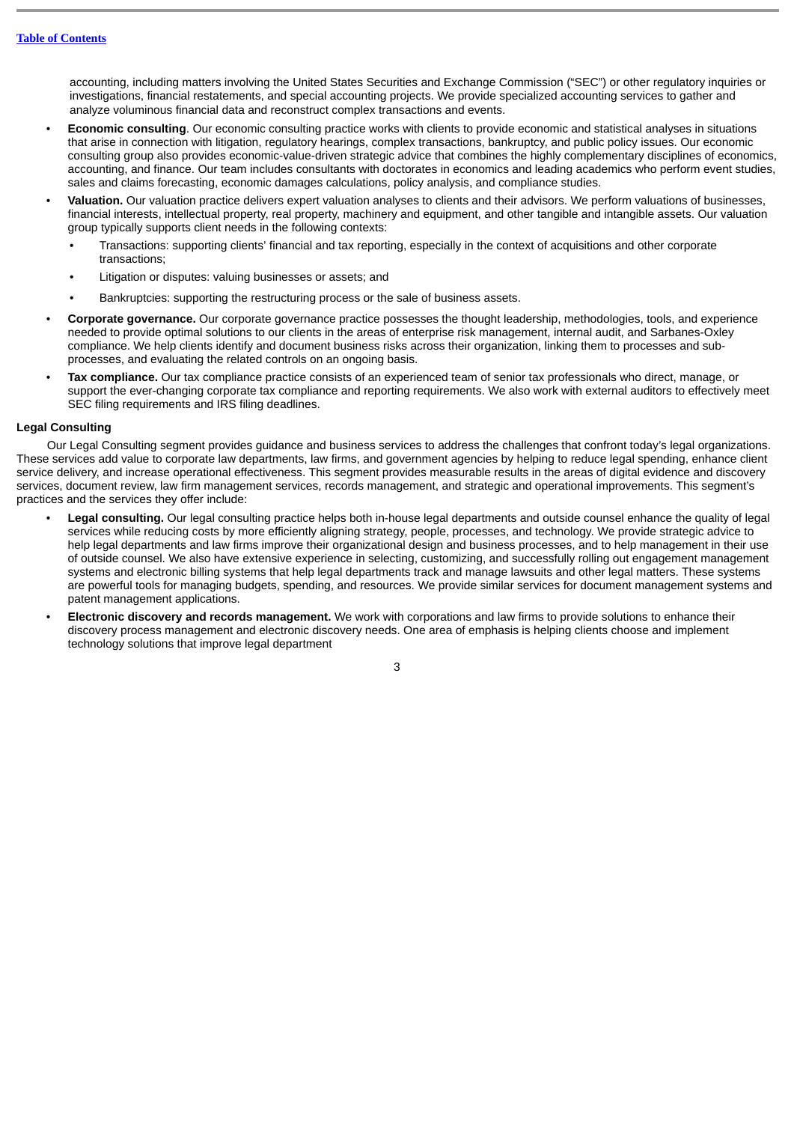accounting, including matters involving the United States Securities and Exchange Commission ("SEC") or other regulatory inquiries or investigations, financial restatements, and special accounting projects. We provide specialized accounting services to gather and analyze voluminous financial data and reconstruct complex transactions and events.

- **Economic consulting**. Our economic consulting practice works with clients to provide economic and statistical analyses in situations that arise in connection with litigation, regulatory hearings, complex transactions, bankruptcy, and public policy issues. Our economic consulting group also provides economic-value-driven strategic advice that combines the highly complementary disciplines of economics, accounting, and finance. Our team includes consultants with doctorates in economics and leading academics who perform event studies, sales and claims forecasting, economic damages calculations, policy analysis, and compliance studies.
- **Valuation.** Our valuation practice delivers expert valuation analyses to clients and their advisors. We perform valuations of businesses, financial interests, intellectual property, real property, machinery and equipment, and other tangible and intangible assets. Our valuation group typically supports client needs in the following contexts:
	- Transactions: supporting clients' financial and tax reporting, especially in the context of acquisitions and other corporate transactions;
	- Litigation or disputes: valuing businesses or assets; and
	- Bankruptcies: supporting the restructuring process or the sale of business assets.
- **Corporate governance.** Our corporate governance practice possesses the thought leadership, methodologies, tools, and experience needed to provide optimal solutions to our clients in the areas of enterprise risk management, internal audit, and Sarbanes-Oxley compliance. We help clients identify and document business risks across their organization, linking them to processes and subprocesses, and evaluating the related controls on an ongoing basis.
- **Tax compliance.** Our tax compliance practice consists of an experienced team of senior tax professionals who direct, manage, or support the ever-changing corporate tax compliance and reporting requirements. We also work with external auditors to effectively meet SEC filing requirements and IRS filing deadlines.

# **Legal Consulting**

Our Legal Consulting segment provides guidance and business services to address the challenges that confront today's legal organizations. These services add value to corporate law departments, law firms, and government agencies by helping to reduce legal spending, enhance client service delivery, and increase operational effectiveness. This segment provides measurable results in the areas of digital evidence and discovery services, document review, law firm management services, records management, and strategic and operational improvements. This segment's practices and the services they offer include:

- Legal consulting. Our legal consulting practice helps both in-house legal departments and outside counsel enhance the quality of legal services while reducing costs by more efficiently aligning strategy, people, processes, and technology. We provide strategic advice to help legal departments and law firms improve their organizational design and business processes, and to help management in their use of outside counsel. We also have extensive experience in selecting, customizing, and successfully rolling out engagement management systems and electronic billing systems that help legal departments track and manage lawsuits and other legal matters. These systems are powerful tools for managing budgets, spending, and resources. We provide similar services for document management systems and patent management applications.
- **Electronic discovery and records management.** We work with corporations and law firms to provide solutions to enhance their discovery process management and electronic discovery needs. One area of emphasis is helping clients choose and implement technology solutions that improve legal department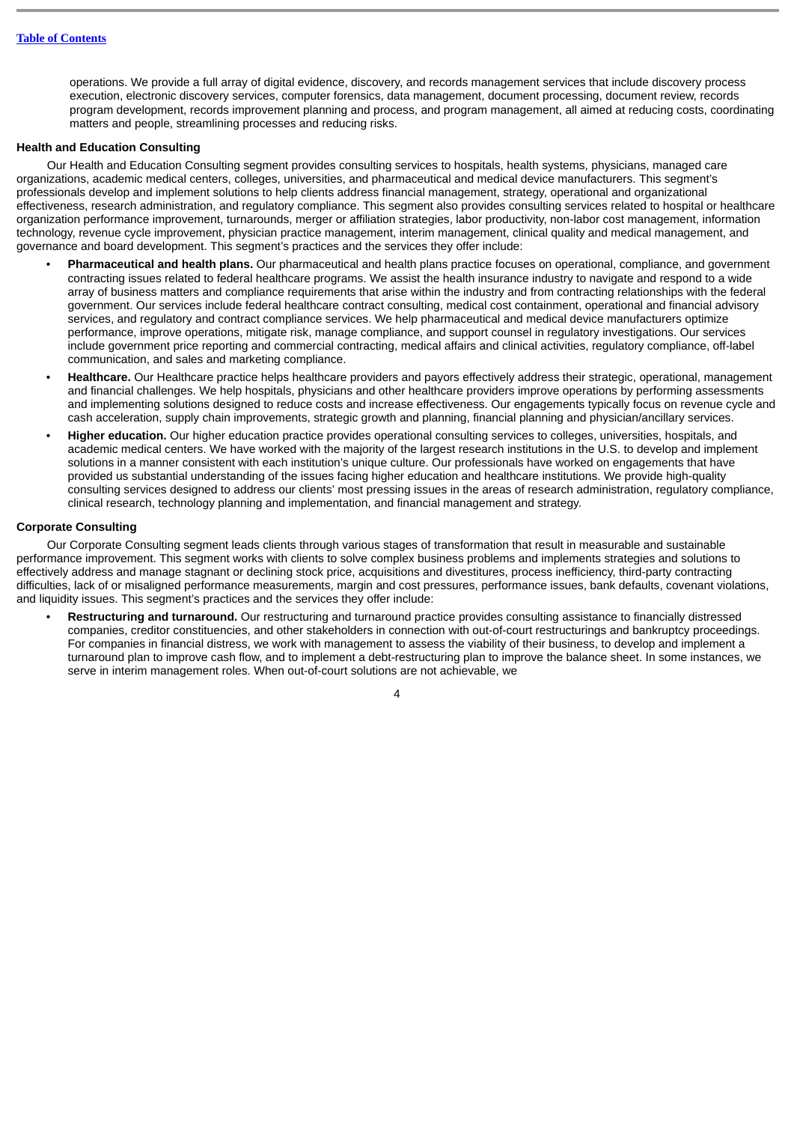operations. We provide a full array of digital evidence, discovery, and records management services that include discovery process execution, electronic discovery services, computer forensics, data management, document processing, document review, records program development, records improvement planning and process, and program management, all aimed at reducing costs, coordinating matters and people, streamlining processes and reducing risks.

#### **Health and Education Consulting**

Our Health and Education Consulting segment provides consulting services to hospitals, health systems, physicians, managed care organizations, academic medical centers, colleges, universities, and pharmaceutical and medical device manufacturers. This segment's professionals develop and implement solutions to help clients address financial management, strategy, operational and organizational effectiveness, research administration, and regulatory compliance. This segment also provides consulting services related to hospital or healthcare organization performance improvement, turnarounds, merger or affiliation strategies, labor productivity, non-labor cost management, information technology, revenue cycle improvement, physician practice management, interim management, clinical quality and medical management, and governance and board development. This segment's practices and the services they offer include:

- **Pharmaceutical and health plans.** Our pharmaceutical and health plans practice focuses on operational, compliance, and government contracting issues related to federal healthcare programs. We assist the health insurance industry to navigate and respond to a wide array of business matters and compliance requirements that arise within the industry and from contracting relationships with the federal government. Our services include federal healthcare contract consulting, medical cost containment, operational and financial advisory services, and regulatory and contract compliance services. We help pharmaceutical and medical device manufacturers optimize performance, improve operations, mitigate risk, manage compliance, and support counsel in regulatory investigations. Our services include government price reporting and commercial contracting, medical affairs and clinical activities, regulatory compliance, off-label communication, and sales and marketing compliance.
- **Healthcare.** Our Healthcare practice helps healthcare providers and payors effectively address their strategic, operational, management and financial challenges. We help hospitals, physicians and other healthcare providers improve operations by performing assessments and implementing solutions designed to reduce costs and increase effectiveness. Our engagements typically focus on revenue cycle and cash acceleration, supply chain improvements, strategic growth and planning, financial planning and physician/ancillary services.
- **Higher education.** Our higher education practice provides operational consulting services to colleges, universities, hospitals, and academic medical centers. We have worked with the majority of the largest research institutions in the U.S. to develop and implement solutions in a manner consistent with each institution's unique culture. Our professionals have worked on engagements that have provided us substantial understanding of the issues facing higher education and healthcare institutions. We provide high-quality consulting services designed to address our clients' most pressing issues in the areas of research administration, regulatory compliance, clinical research, technology planning and implementation, and financial management and strategy.

#### **Corporate Consulting**

Our Corporate Consulting segment leads clients through various stages of transformation that result in measurable and sustainable performance improvement. This segment works with clients to solve complex business problems and implements strategies and solutions to effectively address and manage stagnant or declining stock price, acquisitions and divestitures, process inefficiency, third-party contracting difficulties, lack of or misaligned performance measurements, margin and cost pressures, performance issues, bank defaults, covenant violations, and liquidity issues. This segment's practices and the services they offer include:

• **Restructuring and turnaround.** Our restructuring and turnaround practice provides consulting assistance to financially distressed companies, creditor constituencies, and other stakeholders in connection with out-of-court restructurings and bankruptcy proceedings. For companies in financial distress, we work with management to assess the viability of their business, to develop and implement a turnaround plan to improve cash flow, and to implement a debt-restructuring plan to improve the balance sheet. In some instances, we serve in interim management roles. When out-of-court solutions are not achievable, we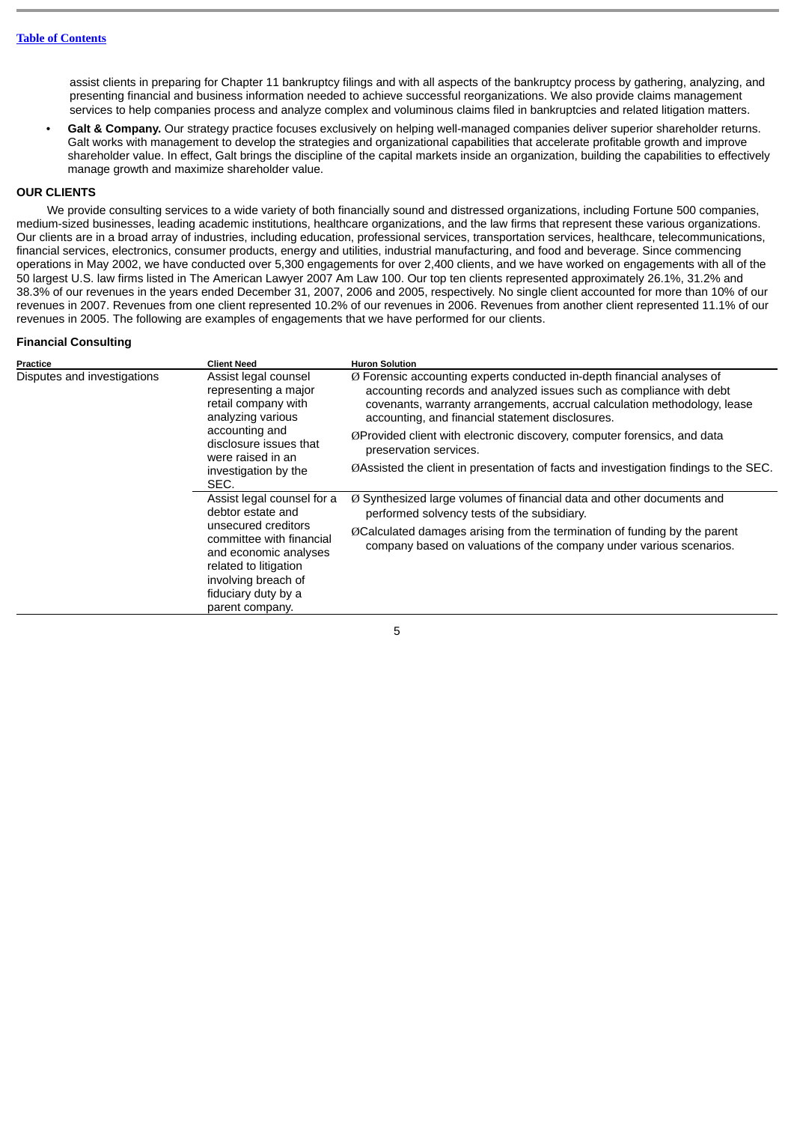assist clients in preparing for Chapter 11 bankruptcy filings and with all aspects of the bankruptcy process by gathering, analyzing, and presenting financial and business information needed to achieve successful reorganizations. We also provide claims management services to help companies process and analyze complex and voluminous claims filed in bankruptcies and related litigation matters.

Galt & Company. Our strategy practice focuses exclusively on helping well-managed companies deliver superior shareholder returns. Galt works with management to develop the strategies and organizational capabilities that accelerate profitable growth and improve shareholder value. In effect, Galt brings the discipline of the capital markets inside an organization, building the capabilities to effectively manage growth and maximize shareholder value.

# **OUR CLIENTS**

We provide consulting services to a wide variety of both financially sound and distressed organizations, including Fortune 500 companies, medium-sized businesses, leading academic institutions, healthcare organizations, and the law firms that represent these various organizations. Our clients are in a broad array of industries, including education, professional services, transportation services, healthcare, telecommunications, financial services, electronics, consumer products, energy and utilities, industrial manufacturing, and food and beverage. Since commencing operations in May 2002, we have conducted over 5,300 engagements for over 2,400 clients, and we have worked on engagements with all of the 50 largest U.S. law firms listed in The American Lawyer 2007 Am Law 100. Our top ten clients represented approximately 26.1%, 31.2% and 38.3% of our revenues in the years ended December 31, 2007, 2006 and 2005, respectively. No single client accounted for more than 10% of our revenues in 2007. Revenues from one client represented 10.2% of our revenues in 2006. Revenues from another client represented 11.1% of our revenues in 2005. The following are examples of engagements that we have performed for our clients.

# **Financial Consulting**

| <b>Practice</b>             | <b>Client Need</b>                                                                                                                                                                                                                                                                                                                                                                                                 | <b>Huron Solution</b>                                                                                                                                                                                                                                                         |
|-----------------------------|--------------------------------------------------------------------------------------------------------------------------------------------------------------------------------------------------------------------------------------------------------------------------------------------------------------------------------------------------------------------------------------------------------------------|-------------------------------------------------------------------------------------------------------------------------------------------------------------------------------------------------------------------------------------------------------------------------------|
| Disputes and investigations | Assist legal counsel<br>representing a major<br>retail company with<br>analyzing various<br>accounting and<br>disclosure issues that<br>were raised in an<br>investigation by the<br>SEC.<br>Assist legal counsel for a<br>debtor estate and<br>unsecured creditors<br>committee with financial<br>and economic analyses<br>related to litigation<br>involving breach of<br>fiduciary duty by a<br>parent company. | Ø Forensic accounting experts conducted in-depth financial analyses of<br>accounting records and analyzed issues such as compliance with debt<br>covenants, warranty arrangements, accrual calculation methodology, lease<br>accounting, and financial statement disclosures. |
|                             |                                                                                                                                                                                                                                                                                                                                                                                                                    | ØProvided client with electronic discovery, computer forensics, and data<br>preservation services.                                                                                                                                                                            |
|                             |                                                                                                                                                                                                                                                                                                                                                                                                                    | ØAssisted the client in presentation of facts and investigation findings to the SEC.                                                                                                                                                                                          |
|                             |                                                                                                                                                                                                                                                                                                                                                                                                                    | Ø Synthesized large volumes of financial data and other documents and<br>performed solvency tests of the subsidiary.                                                                                                                                                          |
|                             |                                                                                                                                                                                                                                                                                                                                                                                                                    | ØCalculated damages arising from the termination of funding by the parent<br>company based on valuations of the company under various scenarios.                                                                                                                              |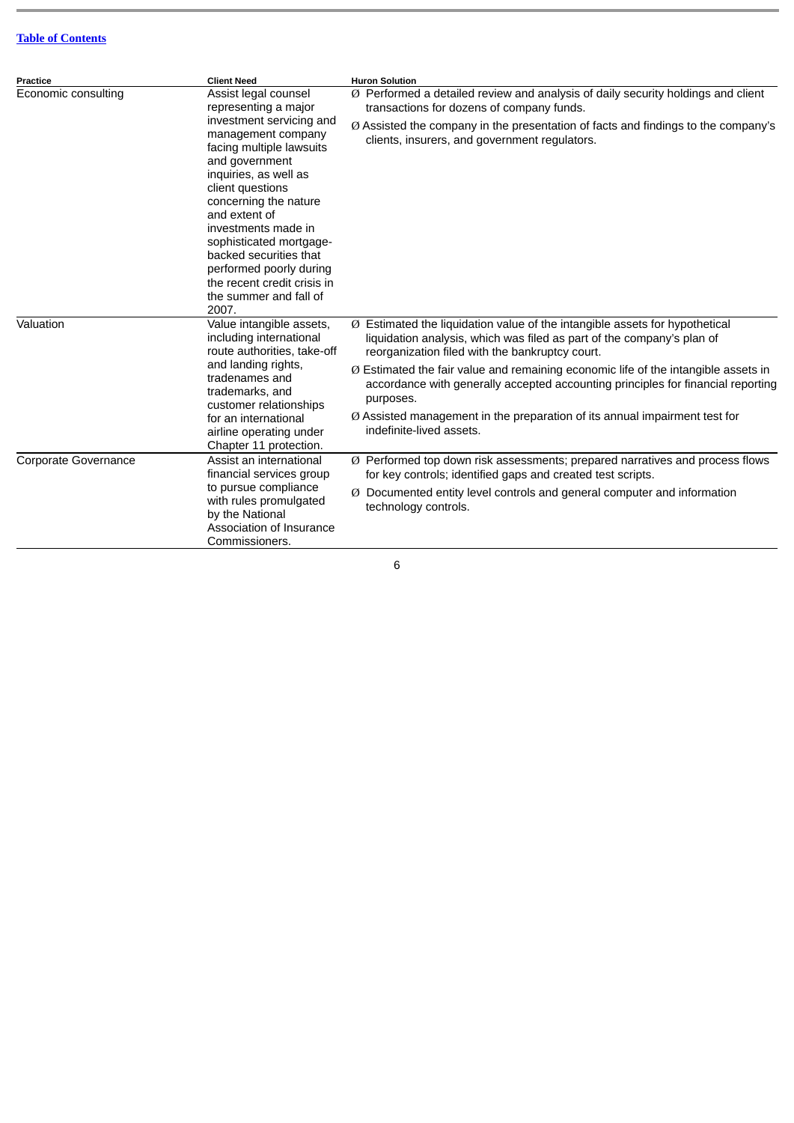| <b>Practice</b>      | <b>Client Need</b>                                                                                                                                                                                                                                                                                                                                                                                           | <b>Huron Solution</b>                                                                                                                                                                                                                                                                                                                                                                                                                                                                                                 |
|----------------------|--------------------------------------------------------------------------------------------------------------------------------------------------------------------------------------------------------------------------------------------------------------------------------------------------------------------------------------------------------------------------------------------------------------|-----------------------------------------------------------------------------------------------------------------------------------------------------------------------------------------------------------------------------------------------------------------------------------------------------------------------------------------------------------------------------------------------------------------------------------------------------------------------------------------------------------------------|
| Economic consulting  | Assist legal counsel<br>representing a major<br>investment servicing and<br>management company<br>facing multiple lawsuits<br>and government<br>inquiries, as well as<br>client questions<br>concerning the nature<br>and extent of<br>investments made in<br>sophisticated mortgage-<br>backed securities that<br>performed poorly during<br>the recent credit crisis in<br>the summer and fall of<br>2007. | $\varnothing$ Performed a detailed review and analysis of daily security holdings and client<br>transactions for dozens of company funds.<br>Ø Assisted the company in the presentation of facts and findings to the company's<br>clients, insurers, and government regulators.                                                                                                                                                                                                                                       |
| Valuation            | Value intangible assets,<br>including international<br>route authorities, take-off<br>and landing rights,<br>tradenames and<br>trademarks, and<br>customer relationships<br>for an international<br>airline operating under<br>Chapter 11 protection.                                                                                                                                                        | $\emptyset$ Estimated the liquidation value of the intangible assets for hypothetical<br>liquidation analysis, which was filed as part of the company's plan of<br>reorganization filed with the bankruptcy court.<br>$Ø$ Estimated the fair value and remaining economic life of the intangible assets in<br>accordance with generally accepted accounting principles for financial reporting<br>purposes.<br>Ø Assisted management in the preparation of its annual impairment test for<br>indefinite-lived assets. |
| Corporate Governance | Assist an international<br>financial services group<br>to pursue compliance<br>with rules promulgated<br>by the National<br>Association of Insurance<br>Commissioners.                                                                                                                                                                                                                                       | $Ø$ Performed top down risk assessments; prepared narratives and process flows<br>for key controls; identified gaps and created test scripts.<br>$\varnothing$ Documented entity level controls and general computer and information<br>technology controls.                                                                                                                                                                                                                                                          |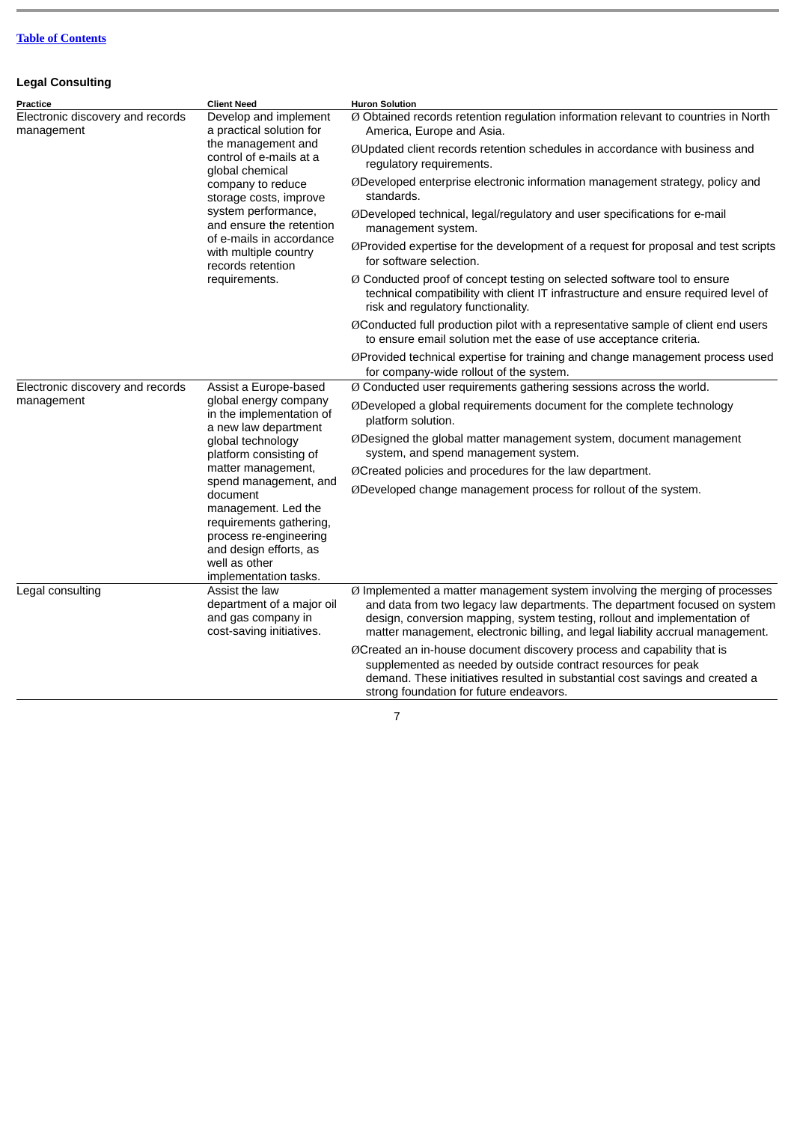# **Legal Consulting**

| <b>Practice</b>                                | <b>Client Need</b>                                                                                                                                                                                                                                                                                                                                           | <b>Huron Solution</b>                                                                                                                                                                                                                                              |  |  |  |
|------------------------------------------------|--------------------------------------------------------------------------------------------------------------------------------------------------------------------------------------------------------------------------------------------------------------------------------------------------------------------------------------------------------------|--------------------------------------------------------------------------------------------------------------------------------------------------------------------------------------------------------------------------------------------------------------------|--|--|--|
| Electronic discovery and records<br>management | Develop and implement<br>a practical solution for<br>the management and<br>control of e-mails at a<br>global chemical<br>company to reduce<br>storage costs, improve<br>system performance,<br>and ensure the retention<br>of e-mails in accordance<br>with multiple country<br>records retention<br>requirements.                                           | Ø Obtained records retention regulation information relevant to countries in North<br>America, Europe and Asia.                                                                                                                                                    |  |  |  |
|                                                |                                                                                                                                                                                                                                                                                                                                                              | ØUpdated client records retention schedules in accordance with business and<br>regulatory requirements.                                                                                                                                                            |  |  |  |
|                                                |                                                                                                                                                                                                                                                                                                                                                              | ØDeveloped enterprise electronic information management strategy, policy and<br>standards.                                                                                                                                                                         |  |  |  |
|                                                |                                                                                                                                                                                                                                                                                                                                                              | ØDeveloped technical, legal/regulatory and user specifications for e-mail<br>management system.                                                                                                                                                                    |  |  |  |
|                                                |                                                                                                                                                                                                                                                                                                                                                              | ØProvided expertise for the development of a request for proposal and test scripts<br>for software selection.                                                                                                                                                      |  |  |  |
|                                                |                                                                                                                                                                                                                                                                                                                                                              | Ø Conducted proof of concept testing on selected software tool to ensure<br>technical compatibility with client IT infrastructure and ensure required level of<br>risk and regulatory functionality.                                                               |  |  |  |
|                                                |                                                                                                                                                                                                                                                                                                                                                              | ØConducted full production pilot with a representative sample of client end users<br>to ensure email solution met the ease of use acceptance criteria.                                                                                                             |  |  |  |
|                                                |                                                                                                                                                                                                                                                                                                                                                              | ØProvided technical expertise for training and change management process used<br>for company-wide rollout of the system.                                                                                                                                           |  |  |  |
| Electronic discovery and records               | Assist a Europe-based<br>global energy company<br>in the implementation of<br>a new law department<br>global technology<br>platform consisting of<br>matter management,<br>spend management, and<br>document<br>management. Led the<br>requirements gathering,<br>process re-engineering<br>and design efforts, as<br>well as other<br>implementation tasks. | Ø Conducted user requirements gathering sessions across the world.                                                                                                                                                                                                 |  |  |  |
| management                                     |                                                                                                                                                                                                                                                                                                                                                              | ØDeveloped a global requirements document for the complete technology<br>platform solution.                                                                                                                                                                        |  |  |  |
|                                                |                                                                                                                                                                                                                                                                                                                                                              | ØDesigned the global matter management system, document management<br>system, and spend management system.                                                                                                                                                         |  |  |  |
|                                                |                                                                                                                                                                                                                                                                                                                                                              | ØCreated policies and procedures for the law department.                                                                                                                                                                                                           |  |  |  |
|                                                |                                                                                                                                                                                                                                                                                                                                                              | ØDeveloped change management process for rollout of the system.                                                                                                                                                                                                    |  |  |  |
|                                                |                                                                                                                                                                                                                                                                                                                                                              |                                                                                                                                                                                                                                                                    |  |  |  |
| Legal consulting                               | Assist the law                                                                                                                                                                                                                                                                                                                                               | $Ø$ Implemented a matter management system involving the merging of processes                                                                                                                                                                                      |  |  |  |
|                                                | department of a major oil<br>and gas company in<br>cost-saving initiatives.                                                                                                                                                                                                                                                                                  | and data from two legacy law departments. The department focused on system<br>design, conversion mapping, system testing, rollout and implementation of<br>matter management, electronic billing, and legal liability accrual management.                          |  |  |  |
|                                                |                                                                                                                                                                                                                                                                                                                                                              | ØCreated an in-house document discovery process and capability that is<br>supplemented as needed by outside contract resources for peak<br>demand. These initiatives resulted in substantial cost savings and created a<br>strong foundation for future endeavors. |  |  |  |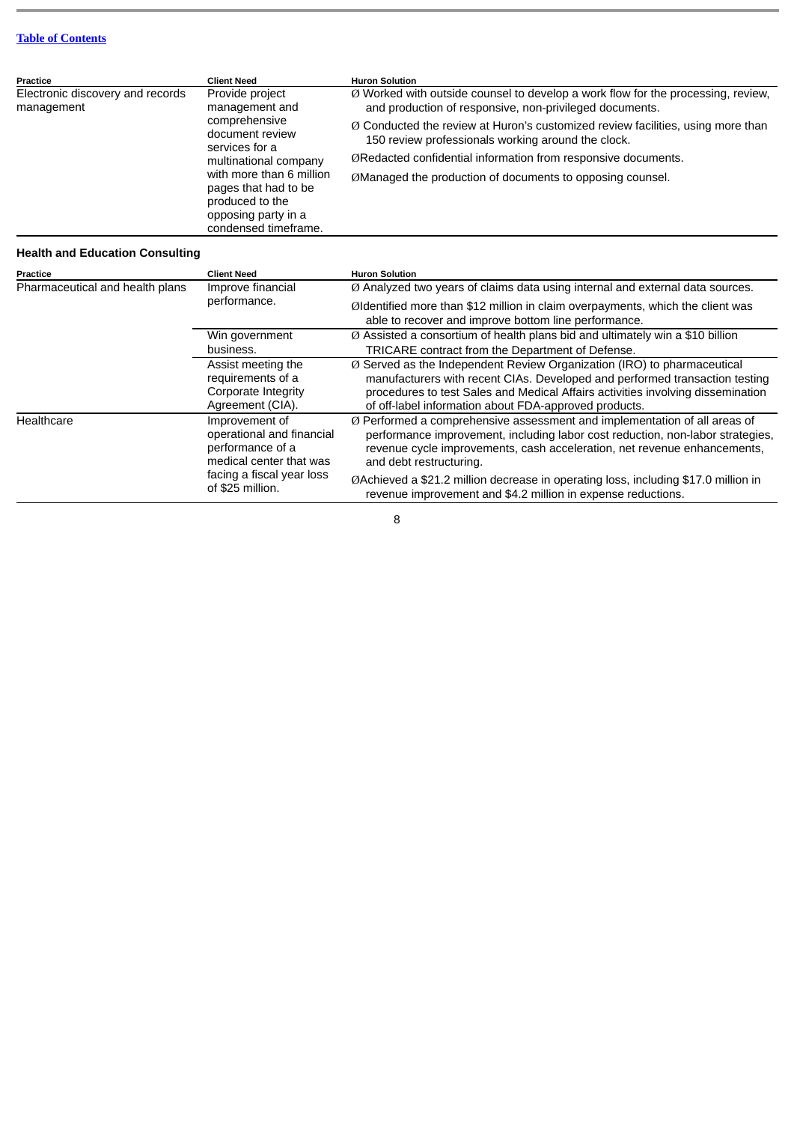| <b>Practice</b>                                | <b>Client Need</b>                                                                                                                                                                                                                     | <b>Huron Solution</b>                                                                                                                         |
|------------------------------------------------|----------------------------------------------------------------------------------------------------------------------------------------------------------------------------------------------------------------------------------------|-----------------------------------------------------------------------------------------------------------------------------------------------|
| Electronic discovery and records<br>management | Provide project<br>management and<br>comprehensive<br>document review<br>services for a<br>multinational company<br>with more than 6 million<br>pages that had to be<br>produced to the<br>opposing party in a<br>condensed timeframe. | $Ø$ Worked with outside counsel to develop a work flow for the processing, review,<br>and production of responsive, non-privileged documents. |
|                                                |                                                                                                                                                                                                                                        | Ø Conducted the review at Huron's customized review facilities, using more than<br>150 review professionals working around the clock.         |
|                                                |                                                                                                                                                                                                                                        | ØRedacted confidential information from responsive documents.                                                                                 |
|                                                |                                                                                                                                                                                                                                        | ØManaged the production of documents to opposing counsel.                                                                                     |

# **Health and Education Consulting**

| <b>Practice</b>                 | <b>Client Need</b>                                                                         | <b>Huron Solution</b>                                                                                                                                                                                                                                                          |  |  |  |
|---------------------------------|--------------------------------------------------------------------------------------------|--------------------------------------------------------------------------------------------------------------------------------------------------------------------------------------------------------------------------------------------------------------------------------|--|--|--|
| Pharmaceutical and health plans | Improve financial                                                                          | Ø Analyzed two years of claims data using internal and external data sources.                                                                                                                                                                                                  |  |  |  |
|                                 | performance.                                                                               | Øldentified more than \$12 million in claim overpayments, which the client was<br>able to recover and improve bottom line performance.                                                                                                                                         |  |  |  |
|                                 | Win government                                                                             | $\varnothing$ Assisted a consortium of health plans bid and ultimately win a \$10 billion                                                                                                                                                                                      |  |  |  |
|                                 | business.                                                                                  | TRICARE contract from the Department of Defense.                                                                                                                                                                                                                               |  |  |  |
|                                 | Assist meeting the                                                                         | $\varnothing$ Served as the Independent Review Organization (IRO) to pharmaceutical                                                                                                                                                                                            |  |  |  |
|                                 | requirements of a                                                                          | manufacturers with recent CIAs. Developed and performed transaction testing                                                                                                                                                                                                    |  |  |  |
|                                 | Corporate Integrity                                                                        | procedures to test Sales and Medical Affairs activities involving dissemination                                                                                                                                                                                                |  |  |  |
|                                 | Agreement (CIA).                                                                           | of off-label information about FDA-approved products.                                                                                                                                                                                                                          |  |  |  |
| Healthcare                      | Improvement of<br>operational and financial<br>performance of a<br>medical center that was | $\varnothing$ Performed a comprehensive assessment and implementation of all areas of<br>performance improvement, including labor cost reduction, non-labor strategies,<br>revenue cycle improvements, cash acceleration, net revenue enhancements,<br>and debt restructuring. |  |  |  |
|                                 | facing a fiscal year loss<br>of \$25 million.                                              | ØAchieved a \$21.2 million decrease in operating loss, including \$17.0 million in<br>revenue improvement and \$4.2 million in expense reductions.                                                                                                                             |  |  |  |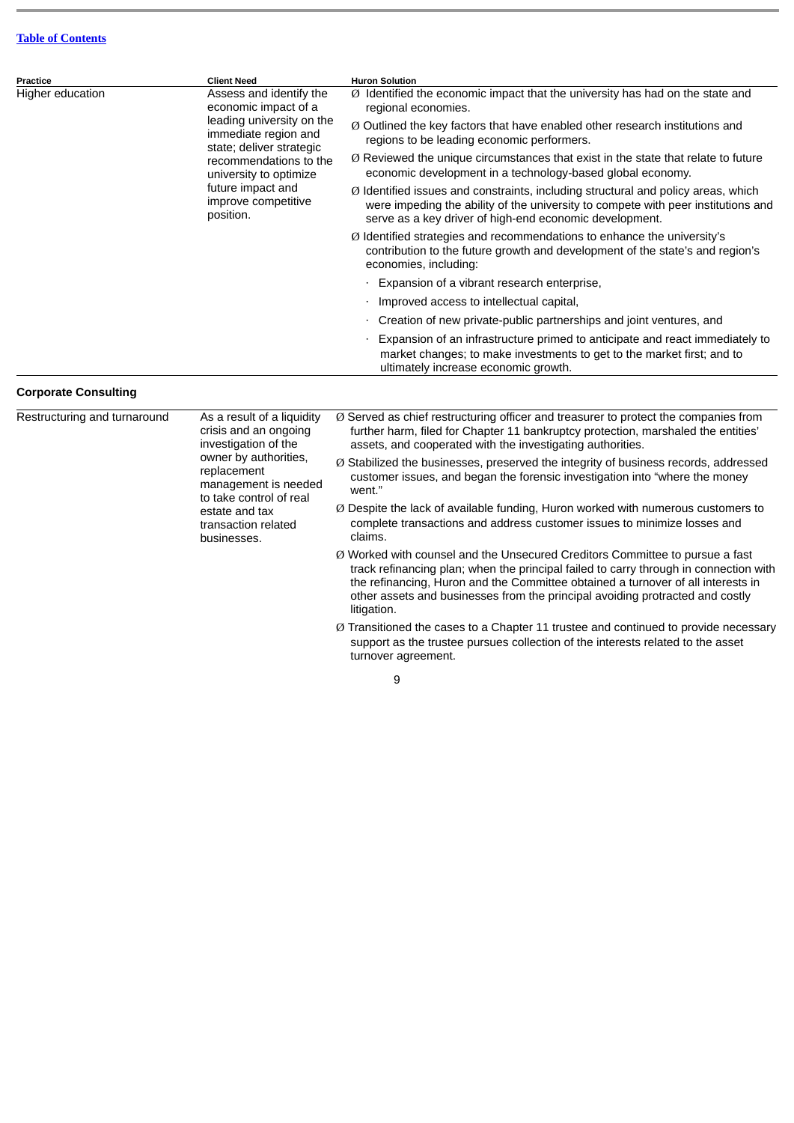| <b>Practice</b>  | <b>Client Need</b>                                                                                                                                                                                                                            | <b>Huron Solution</b>                                                                                                                                                                                                                         |  |  |  |  |  |  |                                          |  |  |  |                                             |
|------------------|-----------------------------------------------------------------------------------------------------------------------------------------------------------------------------------------------------------------------------------------------|-----------------------------------------------------------------------------------------------------------------------------------------------------------------------------------------------------------------------------------------------|--|--|--|--|--|--|------------------------------------------|--|--|--|---------------------------------------------|
| Higher education | Assess and identify the<br>economic impact of a<br>leading university on the<br>immediate region and<br>state; deliver strategic<br>recommendations to the<br>university to optimize<br>future impact and<br>improve competitive<br>position. | $\varnothing$ Identified the economic impact that the university has had on the state and<br>regional economies.                                                                                                                              |  |  |  |  |  |  |                                          |  |  |  |                                             |
|                  |                                                                                                                                                                                                                                               | Ø Outlined the key factors that have enabled other research institutions and<br>regions to be leading economic performers.                                                                                                                    |  |  |  |  |  |  |                                          |  |  |  |                                             |
|                  |                                                                                                                                                                                                                                               | $\varnothing$ Reviewed the unique circumstances that exist in the state that relate to future<br>economic development in a technology-based global economy.                                                                                   |  |  |  |  |  |  |                                          |  |  |  |                                             |
|                  |                                                                                                                                                                                                                                               | $\varnothing$ Identified issues and constraints, including structural and policy areas, which<br>were impeding the ability of the university to compete with peer institutions and<br>serve as a key driver of high-end economic development. |  |  |  |  |  |  |                                          |  |  |  |                                             |
|                  |                                                                                                                                                                                                                                               | Ø Identified strategies and recommendations to enhance the university's<br>contribution to the future growth and development of the state's and region's<br>economies, including:                                                             |  |  |  |  |  |  |                                          |  |  |  |                                             |
|                  |                                                                                                                                                                                                                                               |                                                                                                                                                                                                                                               |  |  |  |  |  |  |                                          |  |  |  | Expansion of a vibrant research enterprise, |
|                  |                                                                                                                                                                                                                                               |                                                                                                                                                                                                                                               |  |  |  |  |  |  | Improved access to intellectual capital, |  |  |  |                                             |
|                  |                                                                                                                                                                                                                                               | Creation of new private-public partnerships and joint ventures, and                                                                                                                                                                           |  |  |  |  |  |  |                                          |  |  |  |                                             |
|                  |                                                                                                                                                                                                                                               | Expansion of an infrastructure primed to anticipate and react immediately to<br>market changes; to make investments to get to the market first; and to<br>ultimately increase economic growth.                                                |  |  |  |  |  |  |                                          |  |  |  |                                             |

# **Corporate Consulting**

| Restructuring and turnaround | As a result of a liquidity<br>crisis and an ongoing<br>investigation of the             | Ø Served as chief restructuring officer and treasurer to protect the companies from<br>further harm, filed for Chapter 11 bankruptcy protection, marshaled the entities'<br>assets, and cooperated with the investigating authorities.                                                                                                                    |
|------------------------------|-----------------------------------------------------------------------------------------|-----------------------------------------------------------------------------------------------------------------------------------------------------------------------------------------------------------------------------------------------------------------------------------------------------------------------------------------------------------|
|                              | owner by authorities.<br>replacement<br>management is needed<br>to take control of real | Ø Stabilized the businesses, preserved the integrity of business records, addressed<br>customer issues, and began the forensic investigation into "where the money"<br>went."                                                                                                                                                                             |
|                              | estate and tax<br>transaction related<br>businesses.                                    | $\varnothing$ Despite the lack of available funding, Huron worked with numerous customers to<br>complete transactions and address customer issues to minimize losses and<br>claims.                                                                                                                                                                       |
|                              |                                                                                         | Ø Worked with counsel and the Unsecured Creditors Committee to pursue a fast<br>track refinancing plan; when the principal failed to carry through in connection with<br>the refinancing, Huron and the Committee obtained a turnover of all interests in<br>other assets and businesses from the principal avoiding protracted and costly<br>litigation. |
|                              |                                                                                         | $\varnothing$ Transitioned the cases to a Chapter 11 trustee and continued to provide necessary<br>support as the trustee pursues collection of the interests related to the asset                                                                                                                                                                        |

turnover agreement. 9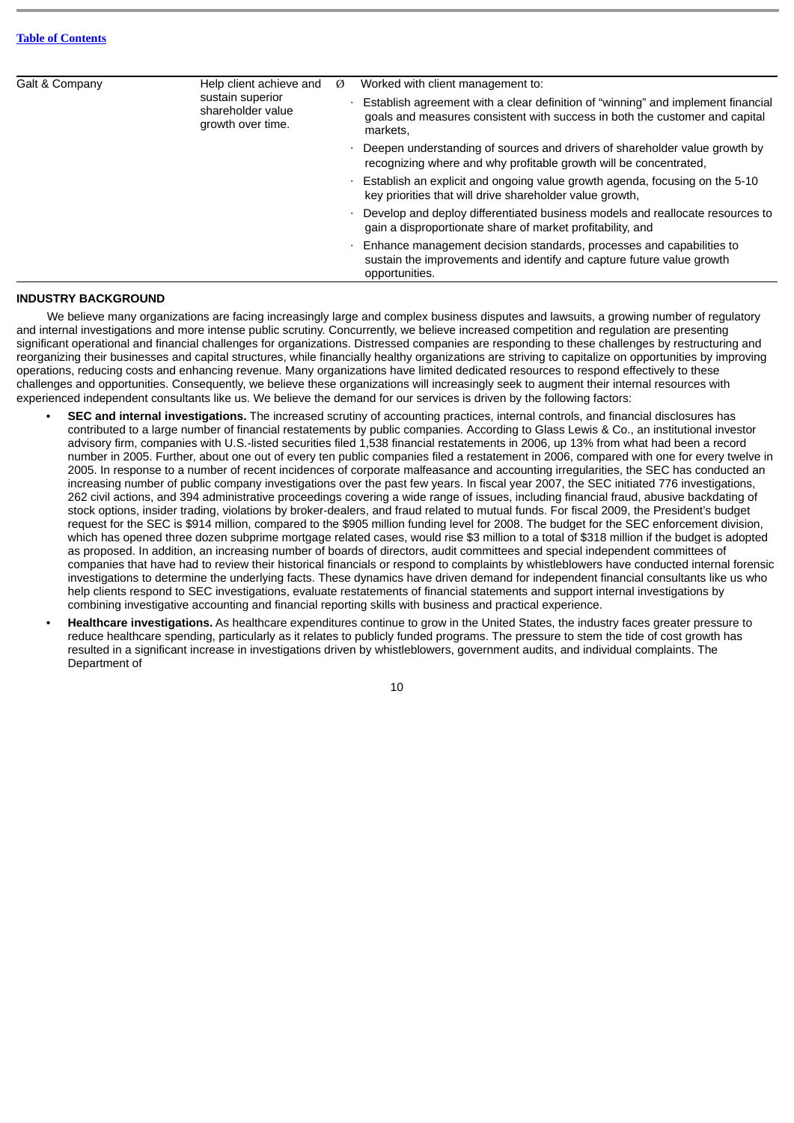| Galt & Company | Help client achieve and                                    | Ø | Worked with client management to:                                                                                                                                           |
|----------------|------------------------------------------------------------|---|-----------------------------------------------------------------------------------------------------------------------------------------------------------------------------|
|                | sustain superior<br>shareholder value<br>growth over time. |   | Establish agreement with a clear definition of "winning" and implement financial<br>goals and measures consistent with success in both the customer and capital<br>markets. |
|                |                                                            |   | Deepen understanding of sources and drivers of shareholder value growth by<br>recognizing where and why profitable growth will be concentrated,                             |
|                |                                                            |   | Establish an explicit and ongoing value growth agenda, focusing on the 5-10<br>key priorities that will drive shareholder value growth,                                     |
|                |                                                            |   | Develop and deploy differentiated business models and reallocate resources to<br>gain a disproportionate share of market profitability, and                                 |
|                |                                                            |   | Enhance management decision standards, processes and capabilities to<br>sustain the improvements and identify and capture future value growth<br>opportunities.             |

#### **INDUSTRY BACKGROUND**

We believe many organizations are facing increasingly large and complex business disputes and lawsuits, a growing number of regulatory and internal investigations and more intense public scrutiny. Concurrently, we believe increased competition and regulation are presenting significant operational and financial challenges for organizations. Distressed companies are responding to these challenges by restructuring and reorganizing their businesses and capital structures, while financially healthy organizations are striving to capitalize on opportunities by improving operations, reducing costs and enhancing revenue. Many organizations have limited dedicated resources to respond effectively to these challenges and opportunities. Consequently, we believe these organizations will increasingly seek to augment their internal resources with experienced independent consultants like us. We believe the demand for our services is driven by the following factors:

- **SEC and internal investigations.** The increased scrutiny of accounting practices, internal controls, and financial disclosures has contributed to a large number of financial restatements by public companies. According to Glass Lewis & Co., an institutional investor advisory firm, companies with U.S.-listed securities filed 1,538 financial restatements in 2006, up 13% from what had been a record number in 2005. Further, about one out of every ten public companies filed a restatement in 2006, compared with one for every twelve in 2005. In response to a number of recent incidences of corporate malfeasance and accounting irregularities, the SEC has conducted an increasing number of public company investigations over the past few years. In fiscal year 2007, the SEC initiated 776 investigations, 262 civil actions, and 394 administrative proceedings covering a wide range of issues, including financial fraud, abusive backdating of stock options, insider trading, violations by broker-dealers, and fraud related to mutual funds. For fiscal 2009, the President's budget request for the SEC is \$914 million, compared to the \$905 million funding level for 2008. The budget for the SEC enforcement division, which has opened three dozen subprime mortgage related cases, would rise \$3 million to a total of \$318 million if the budget is adopted as proposed. In addition, an increasing number of boards of directors, audit committees and special independent committees of companies that have had to review their historical financials or respond to complaints by whistleblowers have conducted internal forensic investigations to determine the underlying facts. These dynamics have driven demand for independent financial consultants like us who help clients respond to SEC investigations, evaluate restatements of financial statements and support internal investigations by combining investigative accounting and financial reporting skills with business and practical experience.
- **Healthcare investigations.** As healthcare expenditures continue to grow in the United States, the industry faces greater pressure to reduce healthcare spending, particularly as it relates to publicly funded programs. The pressure to stem the tide of cost growth has resulted in a significant increase in investigations driven by whistleblowers, government audits, and individual complaints. The Department of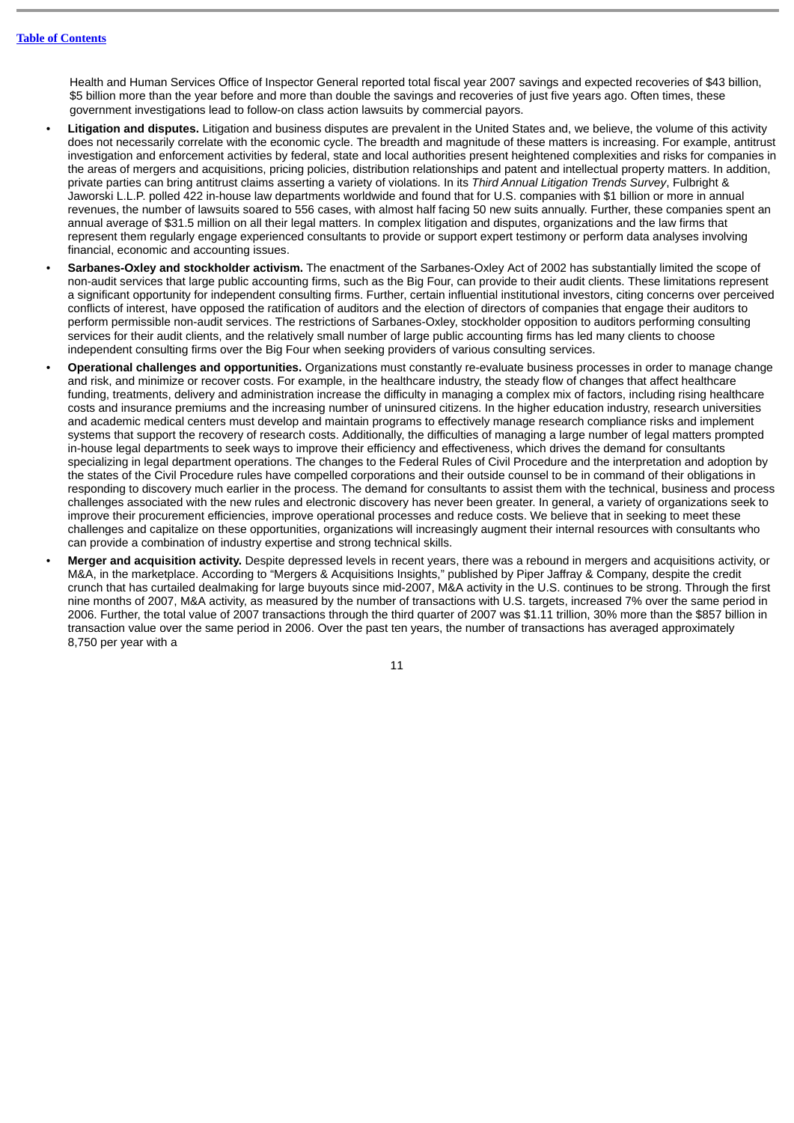Health and Human Services Office of Inspector General reported total fiscal year 2007 savings and expected recoveries of \$43 billion, \$5 billion more than the year before and more than double the savings and recoveries of just five years ago. Often times, these government investigations lead to follow-on class action lawsuits by commercial payors.

- **Litigation and disputes.** Litigation and business disputes are prevalent in the United States and, we believe, the volume of this activity does not necessarily correlate with the economic cycle. The breadth and magnitude of these matters is increasing. For example, antitrust investigation and enforcement activities by federal, state and local authorities present heightened complexities and risks for companies in the areas of mergers and acquisitions, pricing policies, distribution relationships and patent and intellectual property matters. In addition, private parties can bring antitrust claims asserting a variety of violations. In its *Third Annual Litigation Trends Survey*, Fulbright & Jaworski L.L.P. polled 422 in-house law departments worldwide and found that for U.S. companies with \$1 billion or more in annual revenues, the number of lawsuits soared to 556 cases, with almost half facing 50 new suits annually. Further, these companies spent an annual average of \$31.5 million on all their legal matters. In complex litigation and disputes, organizations and the law firms that represent them regularly engage experienced consultants to provide or support expert testimony or perform data analyses involving financial, economic and accounting issues.
- **Sarbanes-Oxley and stockholder activism.** The enactment of the Sarbanes-Oxley Act of 2002 has substantially limited the scope of non-audit services that large public accounting firms, such as the Big Four, can provide to their audit clients. These limitations represent a significant opportunity for independent consulting firms. Further, certain influential institutional investors, citing concerns over perceived conflicts of interest, have opposed the ratification of auditors and the election of directors of companies that engage their auditors to perform permissible non-audit services. The restrictions of Sarbanes-Oxley, stockholder opposition to auditors performing consulting services for their audit clients, and the relatively small number of large public accounting firms has led many clients to choose independent consulting firms over the Big Four when seeking providers of various consulting services.
- **Operational challenges and opportunities.** Organizations must constantly re-evaluate business processes in order to manage change and risk, and minimize or recover costs. For example, in the healthcare industry, the steady flow of changes that affect healthcare funding, treatments, delivery and administration increase the difficulty in managing a complex mix of factors, including rising healthcare costs and insurance premiums and the increasing number of uninsured citizens. In the higher education industry, research universities and academic medical centers must develop and maintain programs to effectively manage research compliance risks and implement systems that support the recovery of research costs. Additionally, the difficulties of managing a large number of legal matters prompted in-house legal departments to seek ways to improve their efficiency and effectiveness, which drives the demand for consultants specializing in legal department operations. The changes to the Federal Rules of Civil Procedure and the interpretation and adoption by the states of the Civil Procedure rules have compelled corporations and their outside counsel to be in command of their obligations in responding to discovery much earlier in the process. The demand for consultants to assist them with the technical, business and process challenges associated with the new rules and electronic discovery has never been greater. In general, a variety of organizations seek to improve their procurement efficiencies, improve operational processes and reduce costs. We believe that in seeking to meet these challenges and capitalize on these opportunities, organizations will increasingly augment their internal resources with consultants who can provide a combination of industry expertise and strong technical skills.
- **Merger and acquisition activity.** Despite depressed levels in recent years, there was a rebound in mergers and acquisitions activity, or M&A, in the marketplace. According to "Mergers & Acquisitions Insights," published by Piper Jaffray & Company, despite the credit crunch that has curtailed dealmaking for large buyouts since mid-2007, M&A activity in the U.S. continues to be strong. Through the first nine months of 2007, M&A activity, as measured by the number of transactions with U.S. targets, increased 7% over the same period in 2006. Further, the total value of 2007 transactions through the third quarter of 2007 was \$1.11 trillion, 30% more than the \$857 billion in transaction value over the same period in 2006. Over the past ten years, the number of transactions has averaged approximately 8,750 per year with a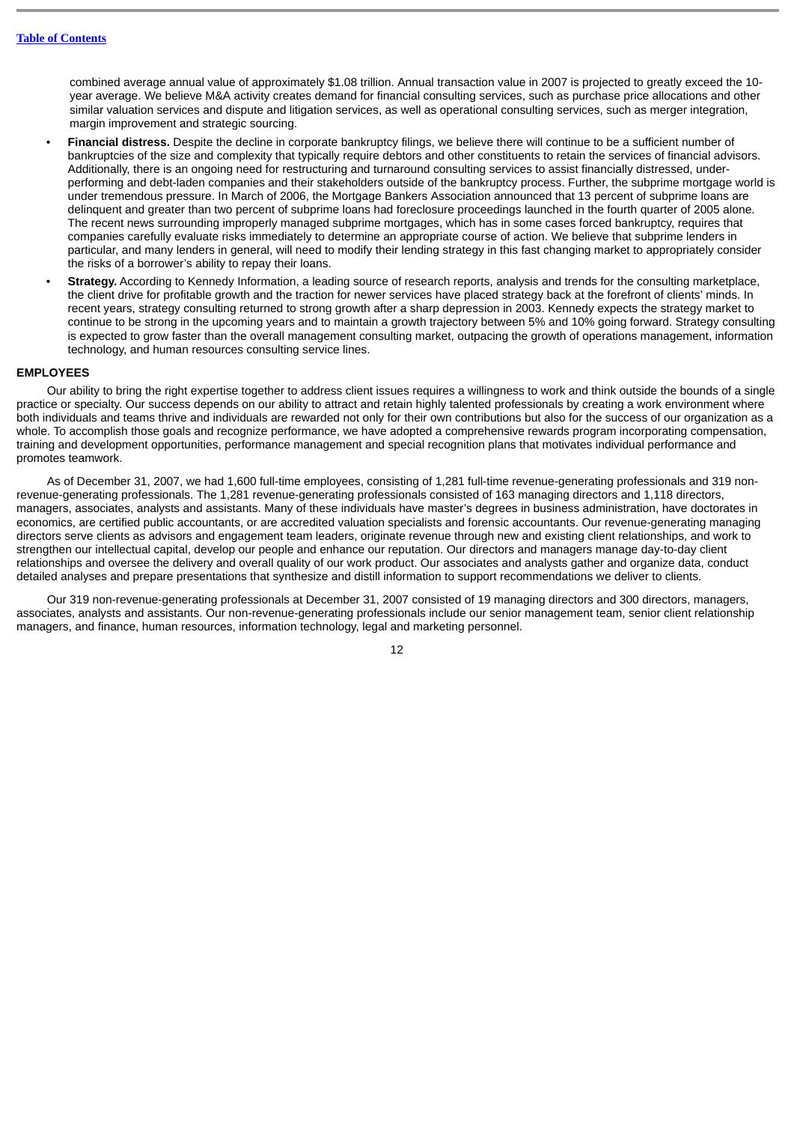combined average annual value of approximately \$1.08 trillion. Annual transaction value in 2007 is projected to greatly exceed the 10 year average. We believe M&A activity creates demand for financial consulting services, such as purchase price allocations and other similar valuation services and dispute and litigation services, as well as operational consulting services, such as merger integration, margin improvement and strategic sourcing.

- **Financial distress.** Despite the decline in corporate bankruptcy filings, we believe there will continue to be a sufficient number of bankruptcies of the size and complexity that typically require debtors and other constituents to retain the services of financial advisors. Additionally, there is an ongoing need for restructuring and turnaround consulting services to assist financially distressed, underperforming and debt-laden companies and their stakeholders outside of the bankruptcy process. Further, the subprime mortgage world is under tremendous pressure. In March of 2006, the Mortgage Bankers Association announced that 13 percent of subprime loans are delinquent and greater than two percent of subprime loans had foreclosure proceedings launched in the fourth quarter of 2005 alone. The recent news surrounding improperly managed subprime mortgages, which has in some cases forced bankruptcy, requires that companies carefully evaluate risks immediately to determine an appropriate course of action. We believe that subprime lenders in particular, and many lenders in general, will need to modify their lending strategy in this fast changing market to appropriately consider the risks of a borrower's ability to repay their loans.
- **Strategy.** According to Kennedy Information, a leading source of research reports, analysis and trends for the consulting marketplace, the client drive for profitable growth and the traction for newer services have placed strategy back at the forefront of clients' minds. In recent years, strategy consulting returned to strong growth after a sharp depression in 2003. Kennedy expects the strategy market to continue to be strong in the upcoming years and to maintain a growth trajectory between 5% and 10% going forward. Strategy consulting is expected to grow faster than the overall management consulting market, outpacing the growth of operations management, information technology, and human resources consulting service lines.

#### **EMPLOYEES**

Our ability to bring the right expertise together to address client issues requires a willingness to work and think outside the bounds of a single practice or specialty. Our success depends on our ability to attract and retain highly talented professionals by creating a work environment where both individuals and teams thrive and individuals are rewarded not only for their own contributions but also for the success of our organization as a whole. To accomplish those goals and recognize performance, we have adopted a comprehensive rewards program incorporating compensation, training and development opportunities, performance management and special recognition plans that motivates individual performance and promotes teamwork.

As of December 31, 2007, we had 1,600 full-time employees, consisting of 1,281 full-time revenue-generating professionals and 319 nonrevenue-generating professionals. The 1,281 revenue-generating professionals consisted of 163 managing directors and 1,118 directors, managers, associates, analysts and assistants. Many of these individuals have master's degrees in business administration, have doctorates in economics, are certified public accountants, or are accredited valuation specialists and forensic accountants. Our revenue-generating managing directors serve clients as advisors and engagement team leaders, originate revenue through new and existing client relationships, and work to strengthen our intellectual capital, develop our people and enhance our reputation. Our directors and managers manage day-to-day client relationships and oversee the delivery and overall quality of our work product. Our associates and analysts gather and organize data, conduct detailed analyses and prepare presentations that synthesize and distill information to support recommendations we deliver to clients.

Our 319 non-revenue-generating professionals at December 31, 2007 consisted of 19 managing directors and 300 directors, managers, associates, analysts and assistants. Our non-revenue-generating professionals include our senior management team, senior client relationship managers, and finance, human resources, information technology, legal and marketing personnel.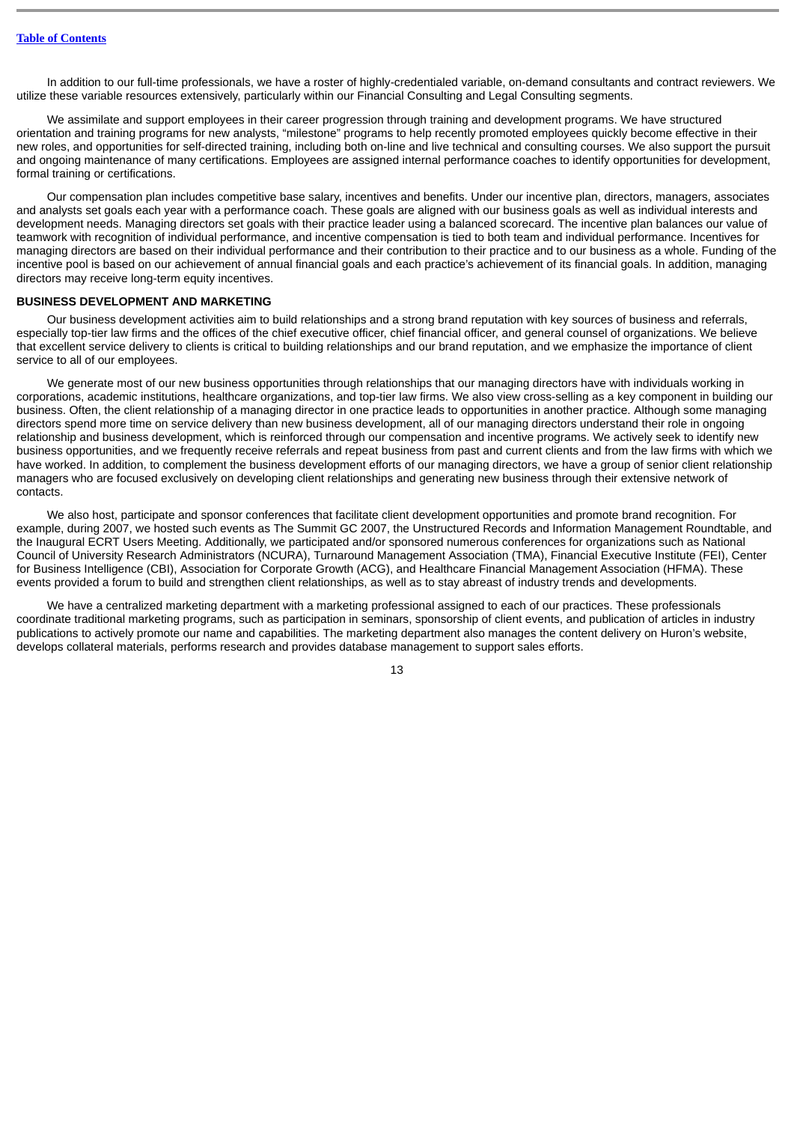In addition to our full-time professionals, we have a roster of highly-credentialed variable, on-demand consultants and contract reviewers. We utilize these variable resources extensively, particularly within our Financial Consulting and Legal Consulting segments.

We assimilate and support employees in their career progression through training and development programs. We have structured orientation and training programs for new analysts, "milestone" programs to help recently promoted employees quickly become effective in their new roles, and opportunities for self-directed training, including both on-line and live technical and consulting courses. We also support the pursuit and ongoing maintenance of many certifications. Employees are assigned internal performance coaches to identify opportunities for development, formal training or certifications.

Our compensation plan includes competitive base salary, incentives and benefits. Under our incentive plan, directors, managers, associates and analysts set goals each year with a performance coach. These goals are aligned with our business goals as well as individual interests and development needs. Managing directors set goals with their practice leader using a balanced scorecard. The incentive plan balances our value of teamwork with recognition of individual performance, and incentive compensation is tied to both team and individual performance. Incentives for managing directors are based on their individual performance and their contribution to their practice and to our business as a whole. Funding of the incentive pool is based on our achievement of annual financial goals and each practice's achievement of its financial goals. In addition, managing directors may receive long-term equity incentives.

#### **BUSINESS DEVELOPMENT AND MARKETING**

Our business development activities aim to build relationships and a strong brand reputation with key sources of business and referrals, especially top-tier law firms and the offices of the chief executive officer, chief financial officer, and general counsel of organizations. We believe that excellent service delivery to clients is critical to building relationships and our brand reputation, and we emphasize the importance of client service to all of our employees.

We generate most of our new business opportunities through relationships that our managing directors have with individuals working in corporations, academic institutions, healthcare organizations, and top-tier law firms. We also view cross-selling as a key component in building our business. Often, the client relationship of a managing director in one practice leads to opportunities in another practice. Although some managing directors spend more time on service delivery than new business development, all of our managing directors understand their role in ongoing relationship and business development, which is reinforced through our compensation and incentive programs. We actively seek to identify new business opportunities, and we frequently receive referrals and repeat business from past and current clients and from the law firms with which we have worked. In addition, to complement the business development efforts of our managing directors, we have a group of senior client relationship managers who are focused exclusively on developing client relationships and generating new business through their extensive network of contacts.

We also host, participate and sponsor conferences that facilitate client development opportunities and promote brand recognition. For example, during 2007, we hosted such events as The Summit GC 2007, the Unstructured Records and Information Management Roundtable, and the Inaugural ECRT Users Meeting. Additionally, we participated and/or sponsored numerous conferences for organizations such as National Council of University Research Administrators (NCURA), Turnaround Management Association (TMA), Financial Executive Institute (FEI), Center for Business Intelligence (CBI), Association for Corporate Growth (ACG), and Healthcare Financial Management Association (HFMA). These events provided a forum to build and strengthen client relationships, as well as to stay abreast of industry trends and developments.

We have a centralized marketing department with a marketing professional assigned to each of our practices. These professionals coordinate traditional marketing programs, such as participation in seminars, sponsorship of client events, and publication of articles in industry publications to actively promote our name and capabilities. The marketing department also manages the content delivery on Huron's website, develops collateral materials, performs research and provides database management to support sales efforts.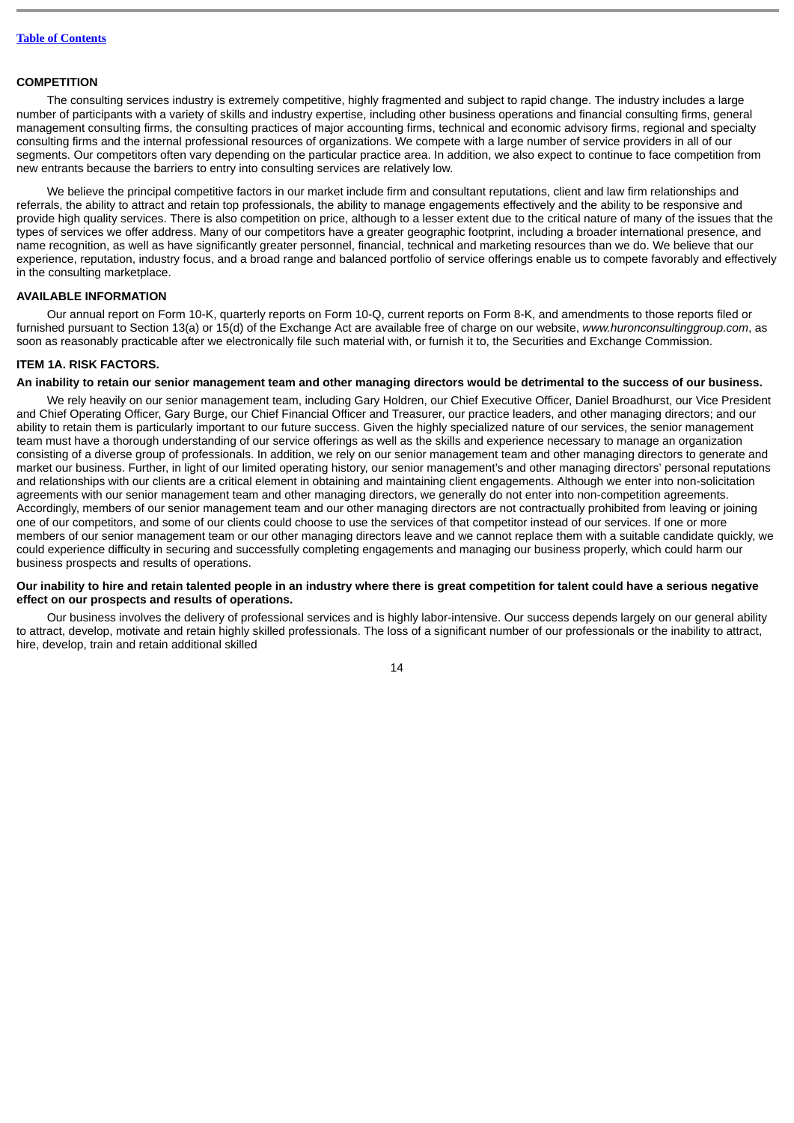#### **COMPETITION**

The consulting services industry is extremely competitive, highly fragmented and subject to rapid change. The industry includes a large number of participants with a variety of skills and industry expertise, including other business operations and financial consulting firms, general management consulting firms, the consulting practices of major accounting firms, technical and economic advisory firms, regional and specialty consulting firms and the internal professional resources of organizations. We compete with a large number of service providers in all of our segments. Our competitors often vary depending on the particular practice area. In addition, we also expect to continue to face competition from new entrants because the barriers to entry into consulting services are relatively low.

We believe the principal competitive factors in our market include firm and consultant reputations, client and law firm relationships and referrals, the ability to attract and retain top professionals, the ability to manage engagements effectively and the ability to be responsive and provide high quality services. There is also competition on price, although to a lesser extent due to the critical nature of many of the issues that the types of services we offer address. Many of our competitors have a greater geographic footprint, including a broader international presence, and name recognition, as well as have significantly greater personnel, financial, technical and marketing resources than we do. We believe that our experience, reputation, industry focus, and a broad range and balanced portfolio of service offerings enable us to compete favorably and effectively in the consulting marketplace.

#### **AVAILABLE INFORMATION**

Our annual report on Form 10-K, quarterly reports on Form 10-Q, current reports on Form 8-K, and amendments to those reports filed or furnished pursuant to Section 13(a) or 15(d) of the Exchange Act are available free of charge on our website, *www.huronconsultinggroup.com*, as soon as reasonably practicable after we electronically file such material with, or furnish it to, the Securities and Exchange Commission.

#### <span id="page-15-0"></span>**ITEM 1A. RISK FACTORS.**

# **An inability to retain our senior management team and other managing directors would be detrimental to the success of our business.**

We rely heavily on our senior management team, including Gary Holdren, our Chief Executive Officer, Daniel Broadhurst, our Vice President and Chief Operating Officer, Gary Burge, our Chief Financial Officer and Treasurer, our practice leaders, and other managing directors; and our ability to retain them is particularly important to our future success. Given the highly specialized nature of our services, the senior management team must have a thorough understanding of our service offerings as well as the skills and experience necessary to manage an organization consisting of a diverse group of professionals. In addition, we rely on our senior management team and other managing directors to generate and market our business. Further, in light of our limited operating history, our senior management's and other managing directors' personal reputations and relationships with our clients are a critical element in obtaining and maintaining client engagements. Although we enter into non-solicitation agreements with our senior management team and other managing directors, we generally do not enter into non-competition agreements. Accordingly, members of our senior management team and our other managing directors are not contractually prohibited from leaving or joining one of our competitors, and some of our clients could choose to use the services of that competitor instead of our services. If one or more members of our senior management team or our other managing directors leave and we cannot replace them with a suitable candidate quickly, we could experience difficulty in securing and successfully completing engagements and managing our business properly, which could harm our business prospects and results of operations.

# **Our inability to hire and retain talented people in an industry where there is great competition for talent could have a serious negative effect on our prospects and results of operations.**

Our business involves the delivery of professional services and is highly labor-intensive. Our success depends largely on our general ability to attract, develop, motivate and retain highly skilled professionals. The loss of a significant number of our professionals or the inability to attract, hire, develop, train and retain additional skilled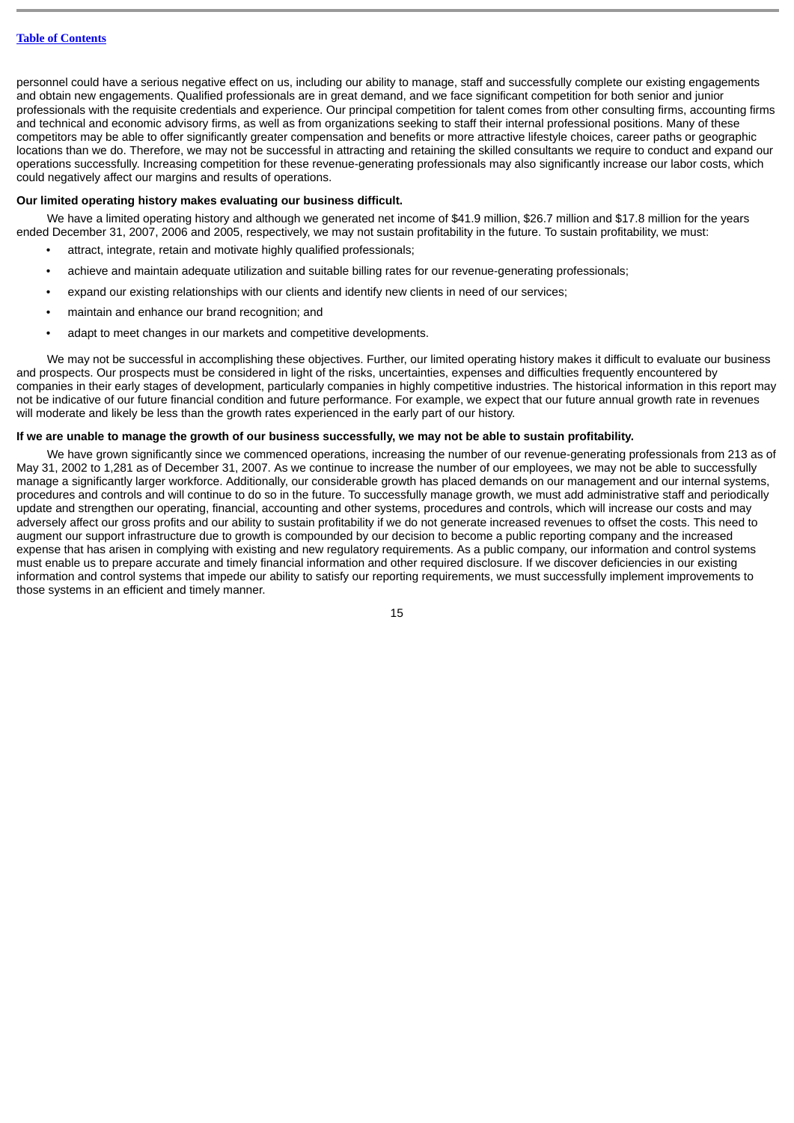personnel could have a serious negative effect on us, including our ability to manage, staff and successfully complete our existing engagements and obtain new engagements. Qualified professionals are in great demand, and we face significant competition for both senior and junior professionals with the requisite credentials and experience. Our principal competition for talent comes from other consulting firms, accounting firms and technical and economic advisory firms, as well as from organizations seeking to staff their internal professional positions. Many of these competitors may be able to offer significantly greater compensation and benefits or more attractive lifestyle choices, career paths or geographic locations than we do. Therefore, we may not be successful in attracting and retaining the skilled consultants we require to conduct and expand our operations successfully. Increasing competition for these revenue-generating professionals may also significantly increase our labor costs, which could negatively affect our margins and results of operations.

#### **Our limited operating history makes evaluating our business difficult.**

We have a limited operating history and although we generated net income of \$41.9 million, \$26.7 million and \$17.8 million for the years ended December 31, 2007, 2006 and 2005, respectively, we may not sustain profitability in the future. To sustain profitability, we must:

- attract, integrate, retain and motivate highly qualified professionals:
- achieve and maintain adequate utilization and suitable billing rates for our revenue-generating professionals;
- expand our existing relationships with our clients and identify new clients in need of our services;
- maintain and enhance our brand recognition; and
- adapt to meet changes in our markets and competitive developments.

We may not be successful in accomplishing these objectives. Further, our limited operating history makes it difficult to evaluate our business and prospects. Our prospects must be considered in light of the risks, uncertainties, expenses and difficulties frequently encountered by companies in their early stages of development, particularly companies in highly competitive industries. The historical information in this report may not be indicative of our future financial condition and future performance. For example, we expect that our future annual growth rate in revenues will moderate and likely be less than the growth rates experienced in the early part of our history.

#### **If we are unable to manage the growth of our business successfully, we may not be able to sustain profitability.**

We have grown significantly since we commenced operations, increasing the number of our revenue-generating professionals from 213 as of May 31, 2002 to 1,281 as of December 31, 2007. As we continue to increase the number of our employees, we may not be able to successfully manage a significantly larger workforce. Additionally, our considerable growth has placed demands on our management and our internal systems, procedures and controls and will continue to do so in the future. To successfully manage growth, we must add administrative staff and periodically update and strengthen our operating, financial, accounting and other systems, procedures and controls, which will increase our costs and may adversely affect our gross profits and our ability to sustain profitability if we do not generate increased revenues to offset the costs. This need to augment our support infrastructure due to growth is compounded by our decision to become a public reporting company and the increased expense that has arisen in complying with existing and new regulatory requirements. As a public company, our information and control systems must enable us to prepare accurate and timely financial information and other required disclosure. If we discover deficiencies in our existing information and control systems that impede our ability to satisfy our reporting requirements, we must successfully implement improvements to those systems in an efficient and timely manner.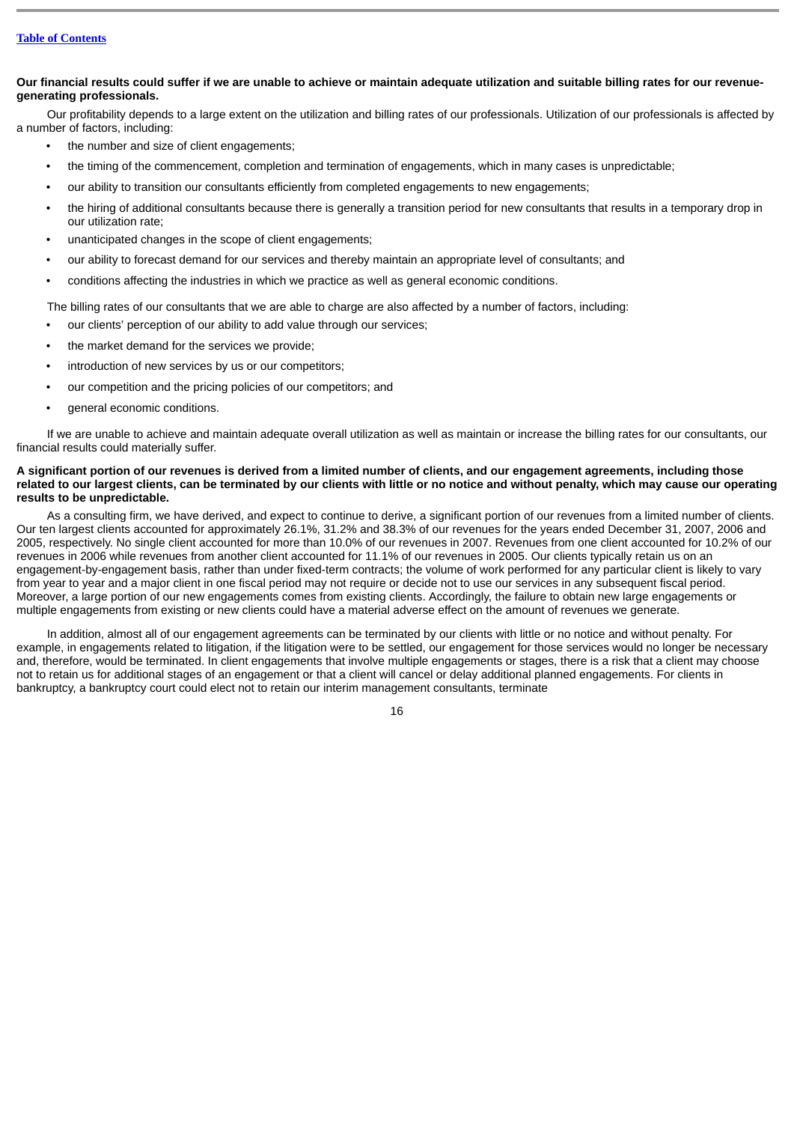# **Our financial results could suffer if we are unable to achieve or maintain adequate utilization and suitable billing rates for our revenuegenerating professionals.**

Our profitability depends to a large extent on the utilization and billing rates of our professionals. Utilization of our professionals is affected by a number of factors, including:

- the number and size of client engagements;
- the timing of the commencement, completion and termination of engagements, which in many cases is unpredictable;
- our ability to transition our consultants efficiently from completed engagements to new engagements;
- the hiring of additional consultants because there is generally a transition period for new consultants that results in a temporary drop in our utilization rate;
- unanticipated changes in the scope of client engagements;
- our ability to forecast demand for our services and thereby maintain an appropriate level of consultants; and
- conditions affecting the industries in which we practice as well as general economic conditions.

The billing rates of our consultants that we are able to charge are also affected by a number of factors, including:

- our clients' perception of our ability to add value through our services;
- the market demand for the services we provide;
- introduction of new services by us or our competitors;
- our competition and the pricing policies of our competitors; and
- general economic conditions.

If we are unable to achieve and maintain adequate overall utilization as well as maintain or increase the billing rates for our consultants, our financial results could materially suffer.

# **A significant portion of our revenues is derived from a limited number of clients, and our engagement agreements, including those related to our largest clients, can be terminated by our clients with little or no notice and without penalty, which may cause our operating results to be unpredictable.**

As a consulting firm, we have derived, and expect to continue to derive, a significant portion of our revenues from a limited number of clients. Our ten largest clients accounted for approximately 26.1%, 31.2% and 38.3% of our revenues for the years ended December 31, 2007, 2006 and 2005, respectively. No single client accounted for more than 10.0% of our revenues in 2007. Revenues from one client accounted for 10.2% of our revenues in 2006 while revenues from another client accounted for 11.1% of our revenues in 2005. Our clients typically retain us on an engagement-by-engagement basis, rather than under fixed-term contracts; the volume of work performed for any particular client is likely to vary from year to year and a major client in one fiscal period may not require or decide not to use our services in any subsequent fiscal period. Moreover, a large portion of our new engagements comes from existing clients. Accordingly, the failure to obtain new large engagements or multiple engagements from existing or new clients could have a material adverse effect on the amount of revenues we generate.

In addition, almost all of our engagement agreements can be terminated by our clients with little or no notice and without penalty. For example, in engagements related to litigation, if the litigation were to be settled, our engagement for those services would no longer be necessary and, therefore, would be terminated. In client engagements that involve multiple engagements or stages, there is a risk that a client may choose not to retain us for additional stages of an engagement or that a client will cancel or delay additional planned engagements. For clients in bankruptcy, a bankruptcy court could elect not to retain our interim management consultants, terminate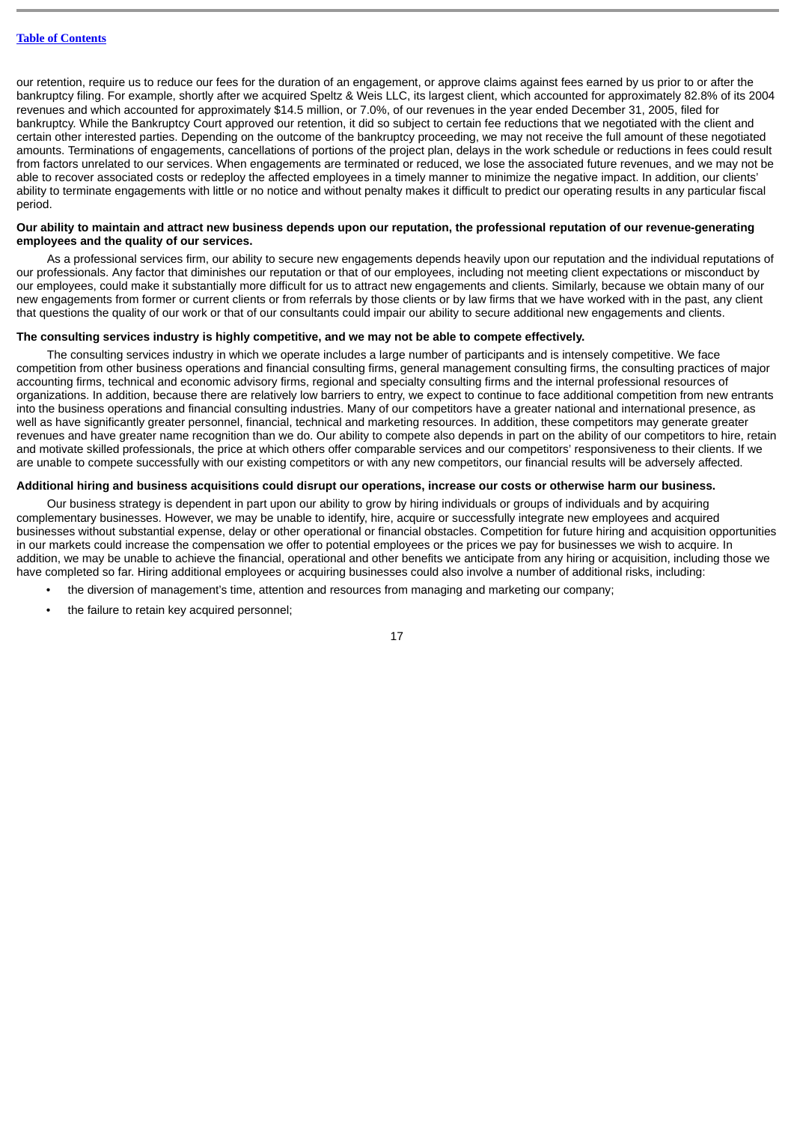our retention, require us to reduce our fees for the duration of an engagement, or approve claims against fees earned by us prior to or after the bankruptcy filing. For example, shortly after we acquired Speltz & Weis LLC, its largest client, which accounted for approximately 82.8% of its 2004 revenues and which accounted for approximately \$14.5 million, or 7.0%, of our revenues in the year ended December 31, 2005, filed for bankruptcy. While the Bankruptcy Court approved our retention, it did so subject to certain fee reductions that we negotiated with the client and certain other interested parties. Depending on the outcome of the bankruptcy proceeding, we may not receive the full amount of these negotiated amounts. Terminations of engagements, cancellations of portions of the project plan, delays in the work schedule or reductions in fees could result from factors unrelated to our services. When engagements are terminated or reduced, we lose the associated future revenues, and we may not be able to recover associated costs or redeploy the affected employees in a timely manner to minimize the negative impact. In addition, our clients' ability to terminate engagements with little or no notice and without penalty makes it difficult to predict our operating results in any particular fiscal period.

# **Our ability to maintain and attract new business depends upon our reputation, the professional reputation of our revenue-generating employees and the quality of our services.**

As a professional services firm, our ability to secure new engagements depends heavily upon our reputation and the individual reputations of our professionals. Any factor that diminishes our reputation or that of our employees, including not meeting client expectations or misconduct by our employees, could make it substantially more difficult for us to attract new engagements and clients. Similarly, because we obtain many of our new engagements from former or current clients or from referrals by those clients or by law firms that we have worked with in the past, any client that questions the quality of our work or that of our consultants could impair our ability to secure additional new engagements and clients.

### **The consulting services industry is highly competitive, and we may not be able to compete effectively.**

The consulting services industry in which we operate includes a large number of participants and is intensely competitive. We face competition from other business operations and financial consulting firms, general management consulting firms, the consulting practices of major accounting firms, technical and economic advisory firms, regional and specialty consulting firms and the internal professional resources of organizations. In addition, because there are relatively low barriers to entry, we expect to continue to face additional competition from new entrants into the business operations and financial consulting industries. Many of our competitors have a greater national and international presence, as well as have significantly greater personnel, financial, technical and marketing resources. In addition, these competitors may generate greater revenues and have greater name recognition than we do. Our ability to compete also depends in part on the ability of our competitors to hire, retain and motivate skilled professionals, the price at which others offer comparable services and our competitors' responsiveness to their clients. If we are unable to compete successfully with our existing competitors or with any new competitors, our financial results will be adversely affected.

#### **Additional hiring and business acquisitions could disrupt our operations, increase our costs or otherwise harm our business.**

Our business strategy is dependent in part upon our ability to grow by hiring individuals or groups of individuals and by acquiring complementary businesses. However, we may be unable to identify, hire, acquire or successfully integrate new employees and acquired businesses without substantial expense, delay or other operational or financial obstacles. Competition for future hiring and acquisition opportunities in our markets could increase the compensation we offer to potential employees or the prices we pay for businesses we wish to acquire. In addition, we may be unable to achieve the financial, operational and other benefits we anticipate from any hiring or acquisition, including those we have completed so far. Hiring additional employees or acquiring businesses could also involve a number of additional risks, including:

- the diversion of management's time, attention and resources from managing and marketing our company;
- the failure to retain key acquired personnel;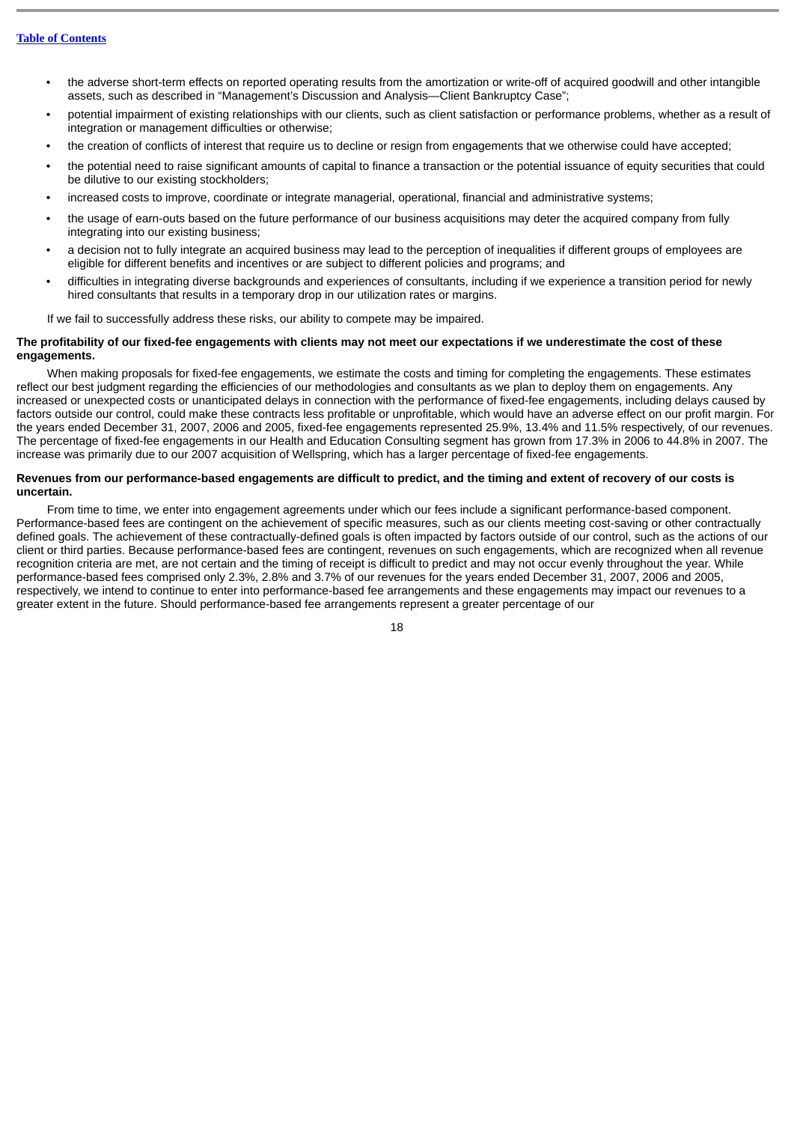- the adverse short-term effects on reported operating results from the amortization or write-off of acquired goodwill and other intangible assets, such as described in "Management's Discussion and Analysis—Client Bankruptcy Case";
- potential impairment of existing relationships with our clients, such as client satisfaction or performance problems, whether as a result of integration or management difficulties or otherwise;
- the creation of conflicts of interest that require us to decline or resign from engagements that we otherwise could have accepted;
- the potential need to raise significant amounts of capital to finance a transaction or the potential issuance of equity securities that could be dilutive to our existing stockholders;
- increased costs to improve, coordinate or integrate managerial, operational, financial and administrative systems;
- the usage of earn-outs based on the future performance of our business acquisitions may deter the acquired company from fully integrating into our existing business;
- a decision not to fully integrate an acquired business may lead to the perception of inequalities if different groups of employees are eligible for different benefits and incentives or are subject to different policies and programs; and
- difficulties in integrating diverse backgrounds and experiences of consultants, including if we experience a transition period for newly hired consultants that results in a temporary drop in our utilization rates or margins.

If we fail to successfully address these risks, our ability to compete may be impaired.

# **The profitability of our fixed-fee engagements with clients may not meet our expectations if we underestimate the cost of these engagements.**

When making proposals for fixed-fee engagements, we estimate the costs and timing for completing the engagements. These estimates reflect our best judgment regarding the efficiencies of our methodologies and consultants as we plan to deploy them on engagements. Any increased or unexpected costs or unanticipated delays in connection with the performance of fixed-fee engagements, including delays caused by factors outside our control, could make these contracts less profitable or unprofitable, which would have an adverse effect on our profit margin. For the years ended December 31, 2007, 2006 and 2005, fixed-fee engagements represented 25.9%, 13.4% and 11.5% respectively, of our revenues. The percentage of fixed-fee engagements in our Health and Education Consulting segment has grown from 17.3% in 2006 to 44.8% in 2007. The increase was primarily due to our 2007 acquisition of Wellspring, which has a larger percentage of fixed-fee engagements.

# **Revenues from our performance-based engagements are difficult to predict, and the timing and extent of recovery of our costs is uncertain.**

From time to time, we enter into engagement agreements under which our fees include a significant performance-based component. Performance-based fees are contingent on the achievement of specific measures, such as our clients meeting cost-saving or other contractually defined goals. The achievement of these contractually-defined goals is often impacted by factors outside of our control, such as the actions of our client or third parties. Because performance-based fees are contingent, revenues on such engagements, which are recognized when all revenue recognition criteria are met, are not certain and the timing of receipt is difficult to predict and may not occur evenly throughout the year. While performance-based fees comprised only 2.3%, 2.8% and 3.7% of our revenues for the years ended December 31, 2007, 2006 and 2005, respectively, we intend to continue to enter into performance-based fee arrangements and these engagements may impact our revenues to a greater extent in the future. Should performance-based fee arrangements represent a greater percentage of our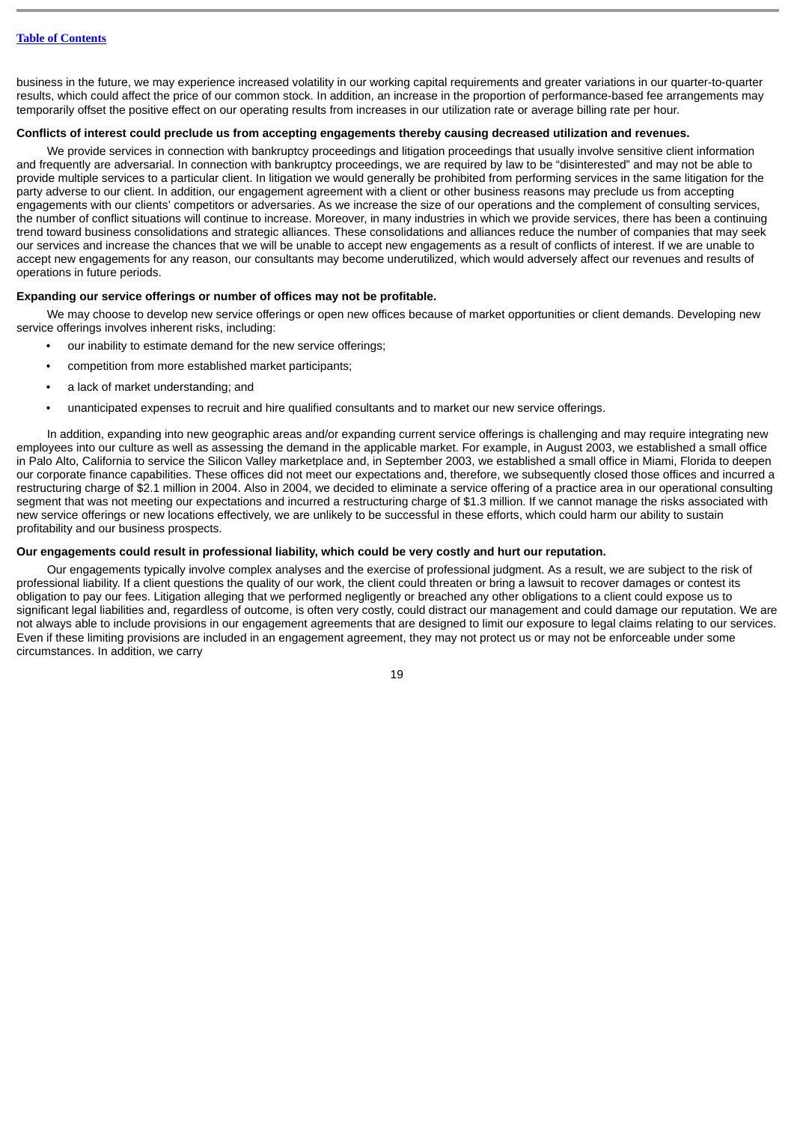business in the future, we may experience increased volatility in our working capital requirements and greater variations in our quarter-to-quarter results, which could affect the price of our common stock. In addition, an increase in the proportion of performance-based fee arrangements may temporarily offset the positive effect on our operating results from increases in our utilization rate or average billing rate per hour.

#### **Conflicts of interest could preclude us from accepting engagements thereby causing decreased utilization and revenues.**

We provide services in connection with bankruptcy proceedings and litigation proceedings that usually involve sensitive client information and frequently are adversarial. In connection with bankruptcy proceedings, we are required by law to be "disinterested" and may not be able to provide multiple services to a particular client. In litigation we would generally be prohibited from performing services in the same litigation for the party adverse to our client. In addition, our engagement agreement with a client or other business reasons may preclude us from accepting engagements with our clients' competitors or adversaries. As we increase the size of our operations and the complement of consulting services, the number of conflict situations will continue to increase. Moreover, in many industries in which we provide services, there has been a continuing trend toward business consolidations and strategic alliances. These consolidations and alliances reduce the number of companies that may seek our services and increase the chances that we will be unable to accept new engagements as a result of conflicts of interest. If we are unable to accept new engagements for any reason, our consultants may become underutilized, which would adversely affect our revenues and results of operations in future periods.

#### **Expanding our service offerings or number of offices may not be profitable.**

We may choose to develop new service offerings or open new offices because of market opportunities or client demands. Developing new service offerings involves inherent risks, including:

- our inability to estimate demand for the new service offerings;
- competition from more established market participants;
- a lack of market understanding; and
- unanticipated expenses to recruit and hire qualified consultants and to market our new service offerings.

In addition, expanding into new geographic areas and/or expanding current service offerings is challenging and may require integrating new employees into our culture as well as assessing the demand in the applicable market. For example, in August 2003, we established a small office in Palo Alto, California to service the Silicon Valley marketplace and, in September 2003, we established a small office in Miami, Florida to deepen our corporate finance capabilities. These offices did not meet our expectations and, therefore, we subsequently closed those offices and incurred a restructuring charge of \$2.1 million in 2004. Also in 2004, we decided to eliminate a service offering of a practice area in our operational consulting segment that was not meeting our expectations and incurred a restructuring charge of \$1.3 million. If we cannot manage the risks associated with new service offerings or new locations effectively, we are unlikely to be successful in these efforts, which could harm our ability to sustain profitability and our business prospects.

# **Our engagements could result in professional liability, which could be very costly and hurt our reputation.**

Our engagements typically involve complex analyses and the exercise of professional judgment. As a result, we are subject to the risk of professional liability. If a client questions the quality of our work, the client could threaten or bring a lawsuit to recover damages or contest its obligation to pay our fees. Litigation alleging that we performed negligently or breached any other obligations to a client could expose us to significant legal liabilities and, regardless of outcome, is often very costly, could distract our management and could damage our reputation. We are not always able to include provisions in our engagement agreements that are designed to limit our exposure to legal claims relating to our services. Even if these limiting provisions are included in an engagement agreement, they may not protect us or may not be enforceable under some circumstances. In addition, we carry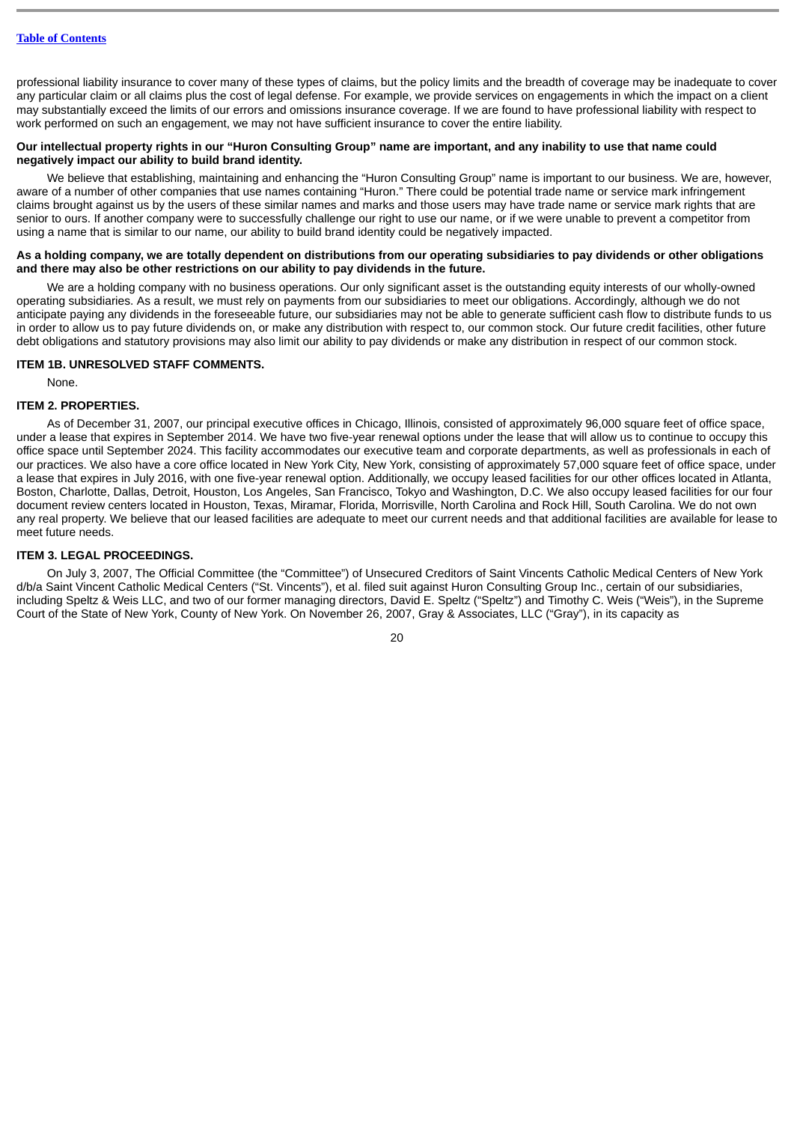professional liability insurance to cover many of these types of claims, but the policy limits and the breadth of coverage may be inadequate to cover any particular claim or all claims plus the cost of legal defense. For example, we provide services on engagements in which the impact on a client may substantially exceed the limits of our errors and omissions insurance coverage. If we are found to have professional liability with respect to work performed on such an engagement, we may not have sufficient insurance to cover the entire liability.

### **Our intellectual property rights in our "Huron Consulting Group" name are important, and any inability to use that name could negatively impact our ability to build brand identity.**

We believe that establishing, maintaining and enhancing the "Huron Consulting Group" name is important to our business. We are, however, aware of a number of other companies that use names containing "Huron." There could be potential trade name or service mark infringement claims brought against us by the users of these similar names and marks and those users may have trade name or service mark rights that are senior to ours. If another company were to successfully challenge our right to use our name, or if we were unable to prevent a competitor from using a name that is similar to our name, our ability to build brand identity could be negatively impacted.

# **As a holding company, we are totally dependent on distributions from our operating subsidiaries to pay dividends or other obligations and there may also be other restrictions on our ability to pay dividends in the future.**

We are a holding company with no business operations. Our only significant asset is the outstanding equity interests of our wholly-owned operating subsidiaries. As a result, we must rely on payments from our subsidiaries to meet our obligations. Accordingly, although we do not anticipate paying any dividends in the foreseeable future, our subsidiaries may not be able to generate sufficient cash flow to distribute funds to us in order to allow us to pay future dividends on, or make any distribution with respect to, our common stock. Our future credit facilities, other future debt obligations and statutory provisions may also limit our ability to pay dividends or make any distribution in respect of our common stock.

### <span id="page-21-0"></span>**ITEM 1B. UNRESOLVED STAFF COMMENTS.**

None.

# <span id="page-21-1"></span>**ITEM 2. PROPERTIES.**

As of December 31, 2007, our principal executive offices in Chicago, Illinois, consisted of approximately 96,000 square feet of office space, under a lease that expires in September 2014. We have two five-year renewal options under the lease that will allow us to continue to occupy this office space until September 2024. This facility accommodates our executive team and corporate departments, as well as professionals in each of our practices. We also have a core office located in New York City, New York, consisting of approximately 57,000 square feet of office space, under a lease that expires in July 2016, with one five-year renewal option. Additionally, we occupy leased facilities for our other offices located in Atlanta, Boston, Charlotte, Dallas, Detroit, Houston, Los Angeles, San Francisco, Tokyo and Washington, D.C. We also occupy leased facilities for our four document review centers located in Houston, Texas, Miramar, Florida, Morrisville, North Carolina and Rock Hill, South Carolina. We do not own any real property. We believe that our leased facilities are adequate to meet our current needs and that additional facilities are available for lease to meet future needs.

#### <span id="page-21-2"></span>**ITEM 3. LEGAL PROCEEDINGS.**

On July 3, 2007, The Official Committee (the "Committee") of Unsecured Creditors of Saint Vincents Catholic Medical Centers of New York d/b/a Saint Vincent Catholic Medical Centers ("St. Vincents"), et al. filed suit against Huron Consulting Group Inc., certain of our subsidiaries, including Speltz & Weis LLC, and two of our former managing directors, David E. Speltz ("Speltz") and Timothy C. Weis ("Weis"), in the Supreme Court of the State of New York, County of New York. On November 26, 2007, Gray & Associates, LLC ("Gray"), in its capacity as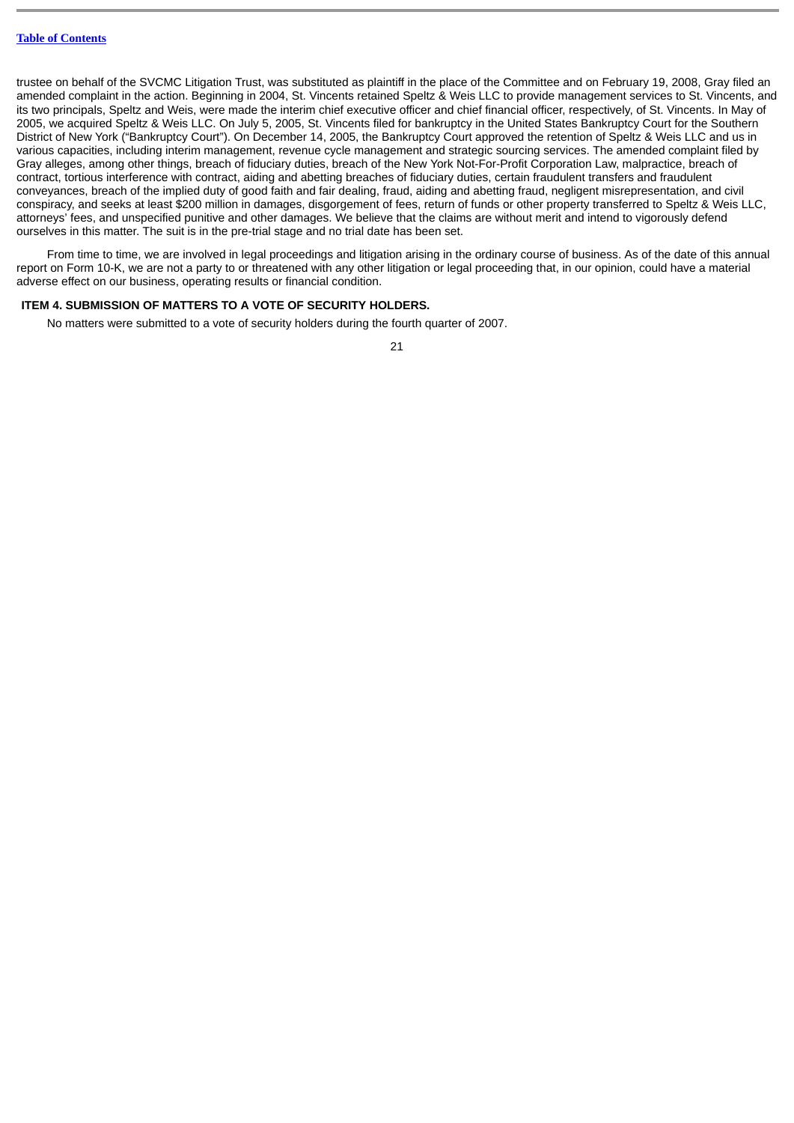trustee on behalf of the SVCMC Litigation Trust, was substituted as plaintiff in the place of the Committee and on February 19, 2008, Gray filed an amended complaint in the action. Beginning in 2004, St. Vincents retained Speltz & Weis LLC to provide management services to St. Vincents, and its two principals, Speltz and Weis, were made the interim chief executive officer and chief financial officer, respectively, of St. Vincents. In May of 2005, we acquired Speltz & Weis LLC. On July 5, 2005, St. Vincents filed for bankruptcy in the United States Bankruptcy Court for the Southern District of New York ("Bankruptcy Court"). On December 14, 2005, the Bankruptcy Court approved the retention of Speltz & Weis LLC and us in various capacities, including interim management, revenue cycle management and strategic sourcing services. The amended complaint filed by Gray alleges, among other things, breach of fiduciary duties, breach of the New York Not-For-Profit Corporation Law, malpractice, breach of contract, tortious interference with contract, aiding and abetting breaches of fiduciary duties, certain fraudulent transfers and fraudulent conveyances, breach of the implied duty of good faith and fair dealing, fraud, aiding and abetting fraud, negligent misrepresentation, and civil conspiracy, and seeks at least \$200 million in damages, disgorgement of fees, return of funds or other property transferred to Speltz & Weis LLC, attorneys' fees, and unspecified punitive and other damages. We believe that the claims are without merit and intend to vigorously defend ourselves in this matter. The suit is in the pre-trial stage and no trial date has been set.

From time to time, we are involved in legal proceedings and litigation arising in the ordinary course of business. As of the date of this annual report on Form 10-K, we are not a party to or threatened with any other litigation or legal proceeding that, in our opinion, could have a material adverse effect on our business, operating results or financial condition.

### **ITEM 4. SUBMISSION OF MATTERS TO A VOTE OF SECURITY HOLDERS.**

<span id="page-22-0"></span>No matters were submitted to a vote of security holders during the fourth quarter of 2007.

| I<br>×. |
|---------|
|         |
|         |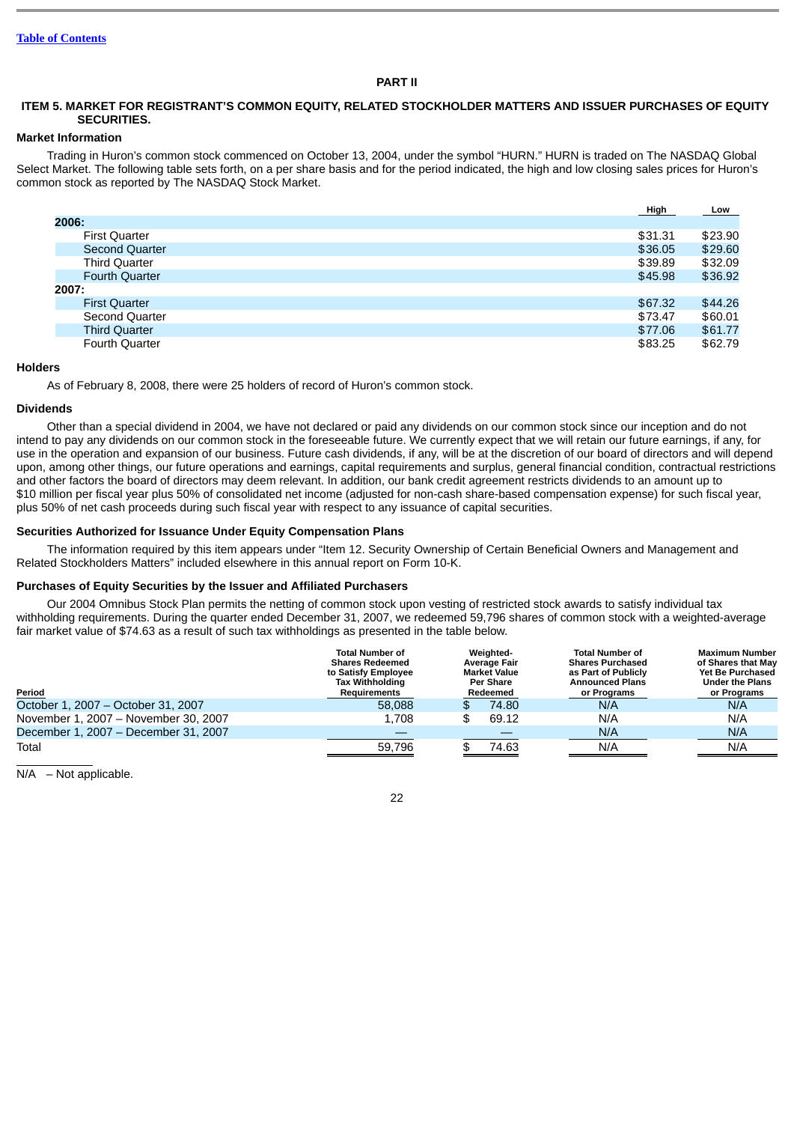### **PART II**

# <span id="page-23-0"></span>**ITEM 5. MARKET FOR REGISTRANT'S COMMON EQUITY, RELATED STOCKHOLDER MATTERS AND ISSUER PURCHASES OF EQUITY SECURITIES.**

# **Market Information**

Trading in Huron's common stock commenced on October 13, 2004, under the symbol "HURN." HURN is traded on The NASDAQ Global Select Market. The following table sets forth, on a per share basis and for the period indicated, the high and low closing sales prices for Huron's common stock as reported by The NASDAQ Stock Market.

|                       | High    | Low     |
|-----------------------|---------|---------|
| 2006:                 |         |         |
| <b>First Ouarter</b>  | \$31.31 | \$23.90 |
| <b>Second Quarter</b> | \$36.05 | \$29.60 |
| <b>Third Quarter</b>  | \$39.89 | \$32.09 |
| <b>Fourth Quarter</b> | \$45.98 | \$36.92 |
| 2007:                 |         |         |
| <b>First Ouarter</b>  | \$67.32 | \$44.26 |
| <b>Second Quarter</b> | \$73.47 | \$60.01 |
| <b>Third Quarter</b>  | \$77.06 | \$61.77 |
| <b>Fourth Quarter</b> | \$83.25 | \$62.79 |

#### **Holders**

As of February 8, 2008, there were 25 holders of record of Huron's common stock.

# **Dividends**

Other than a special dividend in 2004, we have not declared or paid any dividends on our common stock since our inception and do not intend to pay any dividends on our common stock in the foreseeable future. We currently expect that we will retain our future earnings, if any, for use in the operation and expansion of our business. Future cash dividends, if any, will be at the discretion of our board of directors and will depend upon, among other things, our future operations and earnings, capital requirements and surplus, general financial condition, contractual restrictions and other factors the board of directors may deem relevant. In addition, our bank credit agreement restricts dividends to an amount up to \$10 million per fiscal year plus 50% of consolidated net income (adjusted for non-cash share-based compensation expense) for such fiscal year, plus 50% of net cash proceeds during such fiscal year with respect to any issuance of capital securities.

# **Securities Authorized for Issuance Under Equity Compensation Plans**

The information required by this item appears under "Item 12. Security Ownership of Certain Beneficial Owners and Management and Related Stockholders Matters" included elsewhere in this annual report on Form 10-K.

# **Purchases of Equity Securities by the Issuer and Affiliated Purchasers**

Our 2004 Omnibus Stock Plan permits the netting of common stock upon vesting of restricted stock awards to satisfy individual tax withholding requirements. During the quarter ended December 31, 2007, we redeemed 59,796 shares of common stock with a weighted-average fair market value of \$74.63 as a result of such tax withholdings as presented in the table below.

| Period                               | <b>Total Number of</b><br><b>Shares Redeemed</b><br>to Satisfy Employee<br><b>Tax Withholding</b><br>Requirements | Weighted-<br>Average Fair<br><b>Market Value</b><br><b>Per Share</b><br>Redeemed | <b>Total Number of</b><br><b>Shares Purchased</b><br>as Part of Publicly<br><b>Announced Plans</b><br>or Programs | <b>Maximum Number</b><br>of Shares that May<br><b>Yet Be Purchased</b><br><b>Under the Plans</b><br>or Programs |
|--------------------------------------|-------------------------------------------------------------------------------------------------------------------|----------------------------------------------------------------------------------|-------------------------------------------------------------------------------------------------------------------|-----------------------------------------------------------------------------------------------------------------|
| October 1, 2007 - October 31, 2007   | 58,088                                                                                                            | 74.80                                                                            | N/A                                                                                                               | N/A                                                                                                             |
| November 1, 2007 - November 30, 2007 | 1.708                                                                                                             | 69.12                                                                            | N/A                                                                                                               | N/A                                                                                                             |
| December 1, 2007 - December 31, 2007 |                                                                                                                   |                                                                                  | N/A                                                                                                               | N/A                                                                                                             |
| Total                                | 59.796                                                                                                            | 74.63                                                                            | N/A                                                                                                               | N/A                                                                                                             |

N/A – Not applicable.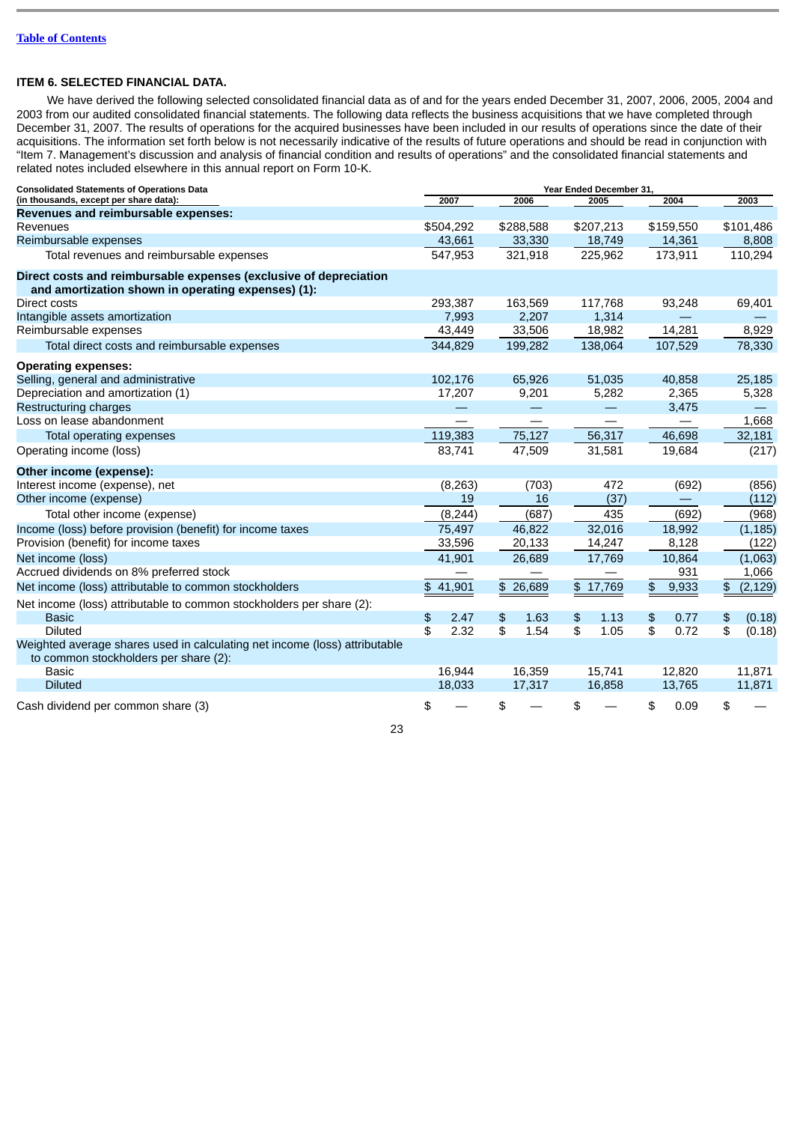# <span id="page-24-0"></span>**ITEM 6. SELECTED FINANCIAL DATA.**

We have derived the following selected consolidated financial data as of and for the years ended December 31, 2007, 2006, 2005, 2004 and 2003 from our audited consolidated financial statements. The following data reflects the business acquisitions that we have completed through December 31, 2007. The results of operations for the acquired businesses have been included in our results of operations since the date of their acquisitions. The information set forth below is not necessarily indicative of the results of future operations and should be read in conjunction with "Item 7. Management's discussion and analysis of financial condition and results of operations" and the consolidated financial statements and related notes included elsewhere in this annual report on Form 10-K.

| <b>Consolidated Statements of Operations Data</b>                                                                       | <b>Year Ended December 31,</b> |    |           |            |             |                |
|-------------------------------------------------------------------------------------------------------------------------|--------------------------------|----|-----------|------------|-------------|----------------|
| (in thousands, except per share data):                                                                                  | 2007                           |    | 2006      | 2005       | 2004        | 2003           |
| Revenues and reimbursable expenses:                                                                                     |                                |    |           |            |             |                |
| Revenues                                                                                                                | \$504,292                      |    | \$288,588 | \$207,213  | \$159,550   | \$101,486      |
| Reimbursable expenses                                                                                                   | 43,661                         |    | 33,330    | 18,749     | 14,361      | 8,808          |
| Total revenues and reimbursable expenses                                                                                | 547.953                        |    | 321,918   | 225,962    | 173,911     | 110,294        |
| Direct costs and reimbursable expenses (exclusive of depreciation<br>and amortization shown in operating expenses) (1): |                                |    |           |            |             |                |
| Direct costs                                                                                                            | 293,387                        |    | 163,569   | 117,768    | 93,248      | 69,401         |
| Intangible assets amortization                                                                                          | 7,993                          |    | 2,207     | 1,314      |             |                |
| Reimbursable expenses                                                                                                   | 43,449                         |    | 33,506    | 18,982     | 14,281      | 8,929          |
| Total direct costs and reimbursable expenses                                                                            | 344.829                        |    | 199,282   | 138,064    | 107,529     | 78,330         |
| <b>Operating expenses:</b>                                                                                              |                                |    |           |            |             |                |
| Selling, general and administrative                                                                                     | 102,176                        |    | 65,926    | 51,035     | 40,858      | 25,185         |
| Depreciation and amortization (1)                                                                                       | 17,207                         |    | 9,201     | 5,282      | 2,365       | 5,328          |
| Restructuring charges                                                                                                   |                                |    |           |            | 3,475       |                |
| Loss on lease abandonment                                                                                               |                                |    |           |            |             | 1,668          |
| Total operating expenses                                                                                                | 119,383                        |    | 75,127    | 56,317     | 46,698      | 32,181         |
| Operating income (loss)                                                                                                 | 83,741                         |    | 47,509    | 31,581     | 19,684      | (217)          |
| Other income (expense):                                                                                                 |                                |    |           |            |             |                |
| Interest income (expense), net                                                                                          | (8, 263)                       |    | (703)     | 472        | (692)       | (856)          |
| Other income (expense)                                                                                                  | 19                             |    | 16        | (37)       |             | (112)          |
| Total other income (expense)                                                                                            | (8, 244)                       |    | (687)     | 435        | (692)       | (968)          |
| Income (loss) before provision (benefit) for income taxes                                                               | 75,497                         |    | 46,822    | 32,016     | 18,992      | (1, 185)       |
| Provision (benefit) for income taxes                                                                                    | 33,596                         |    | 20,133    | 14,247     | 8,128       | (122)          |
| Net income (loss)                                                                                                       | 41,901                         |    | 26,689    | 17,769     | 10,864      | (1,063)        |
| Accrued dividends on 8% preferred stock                                                                                 |                                |    |           |            | 931         | 1,066          |
| Net income (loss) attributable to common stockholders                                                                   | 41,901<br>\$                   | \$ | 26,689    | \$17,769   | \$<br>9,933 | \$<br>(2, 129) |
| Net income (loss) attributable to common stockholders per share (2):                                                    |                                |    |           |            |             |                |
| <b>Basic</b>                                                                                                            | \$<br>2.47                     | \$ | 1.63      | \$<br>1.13 | \$<br>0.77  | \$<br>(0.18)   |
| <b>Diluted</b>                                                                                                          | \$<br>2.32                     | \$ | 1.54      | \$<br>1.05 | \$<br>0.72  | \$<br>(0.18)   |
| Weighted average shares used in calculating net income (loss) attributable<br>to common stockholders per share (2):     |                                |    |           |            |             |                |
| <b>Basic</b>                                                                                                            | 16,944                         |    | 16,359    | 15,741     | 12,820      | 11,871         |
| <b>Diluted</b>                                                                                                          | 18,033                         |    | 17,317    | 16,858     | 13,765      | 11,871         |
| Cash dividend per common share (3)                                                                                      | \$                             | \$ |           | \$         | \$<br>0.09  | \$             |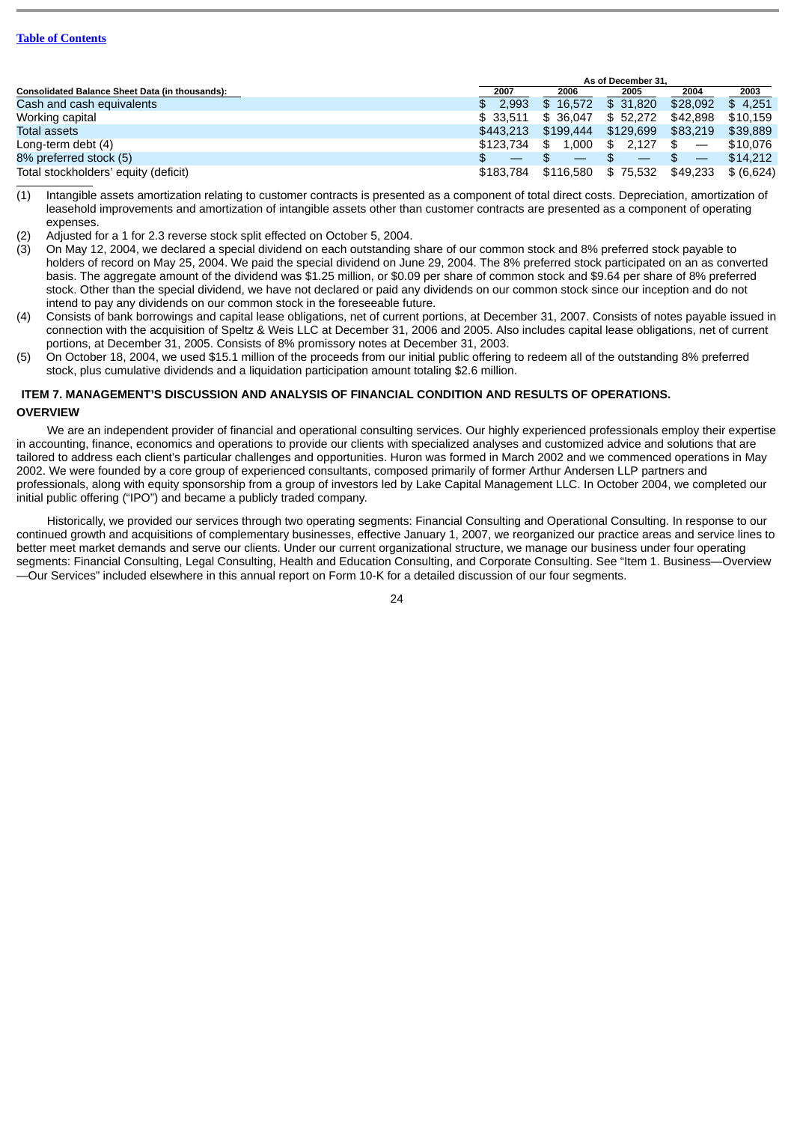|                                                 | As of December 31. |             |             |                                |            |  |
|-------------------------------------------------|--------------------|-------------|-------------|--------------------------------|------------|--|
| Consolidated Balance Sheet Data (in thousands): | 2007               | 2006        | 2005        | 2004                           | 2003       |  |
| Cash and cash equivalents                       | \$2.993            | \$16.572    | \$31.820    | \$28,092                       | \$4.251    |  |
| Working capital                                 | \$ 33.511          | \$36.047    | \$52,272    | \$42.898                       | \$10.159   |  |
| Total assets                                    | \$443,213          | \$199,444   | \$129,699   | \$83.219                       | \$39.889   |  |
| Long-term debt (4)                              | \$123.734          | \$<br>1,000 | \$<br>2,127 | \$<br>$\overline{\phantom{a}}$ | \$10.076   |  |
| 8% preferred stock (5)                          |                    |             |             |                                | \$14,212   |  |
| Total stockholders' equity (deficit)            | \$183.784          | \$116.580   | \$75,532    | \$49,233                       | \$ (6,624) |  |

- (1) Intangible assets amortization relating to customer contracts is presented as a component of total direct costs. Depreciation, amortization of leasehold improvements and amortization of intangible assets other than customer contracts are presented as a component of operating expenses.
- (2) Adjusted for a 1 for 2.3 reverse stock split effected on October 5, 2004.
- (3) On May 12, 2004, we declared a special dividend on each outstanding share of our common stock and 8% preferred stock payable to holders of record on May 25, 2004. We paid the special dividend on June 29, 2004. The 8% preferred stock participated on an as converted basis. The aggregate amount of the dividend was \$1.25 million, or \$0.09 per share of common stock and \$9.64 per share of 8% preferred stock. Other than the special dividend, we have not declared or paid any dividends on our common stock since our inception and do not intend to pay any dividends on our common stock in the foreseeable future.
- (4) Consists of bank borrowings and capital lease obligations, net of current portions, at December 31, 2007. Consists of notes payable issued in connection with the acquisition of Speltz & Weis LLC at December 31, 2006 and 2005. Also includes capital lease obligations, net of current portions, at December 31, 2005. Consists of 8% promissory notes at December 31, 2003.
- (5) On October 18, 2004, we used \$15.1 million of the proceeds from our initial public offering to redeem all of the outstanding 8% preferred stock, plus cumulative dividends and a liquidation participation amount totaling \$2.6 million.

# <span id="page-25-0"></span>**ITEM 7. MANAGEMENT'S DISCUSSION AND ANALYSIS OF FINANCIAL CONDITION AND RESULTS OF OPERATIONS.**

# **OVERVIEW**

We are an independent provider of financial and operational consulting services. Our highly experienced professionals employ their expertise in accounting, finance, economics and operations to provide our clients with specialized analyses and customized advice and solutions that are tailored to address each client's particular challenges and opportunities. Huron was formed in March 2002 and we commenced operations in May 2002. We were founded by a core group of experienced consultants, composed primarily of former Arthur Andersen LLP partners and professionals, along with equity sponsorship from a group of investors led by Lake Capital Management LLC. In October 2004, we completed our initial public offering ("IPO") and became a publicly traded company.

Historically, we provided our services through two operating segments: Financial Consulting and Operational Consulting. In response to our continued growth and acquisitions of complementary businesses, effective January 1, 2007, we reorganized our practice areas and service lines to better meet market demands and serve our clients. Under our current organizational structure, we manage our business under four operating segments: Financial Consulting, Legal Consulting, Health and Education Consulting, and Corporate Consulting. See "Item 1. Business—Overview —Our Services" included elsewhere in this annual report on Form 10-K for a detailed discussion of our four segments.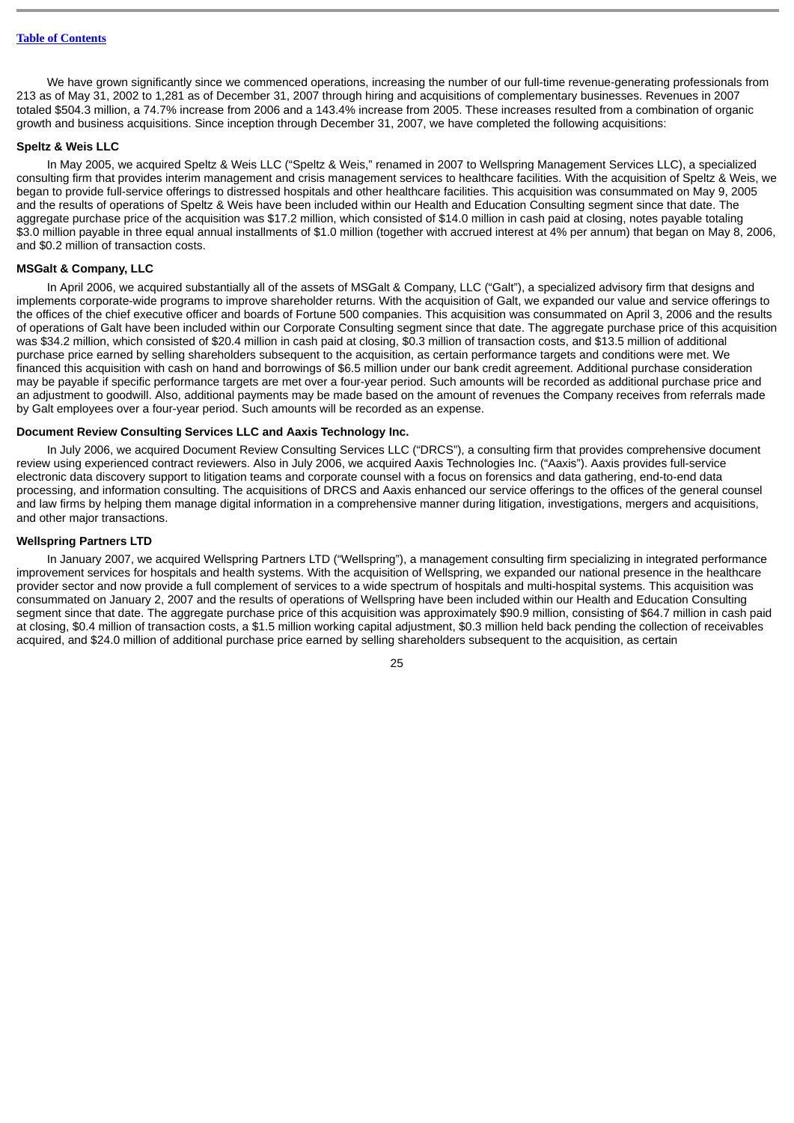We have grown significantly since we commenced operations, increasing the number of our full-time revenue-generating professionals from 213 as of May 31, 2002 to 1,281 as of December 31, 2007 through hiring and acquisitions of complementary businesses. Revenues in 2007 totaled \$504.3 million, a 74.7% increase from 2006 and a 143.4% increase from 2005. These increases resulted from a combination of organic growth and business acquisitions. Since inception through December 31, 2007, we have completed the following acquisitions:

#### **Speltz & Weis LLC**

In May 2005, we acquired Speltz & Weis LLC ("Speltz & Weis," renamed in 2007 to Wellspring Management Services LLC), a specialized consulting firm that provides interim management and crisis management services to healthcare facilities. With the acquisition of Speltz & Weis, we began to provide full-service offerings to distressed hospitals and other healthcare facilities. This acquisition was consummated on May 9, 2005 and the results of operations of Speltz & Weis have been included within our Health and Education Consulting segment since that date. The aggregate purchase price of the acquisition was \$17.2 million, which consisted of \$14.0 million in cash paid at closing, notes payable totaling \$3.0 million payable in three equal annual installments of \$1.0 million (together with accrued interest at 4% per annum) that began on May 8, 2006, and \$0.2 million of transaction costs.

### **MSGalt & Company, LLC**

In April 2006, we acquired substantially all of the assets of MSGalt & Company, LLC ("Galt"), a specialized advisory firm that designs and implements corporate-wide programs to improve shareholder returns. With the acquisition of Galt, we expanded our value and service offerings to the offices of the chief executive officer and boards of Fortune 500 companies. This acquisition was consummated on April 3, 2006 and the results of operations of Galt have been included within our Corporate Consulting segment since that date. The aggregate purchase price of this acquisition was \$34.2 million, which consisted of \$20.4 million in cash paid at closing, \$0.3 million of transaction costs, and \$13.5 million of additional purchase price earned by selling shareholders subsequent to the acquisition, as certain performance targets and conditions were met. We financed this acquisition with cash on hand and borrowings of \$6.5 million under our bank credit agreement. Additional purchase consideration may be payable if specific performance targets are met over a four-year period. Such amounts will be recorded as additional purchase price and an adjustment to goodwill. Also, additional payments may be made based on the amount of revenues the Company receives from referrals made by Galt employees over a four-year period. Such amounts will be recorded as an expense.

### **Document Review Consulting Services LLC and Aaxis Technology Inc.**

In July 2006, we acquired Document Review Consulting Services LLC ("DRCS"), a consulting firm that provides comprehensive document review using experienced contract reviewers. Also in July 2006, we acquired Aaxis Technologies Inc. ("Aaxis"). Aaxis provides full-service electronic data discovery support to litigation teams and corporate counsel with a focus on forensics and data gathering, end-to-end data processing, and information consulting. The acquisitions of DRCS and Aaxis enhanced our service offerings to the offices of the general counsel and law firms by helping them manage digital information in a comprehensive manner during litigation, investigations, mergers and acquisitions, and other major transactions.

#### **Wellspring Partners LTD**

In January 2007, we acquired Wellspring Partners LTD ("Wellspring"), a management consulting firm specializing in integrated performance improvement services for hospitals and health systems. With the acquisition of Wellspring, we expanded our national presence in the healthcare provider sector and now provide a full complement of services to a wide spectrum of hospitals and multi-hospital systems. This acquisition was consummated on January 2, 2007 and the results of operations of Wellspring have been included within our Health and Education Consulting segment since that date. The aggregate purchase price of this acquisition was approximately \$90.9 million, consisting of \$64.7 million in cash paid at closing, \$0.4 million of transaction costs, a \$1.5 million working capital adjustment, \$0.3 million held back pending the collection of receivables acquired, and \$24.0 million of additional purchase price earned by selling shareholders subsequent to the acquisition, as certain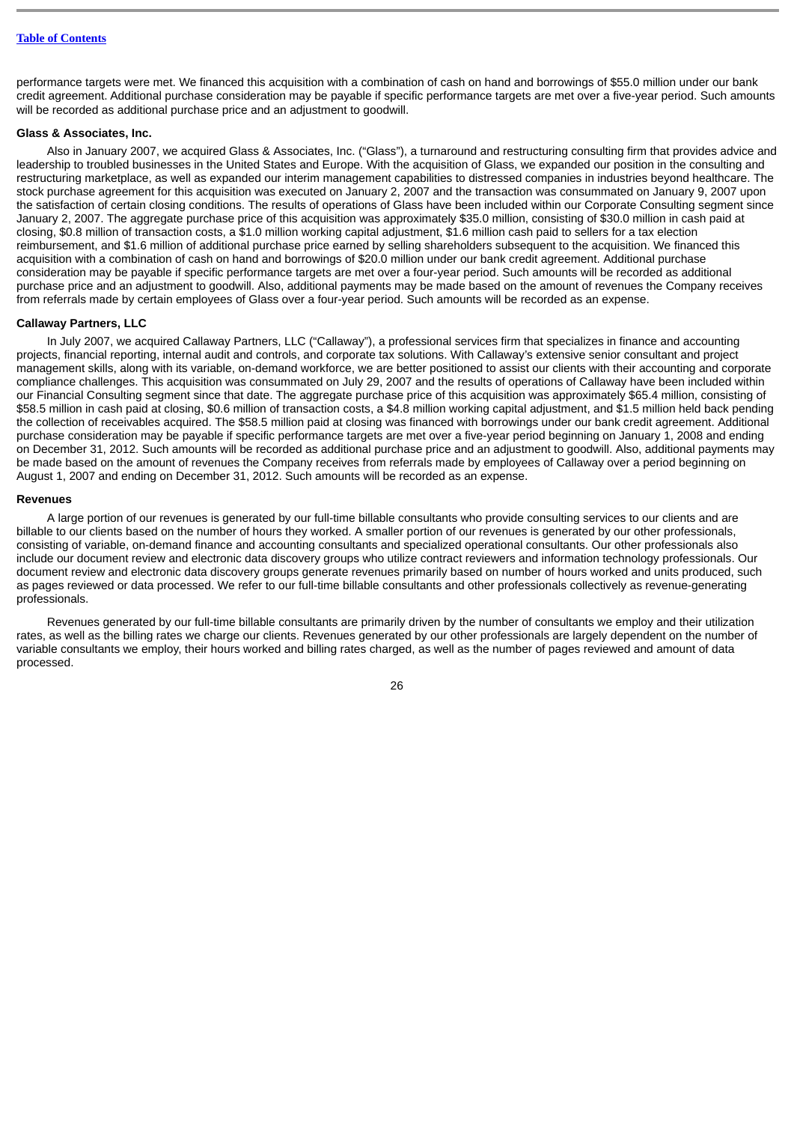performance targets were met. We financed this acquisition with a combination of cash on hand and borrowings of \$55.0 million under our bank credit agreement. Additional purchase consideration may be payable if specific performance targets are met over a five-year period. Such amounts will be recorded as additional purchase price and an adjustment to goodwill.

#### **Glass & Associates, Inc.**

Also in January 2007, we acquired Glass & Associates, Inc. ("Glass"), a turnaround and restructuring consulting firm that provides advice and leadership to troubled businesses in the United States and Europe. With the acquisition of Glass, we expanded our position in the consulting and restructuring marketplace, as well as expanded our interim management capabilities to distressed companies in industries beyond healthcare. The stock purchase agreement for this acquisition was executed on January 2, 2007 and the transaction was consummated on January 9, 2007 upon the satisfaction of certain closing conditions. The results of operations of Glass have been included within our Corporate Consulting segment since January 2, 2007. The aggregate purchase price of this acquisition was approximately \$35.0 million, consisting of \$30.0 million in cash paid at closing, \$0.8 million of transaction costs, a \$1.0 million working capital adjustment, \$1.6 million cash paid to sellers for a tax election reimbursement, and \$1.6 million of additional purchase price earned by selling shareholders subsequent to the acquisition. We financed this acquisition with a combination of cash on hand and borrowings of \$20.0 million under our bank credit agreement. Additional purchase consideration may be payable if specific performance targets are met over a four-year period. Such amounts will be recorded as additional purchase price and an adjustment to goodwill. Also, additional payments may be made based on the amount of revenues the Company receives from referrals made by certain employees of Glass over a four-year period. Such amounts will be recorded as an expense.

### **Callaway Partners, LLC**

In July 2007, we acquired Callaway Partners, LLC ("Callaway"), a professional services firm that specializes in finance and accounting projects, financial reporting, internal audit and controls, and corporate tax solutions. With Callaway's extensive senior consultant and project management skills, along with its variable, on-demand workforce, we are better positioned to assist our clients with their accounting and corporate compliance challenges. This acquisition was consummated on July 29, 2007 and the results of operations of Callaway have been included within our Financial Consulting segment since that date. The aggregate purchase price of this acquisition was approximately \$65.4 million, consisting of \$58.5 million in cash paid at closing, \$0.6 million of transaction costs, a \$4.8 million working capital adjustment, and \$1.5 million held back pending the collection of receivables acquired. The \$58.5 million paid at closing was financed with borrowings under our bank credit agreement. Additional purchase consideration may be payable if specific performance targets are met over a five-year period beginning on January 1, 2008 and ending on December 31, 2012. Such amounts will be recorded as additional purchase price and an adjustment to goodwill. Also, additional payments may be made based on the amount of revenues the Company receives from referrals made by employees of Callaway over a period beginning on August 1, 2007 and ending on December 31, 2012. Such amounts will be recorded as an expense.

#### **Revenues**

A large portion of our revenues is generated by our full-time billable consultants who provide consulting services to our clients and are billable to our clients based on the number of hours they worked. A smaller portion of our revenues is generated by our other professionals, consisting of variable, on-demand finance and accounting consultants and specialized operational consultants. Our other professionals also include our document review and electronic data discovery groups who utilize contract reviewers and information technology professionals. Our document review and electronic data discovery groups generate revenues primarily based on number of hours worked and units produced, such as pages reviewed or data processed. We refer to our full-time billable consultants and other professionals collectively as revenue-generating professionals.

Revenues generated by our full-time billable consultants are primarily driven by the number of consultants we employ and their utilization rates, as well as the billing rates we charge our clients. Revenues generated by our other professionals are largely dependent on the number of variable consultants we employ, their hours worked and billing rates charged, as well as the number of pages reviewed and amount of data processed.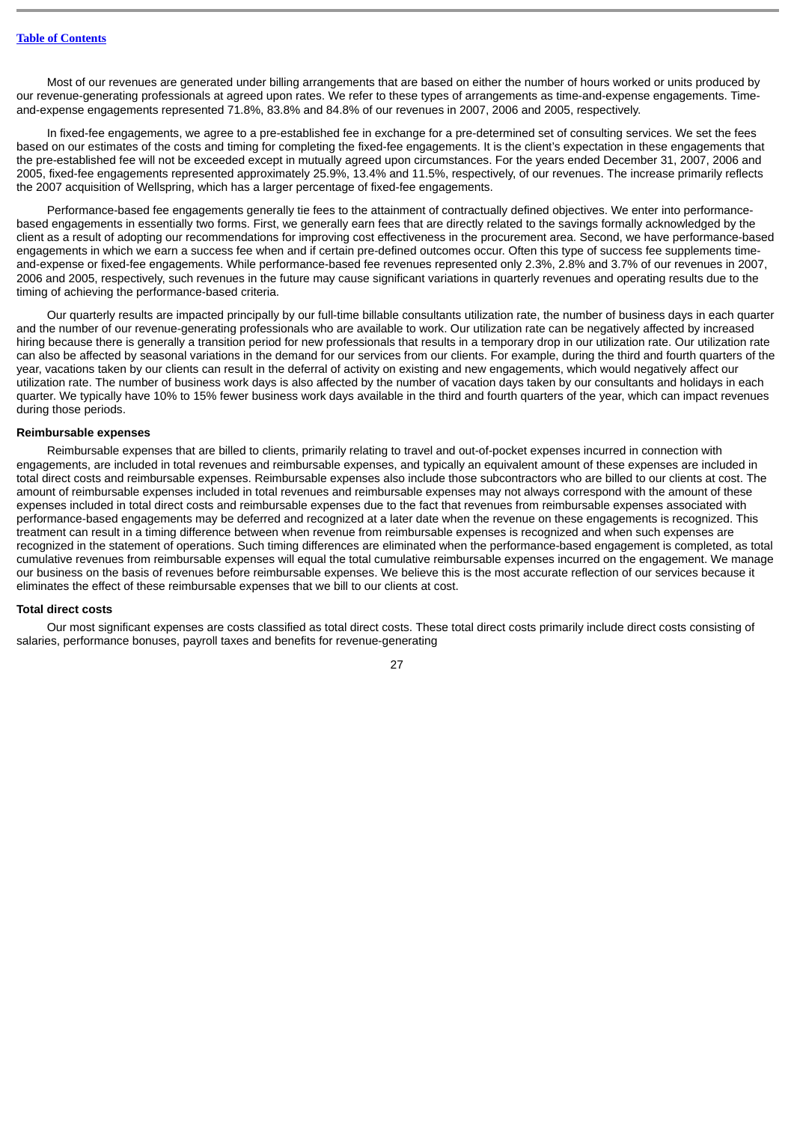Most of our revenues are generated under billing arrangements that are based on either the number of hours worked or units produced by our revenue-generating professionals at agreed upon rates. We refer to these types of arrangements as time-and-expense engagements. Timeand-expense engagements represented 71.8%, 83.8% and 84.8% of our revenues in 2007, 2006 and 2005, respectively.

In fixed-fee engagements, we agree to a pre-established fee in exchange for a pre-determined set of consulting services. We set the fees based on our estimates of the costs and timing for completing the fixed-fee engagements. It is the client's expectation in these engagements that the pre-established fee will not be exceeded except in mutually agreed upon circumstances. For the years ended December 31, 2007, 2006 and 2005, fixed-fee engagements represented approximately 25.9%, 13.4% and 11.5%, respectively, of our revenues. The increase primarily reflects the 2007 acquisition of Wellspring, which has a larger percentage of fixed-fee engagements.

Performance-based fee engagements generally tie fees to the attainment of contractually defined objectives. We enter into performancebased engagements in essentially two forms. First, we generally earn fees that are directly related to the savings formally acknowledged by the client as a result of adopting our recommendations for improving cost effectiveness in the procurement area. Second, we have performance-based engagements in which we earn a success fee when and if certain pre-defined outcomes occur. Often this type of success fee supplements timeand-expense or fixed-fee engagements. While performance-based fee revenues represented only 2.3%, 2.8% and 3.7% of our revenues in 2007, 2006 and 2005, respectively, such revenues in the future may cause significant variations in quarterly revenues and operating results due to the timing of achieving the performance-based criteria.

Our quarterly results are impacted principally by our full-time billable consultants utilization rate, the number of business days in each quarter and the number of our revenue-generating professionals who are available to work. Our utilization rate can be negatively affected by increased hiring because there is generally a transition period for new professionals that results in a temporary drop in our utilization rate. Our utilization rate can also be affected by seasonal variations in the demand for our services from our clients. For example, during the third and fourth quarters of the year, vacations taken by our clients can result in the deferral of activity on existing and new engagements, which would negatively affect our utilization rate. The number of business work days is also affected by the number of vacation days taken by our consultants and holidays in each quarter. We typically have 10% to 15% fewer business work days available in the third and fourth quarters of the year, which can impact revenues during those periods.

### **Reimbursable expenses**

Reimbursable expenses that are billed to clients, primarily relating to travel and out-of-pocket expenses incurred in connection with engagements, are included in total revenues and reimbursable expenses, and typically an equivalent amount of these expenses are included in total direct costs and reimbursable expenses. Reimbursable expenses also include those subcontractors who are billed to our clients at cost. The amount of reimbursable expenses included in total revenues and reimbursable expenses may not always correspond with the amount of these expenses included in total direct costs and reimbursable expenses due to the fact that revenues from reimbursable expenses associated with performance-based engagements may be deferred and recognized at a later date when the revenue on these engagements is recognized. This treatment can result in a timing difference between when revenue from reimbursable expenses is recognized and when such expenses are recognized in the statement of operations. Such timing differences are eliminated when the performance-based engagement is completed, as total cumulative revenues from reimbursable expenses will equal the total cumulative reimbursable expenses incurred on the engagement. We manage our business on the basis of revenues before reimbursable expenses. We believe this is the most accurate reflection of our services because it eliminates the effect of these reimbursable expenses that we bill to our clients at cost.

### **Total direct costs**

Our most significant expenses are costs classified as total direct costs. These total direct costs primarily include direct costs consisting of salaries, performance bonuses, payroll taxes and benefits for revenue-generating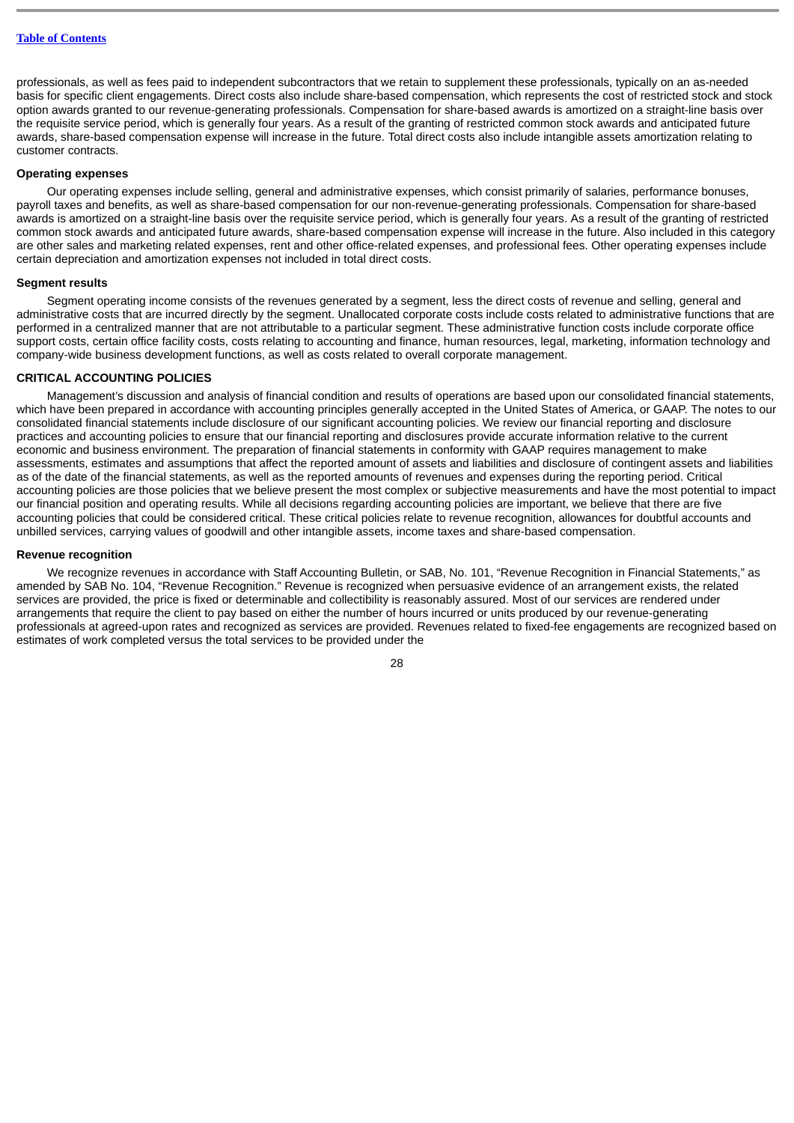professionals, as well as fees paid to independent subcontractors that we retain to supplement these professionals, typically on an as-needed basis for specific client engagements. Direct costs also include share-based compensation, which represents the cost of restricted stock and stock option awards granted to our revenue-generating professionals. Compensation for share-based awards is amortized on a straight-line basis over the requisite service period, which is generally four years. As a result of the granting of restricted common stock awards and anticipated future awards, share-based compensation expense will increase in the future. Total direct costs also include intangible assets amortization relating to customer contracts.

#### **Operating expenses**

Our operating expenses include selling, general and administrative expenses, which consist primarily of salaries, performance bonuses, payroll taxes and benefits, as well as share-based compensation for our non-revenue-generating professionals. Compensation for share-based awards is amortized on a straight-line basis over the requisite service period, which is generally four years. As a result of the granting of restricted common stock awards and anticipated future awards, share-based compensation expense will increase in the future. Also included in this category are other sales and marketing related expenses, rent and other office-related expenses, and professional fees. Other operating expenses include certain depreciation and amortization expenses not included in total direct costs.

# **Segment results**

Segment operating income consists of the revenues generated by a segment, less the direct costs of revenue and selling, general and administrative costs that are incurred directly by the segment. Unallocated corporate costs include costs related to administrative functions that are performed in a centralized manner that are not attributable to a particular segment. These administrative function costs include corporate office support costs, certain office facility costs, costs relating to accounting and finance, human resources, legal, marketing, information technology and company-wide business development functions, as well as costs related to overall corporate management.

### **CRITICAL ACCOUNTING POLICIES**

Management's discussion and analysis of financial condition and results of operations are based upon our consolidated financial statements, which have been prepared in accordance with accounting principles generally accepted in the United States of America, or GAAP. The notes to our consolidated financial statements include disclosure of our significant accounting policies. We review our financial reporting and disclosure practices and accounting policies to ensure that our financial reporting and disclosures provide accurate information relative to the current economic and business environment. The preparation of financial statements in conformity with GAAP requires management to make assessments, estimates and assumptions that affect the reported amount of assets and liabilities and disclosure of contingent assets and liabilities as of the date of the financial statements, as well as the reported amounts of revenues and expenses during the reporting period. Critical accounting policies are those policies that we believe present the most complex or subjective measurements and have the most potential to impact our financial position and operating results. While all decisions regarding accounting policies are important, we believe that there are five accounting policies that could be considered critical. These critical policies relate to revenue recognition, allowances for doubtful accounts and unbilled services, carrying values of goodwill and other intangible assets, income taxes and share-based compensation.

#### **Revenue recognition**

We recognize revenues in accordance with Staff Accounting Bulletin, or SAB, No. 101, "Revenue Recognition in Financial Statements," as amended by SAB No. 104, "Revenue Recognition." Revenue is recognized when persuasive evidence of an arrangement exists, the related services are provided, the price is fixed or determinable and collectibility is reasonably assured. Most of our services are rendered under arrangements that require the client to pay based on either the number of hours incurred or units produced by our revenue-generating professionals at agreed-upon rates and recognized as services are provided. Revenues related to fixed-fee engagements are recognized based on estimates of work completed versus the total services to be provided under the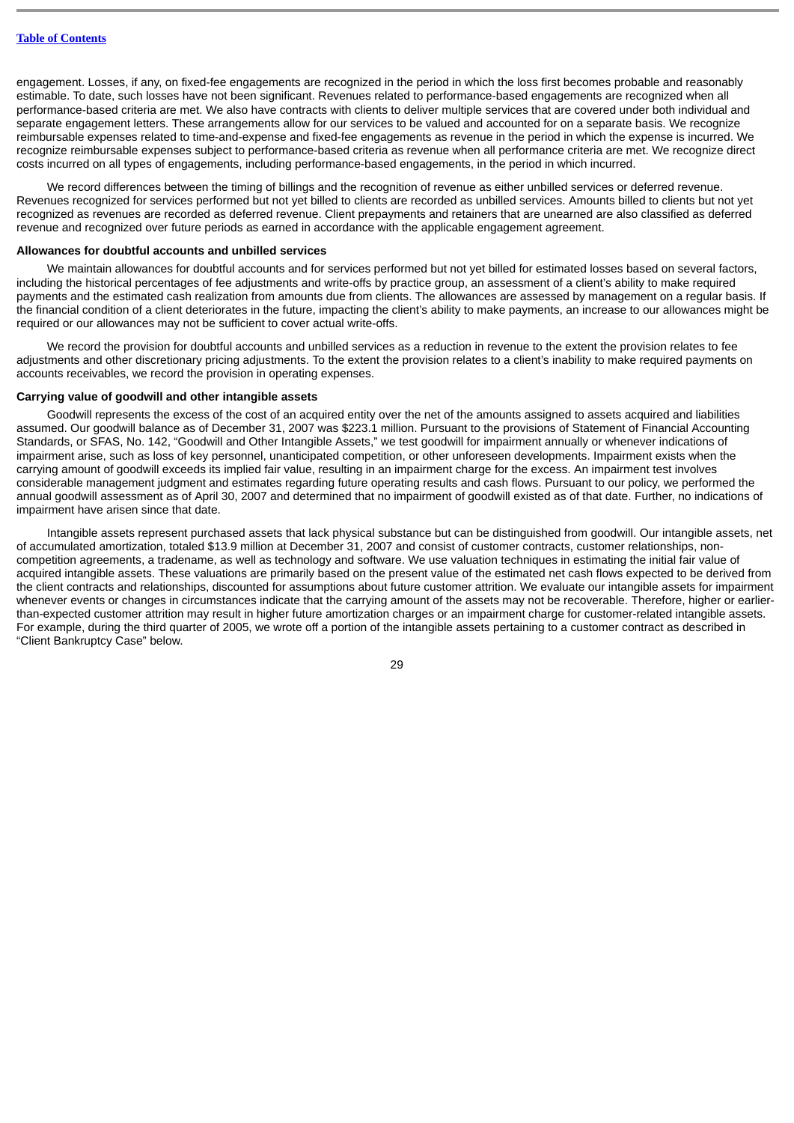engagement. Losses, if any, on fixed-fee engagements are recognized in the period in which the loss first becomes probable and reasonably estimable. To date, such losses have not been significant. Revenues related to performance-based engagements are recognized when all performance-based criteria are met. We also have contracts with clients to deliver multiple services that are covered under both individual and separate engagement letters. These arrangements allow for our services to be valued and accounted for on a separate basis. We recognize reimbursable expenses related to time-and-expense and fixed-fee engagements as revenue in the period in which the expense is incurred. We recognize reimbursable expenses subject to performance-based criteria as revenue when all performance criteria are met. We recognize direct costs incurred on all types of engagements, including performance-based engagements, in the period in which incurred.

We record differences between the timing of billings and the recognition of revenue as either unbilled services or deferred revenue. Revenues recognized for services performed but not yet billed to clients are recorded as unbilled services. Amounts billed to clients but not yet recognized as revenues are recorded as deferred revenue. Client prepayments and retainers that are unearned are also classified as deferred revenue and recognized over future periods as earned in accordance with the applicable engagement agreement.

### **Allowances for doubtful accounts and unbilled services**

We maintain allowances for doubtful accounts and for services performed but not yet billed for estimated losses based on several factors, including the historical percentages of fee adjustments and write-offs by practice group, an assessment of a client's ability to make required payments and the estimated cash realization from amounts due from clients. The allowances are assessed by management on a regular basis. If the financial condition of a client deteriorates in the future, impacting the client's ability to make payments, an increase to our allowances might be required or our allowances may not be sufficient to cover actual write-offs.

We record the provision for doubtful accounts and unbilled services as a reduction in revenue to the extent the provision relates to fee adjustments and other discretionary pricing adjustments. To the extent the provision relates to a client's inability to make required payments on accounts receivables, we record the provision in operating expenses.

#### **Carrying value of goodwill and other intangible assets**

Goodwill represents the excess of the cost of an acquired entity over the net of the amounts assigned to assets acquired and liabilities assumed. Our goodwill balance as of December 31, 2007 was \$223.1 million. Pursuant to the provisions of Statement of Financial Accounting Standards, or SFAS, No. 142, "Goodwill and Other Intangible Assets," we test goodwill for impairment annually or whenever indications of impairment arise, such as loss of key personnel, unanticipated competition, or other unforeseen developments. Impairment exists when the carrying amount of goodwill exceeds its implied fair value, resulting in an impairment charge for the excess. An impairment test involves considerable management judgment and estimates regarding future operating results and cash flows. Pursuant to our policy, we performed the annual goodwill assessment as of April 30, 2007 and determined that no impairment of goodwill existed as of that date. Further, no indications of impairment have arisen since that date.

Intangible assets represent purchased assets that lack physical substance but can be distinguished from goodwill. Our intangible assets, net of accumulated amortization, totaled \$13.9 million at December 31, 2007 and consist of customer contracts, customer relationships, noncompetition agreements, a tradename, as well as technology and software. We use valuation techniques in estimating the initial fair value of acquired intangible assets. These valuations are primarily based on the present value of the estimated net cash flows expected to be derived from the client contracts and relationships, discounted for assumptions about future customer attrition. We evaluate our intangible assets for impairment whenever events or changes in circumstances indicate that the carrying amount of the assets may not be recoverable. Therefore, higher or earlierthan-expected customer attrition may result in higher future amortization charges or an impairment charge for customer-related intangible assets. For example, during the third quarter of 2005, we wrote off a portion of the intangible assets pertaining to a customer contract as described in "Client Bankruptcy Case" below.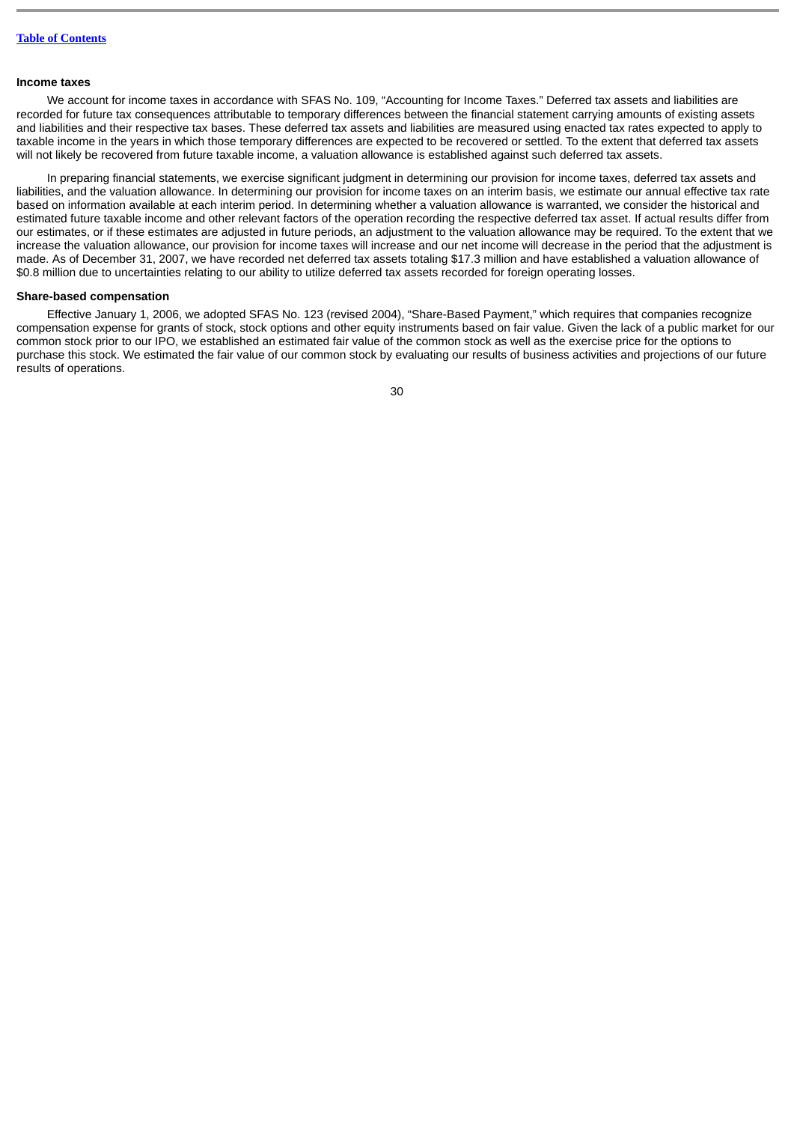#### **Income taxes**

We account for income taxes in accordance with SFAS No. 109, "Accounting for Income Taxes." Deferred tax assets and liabilities are recorded for future tax consequences attributable to temporary differences between the financial statement carrying amounts of existing assets and liabilities and their respective tax bases. These deferred tax assets and liabilities are measured using enacted tax rates expected to apply to taxable income in the years in which those temporary differences are expected to be recovered or settled. To the extent that deferred tax assets will not likely be recovered from future taxable income, a valuation allowance is established against such deferred tax assets.

In preparing financial statements, we exercise significant judgment in determining our provision for income taxes, deferred tax assets and liabilities, and the valuation allowance. In determining our provision for income taxes on an interim basis, we estimate our annual effective tax rate based on information available at each interim period. In determining whether a valuation allowance is warranted, we consider the historical and estimated future taxable income and other relevant factors of the operation recording the respective deferred tax asset. If actual results differ from our estimates, or if these estimates are adjusted in future periods, an adjustment to the valuation allowance may be required. To the extent that we increase the valuation allowance, our provision for income taxes will increase and our net income will decrease in the period that the adjustment is made. As of December 31, 2007, we have recorded net deferred tax assets totaling \$17.3 million and have established a valuation allowance of \$0.8 million due to uncertainties relating to our ability to utilize deferred tax assets recorded for foreign operating losses.

#### **Share-based compensation**

Effective January 1, 2006, we adopted SFAS No. 123 (revised 2004), "Share-Based Payment," which requires that companies recognize compensation expense for grants of stock, stock options and other equity instruments based on fair value. Given the lack of a public market for our common stock prior to our IPO, we established an estimated fair value of the common stock as well as the exercise price for the options to purchase this stock. We estimated the fair value of our common stock by evaluating our results of business activities and projections of our future results of operations.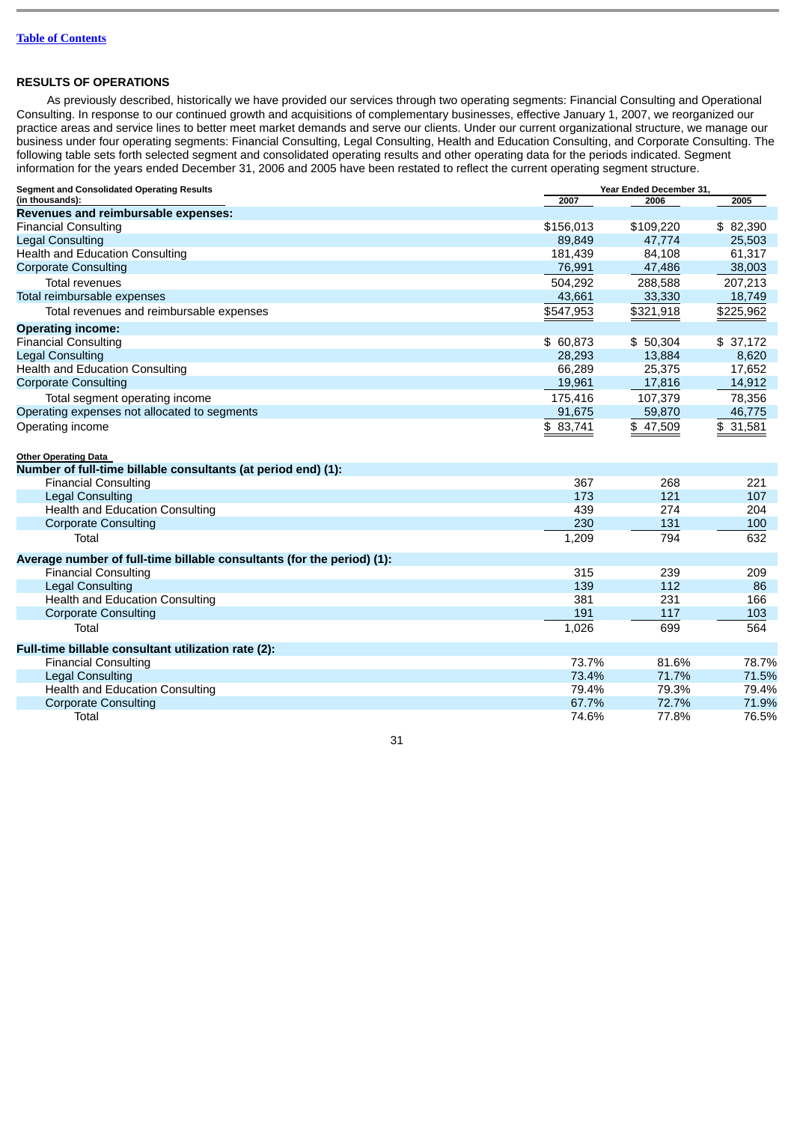# **RESULTS OF OPERATIONS**

As previously described, historically we have provided our services through two operating segments: Financial Consulting and Operational Consulting. In response to our continued growth and acquisitions of complementary businesses, effective January 1, 2007, we reorganized our practice areas and service lines to better meet market demands and serve our clients. Under our current organizational structure, we manage our business under four operating segments: Financial Consulting, Legal Consulting, Health and Education Consulting, and Corporate Consulting. The following table sets forth selected segment and consolidated operating results and other operating data for the periods indicated. Segment information for the years ended December 31, 2006 and 2005 have been restated to reflect the current operating segment structure.

| <b>Segment and Consolidated Operating Results</b>                      |           | Year Ended December 31, |           |  |  |  |  |
|------------------------------------------------------------------------|-----------|-------------------------|-----------|--|--|--|--|
| (in thousands):                                                        | 2007      | 2006                    | 2005      |  |  |  |  |
| Revenues and reimbursable expenses:                                    |           |                         |           |  |  |  |  |
| <b>Financial Consulting</b>                                            | \$156,013 | \$109,220               | \$82,390  |  |  |  |  |
| <b>Legal Consulting</b>                                                | 89.849    | 47,774                  | 25,503    |  |  |  |  |
| <b>Health and Education Consulting</b>                                 | 181,439   | 84,108                  | 61,317    |  |  |  |  |
| <b>Corporate Consulting</b>                                            | 76,991    | 47,486                  | 38,003    |  |  |  |  |
| <b>Total revenues</b>                                                  | 504,292   | 288,588                 | 207,213   |  |  |  |  |
| Total reimbursable expenses                                            | 43,661    | 33,330                  | 18,749    |  |  |  |  |
| Total revenues and reimbursable expenses                               | \$547,953 | \$321,918               | \$225,962 |  |  |  |  |
| <b>Operating income:</b>                                               |           |                         |           |  |  |  |  |
| <b>Financial Consulting</b>                                            | \$60,873  | \$50,304                | \$37,172  |  |  |  |  |
| <b>Legal Consulting</b>                                                | 28,293    | 13,884                  | 8,620     |  |  |  |  |
| <b>Health and Education Consulting</b>                                 | 66,289    | 25,375                  | 17,652    |  |  |  |  |
| <b>Corporate Consulting</b>                                            | 19,961    | 17,816                  | 14,912    |  |  |  |  |
| Total segment operating income                                         | 175,416   | 107,379                 | 78,356    |  |  |  |  |
| Operating expenses not allocated to segments                           | 91,675    | 59,870                  | 46,775    |  |  |  |  |
| Operating income                                                       | \$83,741  | \$47,509                | \$31,581  |  |  |  |  |
| <b>Other Operating Data</b>                                            |           |                         |           |  |  |  |  |
| Number of full-time billable consultants (at period end) (1):          |           |                         |           |  |  |  |  |
| <b>Financial Consulting</b>                                            | 367       | 268                     | 221       |  |  |  |  |
| <b>Legal Consulting</b>                                                | 173       | 121                     | 107       |  |  |  |  |
| <b>Health and Education Consulting</b>                                 | 439       | 274                     | 204       |  |  |  |  |
| <b>Corporate Consulting</b>                                            | 230       | 131                     | 100       |  |  |  |  |
| Total                                                                  | 1,209     | 794                     | 632       |  |  |  |  |
| Average number of full-time billable consultants (for the period) (1): |           |                         |           |  |  |  |  |
| <b>Financial Consulting</b>                                            | 315       | 239                     | 209       |  |  |  |  |
| <b>Legal Consulting</b>                                                | 139       | 112                     | 86        |  |  |  |  |
| Health and Education Consulting                                        | 381       | 231                     | 166       |  |  |  |  |
| <b>Corporate Consulting</b>                                            | 191       | 117                     | 103       |  |  |  |  |
| Total                                                                  | 1,026     | 699                     | 564       |  |  |  |  |
| Full-time billable consultant utilization rate (2):                    |           |                         |           |  |  |  |  |
| <b>Financial Consulting</b>                                            | 73.7%     | 81.6%                   | 78.7%     |  |  |  |  |
| <b>Legal Consulting</b>                                                | 73.4%     | 71.7%                   | 71.5%     |  |  |  |  |
| <b>Health and Education Consulting</b>                                 | 79.4%     | 79.3%                   | 79.4%     |  |  |  |  |
| <b>Corporate Consulting</b>                                            | 67.7%     | 72.7%                   | 71.9%     |  |  |  |  |
| Total                                                                  | 74.6%     | 77.8%                   | 76.5%     |  |  |  |  |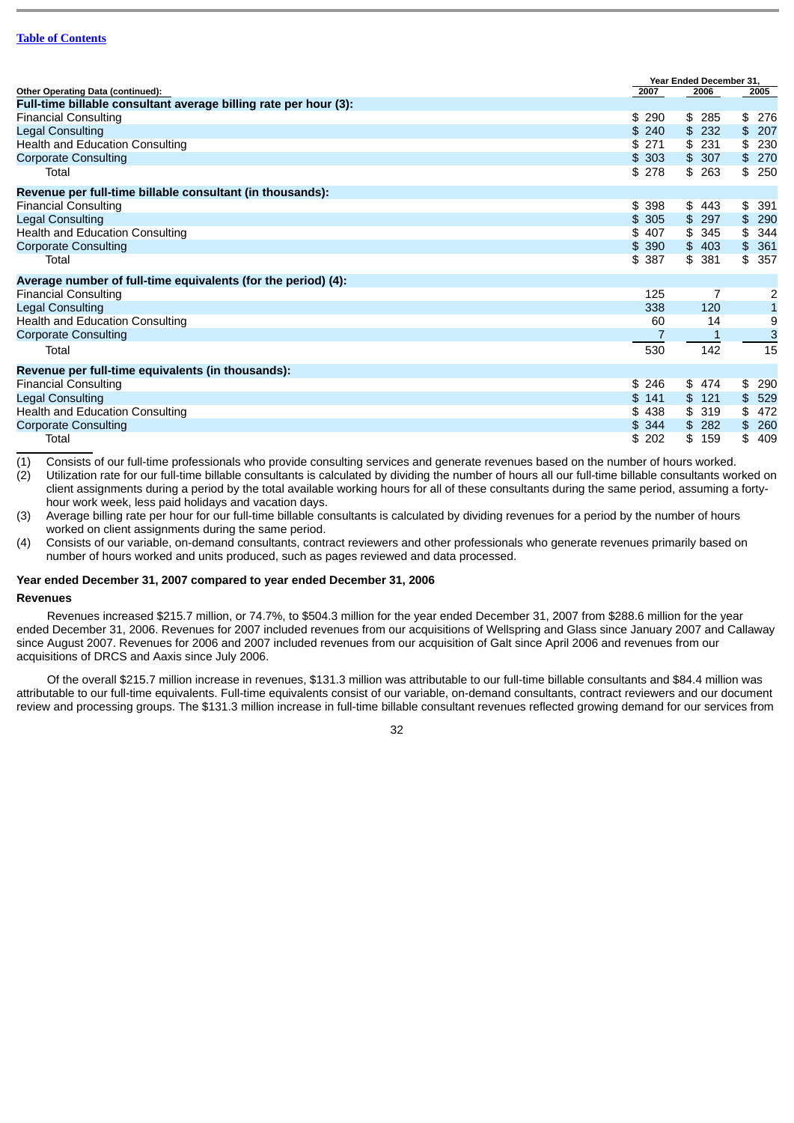|                                                                  |            | <b>Year Ended December 31.</b> |           |  |
|------------------------------------------------------------------|------------|--------------------------------|-----------|--|
| <b>Other Operating Data (continued):</b>                         | 2007       | 2006                           | 2005      |  |
| Full-time billable consultant average billing rate per hour (3): |            |                                |           |  |
| <b>Financial Consulting</b>                                      | \$290      | \$285                          | \$<br>276 |  |
| <b>Legal Consulting</b>                                          | 240<br>\$  | \$232                          | 207<br>\$ |  |
| Health and Education Consulting                                  | 271<br>\$  | \$231                          | \$<br>230 |  |
| <b>Corporate Consulting</b>                                      | \$303      | \$307                          | 270<br>\$ |  |
| Total                                                            | \$ 278     | \$263                          | \$<br>250 |  |
| Revenue per full-time billable consultant (in thousands):        |            |                                |           |  |
| <b>Financial Consulting</b>                                      | \$<br>398  | \$443                          | \$<br>391 |  |
| <b>Legal Consulting</b>                                          | \$305      | \$297                          | 290<br>\$ |  |
| <b>Health and Education Consulting</b>                           | 407<br>\$. | \$345                          | 344<br>\$ |  |
| <b>Corporate Consulting</b>                                      | \$390      | \$403                          | 361<br>\$ |  |
| Total                                                            | \$387      | \$381                          | 357<br>\$ |  |
| Average number of full-time equivalents (for the period) (4):    |            |                                |           |  |
| <b>Financial Consulting</b>                                      | 125        | 7                              | 2         |  |
| <b>Legal Consulting</b>                                          | 338        | 120                            | 1         |  |
| Health and Education Consulting                                  | 60         | 14                             | 9         |  |
| <b>Corporate Consulting</b>                                      |            | $\mathbf{1}$                   | 3         |  |
| Total                                                            | 530        | 142                            | 15        |  |
| Revenue per full-time equivalents (in thousands):                |            |                                |           |  |
| <b>Financial Consulting</b>                                      | \$246      | \$474                          | \$<br>290 |  |
| <b>Legal Consulting</b>                                          | \$141      | \$121                          | \$<br>529 |  |
| <b>Health and Education Consulting</b>                           | 438<br>\$  | \$319                          | 472<br>\$ |  |
| <b>Corporate Consulting</b>                                      | \$344      | \$282                          | \$<br>260 |  |
| Total                                                            | 202<br>\$  | \$<br>159                      | 409<br>\$ |  |

(1) Consists of our full-time professionals who provide consulting services and generate revenues based on the number of hours worked.<br>(2) Utilization rate for our full-time billable consultants is calculated by dividing t

Utilization rate for our full-time billable consultants is calculated by dividing the number of hours all our full-time billable consultants worked on client assignments during a period by the total available working hours for all of these consultants during the same period, assuming a fortyhour work week, less paid holidays and vacation days.

(3) Average billing rate per hour for our full-time billable consultants is calculated by dividing revenues for a period by the number of hours worked on client assignments during the same period.

(4) Consists of our variable, on-demand consultants, contract reviewers and other professionals who generate revenues primarily based on number of hours worked and units produced, such as pages reviewed and data processed.

# **Year ended December 31, 2007 compared to year ended December 31, 2006**

#### **Revenues**

Revenues increased \$215.7 million, or 74.7%, to \$504.3 million for the year ended December 31, 2007 from \$288.6 million for the year ended December 31, 2006. Revenues for 2007 included revenues from our acquisitions of Wellspring and Glass since January 2007 and Callaway since August 2007. Revenues for 2006 and 2007 included revenues from our acquisition of Galt since April 2006 and revenues from our acquisitions of DRCS and Aaxis since July 2006.

Of the overall \$215.7 million increase in revenues, \$131.3 million was attributable to our full-time billable consultants and \$84.4 million was attributable to our full-time equivalents. Full-time equivalents consist of our variable, on-demand consultants, contract reviewers and our document review and processing groups. The \$131.3 million increase in full-time billable consultant revenues reflected growing demand for our services from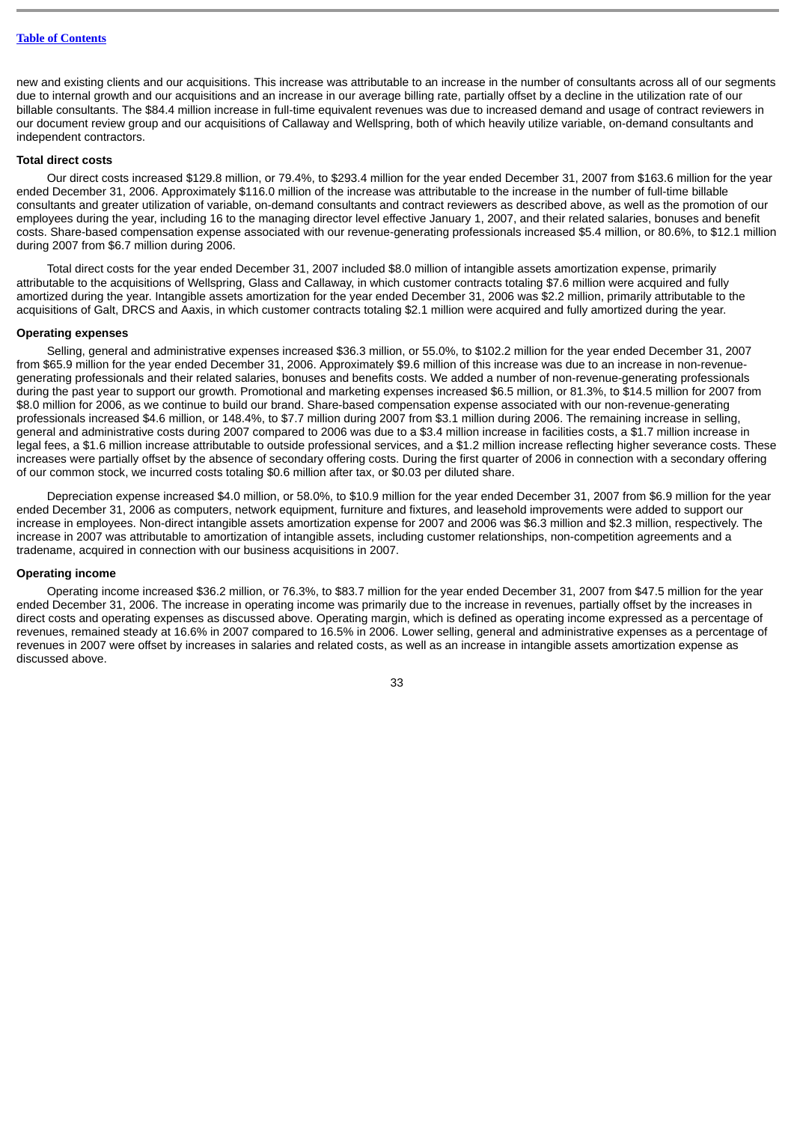new and existing clients and our acquisitions. This increase was attributable to an increase in the number of consultants across all of our segments due to internal growth and our acquisitions and an increase in our average billing rate, partially offset by a decline in the utilization rate of our billable consultants. The \$84.4 million increase in full-time equivalent revenues was due to increased demand and usage of contract reviewers in our document review group and our acquisitions of Callaway and Wellspring, both of which heavily utilize variable, on-demand consultants and independent contractors.

#### **Total direct costs**

Our direct costs increased \$129.8 million, or 79.4%, to \$293.4 million for the year ended December 31, 2007 from \$163.6 million for the year ended December 31, 2006. Approximately \$116.0 million of the increase was attributable to the increase in the number of full-time billable consultants and greater utilization of variable, on-demand consultants and contract reviewers as described above, as well as the promotion of our employees during the year, including 16 to the managing director level effective January 1, 2007, and their related salaries, bonuses and benefit costs. Share-based compensation expense associated with our revenue-generating professionals increased \$5.4 million, or 80.6%, to \$12.1 million during 2007 from \$6.7 million during 2006.

Total direct costs for the year ended December 31, 2007 included \$8.0 million of intangible assets amortization expense, primarily attributable to the acquisitions of Wellspring, Glass and Callaway, in which customer contracts totaling \$7.6 million were acquired and fully amortized during the year. Intangible assets amortization for the year ended December 31, 2006 was \$2.2 million, primarily attributable to the acquisitions of Galt, DRCS and Aaxis, in which customer contracts totaling \$2.1 million were acquired and fully amortized during the year.

### **Operating expenses**

Selling, general and administrative expenses increased \$36.3 million, or 55.0%, to \$102.2 million for the year ended December 31, 2007 from \$65.9 million for the year ended December 31, 2006. Approximately \$9.6 million of this increase was due to an increase in non-revenuegenerating professionals and their related salaries, bonuses and benefits costs. We added a number of non-revenue-generating professionals during the past year to support our growth. Promotional and marketing expenses increased \$6.5 million, or 81.3%, to \$14.5 million for 2007 from \$8.0 million for 2006, as we continue to build our brand. Share-based compensation expense associated with our non-revenue-generating professionals increased \$4.6 million, or 148.4%, to \$7.7 million during 2007 from \$3.1 million during 2006. The remaining increase in selling, general and administrative costs during 2007 compared to 2006 was due to a \$3.4 million increase in facilities costs, a \$1.7 million increase in legal fees, a \$1.6 million increase attributable to outside professional services, and a \$1.2 million increase reflecting higher severance costs. These increases were partially offset by the absence of secondary offering costs. During the first quarter of 2006 in connection with a secondary offering of our common stock, we incurred costs totaling \$0.6 million after tax, or \$0.03 per diluted share.

Depreciation expense increased \$4.0 million, or 58.0%, to \$10.9 million for the year ended December 31, 2007 from \$6.9 million for the year ended December 31, 2006 as computers, network equipment, furniture and fixtures, and leasehold improvements were added to support our increase in employees. Non-direct intangible assets amortization expense for 2007 and 2006 was \$6.3 million and \$2.3 million, respectively. The increase in 2007 was attributable to amortization of intangible assets, including customer relationships, non-competition agreements and a tradename, acquired in connection with our business acquisitions in 2007.

# **Operating income**

Operating income increased \$36.2 million, or 76.3%, to \$83.7 million for the year ended December 31, 2007 from \$47.5 million for the year ended December 31, 2006. The increase in operating income was primarily due to the increase in revenues, partially offset by the increases in direct costs and operating expenses as discussed above. Operating margin, which is defined as operating income expressed as a percentage of revenues, remained steady at 16.6% in 2007 compared to 16.5% in 2006. Lower selling, general and administrative expenses as a percentage of revenues in 2007 were offset by increases in salaries and related costs, as well as an increase in intangible assets amortization expense as discussed above.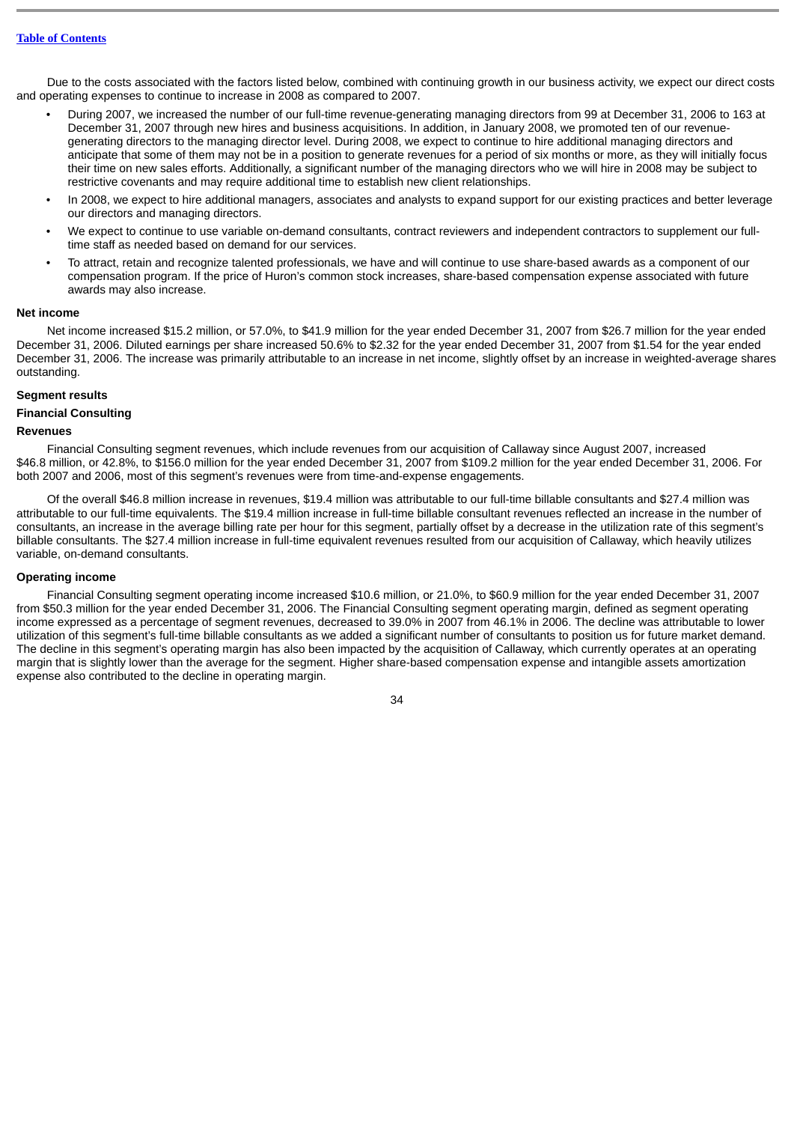Due to the costs associated with the factors listed below, combined with continuing growth in our business activity, we expect our direct costs and operating expenses to continue to increase in 2008 as compared to 2007.

- During 2007, we increased the number of our full-time revenue-generating managing directors from 99 at December 31, 2006 to 163 at December 31, 2007 through new hires and business acquisitions. In addition, in January 2008, we promoted ten of our revenuegenerating directors to the managing director level. During 2008, we expect to continue to hire additional managing directors and anticipate that some of them may not be in a position to generate revenues for a period of six months or more, as they will initially focus their time on new sales efforts. Additionally, a significant number of the managing directors who we will hire in 2008 may be subject to restrictive covenants and may require additional time to establish new client relationships.
- In 2008, we expect to hire additional managers, associates and analysts to expand support for our existing practices and better leverage our directors and managing directors.
- We expect to continue to use variable on-demand consultants, contract reviewers and independent contractors to supplement our fulltime staff as needed based on demand for our services.
- To attract, retain and recognize talented professionals, we have and will continue to use share-based awards as a component of our compensation program. If the price of Huron's common stock increases, share-based compensation expense associated with future awards may also increase.

#### **Net income**

Net income increased \$15.2 million, or 57.0%, to \$41.9 million for the year ended December 31, 2007 from \$26.7 million for the year ended December 31, 2006. Diluted earnings per share increased 50.6% to \$2.32 for the year ended December 31, 2007 from \$1.54 for the year ended December 31, 2006. The increase was primarily attributable to an increase in net income, slightly offset by an increase in weighted-average shares outstanding.

#### **Segment results**

#### **Financial Consulting**

# **Revenues**

Financial Consulting segment revenues, which include revenues from our acquisition of Callaway since August 2007, increased \$46.8 million, or 42.8%, to \$156.0 million for the year ended December 31, 2007 from \$109.2 million for the year ended December 31, 2006. For both 2007 and 2006, most of this segment's revenues were from time-and-expense engagements.

Of the overall \$46.8 million increase in revenues, \$19.4 million was attributable to our full-time billable consultants and \$27.4 million was attributable to our full-time equivalents. The \$19.4 million increase in full-time billable consultant revenues reflected an increase in the number of consultants, an increase in the average billing rate per hour for this segment, partially offset by a decrease in the utilization rate of this segment's billable consultants. The \$27.4 million increase in full-time equivalent revenues resulted from our acquisition of Callaway, which heavily utilizes variable, on-demand consultants.

# **Operating income**

Financial Consulting segment operating income increased \$10.6 million, or 21.0%, to \$60.9 million for the year ended December 31, 2007 from \$50.3 million for the year ended December 31, 2006. The Financial Consulting segment operating margin, defined as segment operating income expressed as a percentage of segment revenues, decreased to 39.0% in 2007 from 46.1% in 2006. The decline was attributable to lower utilization of this segment's full-time billable consultants as we added a significant number of consultants to position us for future market demand. The decline in this segment's operating margin has also been impacted by the acquisition of Callaway, which currently operates at an operating margin that is slightly lower than the average for the segment. Higher share-based compensation expense and intangible assets amortization expense also contributed to the decline in operating margin.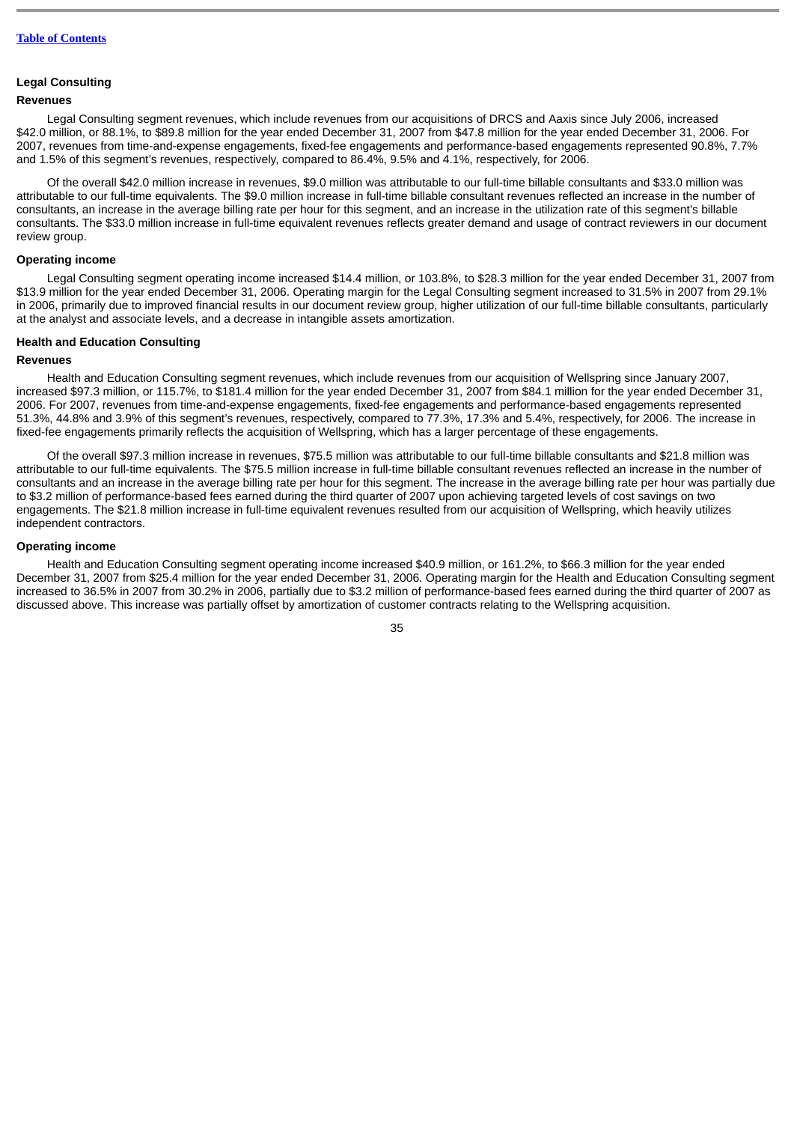### **Legal Consulting**

## **Revenues**

Legal Consulting segment revenues, which include revenues from our acquisitions of DRCS and Aaxis since July 2006, increased \$42.0 million, or 88.1%, to \$89.8 million for the year ended December 31, 2007 from \$47.8 million for the year ended December 31, 2006. For 2007, revenues from time-and-expense engagements, fixed-fee engagements and performance-based engagements represented 90.8%, 7.7% and 1.5% of this segment's revenues, respectively, compared to 86.4%, 9.5% and 4.1%, respectively, for 2006.

Of the overall \$42.0 million increase in revenues, \$9.0 million was attributable to our full-time billable consultants and \$33.0 million was attributable to our full-time equivalents. The \$9.0 million increase in full-time billable consultant revenues reflected an increase in the number of consultants, an increase in the average billing rate per hour for this segment, and an increase in the utilization rate of this segment's billable consultants. The \$33.0 million increase in full-time equivalent revenues reflects greater demand and usage of contract reviewers in our document review group.

### **Operating income**

Legal Consulting segment operating income increased \$14.4 million, or 103.8%, to \$28.3 million for the year ended December 31, 2007 from \$13.9 million for the year ended December 31, 2006. Operating margin for the Legal Consulting segment increased to 31.5% in 2007 from 29.1% in 2006, primarily due to improved financial results in our document review group, higher utilization of our full-time billable consultants, particularly at the analyst and associate levels, and a decrease in intangible assets amortization.

### **Health and Education Consulting**

### **Revenues**

Health and Education Consulting segment revenues, which include revenues from our acquisition of Wellspring since January 2007, increased \$97.3 million, or 115.7%, to \$181.4 million for the year ended December 31, 2007 from \$84.1 million for the year ended December 31, 2006. For 2007, revenues from time-and-expense engagements, fixed-fee engagements and performance-based engagements represented 51.3%, 44.8% and 3.9% of this segment's revenues, respectively, compared to 77.3%, 17.3% and 5.4%, respectively, for 2006. The increase in fixed-fee engagements primarily reflects the acquisition of Wellspring, which has a larger percentage of these engagements.

Of the overall \$97.3 million increase in revenues, \$75.5 million was attributable to our full-time billable consultants and \$21.8 million was attributable to our full-time equivalents. The \$75.5 million increase in full-time billable consultant revenues reflected an increase in the number of consultants and an increase in the average billing rate per hour for this segment. The increase in the average billing rate per hour was partially due to \$3.2 million of performance-based fees earned during the third quarter of 2007 upon achieving targeted levels of cost savings on two engagements. The \$21.8 million increase in full-time equivalent revenues resulted from our acquisition of Wellspring, which heavily utilizes independent contractors.

### **Operating income**

Health and Education Consulting segment operating income increased \$40.9 million, or 161.2%, to \$66.3 million for the year ended December 31, 2007 from \$25.4 million for the year ended December 31, 2006. Operating margin for the Health and Education Consulting segment increased to 36.5% in 2007 from 30.2% in 2006, partially due to \$3.2 million of performance-based fees earned during the third quarter of 2007 as discussed above. This increase was partially offset by amortization of customer contracts relating to the Wellspring acquisition.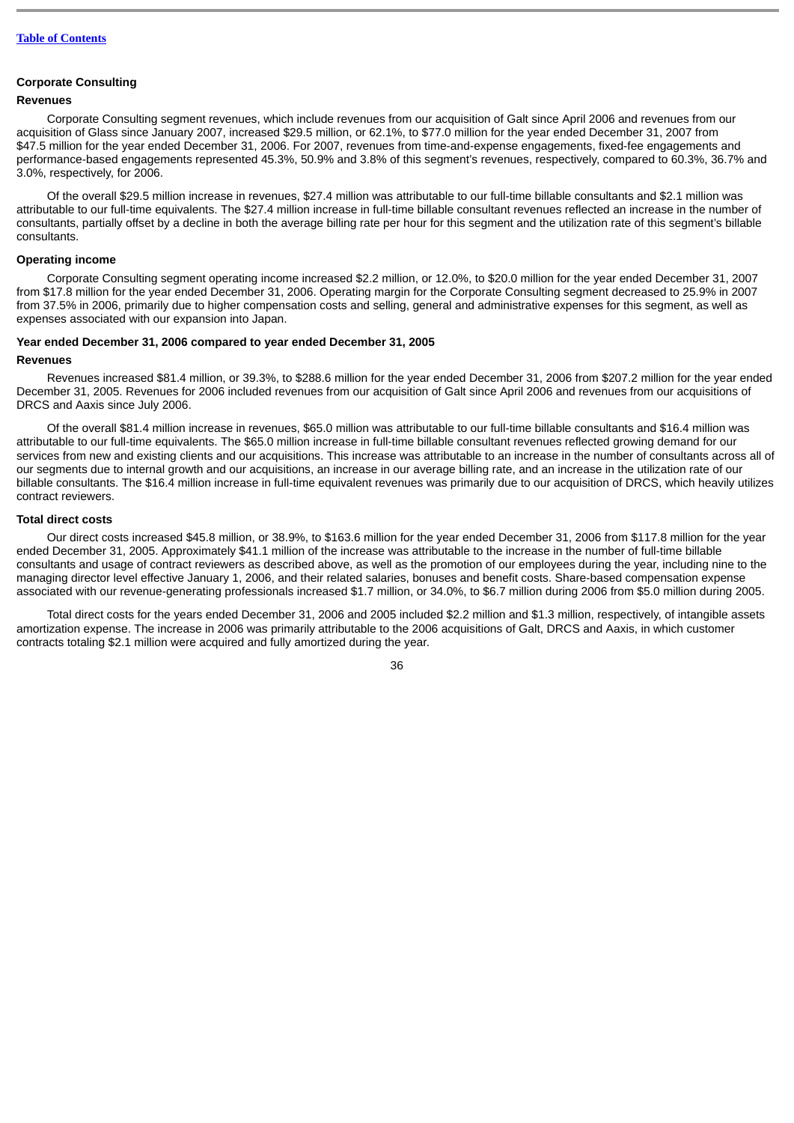## **Corporate Consulting**

## **Revenues**

Corporate Consulting segment revenues, which include revenues from our acquisition of Galt since April 2006 and revenues from our acquisition of Glass since January 2007, increased \$29.5 million, or 62.1%, to \$77.0 million for the year ended December 31, 2007 from \$47.5 million for the year ended December 31, 2006. For 2007, revenues from time-and-expense engagements, fixed-fee engagements and performance-based engagements represented 45.3%, 50.9% and 3.8% of this segment's revenues, respectively, compared to 60.3%, 36.7% and 3.0%, respectively, for 2006.

Of the overall \$29.5 million increase in revenues, \$27.4 million was attributable to our full-time billable consultants and \$2.1 million was attributable to our full-time equivalents. The \$27.4 million increase in full-time billable consultant revenues reflected an increase in the number of consultants, partially offset by a decline in both the average billing rate per hour for this segment and the utilization rate of this segment's billable consultants.

### **Operating income**

Corporate Consulting segment operating income increased \$2.2 million, or 12.0%, to \$20.0 million for the year ended December 31, 2007 from \$17.8 million for the year ended December 31, 2006. Operating margin for the Corporate Consulting segment decreased to 25.9% in 2007 from 37.5% in 2006, primarily due to higher compensation costs and selling, general and administrative expenses for this segment, as well as expenses associated with our expansion into Japan.

# **Year ended December 31, 2006 compared to year ended December 31, 2005**

## **Revenues**

Revenues increased \$81.4 million, or 39.3%, to \$288.6 million for the year ended December 31, 2006 from \$207.2 million for the year ended December 31, 2005. Revenues for 2006 included revenues from our acquisition of Galt since April 2006 and revenues from our acquisitions of DRCS and Aaxis since July 2006.

Of the overall \$81.4 million increase in revenues, \$65.0 million was attributable to our full-time billable consultants and \$16.4 million was attributable to our full-time equivalents. The \$65.0 million increase in full-time billable consultant revenues reflected growing demand for our services from new and existing clients and our acquisitions. This increase was attributable to an increase in the number of consultants across all of our segments due to internal growth and our acquisitions, an increase in our average billing rate, and an increase in the utilization rate of our billable consultants. The \$16.4 million increase in full-time equivalent revenues was primarily due to our acquisition of DRCS, which heavily utilizes contract reviewers.

### **Total direct costs**

Our direct costs increased \$45.8 million, or 38.9%, to \$163.6 million for the year ended December 31, 2006 from \$117.8 million for the year ended December 31, 2005. Approximately \$41.1 million of the increase was attributable to the increase in the number of full-time billable consultants and usage of contract reviewers as described above, as well as the promotion of our employees during the year, including nine to the managing director level effective January 1, 2006, and their related salaries, bonuses and benefit costs. Share-based compensation expense associated with our revenue-generating professionals increased \$1.7 million, or 34.0%, to \$6.7 million during 2006 from \$5.0 million during 2005.

Total direct costs for the years ended December 31, 2006 and 2005 included \$2.2 million and \$1.3 million, respectively, of intangible assets amortization expense. The increase in 2006 was primarily attributable to the 2006 acquisitions of Galt, DRCS and Aaxis, in which customer contracts totaling \$2.1 million were acquired and fully amortized during the year.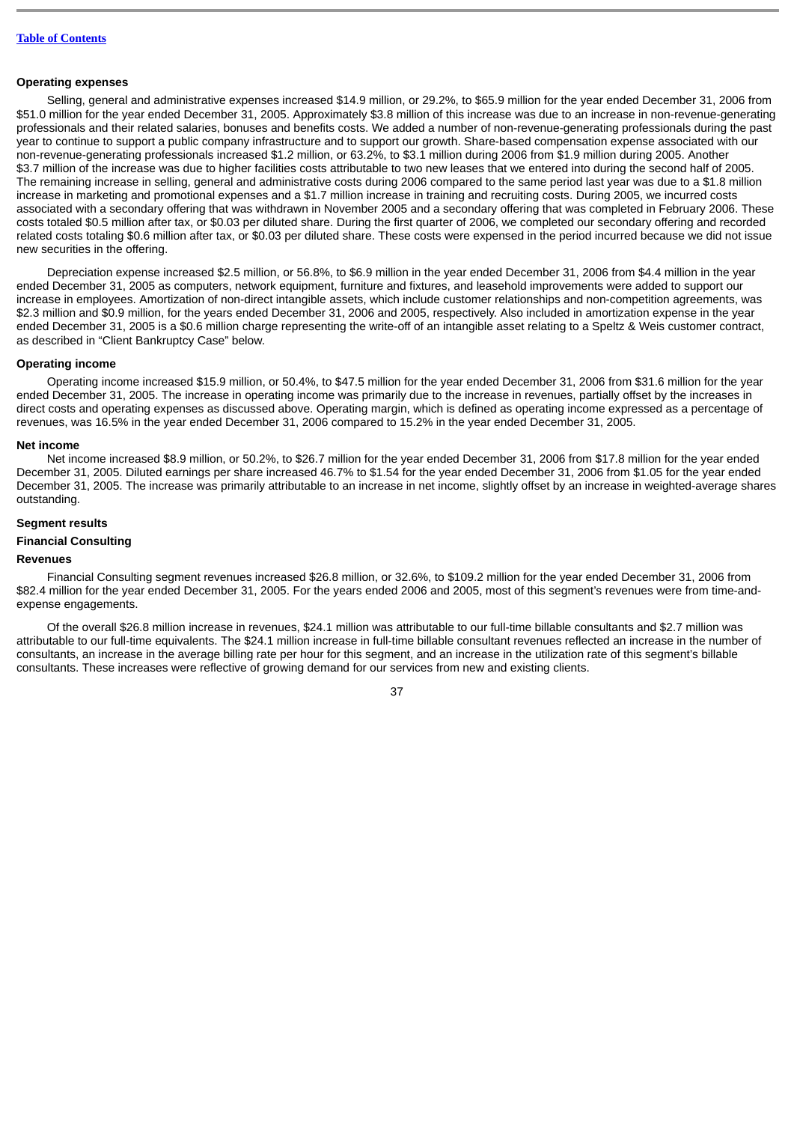### **Operating expenses**

Selling, general and administrative expenses increased \$14.9 million, or 29.2%, to \$65.9 million for the year ended December 31, 2006 from \$51.0 million for the year ended December 31, 2005. Approximately \$3.8 million of this increase was due to an increase in non-revenue-generating professionals and their related salaries, bonuses and benefits costs. We added a number of non-revenue-generating professionals during the past year to continue to support a public company infrastructure and to support our growth. Share-based compensation expense associated with our non-revenue-generating professionals increased \$1.2 million, or 63.2%, to \$3.1 million during 2006 from \$1.9 million during 2005. Another \$3.7 million of the increase was due to higher facilities costs attributable to two new leases that we entered into during the second half of 2005. The remaining increase in selling, general and administrative costs during 2006 compared to the same period last year was due to a \$1.8 million increase in marketing and promotional expenses and a \$1.7 million increase in training and recruiting costs. During 2005, we incurred costs associated with a secondary offering that was withdrawn in November 2005 and a secondary offering that was completed in February 2006. These costs totaled \$0.5 million after tax, or \$0.03 per diluted share. During the first quarter of 2006, we completed our secondary offering and recorded related costs totaling \$0.6 million after tax, or \$0.03 per diluted share. These costs were expensed in the period incurred because we did not issue new securities in the offering.

Depreciation expense increased \$2.5 million, or 56.8%, to \$6.9 million in the year ended December 31, 2006 from \$4.4 million in the year ended December 31, 2005 as computers, network equipment, furniture and fixtures, and leasehold improvements were added to support our increase in employees. Amortization of non-direct intangible assets, which include customer relationships and non-competition agreements, was \$2.3 million and \$0.9 million, for the years ended December 31, 2006 and 2005, respectively. Also included in amortization expense in the year ended December 31, 2005 is a \$0.6 million charge representing the write-off of an intangible asset relating to a Speltz & Weis customer contract, as described in "Client Bankruptcy Case" below.

### **Operating income**

Operating income increased \$15.9 million, or 50.4%, to \$47.5 million for the year ended December 31, 2006 from \$31.6 million for the year ended December 31, 2005. The increase in operating income was primarily due to the increase in revenues, partially offset by the increases in direct costs and operating expenses as discussed above. Operating margin, which is defined as operating income expressed as a percentage of revenues, was 16.5% in the year ended December 31, 2006 compared to 15.2% in the year ended December 31, 2005.

#### **Net income**

Net income increased \$8.9 million, or 50.2%, to \$26.7 million for the year ended December 31, 2006 from \$17.8 million for the year ended December 31, 2005. Diluted earnings per share increased 46.7% to \$1.54 for the year ended December 31, 2006 from \$1.05 for the year ended December 31, 2005. The increase was primarily attributable to an increase in net income, slightly offset by an increase in weighted-average shares outstanding.

## **Segment results**

## **Financial Consulting**

### **Revenues**

Financial Consulting segment revenues increased \$26.8 million, or 32.6%, to \$109.2 million for the year ended December 31, 2006 from \$82.4 million for the year ended December 31, 2005. For the years ended 2006 and 2005, most of this segment's revenues were from time-andexpense engagements.

Of the overall \$26.8 million increase in revenues, \$24.1 million was attributable to our full-time billable consultants and \$2.7 million was attributable to our full-time equivalents. The \$24.1 million increase in full-time billable consultant revenues reflected an increase in the number of consultants, an increase in the average billing rate per hour for this segment, and an increase in the utilization rate of this segment's billable consultants. These increases were reflective of growing demand for our services from new and existing clients.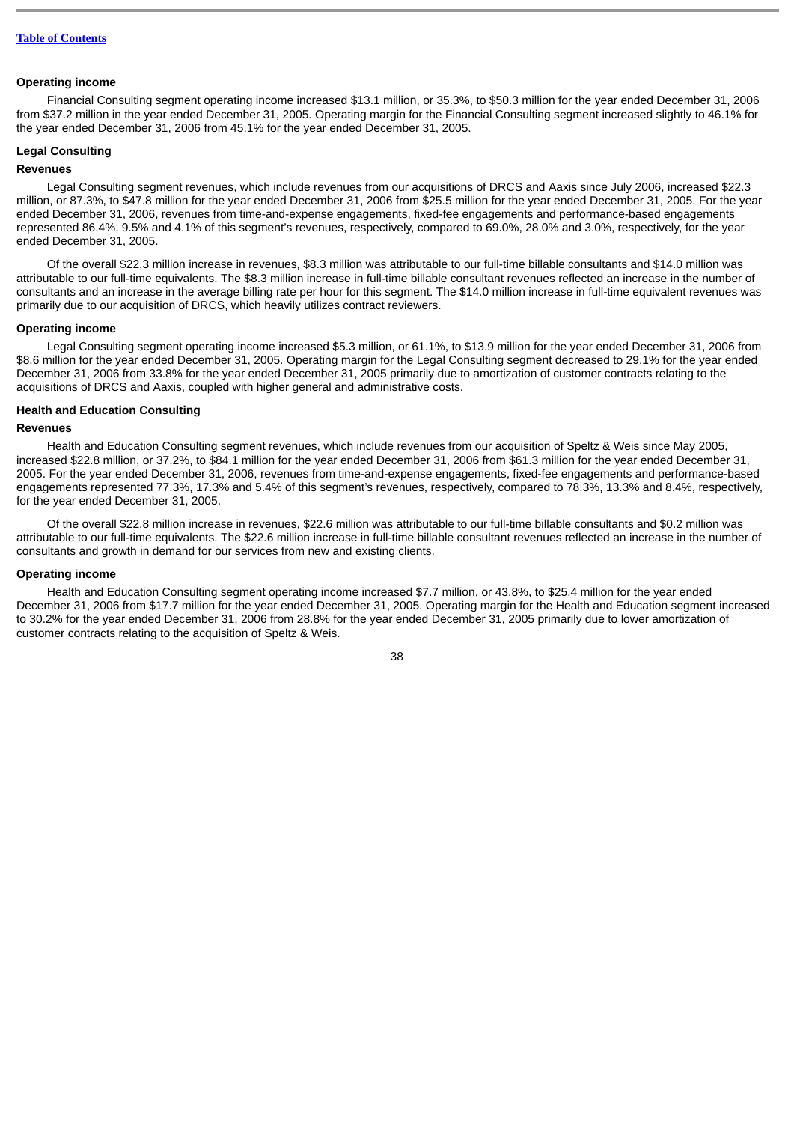### **Operating income**

Financial Consulting segment operating income increased \$13.1 million, or 35.3%, to \$50.3 million for the year ended December 31, 2006 from \$37.2 million in the year ended December 31, 2005. Operating margin for the Financial Consulting segment increased slightly to 46.1% for the year ended December 31, 2006 from 45.1% for the year ended December 31, 2005.

### **Legal Consulting**

## **Revenues**

Legal Consulting segment revenues, which include revenues from our acquisitions of DRCS and Aaxis since July 2006, increased \$22.3 million, or 87.3%, to \$47.8 million for the year ended December 31, 2006 from \$25.5 million for the year ended December 31, 2005. For the year ended December 31, 2006, revenues from time-and-expense engagements, fixed-fee engagements and performance-based engagements represented 86.4%, 9.5% and 4.1% of this segment's revenues, respectively, compared to 69.0%, 28.0% and 3.0%, respectively, for the year ended December 31, 2005.

Of the overall \$22.3 million increase in revenues, \$8.3 million was attributable to our full-time billable consultants and \$14.0 million was attributable to our full-time equivalents. The \$8.3 million increase in full-time billable consultant revenues reflected an increase in the number of consultants and an increase in the average billing rate per hour for this segment. The \$14.0 million increase in full-time equivalent revenues was primarily due to our acquisition of DRCS, which heavily utilizes contract reviewers.

#### **Operating income**

Legal Consulting segment operating income increased \$5.3 million, or 61.1%, to \$13.9 million for the year ended December 31, 2006 from \$8.6 million for the year ended December 31, 2005. Operating margin for the Legal Consulting segment decreased to 29.1% for the year ended December 31, 2006 from 33.8% for the year ended December 31, 2005 primarily due to amortization of customer contracts relating to the acquisitions of DRCS and Aaxis, coupled with higher general and administrative costs.

#### **Health and Education Consulting**

### **Revenues**

Health and Education Consulting segment revenues, which include revenues from our acquisition of Speltz & Weis since May 2005, increased \$22.8 million, or 37.2%, to \$84.1 million for the year ended December 31, 2006 from \$61.3 million for the year ended December 31, 2005. For the year ended December 31, 2006, revenues from time-and-expense engagements, fixed-fee engagements and performance-based engagements represented 77.3%, 17.3% and 5.4% of this segment's revenues, respectively, compared to 78.3%, 13.3% and 8.4%, respectively, for the year ended December 31, 2005.

Of the overall \$22.8 million increase in revenues, \$22.6 million was attributable to our full-time billable consultants and \$0.2 million was attributable to our full-time equivalents. The \$22.6 million increase in full-time billable consultant revenues reflected an increase in the number of consultants and growth in demand for our services from new and existing clients.

#### **Operating income**

Health and Education Consulting segment operating income increased \$7.7 million, or 43.8%, to \$25.4 million for the year ended December 31, 2006 from \$17.7 million for the year ended December 31, 2005. Operating margin for the Health and Education segment increased to 30.2% for the year ended December 31, 2006 from 28.8% for the year ended December 31, 2005 primarily due to lower amortization of customer contracts relating to the acquisition of Speltz & Weis.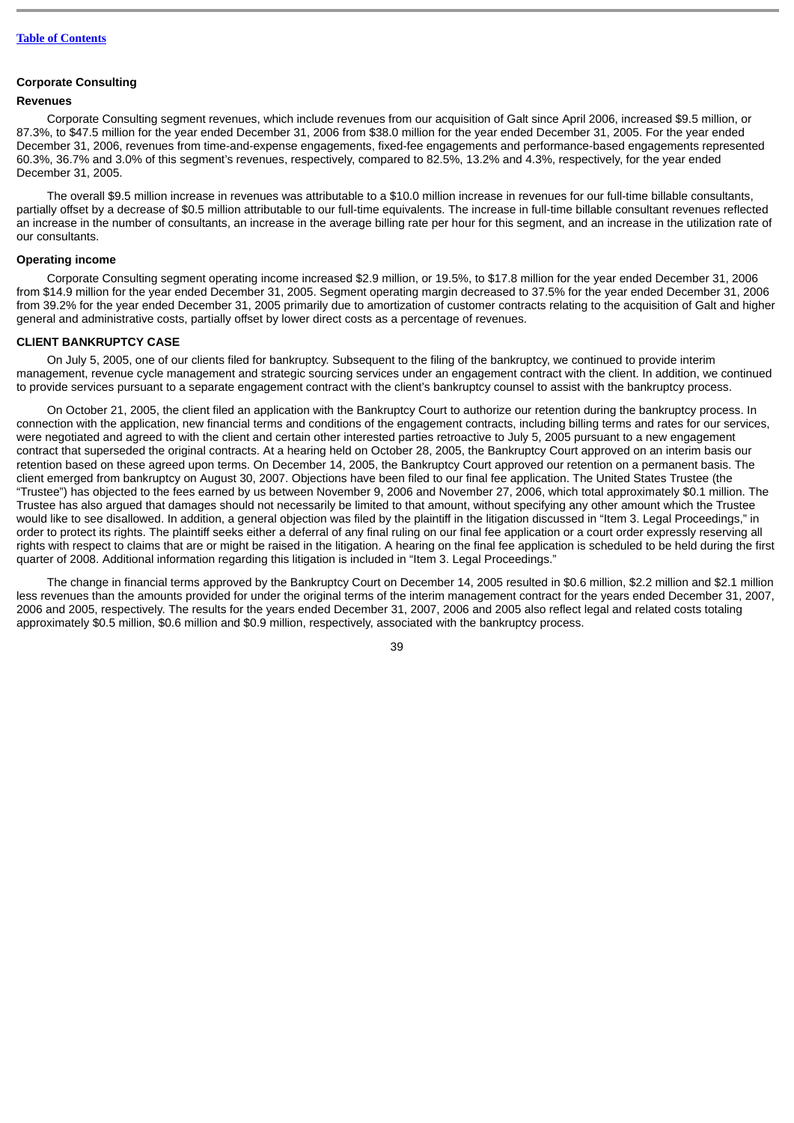## **Corporate Consulting**

## **Revenues**

Corporate Consulting segment revenues, which include revenues from our acquisition of Galt since April 2006, increased \$9.5 million, or 87.3%, to \$47.5 million for the year ended December 31, 2006 from \$38.0 million for the year ended December 31, 2005. For the year ended December 31, 2006, revenues from time-and-expense engagements, fixed-fee engagements and performance-based engagements represented 60.3%, 36.7% and 3.0% of this segment's revenues, respectively, compared to 82.5%, 13.2% and 4.3%, respectively, for the year ended December 31, 2005.

The overall \$9.5 million increase in revenues was attributable to a \$10.0 million increase in revenues for our full-time billable consultants, partially offset by a decrease of \$0.5 million attributable to our full-time equivalents. The increase in full-time billable consultant revenues reflected an increase in the number of consultants, an increase in the average billing rate per hour for this segment, and an increase in the utilization rate of our consultants.

## **Operating income**

Corporate Consulting segment operating income increased \$2.9 million, or 19.5%, to \$17.8 million for the year ended December 31, 2006 from \$14.9 million for the year ended December 31, 2005. Segment operating margin decreased to 37.5% for the year ended December 31, 2006 from 39.2% for the year ended December 31, 2005 primarily due to amortization of customer contracts relating to the acquisition of Galt and higher general and administrative costs, partially offset by lower direct costs as a percentage of revenues.

## **CLIENT BANKRUPTCY CASE**

On July 5, 2005, one of our clients filed for bankruptcy. Subsequent to the filing of the bankruptcy, we continued to provide interim management, revenue cycle management and strategic sourcing services under an engagement contract with the client. In addition, we continued to provide services pursuant to a separate engagement contract with the client's bankruptcy counsel to assist with the bankruptcy process.

On October 21, 2005, the client filed an application with the Bankruptcy Court to authorize our retention during the bankruptcy process. In connection with the application, new financial terms and conditions of the engagement contracts, including billing terms and rates for our services, were negotiated and agreed to with the client and certain other interested parties retroactive to July 5, 2005 pursuant to a new engagement contract that superseded the original contracts. At a hearing held on October 28, 2005, the Bankruptcy Court approved on an interim basis our retention based on these agreed upon terms. On December 14, 2005, the Bankruptcy Court approved our retention on a permanent basis. The client emerged from bankruptcy on August 30, 2007. Objections have been filed to our final fee application. The United States Trustee (the "Trustee") has objected to the fees earned by us between November 9, 2006 and November 27, 2006, which total approximately \$0.1 million. The Trustee has also argued that damages should not necessarily be limited to that amount, without specifying any other amount which the Trustee would like to see disallowed. In addition, a general objection was filed by the plaintiff in the litigation discussed in "Item 3. Legal Proceedings," in order to protect its rights. The plaintiff seeks either a deferral of any final ruling on our final fee application or a court order expressly reserving all rights with respect to claims that are or might be raised in the litigation. A hearing on the final fee application is scheduled to be held during the first quarter of 2008. Additional information regarding this litigation is included in "Item 3. Legal Proceedings."

The change in financial terms approved by the Bankruptcy Court on December 14, 2005 resulted in \$0.6 million, \$2.2 million and \$2.1 million less revenues than the amounts provided for under the original terms of the interim management contract for the years ended December 31, 2007, 2006 and 2005, respectively. The results for the years ended December 31, 2007, 2006 and 2005 also reflect legal and related costs totaling approximately \$0.5 million, \$0.6 million and \$0.9 million, respectively, associated with the bankruptcy process.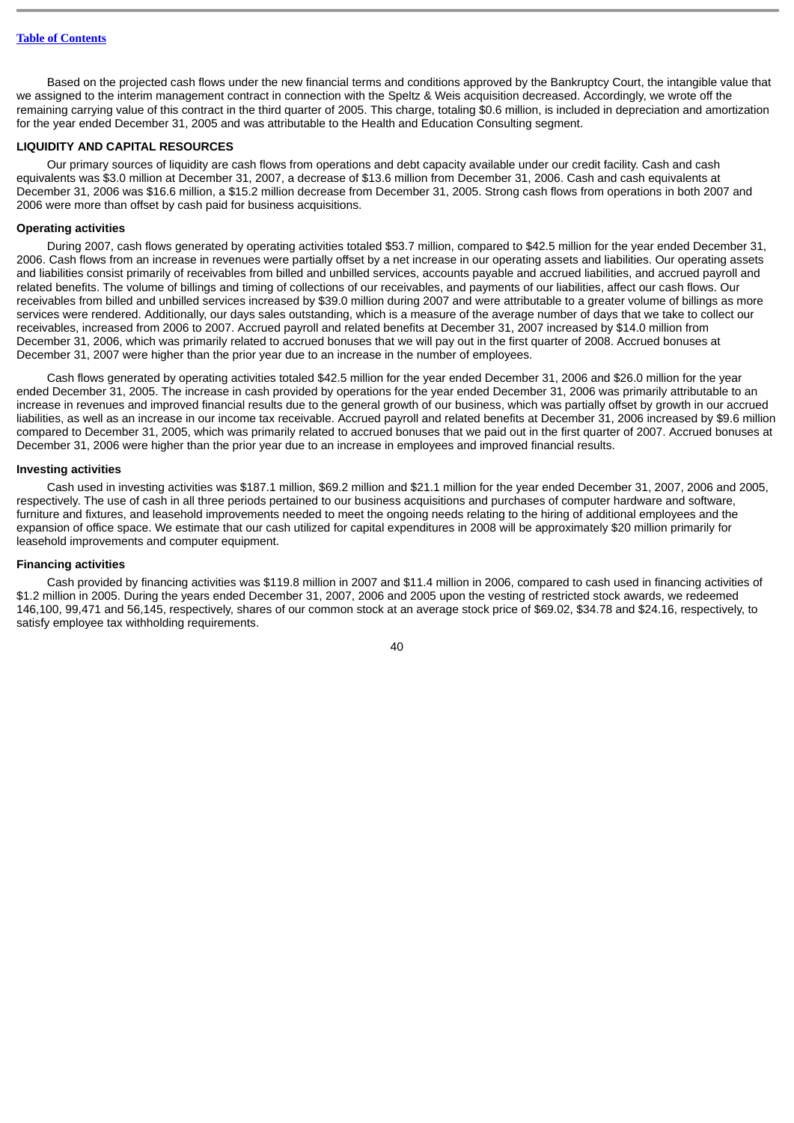Based on the projected cash flows under the new financial terms and conditions approved by the Bankruptcy Court, the intangible value that we assigned to the interim management contract in connection with the Speltz & Weis acquisition decreased. Accordingly, we wrote off the remaining carrying value of this contract in the third quarter of 2005. This charge, totaling \$0.6 million, is included in depreciation and amortization for the year ended December 31, 2005 and was attributable to the Health and Education Consulting segment.

### **LIQUIDITY AND CAPITAL RESOURCES**

Our primary sources of liquidity are cash flows from operations and debt capacity available under our credit facility. Cash and cash equivalents was \$3.0 million at December 31, 2007, a decrease of \$13.6 million from December 31, 2006. Cash and cash equivalents at December 31, 2006 was \$16.6 million, a \$15.2 million decrease from December 31, 2005. Strong cash flows from operations in both 2007 and 2006 were more than offset by cash paid for business acquisitions.

### **Operating activities**

During 2007, cash flows generated by operating activities totaled \$53.7 million, compared to \$42.5 million for the year ended December 31, 2006. Cash flows from an increase in revenues were partially offset by a net increase in our operating assets and liabilities. Our operating assets and liabilities consist primarily of receivables from billed and unbilled services, accounts payable and accrued liabilities, and accrued payroll and related benefits. The volume of billings and timing of collections of our receivables, and payments of our liabilities, affect our cash flows. Our receivables from billed and unbilled services increased by \$39.0 million during 2007 and were attributable to a greater volume of billings as more services were rendered. Additionally, our days sales outstanding, which is a measure of the average number of days that we take to collect our receivables, increased from 2006 to 2007. Accrued payroll and related benefits at December 31, 2007 increased by \$14.0 million from December 31, 2006, which was primarily related to accrued bonuses that we will pay out in the first quarter of 2008. Accrued bonuses at December 31, 2007 were higher than the prior year due to an increase in the number of employees.

Cash flows generated by operating activities totaled \$42.5 million for the year ended December 31, 2006 and \$26.0 million for the year ended December 31, 2005. The increase in cash provided by operations for the year ended December 31, 2006 was primarily attributable to an increase in revenues and improved financial results due to the general growth of our business, which was partially offset by growth in our accrued liabilities, as well as an increase in our income tax receivable. Accrued payroll and related benefits at December 31, 2006 increased by \$9.6 million compared to December 31, 2005, which was primarily related to accrued bonuses that we paid out in the first quarter of 2007. Accrued bonuses at December 31, 2006 were higher than the prior year due to an increase in employees and improved financial results.

## **Investing activities**

Cash used in investing activities was \$187.1 million, \$69.2 million and \$21.1 million for the year ended December 31, 2007, 2006 and 2005, respectively. The use of cash in all three periods pertained to our business acquisitions and purchases of computer hardware and software, furniture and fixtures, and leasehold improvements needed to meet the ongoing needs relating to the hiring of additional employees and the expansion of office space. We estimate that our cash utilized for capital expenditures in 2008 will be approximately \$20 million primarily for leasehold improvements and computer equipment.

## **Financing activities**

Cash provided by financing activities was \$119.8 million in 2007 and \$11.4 million in 2006, compared to cash used in financing activities of \$1.2 million in 2005. During the years ended December 31, 2007, 2006 and 2005 upon the vesting of restricted stock awards, we redeemed 146,100, 99,471 and 56,145, respectively, shares of our common stock at an average stock price of \$69.02, \$34.78 and \$24.16, respectively, to satisfy employee tax withholding requirements.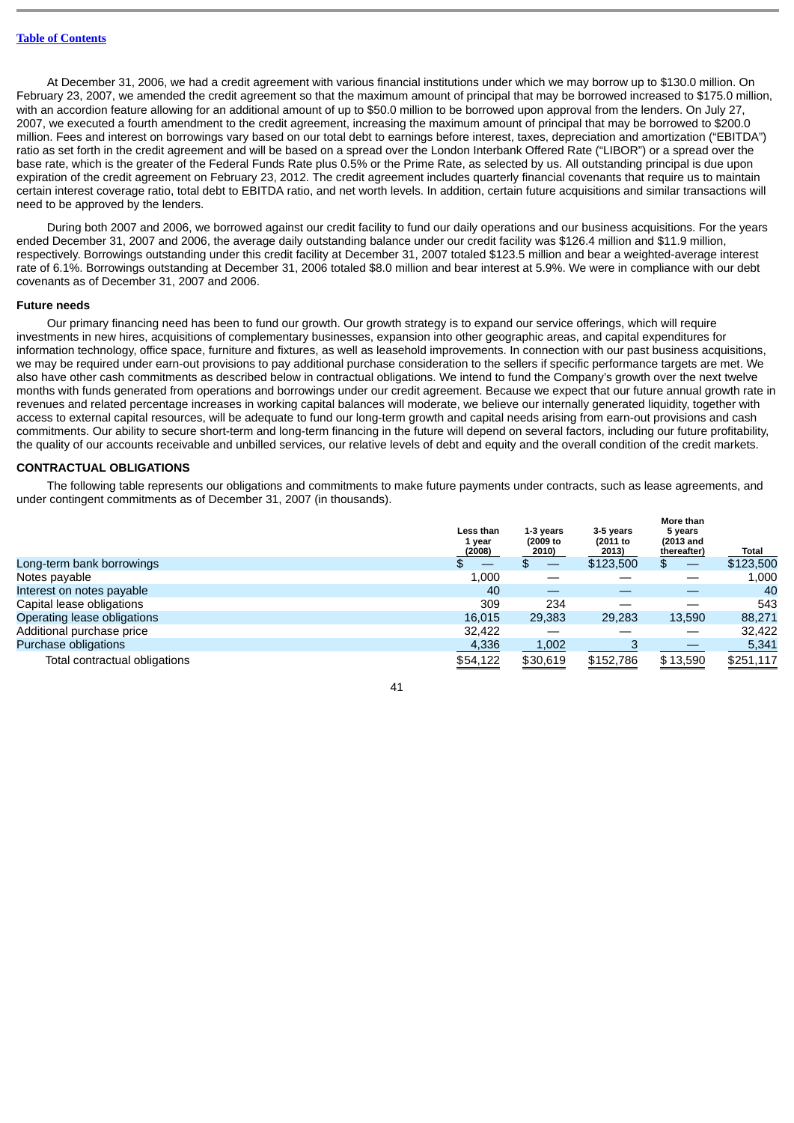At December 31, 2006, we had a credit agreement with various financial institutions under which we may borrow up to \$130.0 million. On February 23, 2007, we amended the credit agreement so that the maximum amount of principal that may be borrowed increased to \$175.0 million, with an accordion feature allowing for an additional amount of up to \$50.0 million to be borrowed upon approval from the lenders. On July 27, 2007, we executed a fourth amendment to the credit agreement, increasing the maximum amount of principal that may be borrowed to \$200.0 million. Fees and interest on borrowings vary based on our total debt to earnings before interest, taxes, depreciation and amortization ("EBITDA") ratio as set forth in the credit agreement and will be based on a spread over the London Interbank Offered Rate ("LIBOR") or a spread over the base rate, which is the greater of the Federal Funds Rate plus 0.5% or the Prime Rate, as selected by us. All outstanding principal is due upon expiration of the credit agreement on February 23, 2012. The credit agreement includes quarterly financial covenants that require us to maintain certain interest coverage ratio, total debt to EBITDA ratio, and net worth levels. In addition, certain future acquisitions and similar transactions will need to be approved by the lenders.

During both 2007 and 2006, we borrowed against our credit facility to fund our daily operations and our business acquisitions. For the years ended December 31, 2007 and 2006, the average daily outstanding balance under our credit facility was \$126.4 million and \$11.9 million, respectively. Borrowings outstanding under this credit facility at December 31, 2007 totaled \$123.5 million and bear a weighted-average interest rate of 6.1%. Borrowings outstanding at December 31, 2006 totaled \$8.0 million and bear interest at 5.9%. We were in compliance with our debt covenants as of December 31, 2007 and 2006.

#### **Future needs**

Our primary financing need has been to fund our growth. Our growth strategy is to expand our service offerings, which will require investments in new hires, acquisitions of complementary businesses, expansion into other geographic areas, and capital expenditures for information technology, office space, furniture and fixtures, as well as leasehold improvements. In connection with our past business acquisitions, we may be required under earn-out provisions to pay additional purchase consideration to the sellers if specific performance targets are met. We also have other cash commitments as described below in contractual obligations. We intend to fund the Company's growth over the next twelve months with funds generated from operations and borrowings under our credit agreement. Because we expect that our future annual growth rate in revenues and related percentage increases in working capital balances will moderate, we believe our internally generated liquidity, together with access to external capital resources, will be adequate to fund our long-term growth and capital needs arising from earn-out provisions and cash commitments. Our ability to secure short-term and long-term financing in the future will depend on several factors, including our future profitability, the quality of our accounts receivable and unbilled services, our relative levels of debt and equity and the overall condition of the credit markets.

## **CONTRACTUAL OBLIGATIONS**

The following table represents our obligations and commitments to make future payments under contracts, such as lease agreements, and under contingent commitments as of December 31, 2007 (in thousands).

|                               | <b>Less than</b><br>1 year<br>(2008) | 1-3 years<br>(2009 to<br>2010) | 3-5 years<br>(2011 to<br>2013) | More than<br>5 years<br>(2013 and<br>thereafter) | Total     |
|-------------------------------|--------------------------------------|--------------------------------|--------------------------------|--------------------------------------------------|-----------|
| Long-term bank borrowings     | £                                    | \$                             | \$123,500                      |                                                  | \$123,500 |
| Notes payable                 | 1,000                                |                                |                                |                                                  | 1,000     |
| Interest on notes payable     | 40                                   |                                |                                |                                                  | 40        |
| Capital lease obligations     | 309                                  | 234                            |                                |                                                  | 543       |
| Operating lease obligations   | 16,015                               | 29,383                         | 29,283                         | 13,590                                           | 88,271    |
| Additional purchase price     | 32.422                               |                                |                                |                                                  | 32,422    |
| <b>Purchase obligations</b>   | 4,336                                | 1,002                          |                                |                                                  | 5,341     |
| Total contractual obligations | \$54,122                             | \$30,619                       | \$152,786                      | \$13,590                                         | \$251,117 |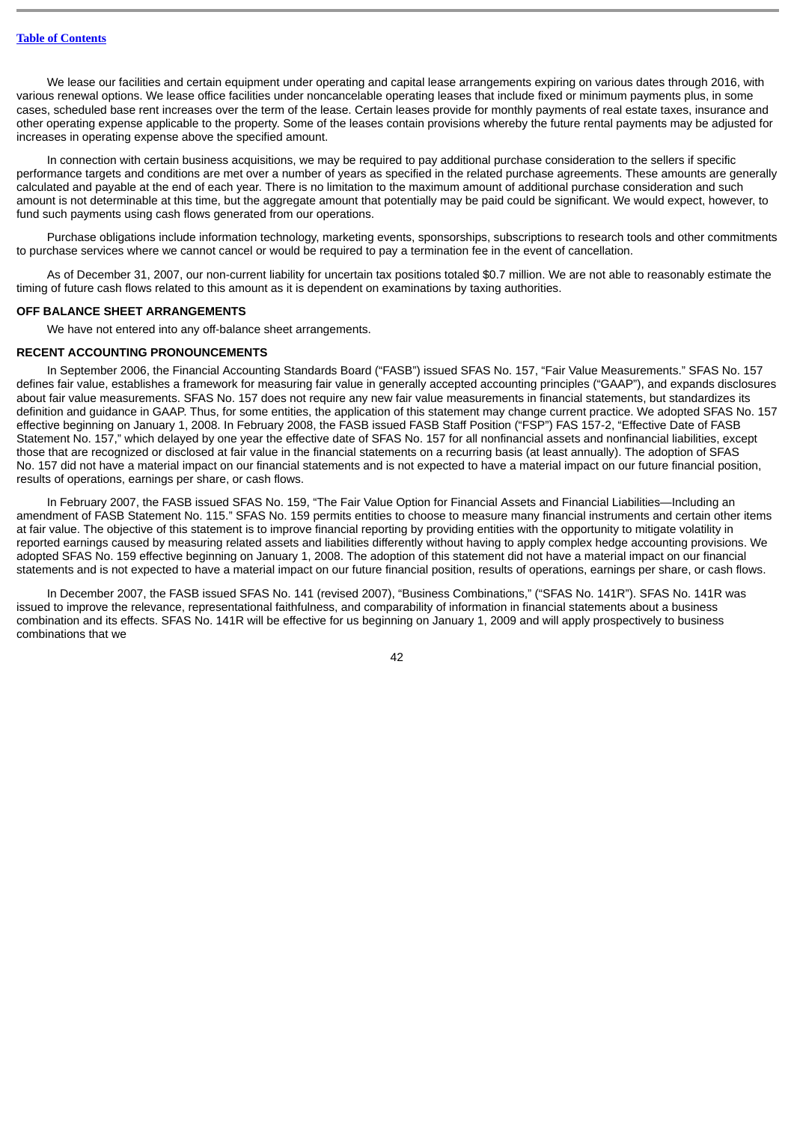We lease our facilities and certain equipment under operating and capital lease arrangements expiring on various dates through 2016, with various renewal options. We lease office facilities under noncancelable operating leases that include fixed or minimum payments plus, in some cases, scheduled base rent increases over the term of the lease. Certain leases provide for monthly payments of real estate taxes, insurance and other operating expense applicable to the property. Some of the leases contain provisions whereby the future rental payments may be adjusted for increases in operating expense above the specified amount.

In connection with certain business acquisitions, we may be required to pay additional purchase consideration to the sellers if specific performance targets and conditions are met over a number of years as specified in the related purchase agreements. These amounts are generally calculated and payable at the end of each year. There is no limitation to the maximum amount of additional purchase consideration and such amount is not determinable at this time, but the aggregate amount that potentially may be paid could be significant. We would expect, however, to fund such payments using cash flows generated from our operations.

Purchase obligations include information technology, marketing events, sponsorships, subscriptions to research tools and other commitments to purchase services where we cannot cancel or would be required to pay a termination fee in the event of cancellation.

As of December 31, 2007, our non-current liability for uncertain tax positions totaled \$0.7 million. We are not able to reasonably estimate the timing of future cash flows related to this amount as it is dependent on examinations by taxing authorities.

### **OFF BALANCE SHEET ARRANGEMENTS**

We have not entered into any off-balance sheet arrangements.

#### **RECENT ACCOUNTING PRONOUNCEMENTS**

In September 2006, the Financial Accounting Standards Board ("FASB") issued SFAS No. 157, "Fair Value Measurements." SFAS No. 157 defines fair value, establishes a framework for measuring fair value in generally accepted accounting principles ("GAAP"), and expands disclosures about fair value measurements. SFAS No. 157 does not require any new fair value measurements in financial statements, but standardizes its definition and guidance in GAAP. Thus, for some entities, the application of this statement may change current practice. We adopted SFAS No. 157 effective beginning on January 1, 2008. In February 2008, the FASB issued FASB Staff Position ("FSP") FAS 157-2, "Effective Date of FASB Statement No. 157," which delayed by one year the effective date of SFAS No. 157 for all nonfinancial assets and nonfinancial liabilities, except those that are recognized or disclosed at fair value in the financial statements on a recurring basis (at least annually). The adoption of SFAS No. 157 did not have a material impact on our financial statements and is not expected to have a material impact on our future financial position, results of operations, earnings per share, or cash flows.

In February 2007, the FASB issued SFAS No. 159, "The Fair Value Option for Financial Assets and Financial Liabilities—Including an amendment of FASB Statement No. 115." SFAS No. 159 permits entities to choose to measure many financial instruments and certain other items at fair value. The objective of this statement is to improve financial reporting by providing entities with the opportunity to mitigate volatility in reported earnings caused by measuring related assets and liabilities differently without having to apply complex hedge accounting provisions. We adopted SFAS No. 159 effective beginning on January 1, 2008. The adoption of this statement did not have a material impact on our financial statements and is not expected to have a material impact on our future financial position, results of operations, earnings per share, or cash flows.

In December 2007, the FASB issued SFAS No. 141 (revised 2007), "Business Combinations," ("SFAS No. 141R"). SFAS No. 141R was issued to improve the relevance, representational faithfulness, and comparability of information in financial statements about a business combination and its effects. SFAS No. 141R will be effective for us beginning on January 1, 2009 and will apply prospectively to business combinations that we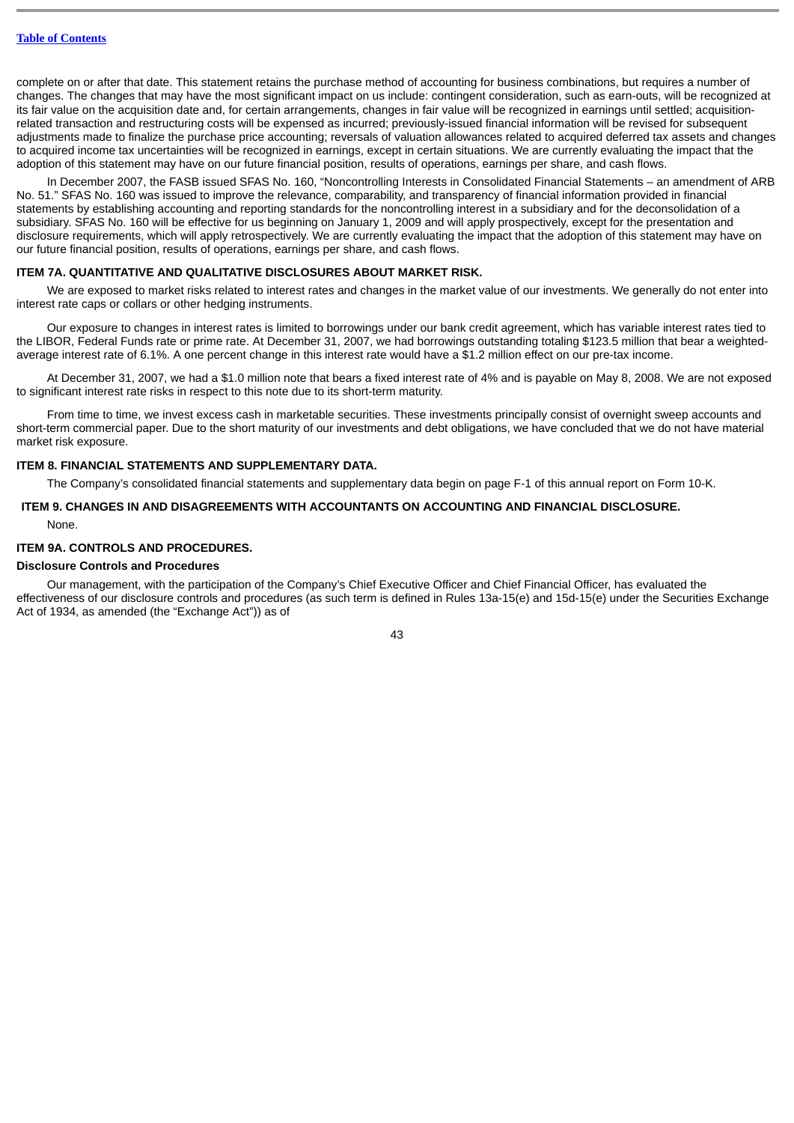complete on or after that date. This statement retains the purchase method of accounting for business combinations, but requires a number of changes. The changes that may have the most significant impact on us include: contingent consideration, such as earn-outs, will be recognized at its fair value on the acquisition date and, for certain arrangements, changes in fair value will be recognized in earnings until settled; acquisitionrelated transaction and restructuring costs will be expensed as incurred; previously-issued financial information will be revised for subsequent adjustments made to finalize the purchase price accounting; reversals of valuation allowances related to acquired deferred tax assets and changes to acquired income tax uncertainties will be recognized in earnings, except in certain situations. We are currently evaluating the impact that the adoption of this statement may have on our future financial position, results of operations, earnings per share, and cash flows.

In December 2007, the FASB issued SFAS No. 160, "Noncontrolling Interests in Consolidated Financial Statements – an amendment of ARB No. 51." SFAS No. 160 was issued to improve the relevance, comparability, and transparency of financial information provided in financial statements by establishing accounting and reporting standards for the noncontrolling interest in a subsidiary and for the deconsolidation of a subsidiary. SFAS No. 160 will be effective for us beginning on January 1, 2009 and will apply prospectively, except for the presentation and disclosure requirements, which will apply retrospectively. We are currently evaluating the impact that the adoption of this statement may have on our future financial position, results of operations, earnings per share, and cash flows.

### **ITEM 7A. QUANTITATIVE AND QUALITATIVE DISCLOSURES ABOUT MARKET RISK.**

We are exposed to market risks related to interest rates and changes in the market value of our investments. We generally do not enter into interest rate caps or collars or other hedging instruments.

Our exposure to changes in interest rates is limited to borrowings under our bank credit agreement, which has variable interest rates tied to the LIBOR, Federal Funds rate or prime rate. At December 31, 2007, we had borrowings outstanding totaling \$123.5 million that bear a weightedaverage interest rate of 6.1%. A one percent change in this interest rate would have a \$1.2 million effect on our pre-tax income.

At December 31, 2007, we had a \$1.0 million note that bears a fixed interest rate of 4% and is payable on May 8, 2008. We are not exposed to significant interest rate risks in respect to this note due to its short-term maturity.

From time to time, we invest excess cash in marketable securities. These investments principally consist of overnight sweep accounts and short-term commercial paper. Due to the short maturity of our investments and debt obligations, we have concluded that we do not have material market risk exposure.

## **ITEM 8. FINANCIAL STATEMENTS AND SUPPLEMENTARY DATA.**

The Company's consolidated financial statements and supplementary data begin on page F-1 of this annual report on Form 10-K.

# **ITEM 9. CHANGES IN AND DISAGREEMENTS WITH ACCOUNTANTS ON ACCOUNTING AND FINANCIAL DISCLOSURE.**

None.

## **ITEM 9A. CONTROLS AND PROCEDURES.**

## **Disclosure Controls and Procedures**

Our management, with the participation of the Company's Chief Executive Officer and Chief Financial Officer, has evaluated the effectiveness of our disclosure controls and procedures (as such term is defined in Rules 13a-15(e) and 15d-15(e) under the Securities Exchange Act of 1934, as amended (the "Exchange Act")) as of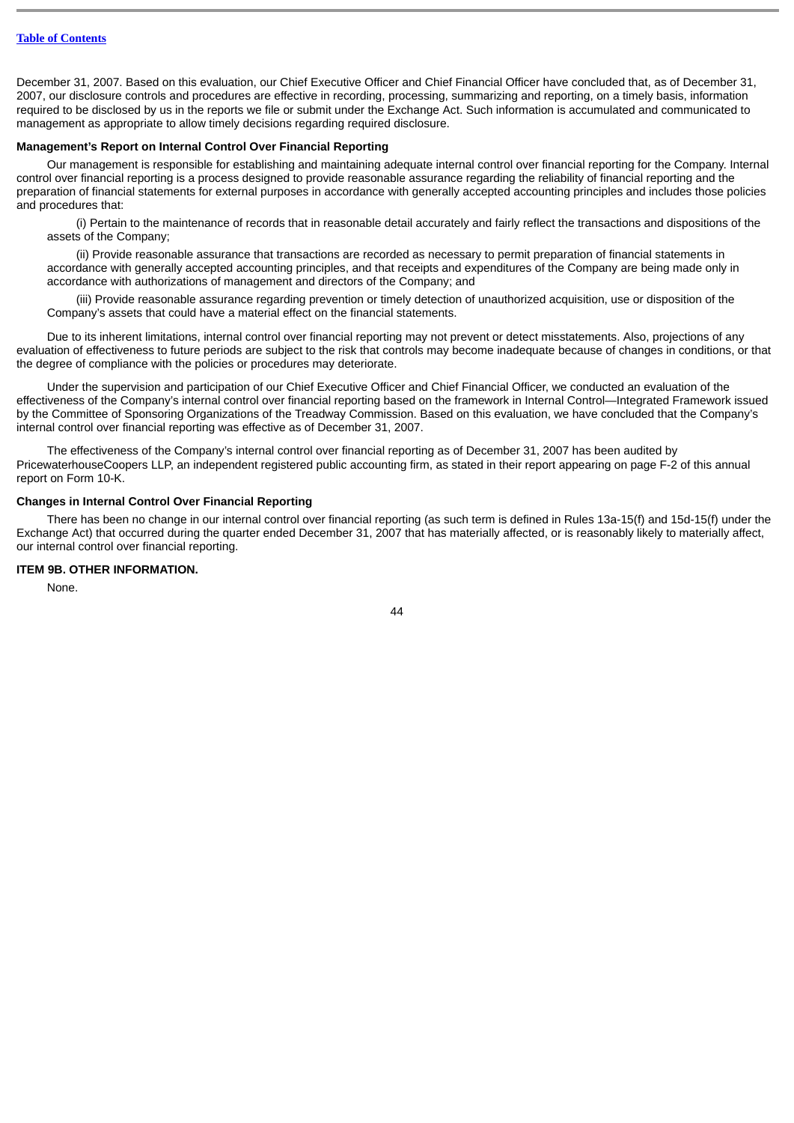December 31, 2007. Based on this evaluation, our Chief Executive Officer and Chief Financial Officer have concluded that, as of December 31, 2007, our disclosure controls and procedures are effective in recording, processing, summarizing and reporting, on a timely basis, information required to be disclosed by us in the reports we file or submit under the Exchange Act. Such information is accumulated and communicated to management as appropriate to allow timely decisions regarding required disclosure.

### **Management's Report on Internal Control Over Financial Reporting**

Our management is responsible for establishing and maintaining adequate internal control over financial reporting for the Company. Internal control over financial reporting is a process designed to provide reasonable assurance regarding the reliability of financial reporting and the preparation of financial statements for external purposes in accordance with generally accepted accounting principles and includes those policies and procedures that:

(i) Pertain to the maintenance of records that in reasonable detail accurately and fairly reflect the transactions and dispositions of the assets of the Company;

(ii) Provide reasonable assurance that transactions are recorded as necessary to permit preparation of financial statements in accordance with generally accepted accounting principles, and that receipts and expenditures of the Company are being made only in accordance with authorizations of management and directors of the Company; and

(iii) Provide reasonable assurance regarding prevention or timely detection of unauthorized acquisition, use or disposition of the Company's assets that could have a material effect on the financial statements.

Due to its inherent limitations, internal control over financial reporting may not prevent or detect misstatements. Also, projections of any evaluation of effectiveness to future periods are subject to the risk that controls may become inadequate because of changes in conditions, or that the degree of compliance with the policies or procedures may deteriorate.

Under the supervision and participation of our Chief Executive Officer and Chief Financial Officer, we conducted an evaluation of the effectiveness of the Company's internal control over financial reporting based on the framework in Internal Control—Integrated Framework issued by the Committee of Sponsoring Organizations of the Treadway Commission. Based on this evaluation, we have concluded that the Company's internal control over financial reporting was effective as of December 31, 2007.

The effectiveness of the Company's internal control over financial reporting as of December 31, 2007 has been audited by PricewaterhouseCoopers LLP, an independent registered public accounting firm, as stated in their report appearing on page F-2 of this annual report on Form 10-K.

## **Changes in Internal Control Over Financial Reporting**

There has been no change in our internal control over financial reporting (as such term is defined in Rules 13a-15(f) and 15d-15(f) under the Exchange Act) that occurred during the quarter ended December 31, 2007 that has materially affected, or is reasonably likely to materially affect, our internal control over financial reporting.

## **ITEM 9B. OTHER INFORMATION.**

None.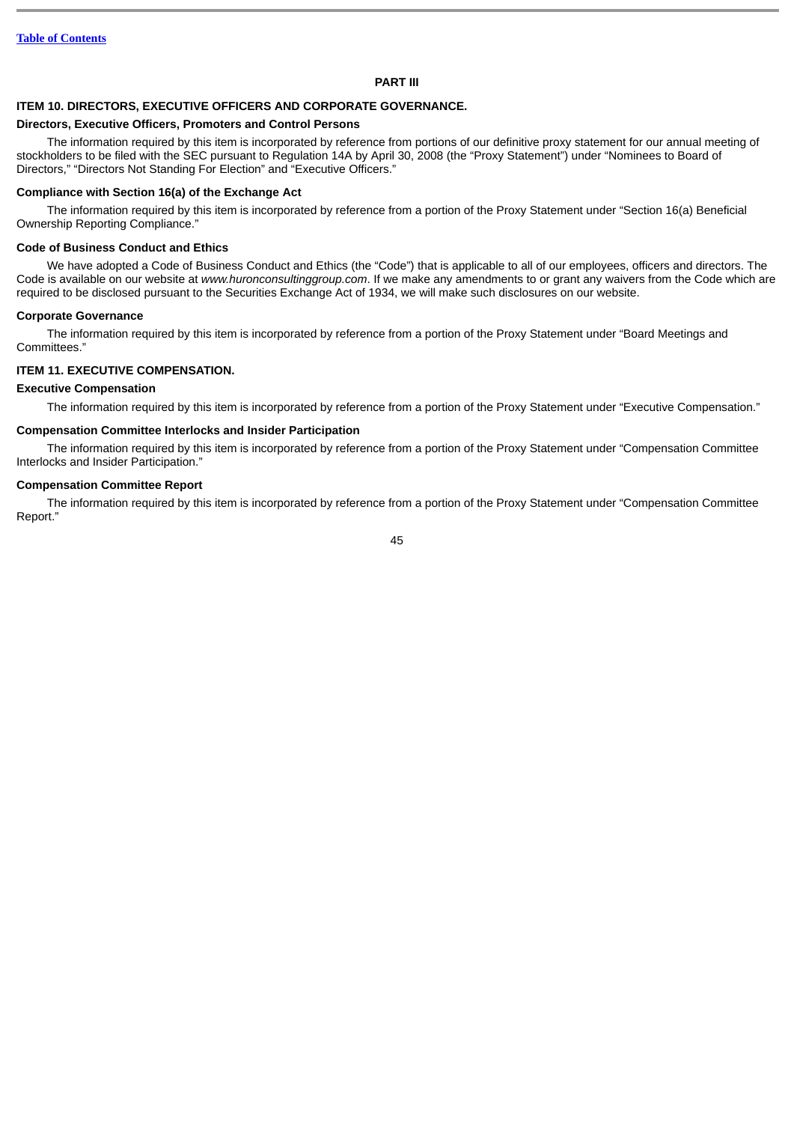## **PART III**

# **ITEM 10. DIRECTORS, EXECUTIVE OFFICERS AND CORPORATE GOVERNANCE.**

# **Directors, Executive Officers, Promoters and Control Persons**

The information required by this item is incorporated by reference from portions of our definitive proxy statement for our annual meeting of stockholders to be filed with the SEC pursuant to Regulation 14A by April 30, 2008 (the "Proxy Statement") under "Nominees to Board of Directors," "Directors Not Standing For Election" and "Executive Officers."

# **Compliance with Section 16(a) of the Exchange Act**

The information required by this item is incorporated by reference from a portion of the Proxy Statement under "Section 16(a) Beneficial Ownership Reporting Compliance."

# **Code of Business Conduct and Ethics**

We have adopted a Code of Business Conduct and Ethics (the "Code") that is applicable to all of our employees, officers and directors. The Code is available on our website at *www.huronconsultinggroup.com*. If we make any amendments to or grant any waivers from the Code which are required to be disclosed pursuant to the Securities Exchange Act of 1934, we will make such disclosures on our website.

# **Corporate Governance**

The information required by this item is incorporated by reference from a portion of the Proxy Statement under "Board Meetings and Committees."

# **ITEM 11. EXECUTIVE COMPENSATION.**

# **Executive Compensation**

The information required by this item is incorporated by reference from a portion of the Proxy Statement under "Executive Compensation."

# **Compensation Committee Interlocks and Insider Participation**

The information required by this item is incorporated by reference from a portion of the Proxy Statement under "Compensation Committee Interlocks and Insider Participation."

## **Compensation Committee Report**

The information required by this item is incorporated by reference from a portion of the Proxy Statement under "Compensation Committee Report."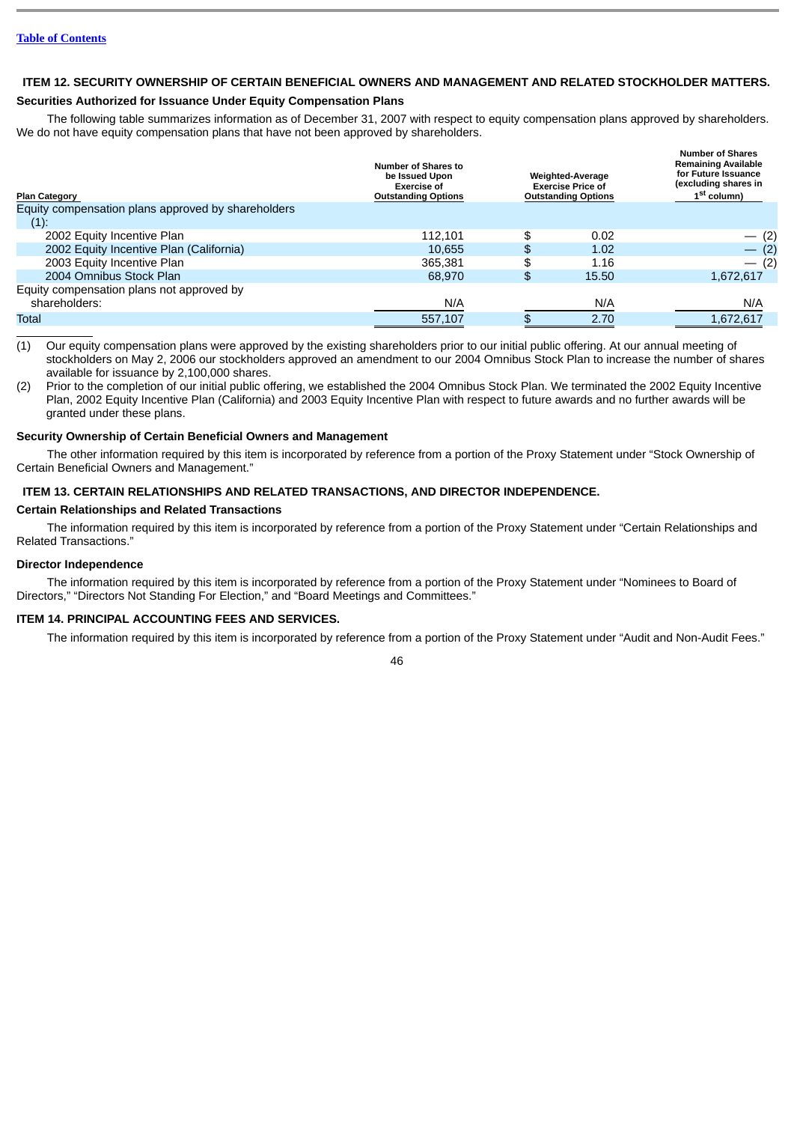# **ITEM 12. SECURITY OWNERSHIP OF CERTAIN BENEFICIAL OWNERS AND MANAGEMENT AND RELATED STOCKHOLDER MATTERS.**

## **Securities Authorized for Issuance Under Equity Compensation Plans**

The following table summarizes information as of December 31, 2007 with respect to equity compensation plans approved by shareholders. We do not have equity compensation plans that have not been approved by shareholders.

| <b>Plan Category</b>                               | <b>Number of Shares to</b><br>be Issued Upon<br><b>Exercise of</b><br><b>Outstanding Options</b> | <b>Weighted-Average</b><br><b>Exercise Price of</b><br><b>Outstanding Options</b> | <b>Number of Shares</b><br><b>Remaining Available</b><br>for Future Issuance<br>(excluding shares in<br>1 <sup>st</sup> column) |
|----------------------------------------------------|--------------------------------------------------------------------------------------------------|-----------------------------------------------------------------------------------|---------------------------------------------------------------------------------------------------------------------------------|
| Equity compensation plans approved by shareholders |                                                                                                  |                                                                                   |                                                                                                                                 |
| $(1)$ :                                            |                                                                                                  |                                                                                   |                                                                                                                                 |
| 2002 Equity Incentive Plan                         | 112.101                                                                                          | \$<br>0.02                                                                        | $-$ (2)                                                                                                                         |
| 2002 Equity Incentive Plan (California)            | 10.655                                                                                           | \$<br>1.02                                                                        | $-$ (2)                                                                                                                         |
| 2003 Equity Incentive Plan                         | 365.381                                                                                          | \$<br>1.16                                                                        | (2)                                                                                                                             |
| 2004 Omnibus Stock Plan                            | 68,970                                                                                           | \$<br>15.50                                                                       | 1,672,617                                                                                                                       |
| Equity compensation plans not approved by          |                                                                                                  |                                                                                   |                                                                                                                                 |
| shareholders:                                      | N/A                                                                                              | N/A                                                                               | N/A                                                                                                                             |
| Total                                              | 557,107                                                                                          | 2.70                                                                              | 1.672.617                                                                                                                       |
|                                                    |                                                                                                  |                                                                                   |                                                                                                                                 |

(1) Our equity compensation plans were approved by the existing shareholders prior to our initial public offering. At our annual meeting of stockholders on May 2, 2006 our stockholders approved an amendment to our 2004 Omnibus Stock Plan to increase the number of shares available for issuance by 2,100,000 shares.

(2) Prior to the completion of our initial public offering, we established the 2004 Omnibus Stock Plan. We terminated the 2002 Equity Incentive Plan, 2002 Equity Incentive Plan (California) and 2003 Equity Incentive Plan with respect to future awards and no further awards will be granted under these plans.

## **Security Ownership of Certain Beneficial Owners and Management**

The other information required by this item is incorporated by reference from a portion of the Proxy Statement under "Stock Ownership of Certain Beneficial Owners and Management."

# **ITEM 13. CERTAIN RELATIONSHIPS AND RELATED TRANSACTIONS, AND DIRECTOR INDEPENDENCE.**

## **Certain Relationships and Related Transactions**

The information required by this item is incorporated by reference from a portion of the Proxy Statement under "Certain Relationships and Related Transactions."

## **Director Independence**

The information required by this item is incorporated by reference from a portion of the Proxy Statement under "Nominees to Board of Directors," "Directors Not Standing For Election," and "Board Meetings and Committees."

## **ITEM 14. PRINCIPAL ACCOUNTING FEES AND SERVICES.**

The information required by this item is incorporated by reference from a portion of the Proxy Statement under "Audit and Non-Audit Fees."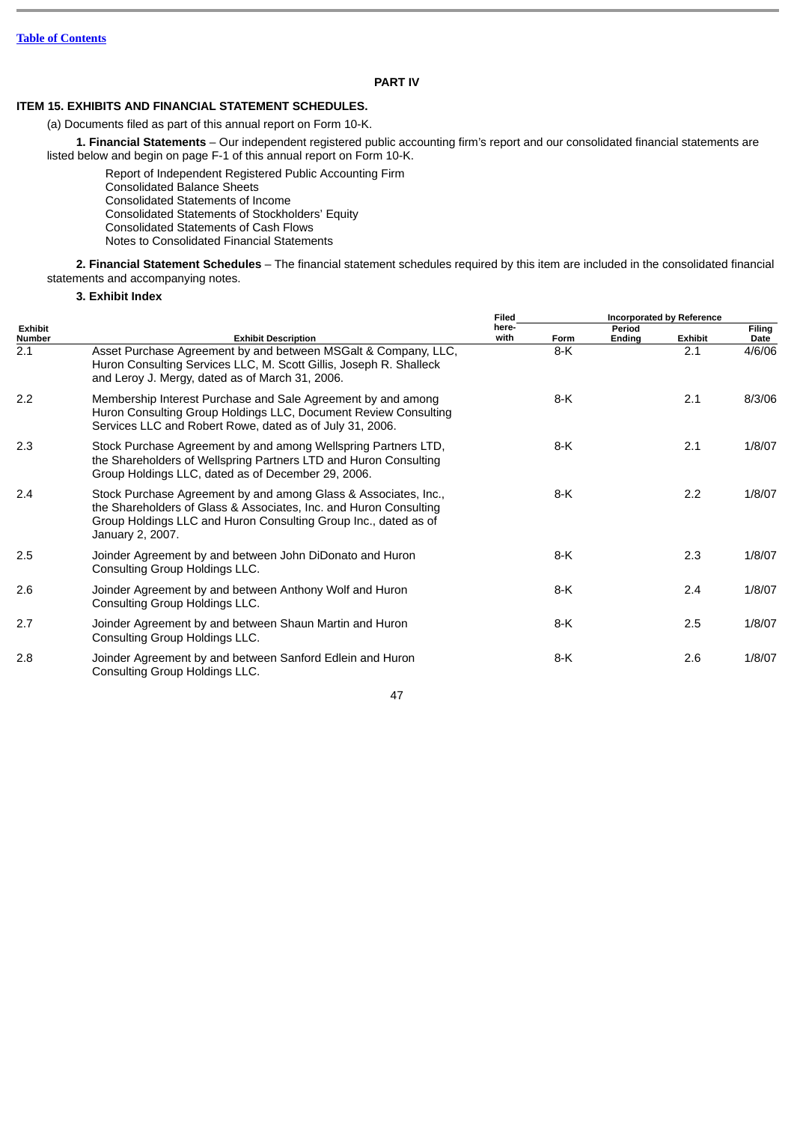## **PART IV**

## **ITEM 15. EXHIBITS AND FINANCIAL STATEMENT SCHEDULES.**

(a) Documents filed as part of this annual report on Form 10-K.

**1. Financial Statements** – Our independent registered public accounting firm's report and our consolidated financial statements are listed below and begin on page F-1 of this annual report on Form 10-K.

Report of Independent Registered Public Accounting Firm

Consolidated Balance Sheets

Consolidated Statements of Income

Consolidated Statements of Stockholders' Equity

Consolidated Statements of Cash Flows

Notes to Consolidated Financial Statements

**2. Financial Statement Schedules** – The financial statement schedules required by this item are included in the consolidated financial statements and accompanying notes.

## **3. Exhibit Index**

|                          |                                                                                                                                                                                                                             |               | <b>Incorporated by Reference</b> |                  |                |                |
|--------------------------|-----------------------------------------------------------------------------------------------------------------------------------------------------------------------------------------------------------------------------|---------------|----------------------------------|------------------|----------------|----------------|
| Exhibit<br><b>Number</b> | <b>Exhibit Description</b>                                                                                                                                                                                                  | here-<br>with | Form                             | Period<br>Ending | <b>Exhibit</b> | Filing<br>Date |
| 2.1                      | Asset Purchase Agreement by and between MSGalt & Company, LLC,<br>Huron Consulting Services LLC, M. Scott Gillis, Joseph R. Shalleck<br>and Leroy J. Mergy, dated as of March 31, 2006.                                     |               | $8-K$                            |                  | 2.1            | 4/6/06         |
| 2.2                      | Membership Interest Purchase and Sale Agreement by and among<br>Huron Consulting Group Holdings LLC, Document Review Consulting<br>Services LLC and Robert Rowe, dated as of July 31, 2006.                                 |               | $8-K$                            |                  | 2.1            | 8/3/06         |
| 2.3                      | Stock Purchase Agreement by and among Wellspring Partners LTD,<br>the Shareholders of Wellspring Partners LTD and Huron Consulting<br>Group Holdings LLC, dated as of December 29, 2006.                                    |               | 8-K                              |                  | 2.1            | 1/8/07         |
| 2.4                      | Stock Purchase Agreement by and among Glass & Associates, Inc.,<br>the Shareholders of Glass & Associates, Inc. and Huron Consulting<br>Group Holdings LLC and Huron Consulting Group Inc., dated as of<br>January 2, 2007. |               | $8-K$                            |                  | 2.2            | 1/8/07         |
| 2.5                      | Joinder Agreement by and between John DiDonato and Huron<br>Consulting Group Holdings LLC.                                                                                                                                  |               | $8-K$                            |                  | 2.3            | 1/8/07         |
| 2.6                      | Joinder Agreement by and between Anthony Wolf and Huron<br>Consulting Group Holdings LLC.                                                                                                                                   |               | 8-K                              |                  | 2.4            | 1/8/07         |
| 2.7                      | Joinder Agreement by and between Shaun Martin and Huron<br>Consulting Group Holdings LLC.                                                                                                                                   |               | $8-K$                            |                  | 2.5            | 1/8/07         |
| 2.8                      | Joinder Agreement by and between Sanford Edlein and Huron<br>Consulting Group Holdings LLC.                                                                                                                                 |               | $8-K$                            |                  | 2.6            | 1/8/07         |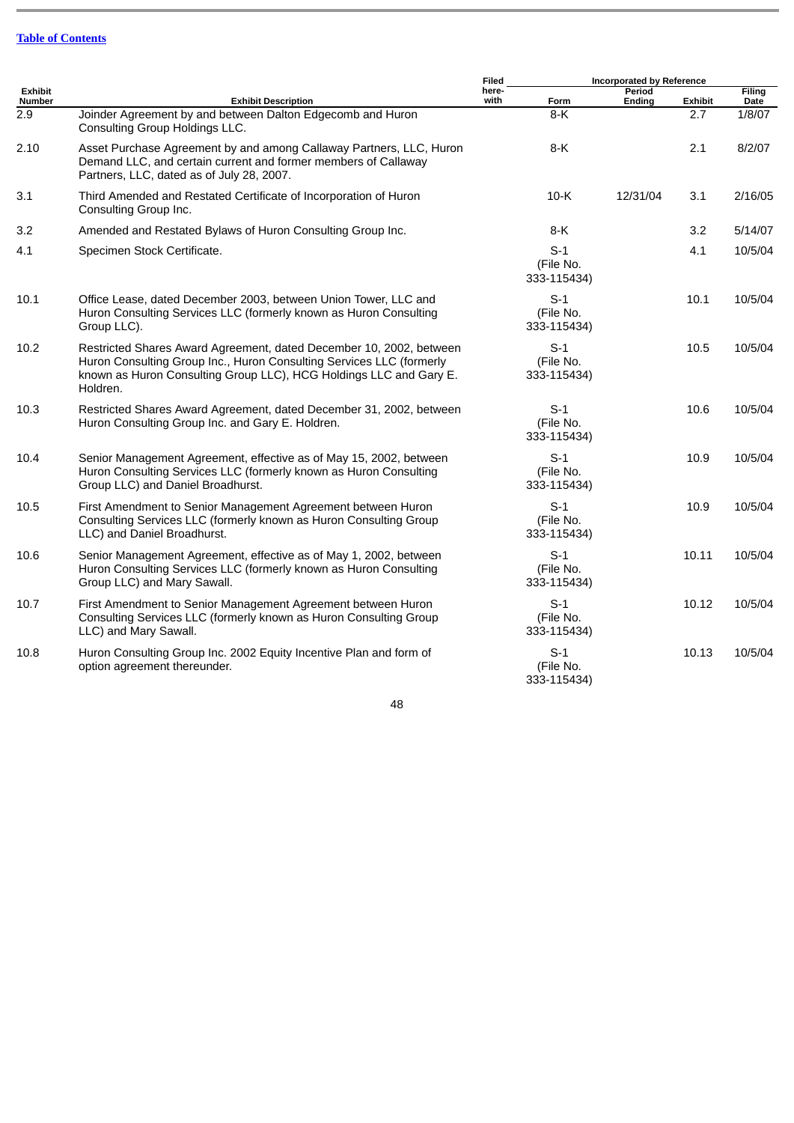# **Table of [Contents](#page-1-0)**

|                          |                                                                                                                                                                                                                               | Filed         | <b>Incorporated by Reference</b>  |                  |         |                |  |
|--------------------------|-------------------------------------------------------------------------------------------------------------------------------------------------------------------------------------------------------------------------------|---------------|-----------------------------------|------------------|---------|----------------|--|
| <b>Exhibit</b><br>Number | <b>Exhibit Description</b>                                                                                                                                                                                                    | here-<br>with | Form                              | Period<br>Ending | Exhibit | Filina<br>Date |  |
| 2.9                      | Joinder Agreement by and between Dalton Edgecomb and Huron<br>Consulting Group Holdings LLC.                                                                                                                                  |               | $8-K$                             |                  | 2.7     | 1/8/07         |  |
| 2.10                     | Asset Purchase Agreement by and among Callaway Partners, LLC, Huron<br>Demand LLC, and certain current and former members of Callaway<br>Partners, LLC, dated as of July 28, 2007.                                            |               | $8-K$                             |                  | 2.1     | 8/2/07         |  |
| 3.1                      | Third Amended and Restated Certificate of Incorporation of Huron<br>Consulting Group Inc.                                                                                                                                     |               | $10-K$                            | 12/31/04         | 3.1     | 2/16/05        |  |
| 3.2                      | Amended and Restated Bylaws of Huron Consulting Group Inc.                                                                                                                                                                    |               | $8-K$                             |                  | 3.2     | 5/14/07        |  |
| 4.1                      | Specimen Stock Certificate.                                                                                                                                                                                                   |               | $S-1$<br>(File No.<br>333-115434) |                  | 4.1     | 10/5/04        |  |
| 10.1                     | Office Lease, dated December 2003, between Union Tower, LLC and<br>Huron Consulting Services LLC (formerly known as Huron Consulting<br>Group LLC).                                                                           |               | $S-1$<br>(File No.<br>333-115434) |                  | 10.1    | 10/5/04        |  |
| 10.2                     | Restricted Shares Award Agreement, dated December 10, 2002, between<br>Huron Consulting Group Inc., Huron Consulting Services LLC (formerly<br>known as Huron Consulting Group LLC), HCG Holdings LLC and Gary E.<br>Holdren. |               | $S-1$<br>(File No.<br>333-115434) |                  | 10.5    | 10/5/04        |  |
| 10.3                     | Restricted Shares Award Agreement, dated December 31, 2002, between<br>Huron Consulting Group Inc. and Gary E. Holdren.                                                                                                       |               | $S-1$<br>(File No.<br>333-115434) |                  | 10.6    | 10/5/04        |  |
| 10.4                     | Senior Management Agreement, effective as of May 15, 2002, between<br>Huron Consulting Services LLC (formerly known as Huron Consulting<br>Group LLC) and Daniel Broadhurst.                                                  |               | $S-1$<br>(File No.<br>333-115434) |                  | 10.9    | 10/5/04        |  |
| 10.5                     | First Amendment to Senior Management Agreement between Huron<br>Consulting Services LLC (formerly known as Huron Consulting Group<br>LLC) and Daniel Broadhurst.                                                              |               | $S-1$<br>(File No.<br>333-115434) |                  | 10.9    | 10/5/04        |  |
| 10.6                     | Senior Management Agreement, effective as of May 1, 2002, between<br>Huron Consulting Services LLC (formerly known as Huron Consulting<br>Group LLC) and Mary Sawall.                                                         |               | $S-1$<br>(File No.<br>333-115434) |                  | 10.11   | 10/5/04        |  |
| 10.7                     | First Amendment to Senior Management Agreement between Huron<br>Consulting Services LLC (formerly known as Huron Consulting Group<br>LLC) and Mary Sawall.                                                                    |               | $S-1$<br>(File No.<br>333-115434) |                  | 10.12   | 10/5/04        |  |
| 10.8                     | Huron Consulting Group Inc. 2002 Equity Incentive Plan and form of<br>option agreement thereunder.                                                                                                                            |               | $S-1$<br>(File No.<br>333-115434) |                  | 10.13   | 10/5/04        |  |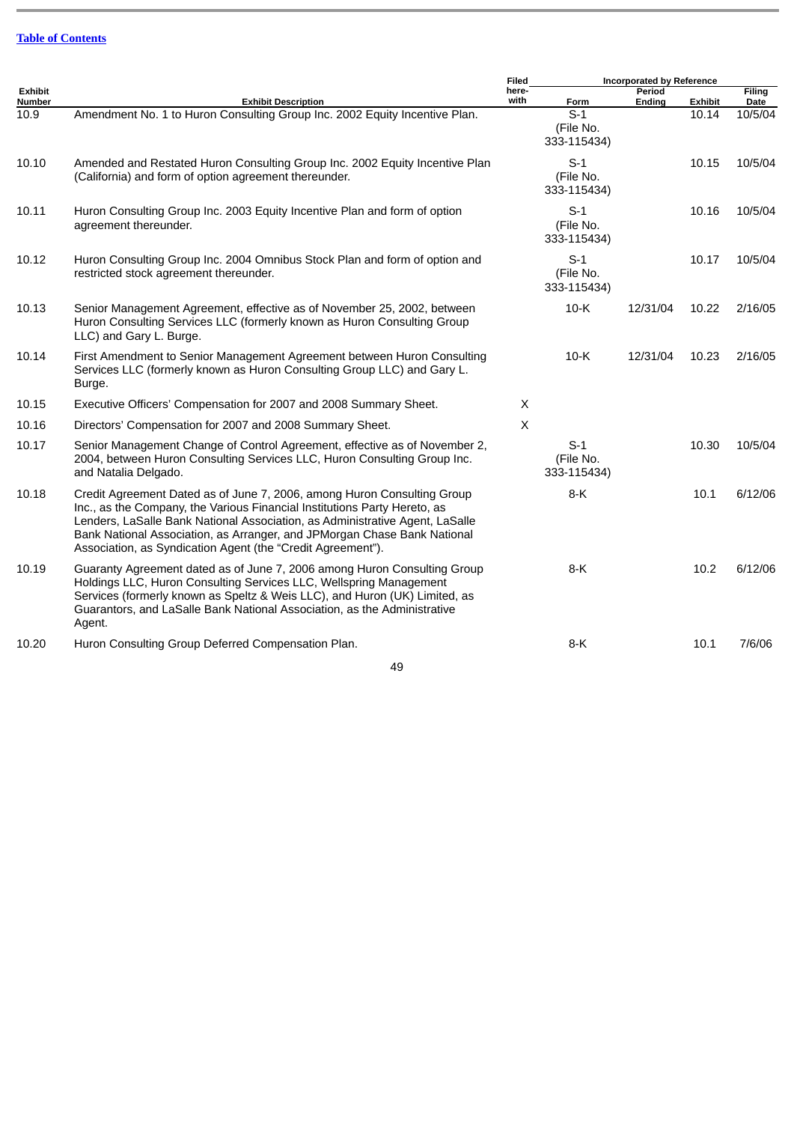# **Table of [Contents](#page-1-0)**

J.

|                          |                                                                                                                                                                                                                                                                                                                                                                                 |                |                                   | <b>Incorporated by Reference</b> |                |                |
|--------------------------|---------------------------------------------------------------------------------------------------------------------------------------------------------------------------------------------------------------------------------------------------------------------------------------------------------------------------------------------------------------------------------|----------------|-----------------------------------|----------------------------------|----------------|----------------|
| <b>Exhibit</b><br>Number | <b>Exhibit Description</b>                                                                                                                                                                                                                                                                                                                                                      | here-<br>with  | Form                              | Period<br>Ending                 | <b>Exhibit</b> | Filing<br>Date |
| 10.9                     | Amendment No. 1 to Huron Consulting Group Inc. 2002 Equity Incentive Plan.                                                                                                                                                                                                                                                                                                      |                | $S-1$<br>(File No.<br>333-115434) |                                  | 10.14          | 10/5/04        |
| 10.10                    | Amended and Restated Huron Consulting Group Inc. 2002 Equity Incentive Plan<br>(California) and form of option agreement thereunder.                                                                                                                                                                                                                                            |                | $S-1$<br>(File No.<br>333-115434) |                                  | 10.15          | 10/5/04        |
| 10.11                    | Huron Consulting Group Inc. 2003 Equity Incentive Plan and form of option<br>agreement thereunder.                                                                                                                                                                                                                                                                              |                | $S-1$<br>(File No.<br>333-115434) |                                  | 10.16          | 10/5/04        |
| 10.12                    | Huron Consulting Group Inc. 2004 Omnibus Stock Plan and form of option and<br>restricted stock agreement thereunder.                                                                                                                                                                                                                                                            |                | $S-1$<br>(File No.<br>333-115434) |                                  | 10.17          | 10/5/04        |
| 10.13                    | Senior Management Agreement, effective as of November 25, 2002, between<br>Huron Consulting Services LLC (formerly known as Huron Consulting Group<br>LLC) and Gary L. Burge.                                                                                                                                                                                                   |                | $10-K$                            | 12/31/04                         | 10.22          | 2/16/05        |
| 10.14                    | First Amendment to Senior Management Agreement between Huron Consulting<br>Services LLC (formerly known as Huron Consulting Group LLC) and Gary L.<br>Burge.                                                                                                                                                                                                                    |                | $10-K$                            | 12/31/04                         | 10.23          | 2/16/05        |
| 10.15                    | Executive Officers' Compensation for 2007 and 2008 Summary Sheet.                                                                                                                                                                                                                                                                                                               | X              |                                   |                                  |                |                |
| 10.16                    | Directors' Compensation for 2007 and 2008 Summary Sheet.                                                                                                                                                                                                                                                                                                                        | $\pmb{\times}$ |                                   |                                  |                |                |
| 10.17                    | Senior Management Change of Control Agreement, effective as of November 2,<br>2004, between Huron Consulting Services LLC, Huron Consulting Group Inc.<br>and Natalia Delgado.                                                                                                                                                                                                  |                | $S-1$<br>(File No.<br>333-115434) |                                  | 10.30          | 10/5/04        |
| 10.18                    | Credit Agreement Dated as of June 7, 2006, among Huron Consulting Group<br>Inc., as the Company, the Various Financial Institutions Party Hereto, as<br>Lenders, LaSalle Bank National Association, as Administrative Agent, LaSalle<br>Bank National Association, as Arranger, and JPMorgan Chase Bank National<br>Association, as Syndication Agent (the "Credit Agreement"). |                | $8-K$                             |                                  | 10.1           | 6/12/06        |
| 10.19                    | Guaranty Agreement dated as of June 7, 2006 among Huron Consulting Group<br>Holdings LLC, Huron Consulting Services LLC, Wellspring Management<br>Services (formerly known as Speltz & Weis LLC), and Huron (UK) Limited, as<br>Guarantors, and LaSalle Bank National Association, as the Administrative<br>Agent.                                                              |                | $8-K$                             |                                  | 10.2           | 6/12/06        |
| 10.20                    | Huron Consulting Group Deferred Compensation Plan.                                                                                                                                                                                                                                                                                                                              |                | $8-K$                             |                                  | 10.1           | 7/6/06         |
|                          |                                                                                                                                                                                                                                                                                                                                                                                 |                |                                   |                                  |                |                |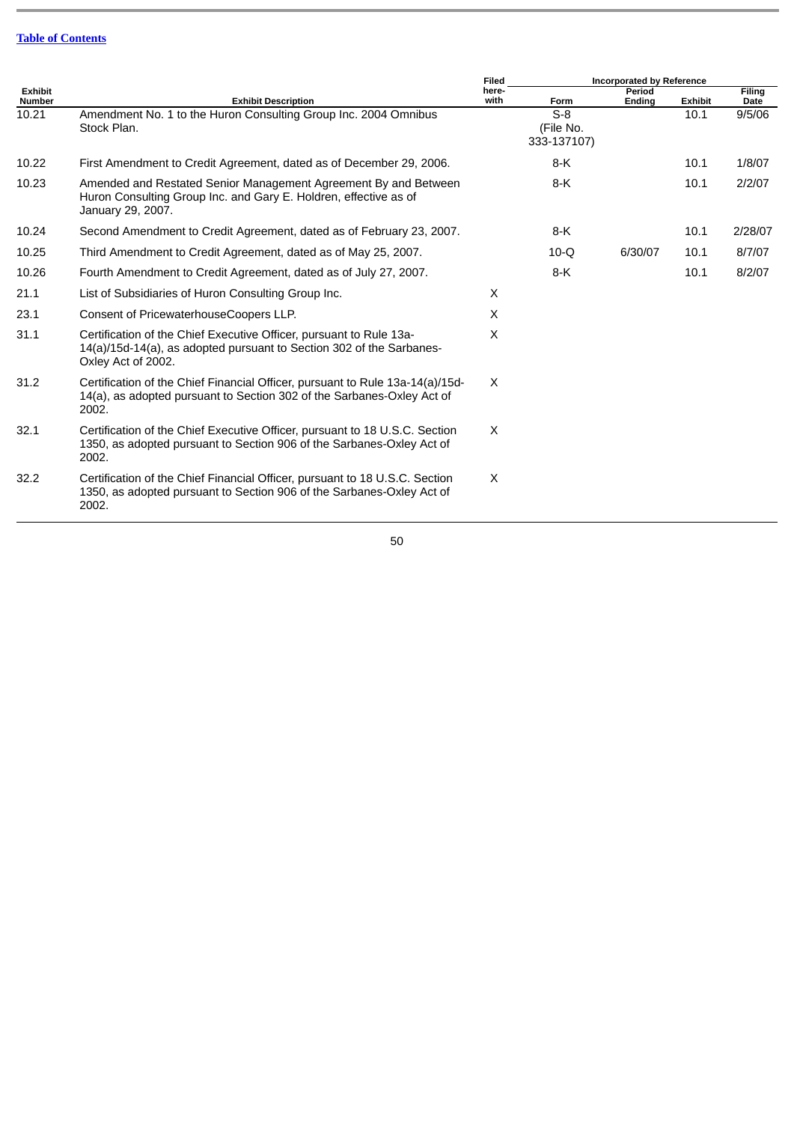# **Table of [Contents](#page-1-0)**

|                          |                                                                                                                                                                   | <b>Filed</b>  | <b>Incorporated by Reference</b>  |                  |                |                |
|--------------------------|-------------------------------------------------------------------------------------------------------------------------------------------------------------------|---------------|-----------------------------------|------------------|----------------|----------------|
| <b>Exhibit</b><br>Number | <b>Exhibit Description</b>                                                                                                                                        | here-<br>with | Form                              | Period<br>Ending | <b>Exhibit</b> | Filing<br>Date |
| 10.21                    | Amendment No. 1 to the Huron Consulting Group Inc. 2004 Omnibus<br>Stock Plan.                                                                                    |               | $S-8$<br>(File No.<br>333-137107) |                  | 10.1           | 9/5/06         |
| 10.22                    | First Amendment to Credit Agreement, dated as of December 29, 2006.                                                                                               |               | $8-K$                             |                  | 10.1           | 1/8/07         |
| 10.23                    | Amended and Restated Senior Management Agreement By and Between<br>Huron Consulting Group Inc. and Gary E. Holdren, effective as of<br>January 29, 2007.          |               | $8-K$                             |                  | 10.1           | 2/2/07         |
| 10.24                    | Second Amendment to Credit Agreement, dated as of February 23, 2007.                                                                                              |               | $8-K$                             |                  | 10.1           | 2/28/07        |
| 10.25                    | Third Amendment to Credit Agreement, dated as of May 25, 2007.                                                                                                    |               | $10-°$                            | 6/30/07          | 10.1           | 8/7/07         |
| 10.26                    | Fourth Amendment to Credit Agreement, dated as of July 27, 2007.                                                                                                  |               | $8-K$                             |                  | 10.1           | 8/2/07         |
| 21.1                     | List of Subsidiaries of Huron Consulting Group Inc.                                                                                                               | $\times$      |                                   |                  |                |                |
| 23.1                     | Consent of PricewaterhouseCoopers LLP.                                                                                                                            | X             |                                   |                  |                |                |
| 31.1                     | Certification of the Chief Executive Officer, pursuant to Rule 13a-<br>14(a)/15d-14(a), as adopted pursuant to Section 302 of the Sarbanes-<br>Oxley Act of 2002. | $\times$      |                                   |                  |                |                |
| 31.2                     | Certification of the Chief Financial Officer, pursuant to Rule 13a-14(a)/15d-<br>14(a), as adopted pursuant to Section 302 of the Sarbanes-Oxley Act of<br>2002.  | $\times$      |                                   |                  |                |                |
| 32.1                     | Certification of the Chief Executive Officer, pursuant to 18 U.S.C. Section<br>1350, as adopted pursuant to Section 906 of the Sarbanes-Oxley Act of<br>2002.     | $\times$      |                                   |                  |                |                |
| 32.2                     | Certification of the Chief Financial Officer, pursuant to 18 U.S.C. Section<br>1350, as adopted pursuant to Section 906 of the Sarbanes-Oxley Act of<br>2002.     | X             |                                   |                  |                |                |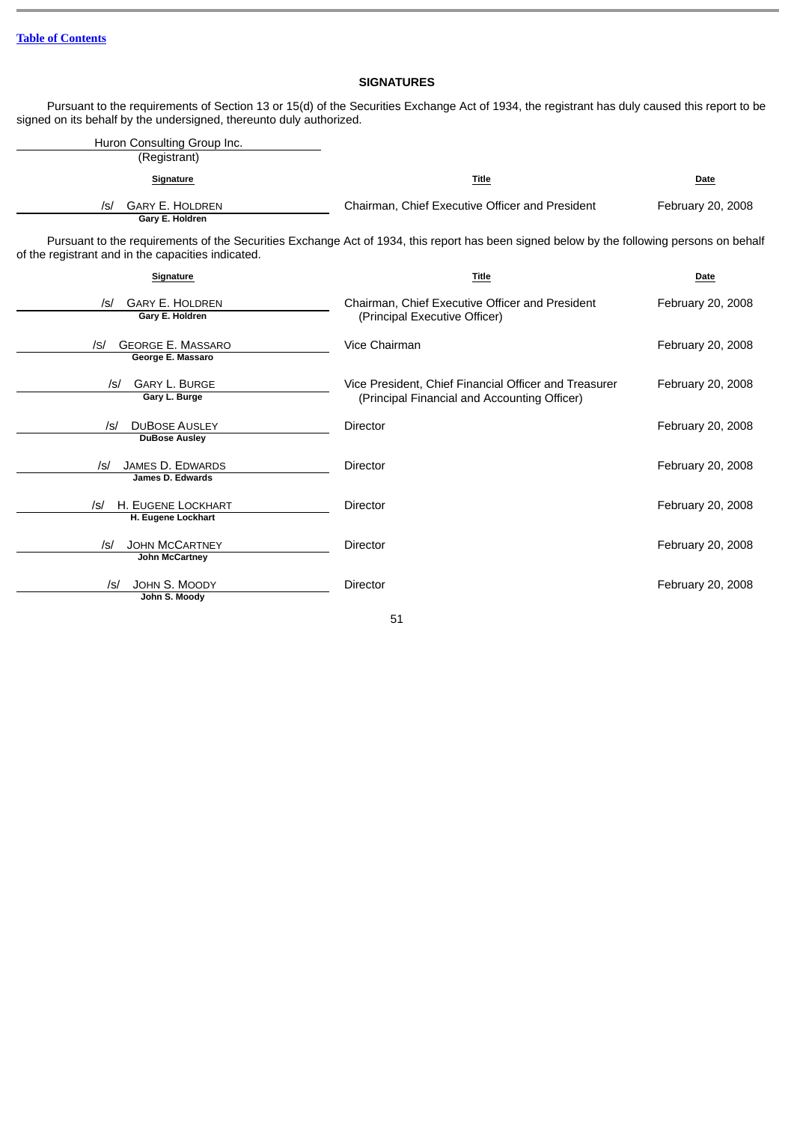# **SIGNATURES**

Pursuant to the requirements of Section 13 or 15(d) of the Securities Exchange Act of 1934, the registrant has duly caused this report to be signed on its behalf by the undersigned, thereunto duly authorized.

| Huron Consulting Group Inc.<br>(Registrant)           |                                                                                                                                           |                   |
|-------------------------------------------------------|-------------------------------------------------------------------------------------------------------------------------------------------|-------------------|
| Signature                                             | <b>Title</b>                                                                                                                              | Date              |
| <b>GARY E. HOLDREN</b><br>/s/<br>Gary E. Holdren      | Chairman, Chief Executive Officer and President                                                                                           | February 20, 2008 |
| of the registrant and in the capacities indicated.    | Pursuant to the requirements of the Securities Exchange Act of 1934, this report has been signed below by the following persons on behalf |                   |
| Signature                                             | Title                                                                                                                                     | Date              |
| <b>GARY E. HOLDREN</b><br>/s/<br>Gary E. Holdren      | Chairman, Chief Executive Officer and President<br>(Principal Executive Officer)                                                          | February 20, 2008 |
| <b>GEORGE E. MASSARO</b><br>/s/<br>George E. Massaro  | Vice Chairman                                                                                                                             | February 20, 2008 |
| <b>GARY L. BURGE</b><br>/s/<br>Gary L. Burge          | Vice President, Chief Financial Officer and Treasurer<br>(Principal Financial and Accounting Officer)                                     | February 20, 2008 |
| <b>DUBOSE AUSLEY</b><br>/s/<br><b>DuBose Ausley</b>   | <b>Director</b>                                                                                                                           | February 20, 2008 |
| JAMES D. EDWARDS<br>/s/<br><b>James D. Edwards</b>    | <b>Director</b>                                                                                                                           | February 20, 2008 |
| H. EUGENE LOCKHART<br>/s/<br>H. Eugene Lockhart       | Director                                                                                                                                  | February 20, 2008 |
| <b>JOHN MCCARTNEY</b><br>/s/<br><b>John McCartney</b> | <b>Director</b>                                                                                                                           | February 20, 2008 |
| JOHN S. MOODY<br>/s/<br>John S. Moody                 | <b>Director</b>                                                                                                                           | February 20, 2008 |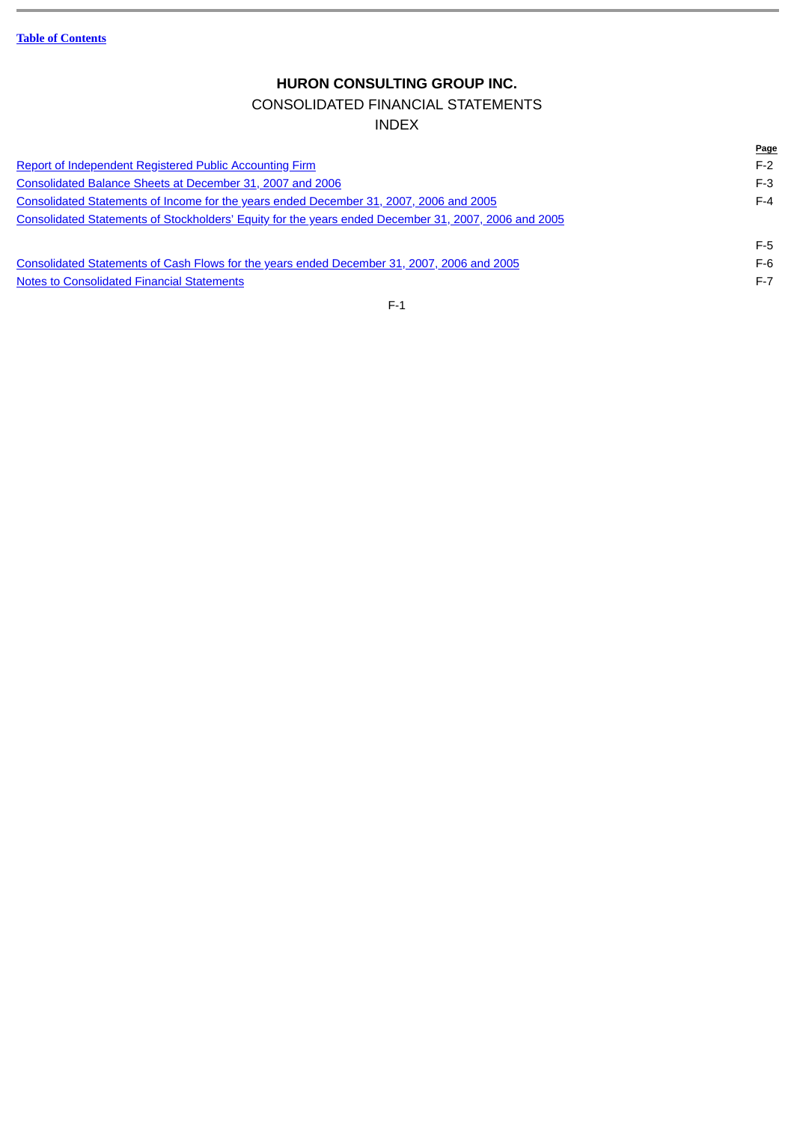# **HURON CONSULTING GROUP INC.** CONSOLIDATED FINANCIAL STATEMENTS INDEX

|                                                                                                      | Page  |
|------------------------------------------------------------------------------------------------------|-------|
| Report of Independent Registered Public Accounting Firm                                              | $F-2$ |
| Consolidated Balance Sheets at December 31, 2007 and 2006                                            | $F-3$ |
| Consolidated Statements of Income for the years ended December 31, 2007, 2006 and 2005               | F-4   |
| Consolidated Statements of Stockholders' Equity for the years ended December 31, 2007, 2006 and 2005 |       |
|                                                                                                      | F-5   |
| <u>Consolidated Statements of Cash Flows for the years ended December 31, 2007, 2006 and 2005</u>    | F-6   |
| Notes to Consolidated Financial Statements                                                           | $F-7$ |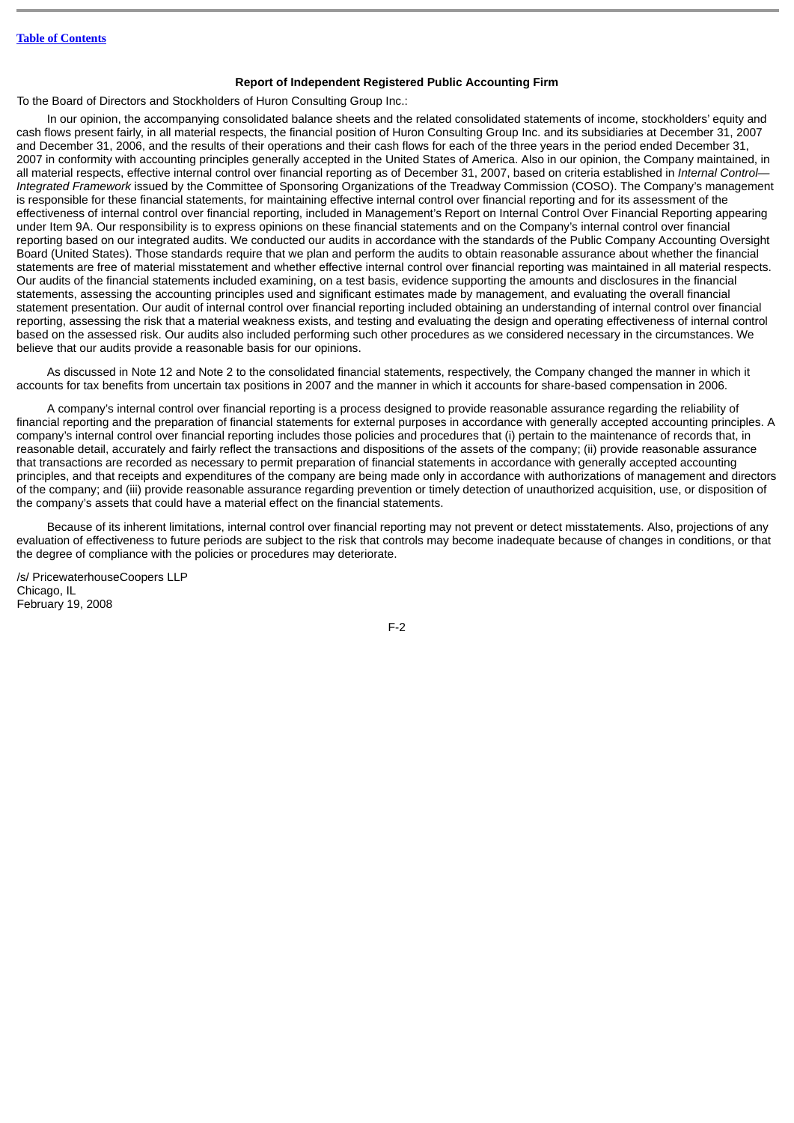### **Report of Independent Registered Public Accounting Firm**

<span id="page-54-0"></span>To the Board of Directors and Stockholders of Huron Consulting Group Inc.:

In our opinion, the accompanying consolidated balance sheets and the related consolidated statements of income, stockholders' equity and cash flows present fairly, in all material respects, the financial position of Huron Consulting Group Inc. and its subsidiaries at December 31, 2007 and December 31, 2006, and the results of their operations and their cash flows for each of the three years in the period ended December 31, 2007 in conformity with accounting principles generally accepted in the United States of America. Also in our opinion, the Company maintained, in all material respects, effective internal control over financial reporting as of December 31, 2007, based on criteria established in *Internal Control— Integrated Framework* issued by the Committee of Sponsoring Organizations of the Treadway Commission (COSO). The Company's management is responsible for these financial statements, for maintaining effective internal control over financial reporting and for its assessment of the effectiveness of internal control over financial reporting, included in Management's Report on Internal Control Over Financial Reporting appearing under Item 9A. Our responsibility is to express opinions on these financial statements and on the Company's internal control over financial reporting based on our integrated audits. We conducted our audits in accordance with the standards of the Public Company Accounting Oversight Board (United States). Those standards require that we plan and perform the audits to obtain reasonable assurance about whether the financial statements are free of material misstatement and whether effective internal control over financial reporting was maintained in all material respects. Our audits of the financial statements included examining, on a test basis, evidence supporting the amounts and disclosures in the financial statements, assessing the accounting principles used and significant estimates made by management, and evaluating the overall financial statement presentation. Our audit of internal control over financial reporting included obtaining an understanding of internal control over financial reporting, assessing the risk that a material weakness exists, and testing and evaluating the design and operating effectiveness of internal control based on the assessed risk. Our audits also included performing such other procedures as we considered necessary in the circumstances. We believe that our audits provide a reasonable basis for our opinions.

As discussed in Note 12 and Note 2 to the consolidated financial statements, respectively, the Company changed the manner in which it accounts for tax benefits from uncertain tax positions in 2007 and the manner in which it accounts for share-based compensation in 2006.

A company's internal control over financial reporting is a process designed to provide reasonable assurance regarding the reliability of financial reporting and the preparation of financial statements for external purposes in accordance with generally accepted accounting principles. A company's internal control over financial reporting includes those policies and procedures that (i) pertain to the maintenance of records that, in reasonable detail, accurately and fairly reflect the transactions and dispositions of the assets of the company; (ii) provide reasonable assurance that transactions are recorded as necessary to permit preparation of financial statements in accordance with generally accepted accounting principles, and that receipts and expenditures of the company are being made only in accordance with authorizations of management and directors of the company; and (iii) provide reasonable assurance regarding prevention or timely detection of unauthorized acquisition, use, or disposition of the company's assets that could have a material effect on the financial statements.

Because of its inherent limitations, internal control over financial reporting may not prevent or detect misstatements. Also, projections of any evaluation of effectiveness to future periods are subject to the risk that controls may become inadequate because of changes in conditions, or that the degree of compliance with the policies or procedures may deteriorate.

/s/ PricewaterhouseCoopers LLP Chicago, IL February 19, 2008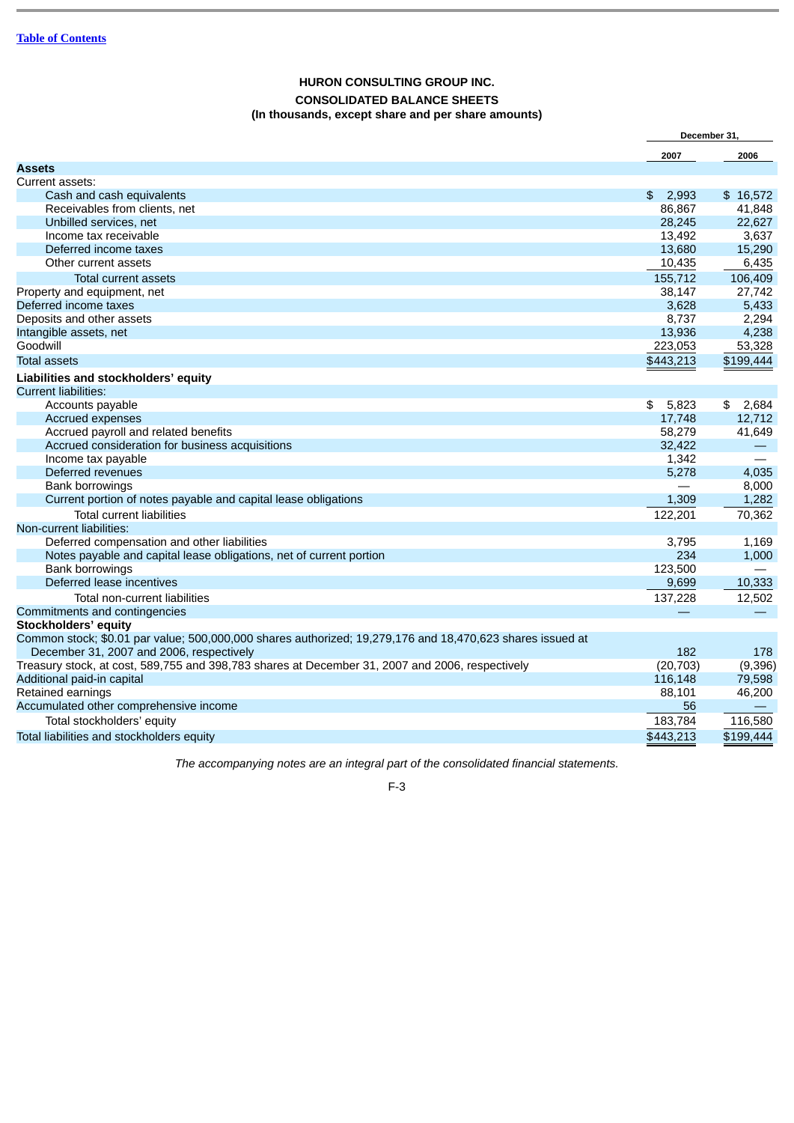# **HURON CONSULTING GROUP INC. CONSOLIDATED BALANCE SHEETS (In thousands, except share and per share amounts)**

<span id="page-55-0"></span>

|                                                                                                           |             | December 31, |
|-----------------------------------------------------------------------------------------------------------|-------------|--------------|
|                                                                                                           | 2007        | 2006         |
| <b>Assets</b>                                                                                             |             |              |
| Current assets:                                                                                           |             |              |
| Cash and cash equivalents                                                                                 | 2,993<br>\$ | \$16.572     |
| Receivables from clients, net                                                                             | 86,867      | 41,848       |
| Unbilled services, net                                                                                    | 28,245      | 22,627       |
| Income tax receivable                                                                                     | 13,492      | 3,637        |
| Deferred income taxes                                                                                     | 13,680      | 15,290       |
| Other current assets                                                                                      | 10,435      | 6,435        |
| Total current assets                                                                                      | 155,712     | 106,409      |
| Property and equipment, net                                                                               | 38,147      | 27,742       |
| Deferred income taxes                                                                                     | 3,628       | 5,433        |
| Deposits and other assets                                                                                 | 8,737       | 2,294        |
| Intangible assets, net                                                                                    | 13,936      | 4,238        |
| Goodwill                                                                                                  | 223,053     | 53,328       |
| <b>Total assets</b>                                                                                       | \$443,213   | \$199,444    |
| Liabilities and stockholders' equity                                                                      |             |              |
| Current liabilities:                                                                                      |             |              |
| Accounts payable                                                                                          | \$<br>5,823 | \$2.684      |
| Accrued expenses                                                                                          | 17,748      | 12,712       |
| Accrued payroll and related benefits                                                                      | 58,279      | 41,649       |
| Accrued consideration for business acquisitions                                                           | 32,422      |              |
| Income tax payable                                                                                        | 1,342       |              |
| Deferred revenues                                                                                         | 5,278       | 4,035        |
| <b>Bank borrowings</b>                                                                                    |             | 8,000        |
| Current portion of notes payable and capital lease obligations                                            | 1,309       | 1,282        |
| <b>Total current liabilities</b>                                                                          | 122,201     | 70,362       |
| Non-current liabilities:                                                                                  |             |              |
| Deferred compensation and other liabilities                                                               | 3,795       | 1,169        |
| Notes payable and capital lease obligations, net of current portion                                       | 234         | 1,000        |
| Bank borrowings                                                                                           | 123,500     |              |
| Deferred lease incentives                                                                                 | 9,699       | 10,333       |
| Total non-current liabilities                                                                             | 137,228     | 12,502       |
| Commitments and contingencies                                                                             |             |              |
| <b>Stockholders' equity</b>                                                                               |             |              |
| Common stock; \$0.01 par value; 500,000,000 shares authorized; 19,279,176 and 18,470,623 shares issued at |             |              |
| December 31, 2007 and 2006, respectively                                                                  | 182         | 178          |
| Treasury stock, at cost, 589,755 and 398,783 shares at December 31, 2007 and 2006, respectively           | (20, 703)   | (9, 396)     |
| Additional paid-in capital                                                                                | 116,148     | 79,598       |
| Retained earnings                                                                                         | 88,101      | 46,200       |
| Accumulated other comprehensive income                                                                    | 56          |              |
| Total stockholders' equity                                                                                | 183,784     | 116,580      |
| Total liabilities and stockholders equity                                                                 | \$443,213   | \$199,444    |

*The accompanying notes are an integral part of the consolidated financial statements.*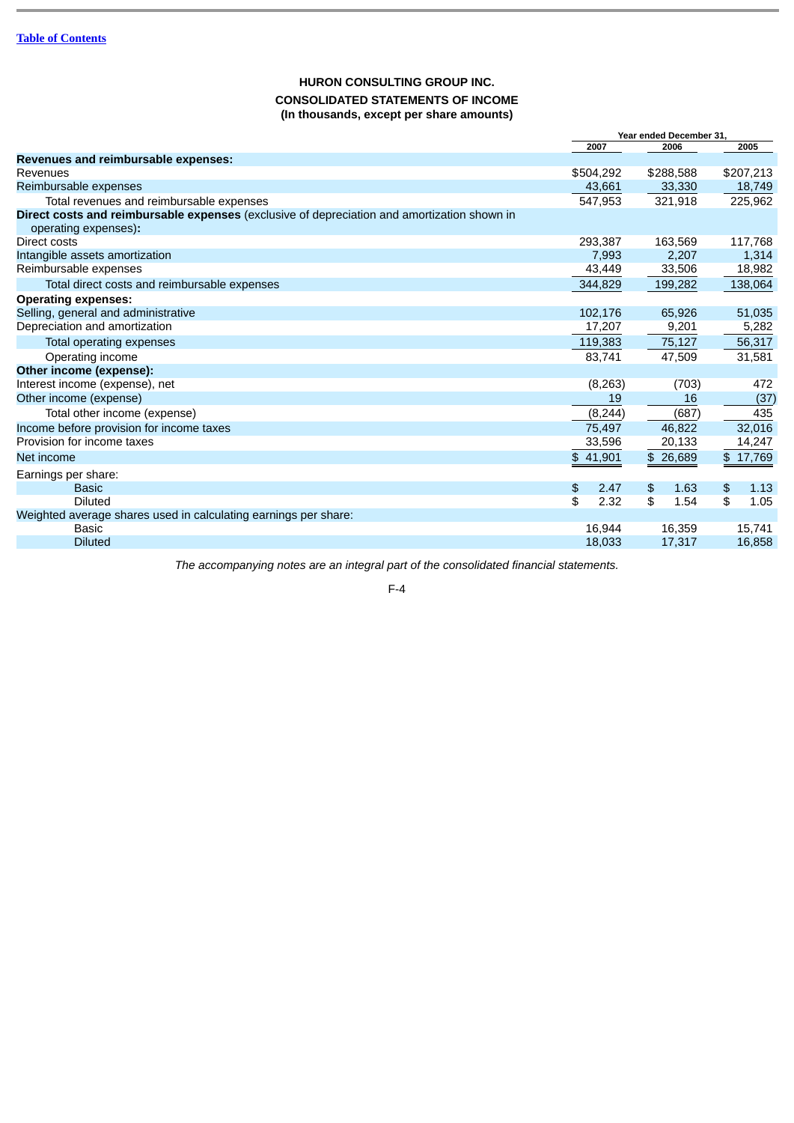# **HURON CONSULTING GROUP INC. CONSOLIDATED STATEMENTS OF INCOME (In thousands, except per share amounts)**

<span id="page-56-0"></span>

|                                                                                                                     | Year ended December 31, |            |            |  |
|---------------------------------------------------------------------------------------------------------------------|-------------------------|------------|------------|--|
|                                                                                                                     | 2007                    | 2006       | 2005       |  |
| Revenues and reimbursable expenses:                                                                                 |                         |            |            |  |
| Revenues                                                                                                            | \$504,292               | \$288,588  | \$207,213  |  |
| Reimbursable expenses                                                                                               | 43,661                  | 33,330     | 18,749     |  |
| Total revenues and reimbursable expenses                                                                            | 547,953                 | 321,918    | 225,962    |  |
| Direct costs and reimbursable expenses (exclusive of depreciation and amortization shown in<br>operating expenses): |                         |            |            |  |
| Direct costs                                                                                                        | 293,387                 | 163,569    | 117,768    |  |
| Intangible assets amortization                                                                                      | 7,993                   | 2,207      | 1,314      |  |
| Reimbursable expenses                                                                                               | 43,449                  | 33,506     | 18,982     |  |
| Total direct costs and reimbursable expenses                                                                        | 344,829                 | 199,282    | 138,064    |  |
| <b>Operating expenses:</b>                                                                                          |                         |            |            |  |
| Selling, general and administrative                                                                                 | 102,176                 | 65,926     | 51,035     |  |
| Depreciation and amortization                                                                                       | 17,207                  | 9,201      | 5,282      |  |
| Total operating expenses                                                                                            | 119,383                 | 75,127     | 56,317     |  |
| Operating income                                                                                                    | 83,741                  | 47,509     | 31,581     |  |
| Other income (expense):                                                                                             |                         |            |            |  |
| Interest income (expense), net                                                                                      | (8, 263)                | (703)      | 472        |  |
| Other income (expense)                                                                                              | 19                      | 16         | (37)       |  |
| Total other income (expense)                                                                                        | (8, 244)                | (687)      | 435        |  |
| Income before provision for income taxes                                                                            | 75,497                  | 46,822     | 32,016     |  |
| Provision for income taxes                                                                                          | 33,596                  | 20,133     | 14,247     |  |
| Net income                                                                                                          | \$<br>41,901            | \$26,689   | \$17,769   |  |
| Earnings per share:                                                                                                 |                         |            |            |  |
| <b>Basic</b>                                                                                                        | \$<br>2.47              | 1.63<br>\$ | \$<br>1.13 |  |
| <b>Diluted</b>                                                                                                      | 2.32<br>\$              | \$<br>1.54 | \$<br>1.05 |  |
| Weighted average shares used in calculating earnings per share:                                                     |                         |            |            |  |
| <b>Basic</b>                                                                                                        | 16.944                  | 16,359     | 15,741     |  |
| <b>Diluted</b>                                                                                                      | 18,033                  | 17,317     | 16,858     |  |

*The accompanying notes are an integral part of the consolidated financial statements.*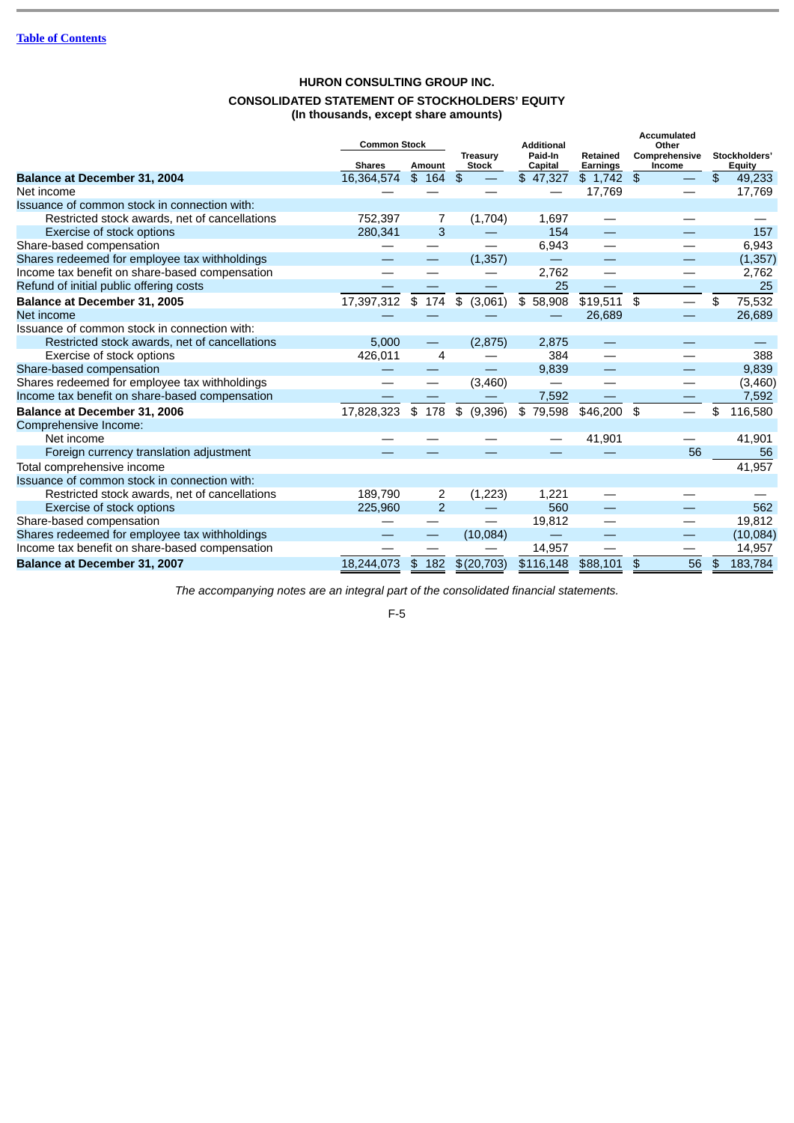# **HURON CONSULTING GROUP INC. CONSOLIDATED STATEMENT OF STOCKHOLDERS' EQUITY (In thousands, except share amounts)**

<span id="page-57-0"></span>

|                                                | <b>Common Stock</b> |                |                                 | <b>Additional</b>  |                             | Accumulated<br>Other           |                                |
|------------------------------------------------|---------------------|----------------|---------------------------------|--------------------|-----------------------------|--------------------------------|--------------------------------|
|                                                | <b>Shares</b>       | Amount         | <b>Treasury</b><br><b>Stock</b> | Paid-In<br>Capital | Retained<br><b>Earnings</b> | Comprehensive<br>Income        | Stockholders'<br><b>Equity</b> |
| Balance at December 31, 2004                   | 16,364,574          | \$164          | \$                              | \$47,327           | $$1,742$ \$                 |                                | \$<br>49,233                   |
| Net income                                     |                     |                |                                 |                    | 17,769                      |                                | 17,769                         |
| Issuance of common stock in connection with:   |                     |                |                                 |                    |                             |                                |                                |
| Restricted stock awards, net of cancellations  | 752.397             | 7              | (1,704)                         | 1,697              |                             |                                |                                |
| Exercise of stock options                      | 280,341             | 3              |                                 | 154                |                             |                                | 157                            |
| Share-based compensation                       |                     |                |                                 | 6,943              |                             |                                | 6,943                          |
| Shares redeemed for employee tax withholdings  |                     |                | (1, 357)                        |                    |                             |                                | (1, 357)                       |
| Income tax benefit on share-based compensation |                     |                |                                 | 2,762              |                             |                                | 2,762                          |
| Refund of initial public offering costs        |                     |                |                                 | 25                 |                             |                                | 25                             |
| Balance at December 31, 2005                   | 17,397,312          | 174<br>\$      | (3,061)<br>\$                   | \$58,908           | \$19,511                    | \$<br>$\overline{\phantom{0}}$ | 75,532<br>\$                   |
| Net income                                     |                     |                |                                 |                    | 26,689                      |                                | 26,689                         |
| Issuance of common stock in connection with:   |                     |                |                                 |                    |                             |                                |                                |
| Restricted stock awards, net of cancellations  | 5,000               |                | (2, 875)                        | 2,875              |                             |                                |                                |
| Exercise of stock options                      | 426,011             | 4              |                                 | 384                |                             |                                | 388                            |
| Share-based compensation                       |                     |                |                                 | 9,839              |                             |                                | 9,839                          |
| Shares redeemed for employee tax withholdings  |                     |                | (3,460)                         |                    |                             |                                | (3,460)                        |
| Income tax benefit on share-based compensation |                     |                |                                 | 7,592              |                             |                                | 7,592                          |
| <b>Balance at December 31, 2006</b>            | 17,828,323          | 178<br>\$      | (9, 396)<br>\$                  | \$79,598           | \$46,200                    | \$                             | 116,580<br>\$                  |
| Comprehensive Income:                          |                     |                |                                 |                    |                             |                                |                                |
| Net income                                     |                     |                |                                 |                    | 41,901                      |                                | 41,901                         |
| Foreign currency translation adjustment        |                     |                |                                 |                    |                             | 56                             | 56                             |
| Total comprehensive income                     |                     |                |                                 |                    |                             |                                | 41,957                         |
| Issuance of common stock in connection with:   |                     |                |                                 |                    |                             |                                |                                |
| Restricted stock awards, net of cancellations  | 189.790             | 2              | (1,223)                         | 1.221              |                             |                                |                                |
| Exercise of stock options                      | 225,960             | $\overline{2}$ |                                 | 560                |                             |                                | 562                            |
| Share-based compensation                       |                     |                |                                 | 19.812             |                             |                                | 19.812                         |
| Shares redeemed for employee tax withholdings  |                     |                | (10,084)                        |                    |                             |                                | (10,084)                       |
| Income tax benefit on share-based compensation |                     |                |                                 | 14,957             |                             |                                | 14,957                         |
| <b>Balance at December 31, 2007</b>            | 18,244,073          | 182<br>\$      | \$(20, 703)                     | \$116,148          | \$88,101                    | 56<br>\$                       | $\mathfrak{L}$<br>183,784      |

*The accompanying notes are an integral part of the consolidated financial statements.*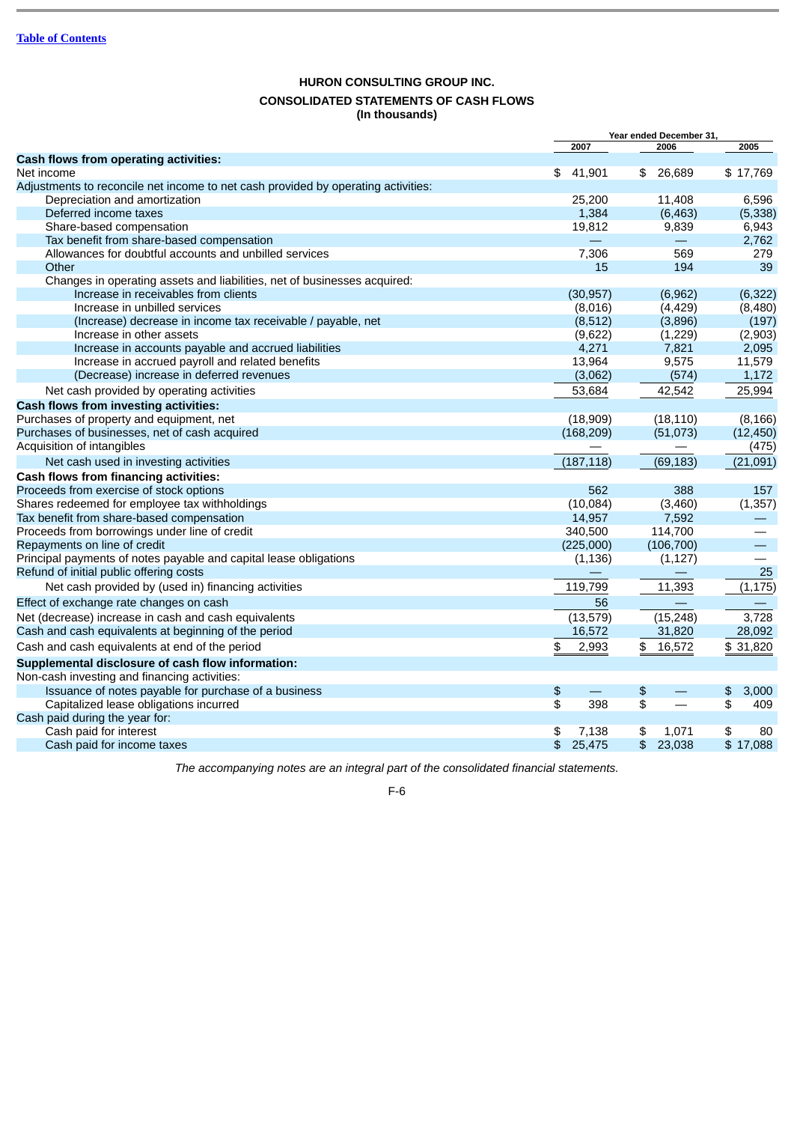# **HURON CONSULTING GROUP INC. CONSOLIDATED STATEMENTS OF CASH FLOWS (In thousands)**

<span id="page-58-0"></span>

|                                                                                   | Year ended December 31, |            |                          |                   |
|-----------------------------------------------------------------------------------|-------------------------|------------|--------------------------|-------------------|
|                                                                                   |                         | 2007       | 2006                     | 2005              |
| Cash flows from operating activities:                                             |                         |            |                          |                   |
| Net income                                                                        | \$                      | 41,901     | 26,689<br>\$             | \$17,769          |
| Adjustments to reconcile net income to net cash provided by operating activities: |                         |            |                          |                   |
| Depreciation and amortization                                                     |                         | 25,200     | 11,408                   | 6,596             |
| Deferred income taxes                                                             |                         | 1,384      | (6, 463)                 | (5, 338)          |
| Share-based compensation                                                          |                         | 19,812     | 9,839                    | 6,943             |
| Tax benefit from share-based compensation                                         |                         |            |                          | 2,762             |
| Allowances for doubtful accounts and unbilled services                            |                         | 7,306      | 569                      | 279               |
| Other                                                                             |                         | 15         | 194                      | 39                |
| Changes in operating assets and liabilities, net of businesses acquired:          |                         |            |                          |                   |
| Increase in receivables from clients                                              |                         | (30, 957)  | (6, 962)                 | (6, 322)          |
| Increase in unbilled services                                                     |                         | (8,016)    | (4, 429)                 | (8,480)           |
| (Increase) decrease in income tax receivable / payable, net                       |                         | (8,512)    | (3,896)                  | (197)             |
| Increase in other assets                                                          |                         | (9,622)    | (1, 229)                 | (2,903)           |
| Increase in accounts payable and accrued liabilities                              |                         | 4,271      | 7,821                    | 2,095             |
| Increase in accrued payroll and related benefits                                  |                         | 13,964     | 9,575                    | 11,579            |
| (Decrease) increase in deferred revenues                                          |                         | (3,062)    | (574)                    | 1,172             |
| Net cash provided by operating activities                                         |                         | 53,684     | 42,542                   | 25,994            |
| Cash flows from investing activities:                                             |                         |            |                          |                   |
| Purchases of property and equipment, net                                          |                         | (18,909)   | (18, 110)                | (8, 166)          |
| Purchases of businesses, net of cash acquired                                     |                         | (168, 209) | (51,073)                 | (12, 450)         |
| Acquisition of intangibles                                                        |                         |            |                          | (475)             |
| Net cash used in investing activities                                             |                         | (187, 118) | (69, 183)                | (21,091)          |
| Cash flows from financing activities:                                             |                         |            |                          |                   |
| Proceeds from exercise of stock options                                           |                         | 562        | 388                      | 157               |
| Shares redeemed for employee tax withholdings                                     |                         | (10,084)   | (3,460)                  | (1, 357)          |
| Tax benefit from share-based compensation                                         |                         | 14,957     | 7,592                    |                   |
| Proceeds from borrowings under line of credit                                     |                         | 340,500    | 114,700                  |                   |
| Repayments on line of credit                                                      |                         | (225,000)  | (106, 700)               | $\qquad \qquad =$ |
| Principal payments of notes payable and capital lease obligations                 |                         | (1, 136)   | (1, 127)                 |                   |
| Refund of initial public offering costs                                           |                         |            |                          | 25                |
| Net cash provided by (used in) financing activities                               |                         | 119,799    | 11,393                   | (1, 175)          |
|                                                                                   |                         |            |                          |                   |
| Effect of exchange rate changes on cash                                           |                         | 56         |                          |                   |
| Net (decrease) increase in cash and cash equivalents                              |                         | (13, 579)  | (15, 248)                | 3,728             |
| Cash and cash equivalents at beginning of the period                              |                         | 16,572     | 31,820                   | 28,092            |
| Cash and cash equivalents at end of the period                                    | \$                      | 2,993      | \$<br>16,572             | \$31,820          |
| Supplemental disclosure of cash flow information:                                 |                         |            |                          |                   |
| Non-cash investing and financing activities:                                      |                         |            |                          |                   |
| Issuance of notes payable for purchase of a business                              | \$                      |            | \$                       | \$<br>3,000       |
| Capitalized lease obligations incurred                                            | \$                      | 398        | \$                       | \$<br>409         |
| Cash paid during the year for:                                                    |                         |            |                          |                   |
| Cash paid for interest                                                            | \$                      | 7,138      | 1,071<br>\$              | \$<br>80          |
| Cash paid for income taxes                                                        | \$                      | 25,475     | $\mathfrak{D}$<br>23,038 | \$17.088          |
|                                                                                   |                         |            |                          |                   |

*The accompanying notes are an integral part of the consolidated financial statements.*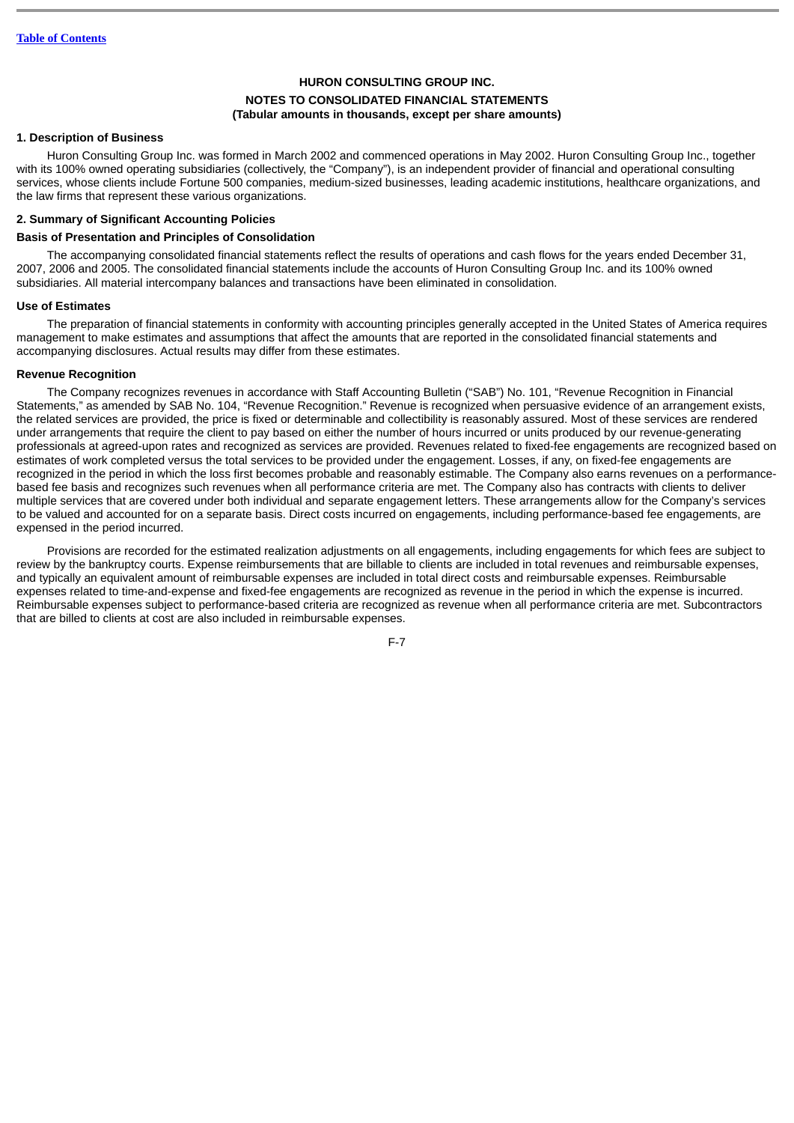# **HURON CONSULTING GROUP INC. NOTES TO CONSOLIDATED FINANCIAL STATEMENTS (Tabular amounts in thousands, except per share amounts)**

## <span id="page-59-0"></span>**1. Description of Business**

Huron Consulting Group Inc. was formed in March 2002 and commenced operations in May 2002. Huron Consulting Group Inc., together with its 100% owned operating subsidiaries (collectively, the "Company"), is an independent provider of financial and operational consulting services, whose clients include Fortune 500 companies, medium-sized businesses, leading academic institutions, healthcare organizations, and the law firms that represent these various organizations.

### **2. Summary of Significant Accounting Policies**

## **Basis of Presentation and Principles of Consolidation**

The accompanying consolidated financial statements reflect the results of operations and cash flows for the years ended December 31, 2007, 2006 and 2005. The consolidated financial statements include the accounts of Huron Consulting Group Inc. and its 100% owned subsidiaries. All material intercompany balances and transactions have been eliminated in consolidation.

### **Use of Estimates**

The preparation of financial statements in conformity with accounting principles generally accepted in the United States of America requires management to make estimates and assumptions that affect the amounts that are reported in the consolidated financial statements and accompanying disclosures. Actual results may differ from these estimates.

### **Revenue Recognition**

The Company recognizes revenues in accordance with Staff Accounting Bulletin ("SAB") No. 101, "Revenue Recognition in Financial Statements," as amended by SAB No. 104, "Revenue Recognition." Revenue is recognized when persuasive evidence of an arrangement exists, the related services are provided, the price is fixed or determinable and collectibility is reasonably assured. Most of these services are rendered under arrangements that require the client to pay based on either the number of hours incurred or units produced by our revenue-generating professionals at agreed-upon rates and recognized as services are provided. Revenues related to fixed-fee engagements are recognized based on estimates of work completed versus the total services to be provided under the engagement. Losses, if any, on fixed-fee engagements are recognized in the period in which the loss first becomes probable and reasonably estimable. The Company also earns revenues on a performancebased fee basis and recognizes such revenues when all performance criteria are met. The Company also has contracts with clients to deliver multiple services that are covered under both individual and separate engagement letters. These arrangements allow for the Company's services to be valued and accounted for on a separate basis. Direct costs incurred on engagements, including performance-based fee engagements, are expensed in the period incurred.

Provisions are recorded for the estimated realization adjustments on all engagements, including engagements for which fees are subject to review by the bankruptcy courts. Expense reimbursements that are billable to clients are included in total revenues and reimbursable expenses, and typically an equivalent amount of reimbursable expenses are included in total direct costs and reimbursable expenses. Reimbursable expenses related to time-and-expense and fixed-fee engagements are recognized as revenue in the period in which the expense is incurred. Reimbursable expenses subject to performance-based criteria are recognized as revenue when all performance criteria are met. Subcontractors that are billed to clients at cost are also included in reimbursable expenses.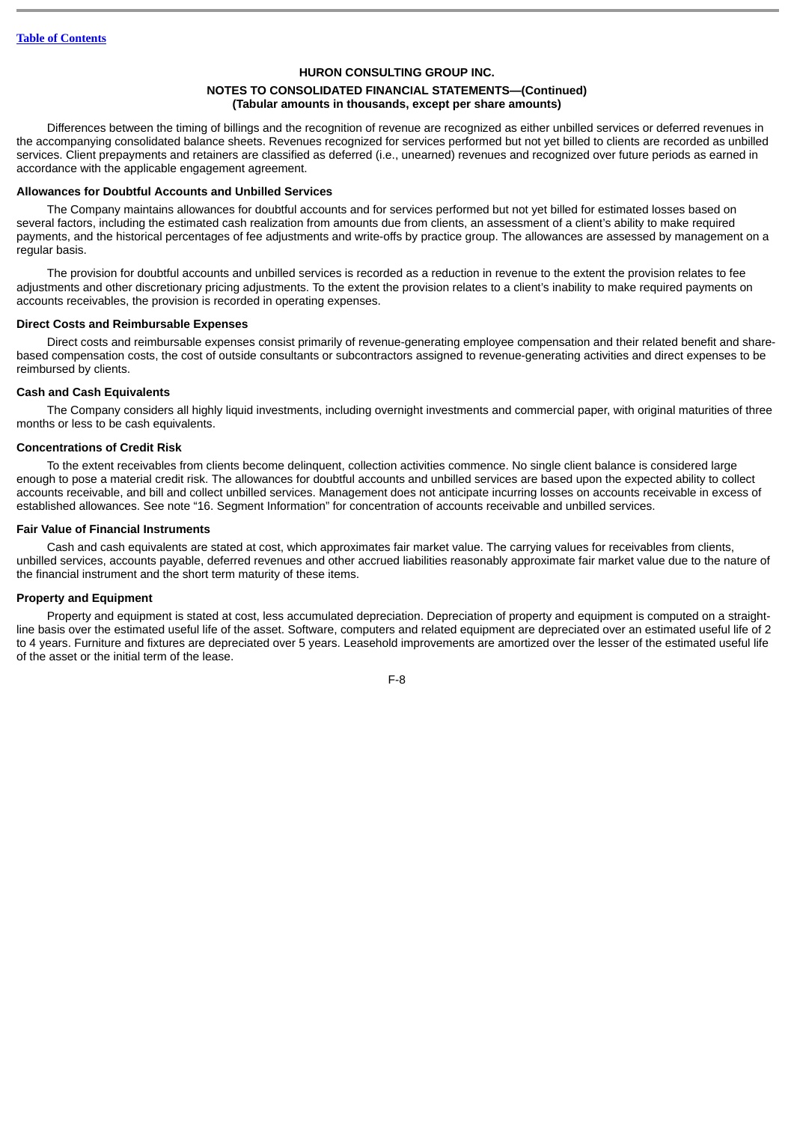## **NOTES TO CONSOLIDATED FINANCIAL STATEMENTS—(Continued) (Tabular amounts in thousands, except per share amounts)**

Differences between the timing of billings and the recognition of revenue are recognized as either unbilled services or deferred revenues in the accompanying consolidated balance sheets. Revenues recognized for services performed but not yet billed to clients are recorded as unbilled services. Client prepayments and retainers are classified as deferred (i.e., unearned) revenues and recognized over future periods as earned in accordance with the applicable engagement agreement.

### **Allowances for Doubtful Accounts and Unbilled Services**

The Company maintains allowances for doubtful accounts and for services performed but not yet billed for estimated losses based on several factors, including the estimated cash realization from amounts due from clients, an assessment of a client's ability to make required payments, and the historical percentages of fee adjustments and write-offs by practice group. The allowances are assessed by management on a regular basis.

The provision for doubtful accounts and unbilled services is recorded as a reduction in revenue to the extent the provision relates to fee adjustments and other discretionary pricing adjustments. To the extent the provision relates to a client's inability to make required payments on accounts receivables, the provision is recorded in operating expenses.

#### **Direct Costs and Reimbursable Expenses**

Direct costs and reimbursable expenses consist primarily of revenue-generating employee compensation and their related benefit and sharebased compensation costs, the cost of outside consultants or subcontractors assigned to revenue-generating activities and direct expenses to be reimbursed by clients.

## **Cash and Cash Equivalents**

The Company considers all highly liquid investments, including overnight investments and commercial paper, with original maturities of three months or less to be cash equivalents.

### **Concentrations of Credit Risk**

To the extent receivables from clients become delinquent, collection activities commence. No single client balance is considered large enough to pose a material credit risk. The allowances for doubtful accounts and unbilled services are based upon the expected ability to collect accounts receivable, and bill and collect unbilled services. Management does not anticipate incurring losses on accounts receivable in excess of established allowances. See note "16. Segment Information" for concentration of accounts receivable and unbilled services.

#### **Fair Value of Financial Instruments**

Cash and cash equivalents are stated at cost, which approximates fair market value. The carrying values for receivables from clients, unbilled services, accounts payable, deferred revenues and other accrued liabilities reasonably approximate fair market value due to the nature of the financial instrument and the short term maturity of these items.

### **Property and Equipment**

Property and equipment is stated at cost, less accumulated depreciation. Depreciation of property and equipment is computed on a straightline basis over the estimated useful life of the asset. Software, computers and related equipment are depreciated over an estimated useful life of 2 to 4 years. Furniture and fixtures are depreciated over 5 years. Leasehold improvements are amortized over the lesser of the estimated useful life of the asset or the initial term of the lease.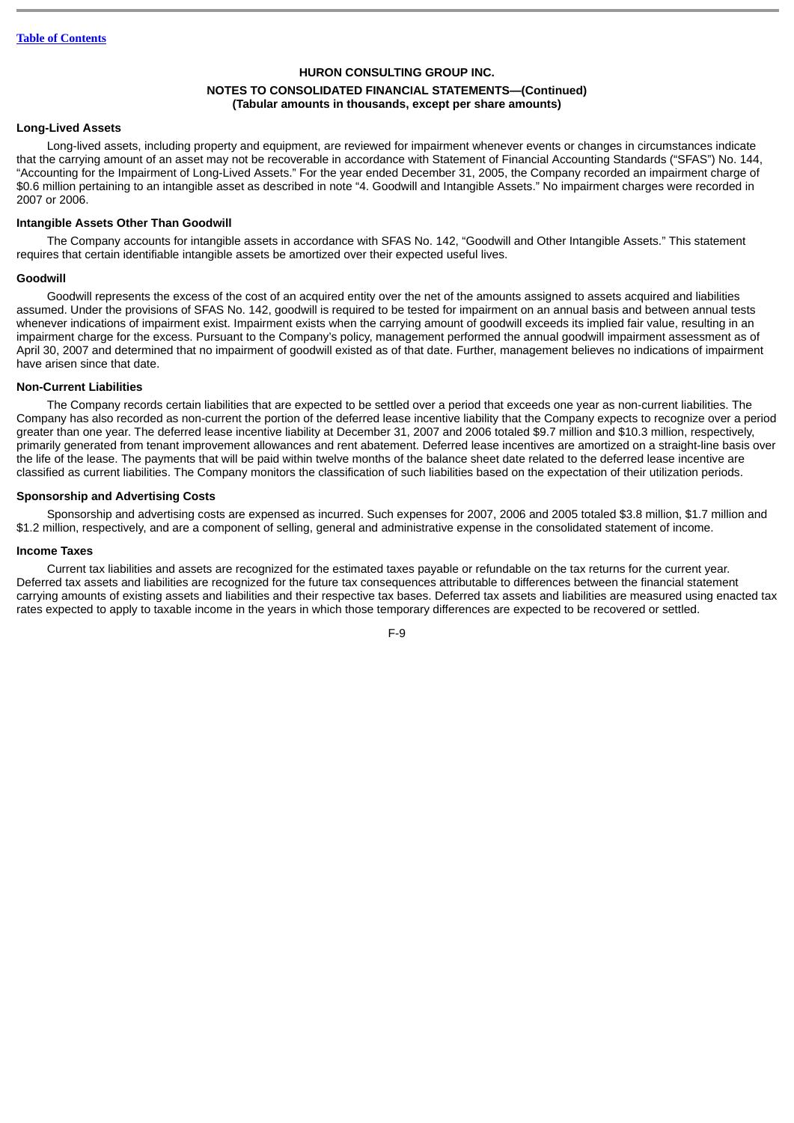### **NOTES TO CONSOLIDATED FINANCIAL STATEMENTS—(Continued) (Tabular amounts in thousands, except per share amounts)**

## **Long-Lived Assets**

Long-lived assets, including property and equipment, are reviewed for impairment whenever events or changes in circumstances indicate that the carrying amount of an asset may not be recoverable in accordance with Statement of Financial Accounting Standards ("SFAS") No. 144, "Accounting for the Impairment of Long-Lived Assets." For the year ended December 31, 2005, the Company recorded an impairment charge of \$0.6 million pertaining to an intangible asset as described in note "4. Goodwill and Intangible Assets." No impairment charges were recorded in 2007 or 2006.

### **Intangible Assets Other Than Goodwill**

The Company accounts for intangible assets in accordance with SFAS No. 142, "Goodwill and Other Intangible Assets." This statement requires that certain identifiable intangible assets be amortized over their expected useful lives.

### **Goodwill**

Goodwill represents the excess of the cost of an acquired entity over the net of the amounts assigned to assets acquired and liabilities assumed. Under the provisions of SFAS No. 142, goodwill is required to be tested for impairment on an annual basis and between annual tests whenever indications of impairment exist. Impairment exists when the carrying amount of goodwill exceeds its implied fair value, resulting in an impairment charge for the excess. Pursuant to the Company's policy, management performed the annual goodwill impairment assessment as of April 30, 2007 and determined that no impairment of goodwill existed as of that date. Further, management believes no indications of impairment have arisen since that date.

### **Non-Current Liabilities**

The Company records certain liabilities that are expected to be settled over a period that exceeds one year as non-current liabilities. The Company has also recorded as non-current the portion of the deferred lease incentive liability that the Company expects to recognize over a period greater than one year. The deferred lease incentive liability at December 31, 2007 and 2006 totaled \$9.7 million and \$10.3 million, respectively, primarily generated from tenant improvement allowances and rent abatement. Deferred lease incentives are amortized on a straight-line basis over the life of the lease. The payments that will be paid within twelve months of the balance sheet date related to the deferred lease incentive are classified as current liabilities. The Company monitors the classification of such liabilities based on the expectation of their utilization periods.

#### **Sponsorship and Advertising Costs**

Sponsorship and advertising costs are expensed as incurred. Such expenses for 2007, 2006 and 2005 totaled \$3.8 million, \$1.7 million and \$1.2 million, respectively, and are a component of selling, general and administrative expense in the consolidated statement of income.

### **Income Taxes**

Current tax liabilities and assets are recognized for the estimated taxes payable or refundable on the tax returns for the current year. Deferred tax assets and liabilities are recognized for the future tax consequences attributable to differences between the financial statement carrying amounts of existing assets and liabilities and their respective tax bases. Deferred tax assets and liabilities are measured using enacted tax rates expected to apply to taxable income in the years in which those temporary differences are expected to be recovered or settled.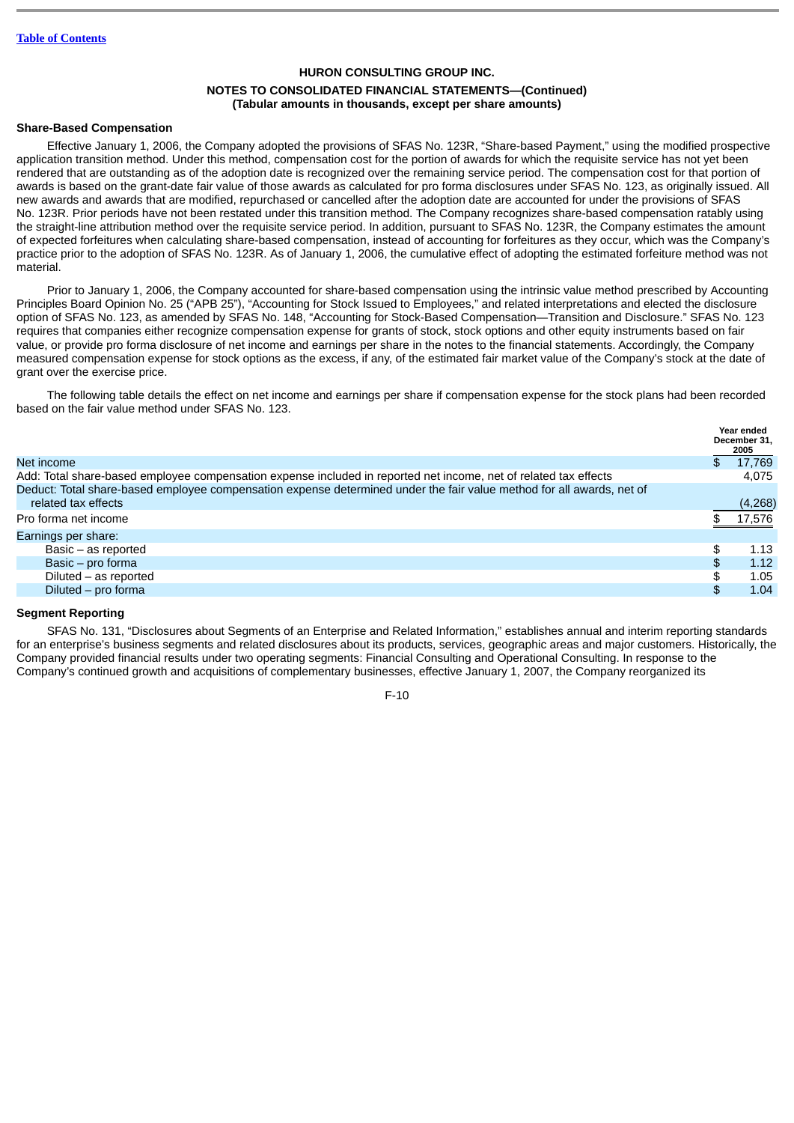# **HURON CONSULTING GROUP INC. NOTES TO CONSOLIDATED FINANCIAL STATEMENTS—(Continued) (Tabular amounts in thousands, except per share amounts)**

### **Share-Based Compensation**

Effective January 1, 2006, the Company adopted the provisions of SFAS No. 123R, "Share-based Payment," using the modified prospective application transition method. Under this method, compensation cost for the portion of awards for which the requisite service has not yet been rendered that are outstanding as of the adoption date is recognized over the remaining service period. The compensation cost for that portion of awards is based on the grant-date fair value of those awards as calculated for pro forma disclosures under SFAS No. 123, as originally issued. All new awards and awards that are modified, repurchased or cancelled after the adoption date are accounted for under the provisions of SFAS No. 123R. Prior periods have not been restated under this transition method. The Company recognizes share-based compensation ratably using the straight-line attribution method over the requisite service period. In addition, pursuant to SFAS No. 123R, the Company estimates the amount of expected forfeitures when calculating share-based compensation, instead of accounting for forfeitures as they occur, which was the Company's practice prior to the adoption of SFAS No. 123R. As of January 1, 2006, the cumulative effect of adopting the estimated forfeiture method was not material.

Prior to January 1, 2006, the Company accounted for share-based compensation using the intrinsic value method prescribed by Accounting Principles Board Opinion No. 25 ("APB 25"), "Accounting for Stock Issued to Employees," and related interpretations and elected the disclosure option of SFAS No. 123, as amended by SFAS No. 148, "Accounting for Stock-Based Compensation—Transition and Disclosure." SFAS No. 123 requires that companies either recognize compensation expense for grants of stock, stock options and other equity instruments based on fair value, or provide pro forma disclosure of net income and earnings per share in the notes to the financial statements. Accordingly, the Company measured compensation expense for stock options as the excess, if any, of the estimated fair market value of the Company's stock at the date of grant over the exercise price.

The following table details the effect on net income and earnings per share if compensation expense for the stock plans had been recorded based on the fair value method under SFAS No. 123.

|                                                                                                                                              |     | <b>Year ended</b><br>December 31,<br>2005 |
|----------------------------------------------------------------------------------------------------------------------------------------------|-----|-------------------------------------------|
| Net income                                                                                                                                   | \$. | 17,769                                    |
| Add: Total share-based employee compensation expense included in reported net income, net of related tax effects                             |     | 4.075                                     |
| Deduct: Total share-based employee compensation expense determined under the fair value method for all awards, net of<br>related tax effects |     | (4,268)                                   |
| Pro forma net income                                                                                                                         |     | 17,576                                    |
| Earnings per share:                                                                                                                          |     |                                           |
| Basic – as reported                                                                                                                          | \$  | 1.13                                      |
| Basic – pro forma                                                                                                                            | \$  | 1.12                                      |
| Diluted - as reported                                                                                                                        | \$  | 1.05                                      |
| Diluted - pro forma                                                                                                                          | \$  | 1.04                                      |

#### **Segment Reporting**

SFAS No. 131, "Disclosures about Segments of an Enterprise and Related Information," establishes annual and interim reporting standards for an enterprise's business segments and related disclosures about its products, services, geographic areas and major customers. Historically, the Company provided financial results under two operating segments: Financial Consulting and Operational Consulting. In response to the Company's continued growth and acquisitions of complementary businesses, effective January 1, 2007, the Company reorganized its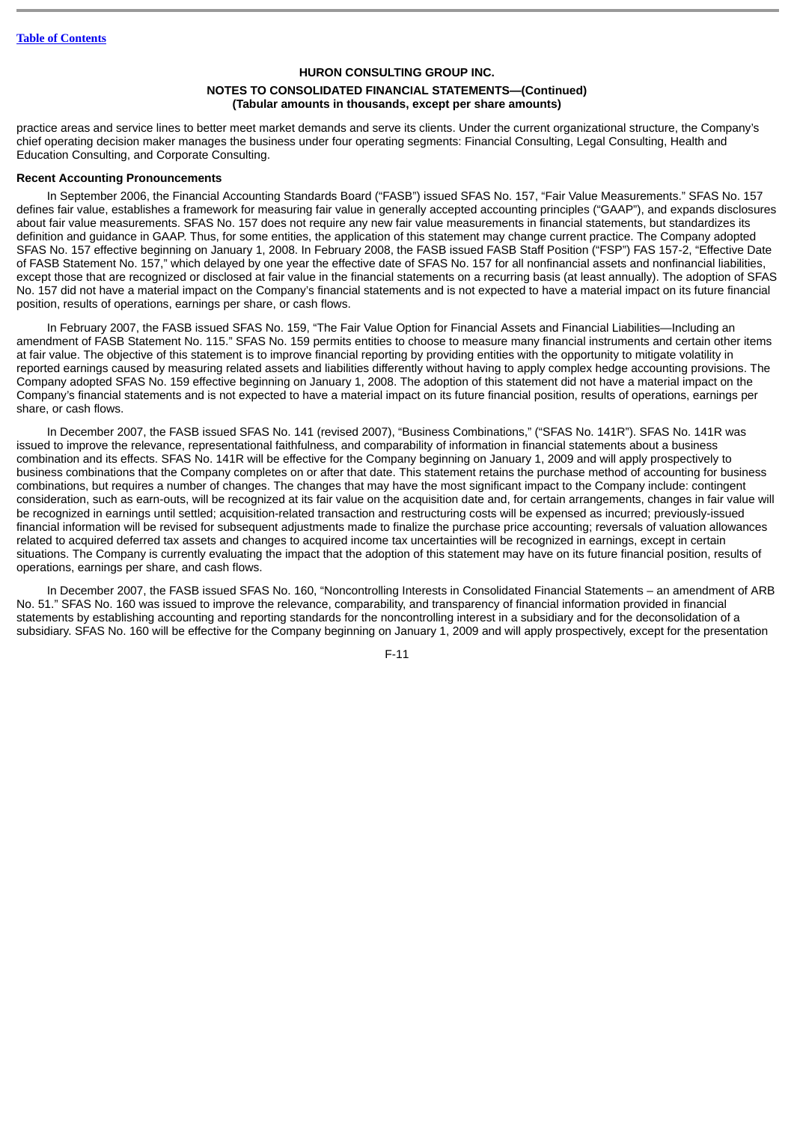## **NOTES TO CONSOLIDATED FINANCIAL STATEMENTS—(Continued) (Tabular amounts in thousands, except per share amounts)**

practice areas and service lines to better meet market demands and serve its clients. Under the current organizational structure, the Company's chief operating decision maker manages the business under four operating segments: Financial Consulting, Legal Consulting, Health and Education Consulting, and Corporate Consulting.

#### **Recent Accounting Pronouncements**

In September 2006, the Financial Accounting Standards Board ("FASB") issued SFAS No. 157, "Fair Value Measurements." SFAS No. 157 defines fair value, establishes a framework for measuring fair value in generally accepted accounting principles ("GAAP"), and expands disclosures about fair value measurements. SFAS No. 157 does not require any new fair value measurements in financial statements, but standardizes its definition and guidance in GAAP. Thus, for some entities, the application of this statement may change current practice. The Company adopted SFAS No. 157 effective beginning on January 1, 2008. In February 2008, the FASB issued FASB Staff Position ("FSP") FAS 157-2, "Effective Date of FASB Statement No. 157," which delayed by one year the effective date of SFAS No. 157 for all nonfinancial assets and nonfinancial liabilities, except those that are recognized or disclosed at fair value in the financial statements on a recurring basis (at least annually). The adoption of SFAS No. 157 did not have a material impact on the Company's financial statements and is not expected to have a material impact on its future financial position, results of operations, earnings per share, or cash flows.

In February 2007, the FASB issued SFAS No. 159, "The Fair Value Option for Financial Assets and Financial Liabilities—Including an amendment of FASB Statement No. 115." SFAS No. 159 permits entities to choose to measure many financial instruments and certain other items at fair value. The objective of this statement is to improve financial reporting by providing entities with the opportunity to mitigate volatility in reported earnings caused by measuring related assets and liabilities differently without having to apply complex hedge accounting provisions. The Company adopted SFAS No. 159 effective beginning on January 1, 2008. The adoption of this statement did not have a material impact on the Company's financial statements and is not expected to have a material impact on its future financial position, results of operations, earnings per share, or cash flows.

In December 2007, the FASB issued SFAS No. 141 (revised 2007), "Business Combinations," ("SFAS No. 141R"). SFAS No. 141R was issued to improve the relevance, representational faithfulness, and comparability of information in financial statements about a business combination and its effects. SFAS No. 141R will be effective for the Company beginning on January 1, 2009 and will apply prospectively to business combinations that the Company completes on or after that date. This statement retains the purchase method of accounting for business combinations, but requires a number of changes. The changes that may have the most significant impact to the Company include: contingent consideration, such as earn-outs, will be recognized at its fair value on the acquisition date and, for certain arrangements, changes in fair value will be recognized in earnings until settled; acquisition-related transaction and restructuring costs will be expensed as incurred; previously-issued financial information will be revised for subsequent adjustments made to finalize the purchase price accounting; reversals of valuation allowances related to acquired deferred tax assets and changes to acquired income tax uncertainties will be recognized in earnings, except in certain situations. The Company is currently evaluating the impact that the adoption of this statement may have on its future financial position, results of operations, earnings per share, and cash flows.

In December 2007, the FASB issued SFAS No. 160, "Noncontrolling Interests in Consolidated Financial Statements – an amendment of ARB No. 51." SFAS No. 160 was issued to improve the relevance, comparability, and transparency of financial information provided in financial statements by establishing accounting and reporting standards for the noncontrolling interest in a subsidiary and for the deconsolidation of a subsidiary. SFAS No. 160 will be effective for the Company beginning on January 1, 2009 and will apply prospectively, except for the presentation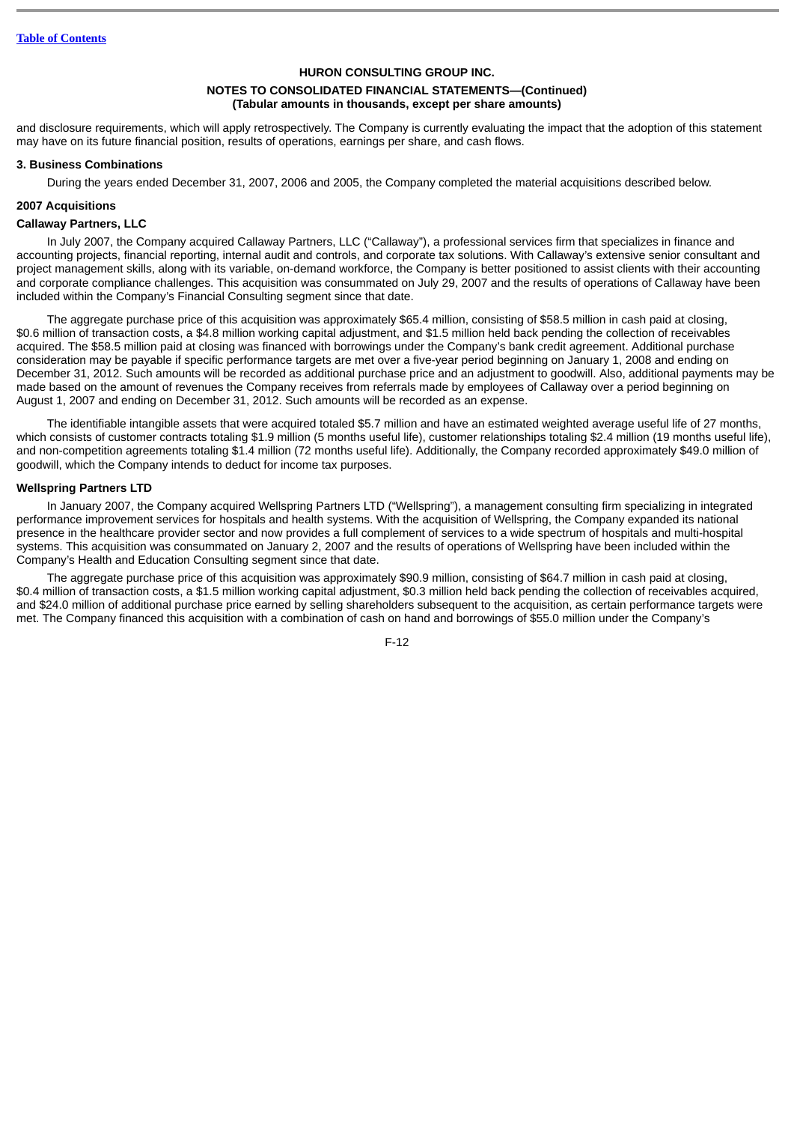## **NOTES TO CONSOLIDATED FINANCIAL STATEMENTS—(Continued) (Tabular amounts in thousands, except per share amounts)**

and disclosure requirements, which will apply retrospectively. The Company is currently evaluating the impact that the adoption of this statement may have on its future financial position, results of operations, earnings per share, and cash flows.

### **3. Business Combinations**

During the years ended December 31, 2007, 2006 and 2005, the Company completed the material acquisitions described below.

#### **2007 Acquisitions**

## **Callaway Partners, LLC**

In July 2007, the Company acquired Callaway Partners, LLC ("Callaway"), a professional services firm that specializes in finance and accounting projects, financial reporting, internal audit and controls, and corporate tax solutions. With Callaway's extensive senior consultant and project management skills, along with its variable, on-demand workforce, the Company is better positioned to assist clients with their accounting and corporate compliance challenges. This acquisition was consummated on July 29, 2007 and the results of operations of Callaway have been included within the Company's Financial Consulting segment since that date.

The aggregate purchase price of this acquisition was approximately \$65.4 million, consisting of \$58.5 million in cash paid at closing, \$0.6 million of transaction costs, a \$4.8 million working capital adjustment, and \$1.5 million held back pending the collection of receivables acquired. The \$58.5 million paid at closing was financed with borrowings under the Company's bank credit agreement. Additional purchase consideration may be payable if specific performance targets are met over a five-year period beginning on January 1, 2008 and ending on December 31, 2012. Such amounts will be recorded as additional purchase price and an adjustment to goodwill. Also, additional payments may be made based on the amount of revenues the Company receives from referrals made by employees of Callaway over a period beginning on August 1, 2007 and ending on December 31, 2012. Such amounts will be recorded as an expense.

The identifiable intangible assets that were acquired totaled \$5.7 million and have an estimated weighted average useful life of 27 months, which consists of customer contracts totaling \$1.9 million (5 months useful life), customer relationships totaling \$2.4 million (19 months useful life), and non-competition agreements totaling \$1.4 million (72 months useful life). Additionally, the Company recorded approximately \$49.0 million of goodwill, which the Company intends to deduct for income tax purposes.

### **Wellspring Partners LTD**

In January 2007, the Company acquired Wellspring Partners LTD ("Wellspring"), a management consulting firm specializing in integrated performance improvement services for hospitals and health systems. With the acquisition of Wellspring, the Company expanded its national presence in the healthcare provider sector and now provides a full complement of services to a wide spectrum of hospitals and multi-hospital systems. This acquisition was consummated on January 2, 2007 and the results of operations of Wellspring have been included within the Company's Health and Education Consulting segment since that date.

The aggregate purchase price of this acquisition was approximately \$90.9 million, consisting of \$64.7 million in cash paid at closing, \$0.4 million of transaction costs, a \$1.5 million working capital adjustment, \$0.3 million held back pending the collection of receivables acquired, and \$24.0 million of additional purchase price earned by selling shareholders subsequent to the acquisition, as certain performance targets were met. The Company financed this acquisition with a combination of cash on hand and borrowings of \$55.0 million under the Company's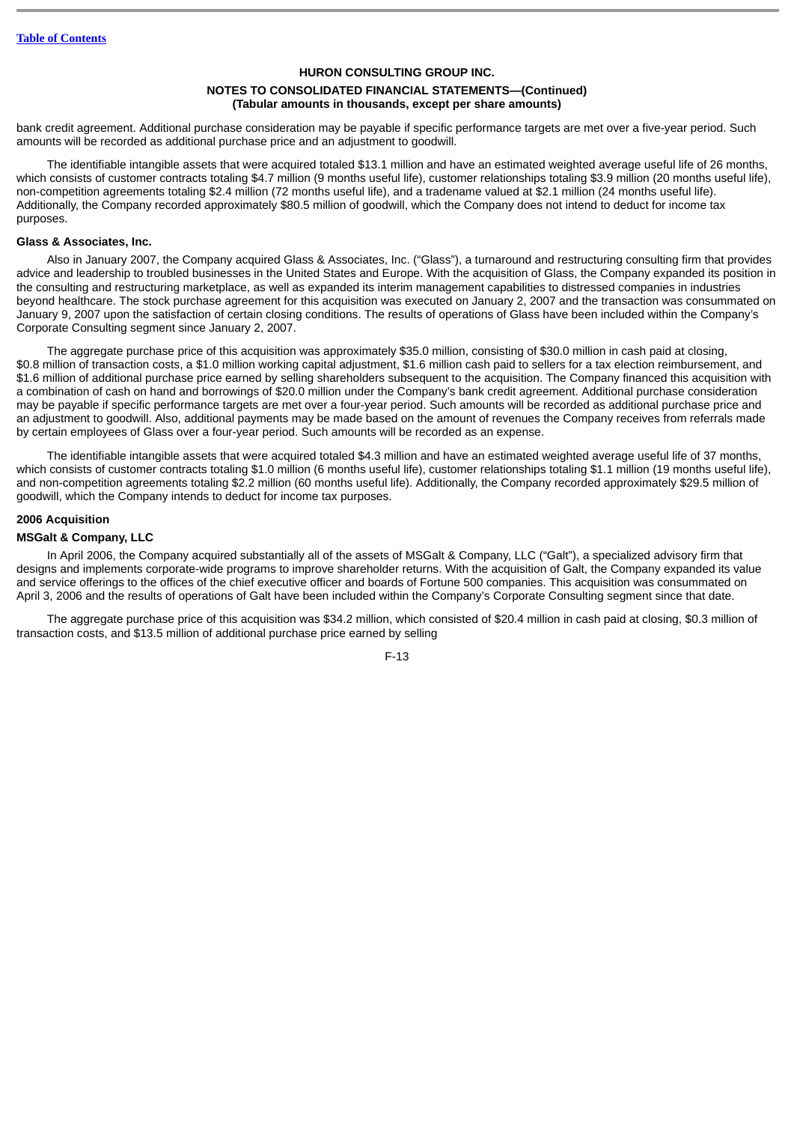## **NOTES TO CONSOLIDATED FINANCIAL STATEMENTS—(Continued) (Tabular amounts in thousands, except per share amounts)**

bank credit agreement. Additional purchase consideration may be payable if specific performance targets are met over a five-year period. Such amounts will be recorded as additional purchase price and an adjustment to goodwill.

The identifiable intangible assets that were acquired totaled \$13.1 million and have an estimated weighted average useful life of 26 months, which consists of customer contracts totaling \$4.7 million (9 months useful life), customer relationships totaling \$3.9 million (20 months useful life), non-competition agreements totaling \$2.4 million (72 months useful life), and a tradename valued at \$2.1 million (24 months useful life). Additionally, the Company recorded approximately \$80.5 million of goodwill, which the Company does not intend to deduct for income tax purposes.

### **Glass & Associates, Inc.**

Also in January 2007, the Company acquired Glass & Associates, Inc. ("Glass"), a turnaround and restructuring consulting firm that provides advice and leadership to troubled businesses in the United States and Europe. With the acquisition of Glass, the Company expanded its position in the consulting and restructuring marketplace, as well as expanded its interim management capabilities to distressed companies in industries beyond healthcare. The stock purchase agreement for this acquisition was executed on January 2, 2007 and the transaction was consummated on January 9, 2007 upon the satisfaction of certain closing conditions. The results of operations of Glass have been included within the Company's Corporate Consulting segment since January 2, 2007.

The aggregate purchase price of this acquisition was approximately \$35.0 million, consisting of \$30.0 million in cash paid at closing, \$0.8 million of transaction costs, a \$1.0 million working capital adjustment, \$1.6 million cash paid to sellers for a tax election reimbursement, and \$1.6 million of additional purchase price earned by selling shareholders subsequent to the acquisition. The Company financed this acquisition with a combination of cash on hand and borrowings of \$20.0 million under the Company's bank credit agreement. Additional purchase consideration may be payable if specific performance targets are met over a four-year period. Such amounts will be recorded as additional purchase price and an adjustment to goodwill. Also, additional payments may be made based on the amount of revenues the Company receives from referrals made by certain employees of Glass over a four-year period. Such amounts will be recorded as an expense.

The identifiable intangible assets that were acquired totaled \$4.3 million and have an estimated weighted average useful life of 37 months, which consists of customer contracts totaling \$1.0 million (6 months useful life), customer relationships totaling \$1.1 million (19 months useful life), and non-competition agreements totaling \$2.2 million (60 months useful life). Additionally, the Company recorded approximately \$29.5 million of goodwill, which the Company intends to deduct for income tax purposes.

## **2006 Acquisition**

### **MSGalt & Company, LLC**

In April 2006, the Company acquired substantially all of the assets of MSGalt & Company, LLC ("Galt"), a specialized advisory firm that designs and implements corporate-wide programs to improve shareholder returns. With the acquisition of Galt, the Company expanded its value and service offerings to the offices of the chief executive officer and boards of Fortune 500 companies. This acquisition was consummated on April 3. 2006 and the results of operations of Galt have been included within the Company's Corporate Consulting segment since that date.

The aggregate purchase price of this acquisition was \$34.2 million, which consisted of \$20.4 million in cash paid at closing, \$0.3 million of transaction costs, and \$13.5 million of additional purchase price earned by selling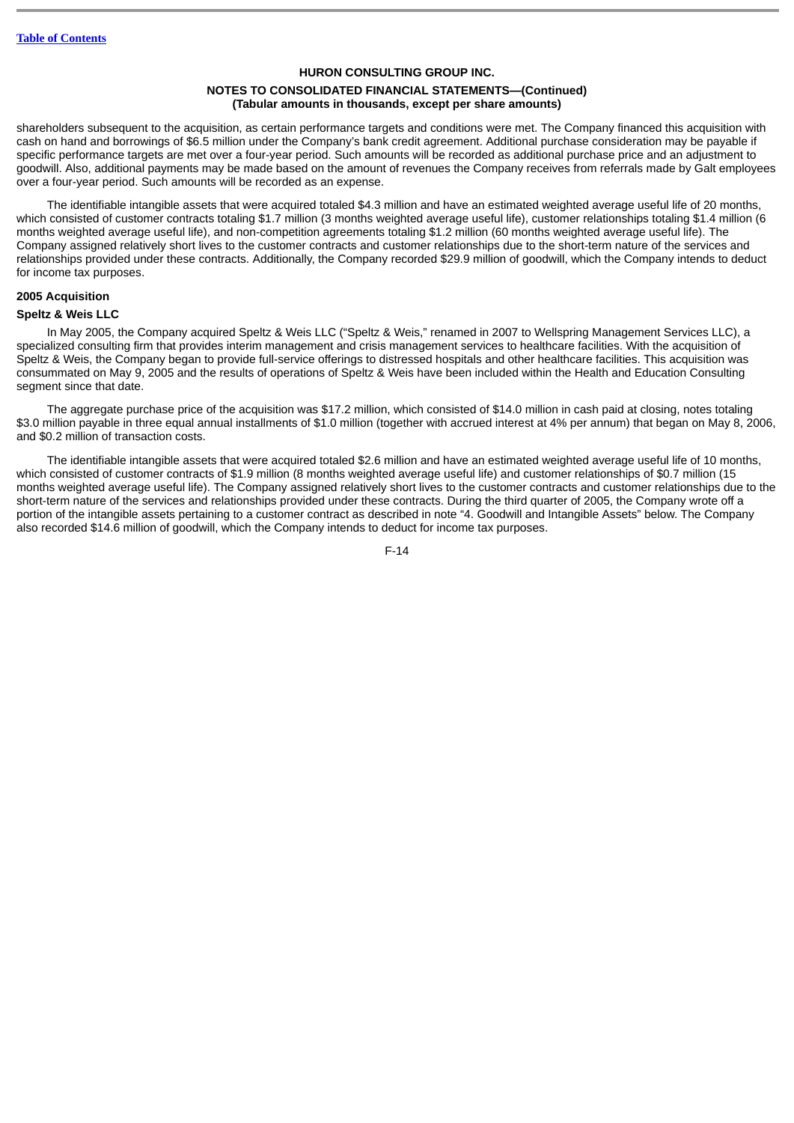## **NOTES TO CONSOLIDATED FINANCIAL STATEMENTS—(Continued) (Tabular amounts in thousands, except per share amounts)**

shareholders subsequent to the acquisition, as certain performance targets and conditions were met. The Company financed this acquisition with cash on hand and borrowings of \$6.5 million under the Company's bank credit agreement. Additional purchase consideration may be payable if specific performance targets are met over a four-year period. Such amounts will be recorded as additional purchase price and an adjustment to goodwill. Also, additional payments may be made based on the amount of revenues the Company receives from referrals made by Galt employees over a four-year period. Such amounts will be recorded as an expense.

The identifiable intangible assets that were acquired totaled \$4.3 million and have an estimated weighted average useful life of 20 months, which consisted of customer contracts totaling \$1.7 million (3 months weighted average useful life), customer relationships totaling \$1.4 million (6 months weighted average useful life), and non-competition agreements totaling \$1.2 million (60 months weighted average useful life). The Company assigned relatively short lives to the customer contracts and customer relationships due to the short-term nature of the services and relationships provided under these contracts. Additionally, the Company recorded \$29.9 million of goodwill, which the Company intends to deduct for income tax purposes.

## **2005 Acquisition**

### **Speltz & Weis LLC**

In May 2005, the Company acquired Speltz & Weis LLC ("Speltz & Weis," renamed in 2007 to Wellspring Management Services LLC), a specialized consulting firm that provides interim management and crisis management services to healthcare facilities. With the acquisition of Speltz & Weis, the Company began to provide full-service offerings to distressed hospitals and other healthcare facilities. This acquisition was consummated on May 9, 2005 and the results of operations of Speltz & Weis have been included within the Health and Education Consulting segment since that date.

The aggregate purchase price of the acquisition was \$17.2 million, which consisted of \$14.0 million in cash paid at closing, notes totaling \$3.0 million payable in three equal annual installments of \$1.0 million (together with accrued interest at 4% per annum) that began on May 8, 2006, and \$0.2 million of transaction costs.

The identifiable intangible assets that were acquired totaled \$2.6 million and have an estimated weighted average useful life of 10 months, which consisted of customer contracts of \$1.9 million (8 months weighted average useful life) and customer relationships of \$0.7 million (15 months weighted average useful life). The Company assigned relatively short lives to the customer contracts and customer relationships due to the short-term nature of the services and relationships provided under these contracts. During the third quarter of 2005, the Company wrote off a portion of the intangible assets pertaining to a customer contract as described in note "4. Goodwill and Intangible Assets" below. The Company also recorded \$14.6 million of goodwill, which the Company intends to deduct for income tax purposes.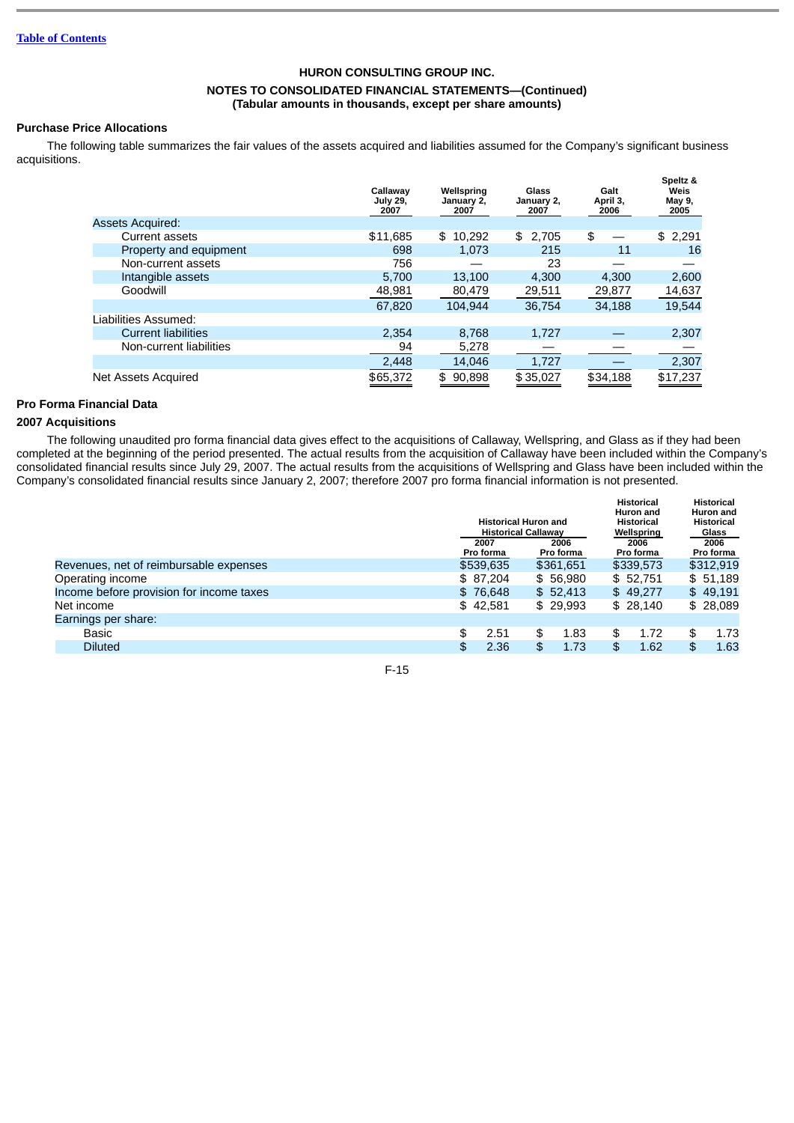# **HURON CONSULTING GROUP INC. NOTES TO CONSOLIDATED FINANCIAL STATEMENTS—(Continued) (Tabular amounts in thousands, except per share amounts)**

## **Purchase Price Allocations**

The following table summarizes the fair values of the assets acquired and liabilities assumed for the Company's significant business acquisitions.

|                            | Callaway<br><b>July 29,</b><br>2007 | Wellspring<br>January 2,<br>2007 | Glass<br>January 2,<br>2007 | Galt<br>April 3,<br>2006 | Speltz &<br>Weis<br>May 9,<br>2005 |
|----------------------------|-------------------------------------|----------------------------------|-----------------------------|--------------------------|------------------------------------|
| <b>Assets Acquired:</b>    |                                     |                                  |                             |                          |                                    |
| Current assets             | \$11,685                            | \$10.292                         | \$2.705                     | \$                       | \$2,291                            |
| Property and equipment     | 698                                 | 1.073                            | 215                         | 11                       | 16                                 |
| Non-current assets         | 756                                 |                                  | 23                          |                          |                                    |
| Intangible assets          | 5.700                               | 13.100                           | 4.300                       | 4.300                    | 2,600                              |
| Goodwill                   | 48,981                              | 80,479                           | 29,511                      | 29,877                   | 14,637                             |
|                            | 67.820                              | 104.944                          | 36.754                      | 34.188                   | 19.544                             |
| Liabilities Assumed:       |                                     |                                  |                             |                          |                                    |
| <b>Current liabilities</b> | 2.354                               | 8,768                            | 1,727                       |                          | 2,307                              |
| Non-current liabilities    | 94                                  | 5,278                            |                             |                          |                                    |
|                            | 2,448                               | 14,046                           | 1,727                       |                          | 2,307                              |
| Net Assets Acquired        | \$65,372                            | 90,898<br>\$                     | \$35,027                    | \$34,188                 | \$17,237                           |

## **Pro Forma Financial Data**

## **2007 Acquisitions**

The following unaudited pro forma financial data gives effect to the acquisitions of Callaway, Wellspring, and Glass as if they had been completed at the beginning of the period presented. The actual results from the acquisition of Callaway have been included within the Company's consolidated financial results since July 29, 2007. The actual results from the acquisitions of Wellspring and Glass have been included within the Company's consolidated financial results since January 2, 2007; therefore 2007 pro forma financial information is not presented.

|                                          | <b>Historical Huron and</b><br><b>Historical Callaway</b><br>2007<br>Pro forma | 2006<br>Pro forma | <b>Historical</b><br>Huron and<br><b>Historical</b><br>Wellspring<br>2006<br>Pro forma | <b>Historical</b><br>Huron and<br><b>Historical</b><br>Glass<br>2006<br>Pro forma |
|------------------------------------------|--------------------------------------------------------------------------------|-------------------|----------------------------------------------------------------------------------------|-----------------------------------------------------------------------------------|
| Revenues, net of reimbursable expenses   | \$539,635                                                                      | \$361,651         | \$339,573                                                                              | \$312,919                                                                         |
| Operating income                         | \$87,204                                                                       | \$56,980          | \$52,751                                                                               | \$51,189                                                                          |
| Income before provision for income taxes | \$76,648                                                                       | \$52,413          | \$49,277                                                                               | \$49,191                                                                          |
| Net income                               | \$42,581                                                                       | \$29,993          | \$28,140                                                                               | \$28,089                                                                          |
| Earnings per share:                      |                                                                                |                   |                                                                                        |                                                                                   |
| <b>Basic</b>                             | \$<br>2.51                                                                     | \$<br>1.83        | \$<br>1.72                                                                             | \$<br>1.73                                                                        |
| <b>Diluted</b>                           | \$<br>2.36                                                                     | \$<br>1.73        | \$<br>1.62                                                                             | \$<br>1.63                                                                        |
|                                          |                                                                                |                   |                                                                                        |                                                                                   |

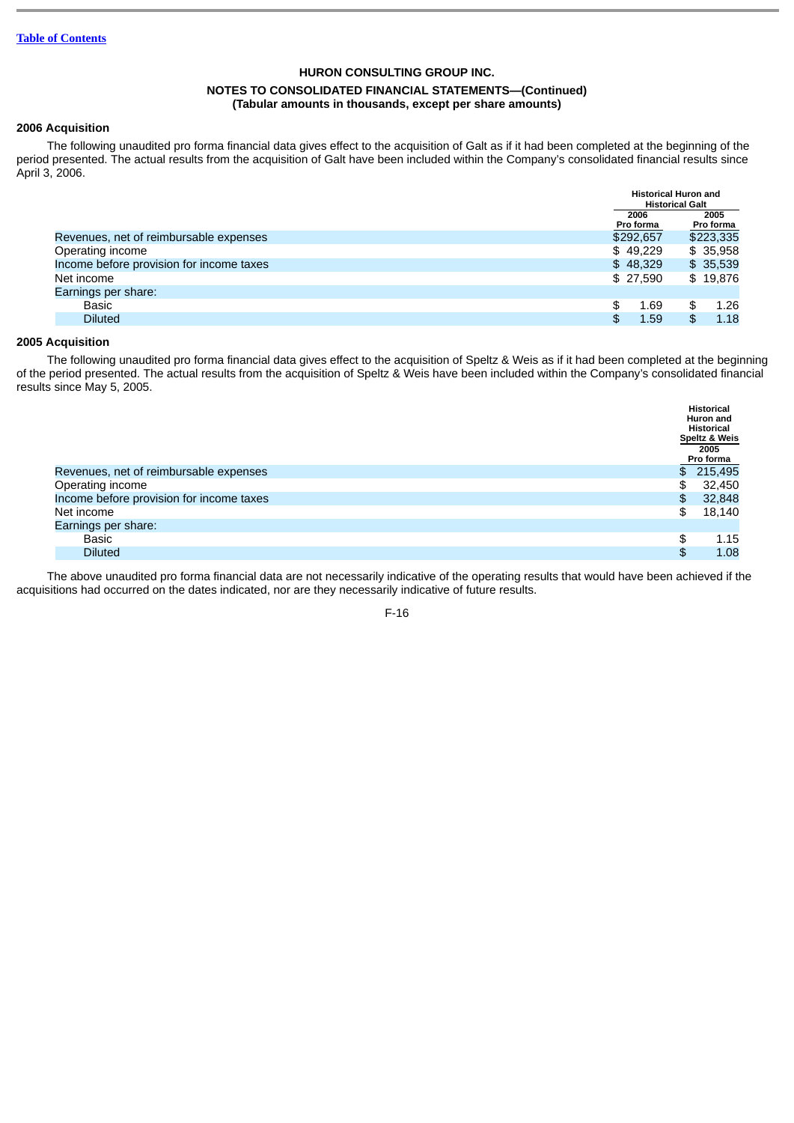## **NOTES TO CONSOLIDATED FINANCIAL STATEMENTS—(Continued) (Tabular amounts in thousands, except per share amounts)**

## **2006 Acquisition**

The following unaudited pro forma financial data gives effect to the acquisition of Galt as if it had been completed at the beginning of the period presented. The actual results from the acquisition of Galt have been included within the Company's consolidated financial results since April 3, 2006.

| <b>Historical Huron and</b><br><b>Historical Galt</b> |                   |  |
|-------------------------------------------------------|-------------------|--|
| 2006<br>Pro forma                                     | 2005<br>Pro forma |  |
| \$292,657                                             | \$223,335         |  |
| \$49.229                                              | \$35.958          |  |
| \$48,329                                              | \$35,539          |  |
| \$27.590                                              | \$19,876          |  |
|                                                       |                   |  |
| 1.69<br>\$.                                           | 1.26<br>\$.       |  |
| 1.59                                                  | 1.18              |  |
|                                                       |                   |  |

## **2005 Acquisition**

The following unaudited pro forma financial data gives effect to the acquisition of Speltz & Weis as if it had been completed at the beginning of the period presented. The actual results from the acquisition of Speltz & Weis have been included within the Company's consolidated financial results since May 5, 2005.

|                                          | <b>Historical</b><br><b>Huron</b> and<br><b>Historical</b><br><b>Speltz &amp; Weis</b><br>2005<br>Pro forma |
|------------------------------------------|-------------------------------------------------------------------------------------------------------------|
| Revenues, net of reimbursable expenses   | \$215,495                                                                                                   |
| Operating income                         | \$<br>32,450                                                                                                |
| Income before provision for income taxes | \$<br>32,848                                                                                                |
| Net income                               | \$<br>18,140                                                                                                |
| Earnings per share:                      |                                                                                                             |
| Basic                                    | \$<br>1.15                                                                                                  |
| <b>Diluted</b>                           | \$<br>1.08                                                                                                  |

The above unaudited pro forma financial data are not necessarily indicative of the operating results that would have been achieved if the acquisitions had occurred on the dates indicated, nor are they necessarily indicative of future results.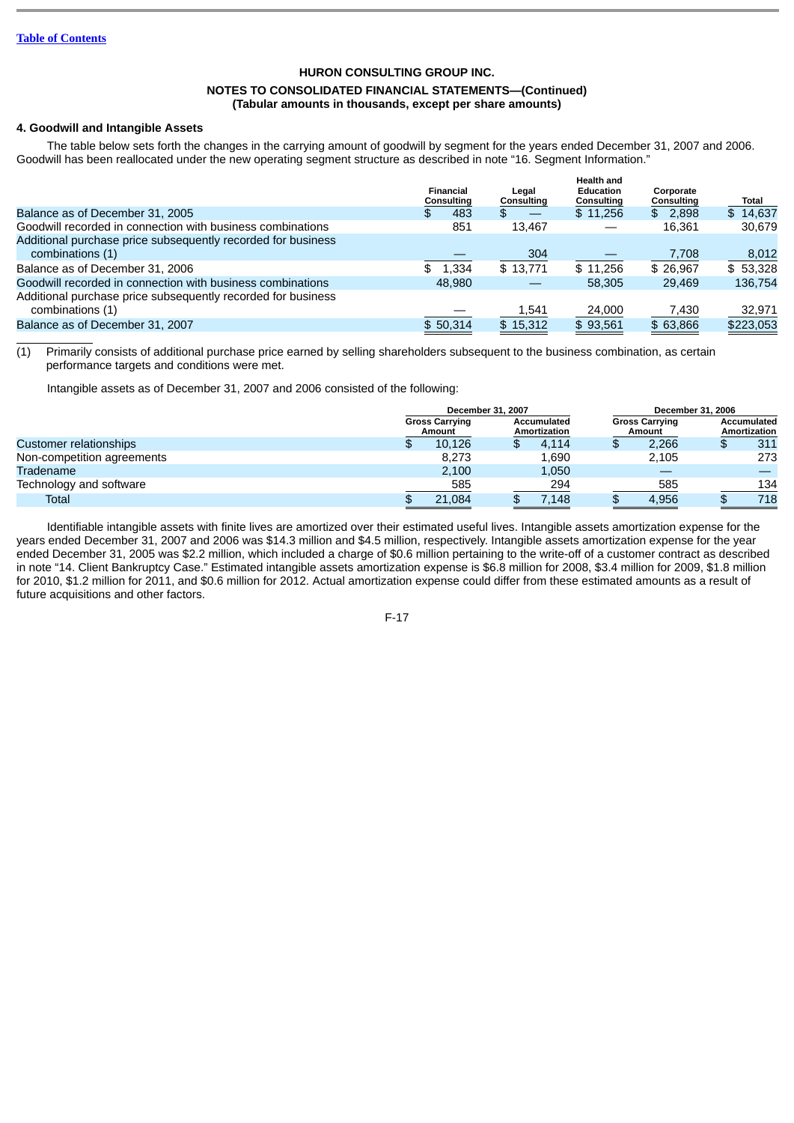## **HURON CONSULTING GROUP INC. NOTES TO CONSOLIDATED FINANCIAL STATEMENTS—(Continued) (Tabular amounts in thousands, except per share amounts)**

# **4. Goodwill and Intangible Assets**

The table below sets forth the changes in the carrying amount of goodwill by segment for the years ended December 31, 2007 and 2006. Goodwill has been reallocated under the new operating segment structure as described in note "16. Segment Information."

| <b>Financial</b> | Legal<br>Consulting | <b>Education</b><br>Consulting                          | Corporate<br>Consulting | Total     |
|------------------|---------------------|---------------------------------------------------------|-------------------------|-----------|
| £.               | \$.                 | \$11.256                                                | \$2,898                 | \$14,637  |
|                  | 13,467              |                                                         | 16.361                  | 30.679    |
|                  | 304                 |                                                         | 7,708                   | 8,012     |
|                  | \$13.771            | \$11.256                                                | \$26.967                | \$53.328  |
|                  |                     | 58.305                                                  | 29.469                  | 136.754   |
|                  |                     |                                                         |                         |           |
|                  | 1,541               | 24,000                                                  | 7,430                   | 32,971    |
|                  | \$15.312            | \$93,561                                                | \$63,866                | \$223,053 |
|                  |                     | Consulting<br>483<br>851<br>1.334<br>48,980<br>\$50.314 |                         |           |

(1) Primarily consists of additional purchase price earned by selling shareholders subsequent to the business combination, as certain performance targets and conditions were met.

Intangible assets as of December 31, 2007 and 2006 consisted of the following:

|                            |                                 | December 31, 2007           |                                 | December 31, 2006           |  |  |  |
|----------------------------|---------------------------------|-----------------------------|---------------------------------|-----------------------------|--|--|--|
|                            | <b>Gross Carrying</b><br>Amount | Accumulated<br>Amortization | <b>Gross Carrying</b><br>Amount | Accumulated<br>Amortization |  |  |  |
| Customer relationships     | 10.126                          | 4.114                       | 2.266                           | 311                         |  |  |  |
| Non-competition agreements | 8.273                           | 1.690                       | 2,105                           | 273                         |  |  |  |
| Tradename                  | 2,100                           | 1,050                       |                                 |                             |  |  |  |
| Technology and software    | 585                             | 294                         | 585                             | 134                         |  |  |  |
| Total                      | 21.084                          | .148                        | 4.956                           | 718                         |  |  |  |

Identifiable intangible assets with finite lives are amortized over their estimated useful lives. Intangible assets amortization expense for the years ended December 31, 2007 and 2006 was \$14.3 million and \$4.5 million, respectively. Intangible assets amortization expense for the year ended December 31, 2005 was \$2.2 million, which included a charge of \$0.6 million pertaining to the write-off of a customer contract as described in note "14. Client Bankruptcy Case." Estimated intangible assets amortization expense is \$6.8 million for 2008, \$3.4 million for 2009, \$1.8 million for 2010, \$1.2 million for 2011, and \$0.6 million for 2012. Actual amortization expense could differ from these estimated amounts as a result of future acquisitions and other factors.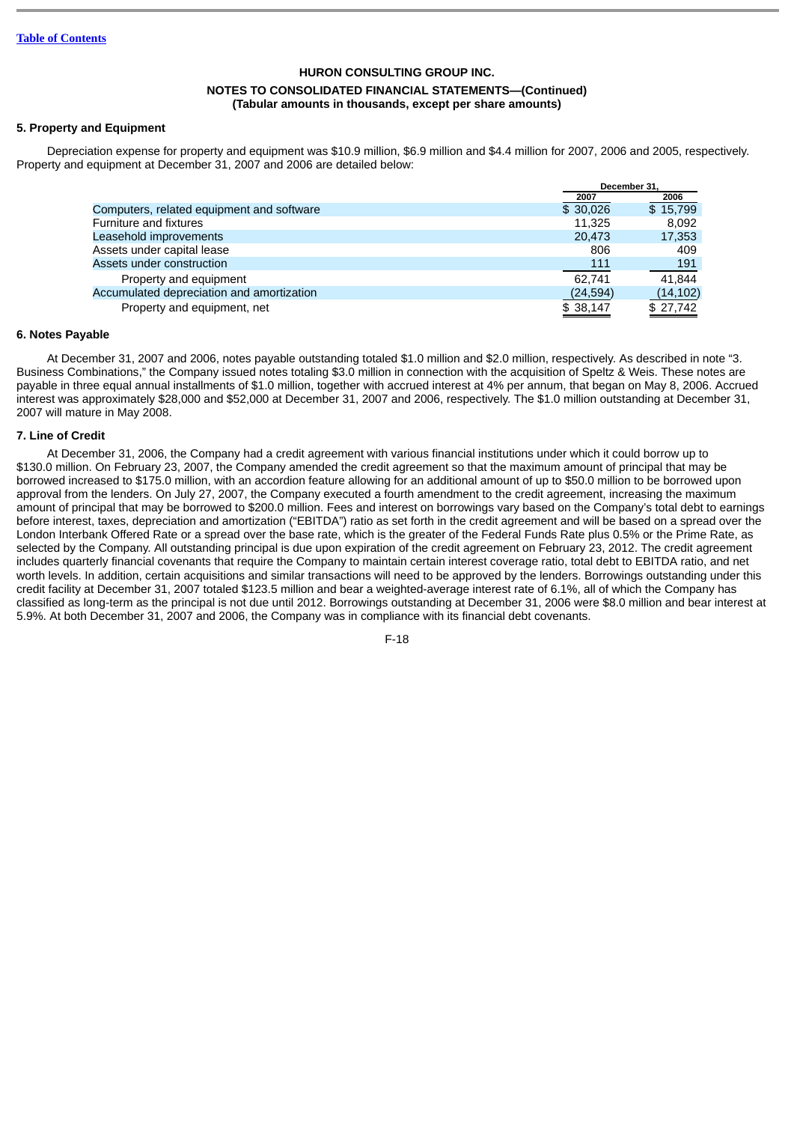### **NOTES TO CONSOLIDATED FINANCIAL STATEMENTS—(Continued) (Tabular amounts in thousands, except per share amounts)**

## **5. Property and Equipment**

Depreciation expense for property and equipment was \$10.9 million, \$6.9 million and \$4.4 million for 2007, 2006 and 2005, respectively. Property and equipment at December 31, 2007 and 2006 are detailed below:

|                                           |           | December 31, |
|-------------------------------------------|-----------|--------------|
|                                           | 2007      | 2006         |
| Computers, related equipment and software | \$30,026  | \$15.799     |
| Furniture and fixtures                    | 11.325    | 8.092        |
| Leasehold improvements                    | 20,473    | 17,353       |
| Assets under capital lease                | 806       | 409          |
| Assets under construction                 | 111       | 191          |
| Property and equipment                    | 62.741    | 41.844       |
| Accumulated depreciation and amortization | (24, 594) | (14, 102)    |
| Property and equipment, net               | \$38,147  | \$27,742     |
|                                           |           |              |

## **6. Notes Payable**

At December 31, 2007 and 2006, notes payable outstanding totaled \$1.0 million and \$2.0 million, respectively. As described in note "3. Business Combinations," the Company issued notes totaling \$3.0 million in connection with the acquisition of Speltz & Weis. These notes are payable in three equal annual installments of \$1.0 million, together with accrued interest at 4% per annum, that began on May 8, 2006. Accrued interest was approximately \$28,000 and \$52,000 at December 31, 2007 and 2006, respectively. The \$1.0 million outstanding at December 31, 2007 will mature in May 2008.

### **7. Line of Credit**

At December 31, 2006, the Company had a credit agreement with various financial institutions under which it could borrow up to \$130.0 million. On February 23, 2007, the Company amended the credit agreement so that the maximum amount of principal that may be borrowed increased to \$175.0 million, with an accordion feature allowing for an additional amount of up to \$50.0 million to be borrowed upon approval from the lenders. On July 27, 2007, the Company executed a fourth amendment to the credit agreement, increasing the maximum amount of principal that may be borrowed to \$200.0 million. Fees and interest on borrowings vary based on the Company's total debt to earnings before interest, taxes, depreciation and amortization ("EBITDA") ratio as set forth in the credit agreement and will be based on a spread over the London Interbank Offered Rate or a spread over the base rate, which is the greater of the Federal Funds Rate plus 0.5% or the Prime Rate, as selected by the Company. All outstanding principal is due upon expiration of the credit agreement on February 23, 2012. The credit agreement includes quarterly financial covenants that require the Company to maintain certain interest coverage ratio, total debt to EBITDA ratio, and net worth levels. In addition, certain acquisitions and similar transactions will need to be approved by the lenders. Borrowings outstanding under this credit facility at December 31, 2007 totaled \$123.5 million and bear a weighted-average interest rate of 6.1%, all of which the Company has classified as long-term as the principal is not due until 2012. Borrowings outstanding at December 31, 2006 were \$8.0 million and bear interest at 5.9%. At both December 31, 2007 and 2006, the Company was in compliance with its financial debt covenants.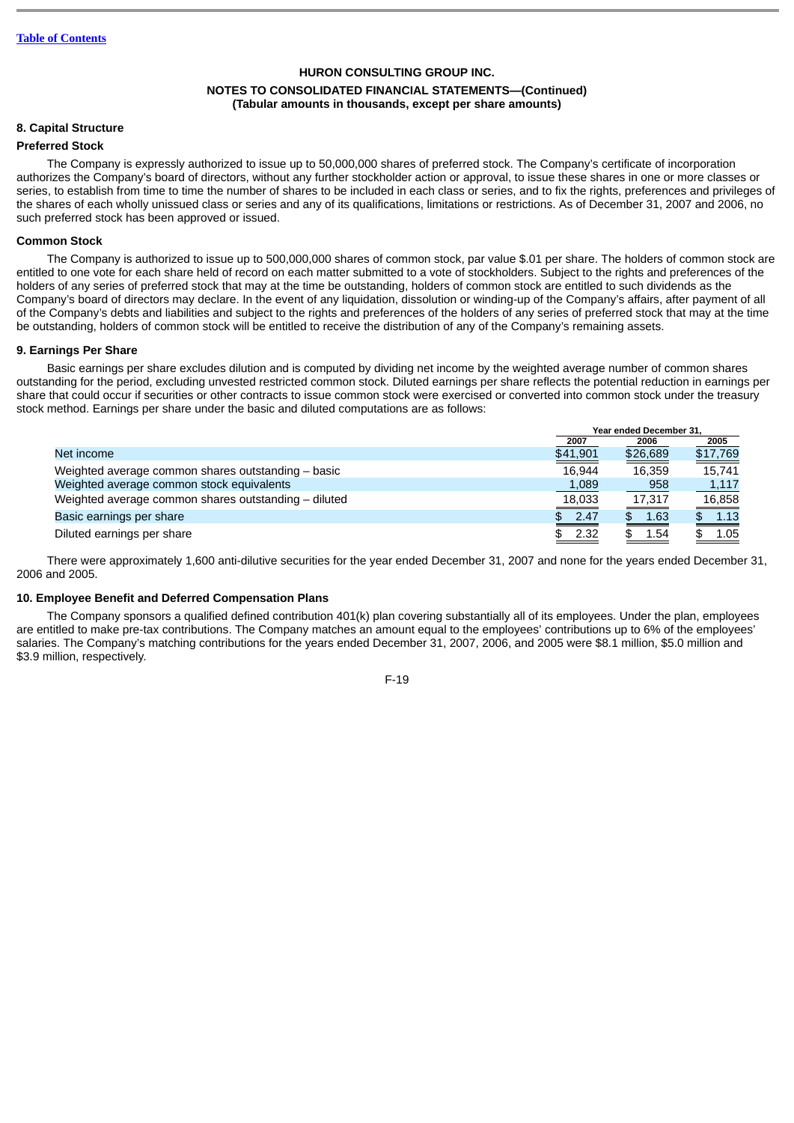# **HURON CONSULTING GROUP INC. NOTES TO CONSOLIDATED FINANCIAL STATEMENTS—(Continued) (Tabular amounts in thousands, except per share amounts)**

## **8. Capital Structure**

### **Preferred Stock**

The Company is expressly authorized to issue up to 50,000,000 shares of preferred stock. The Company's certificate of incorporation authorizes the Company's board of directors, without any further stockholder action or approval, to issue these shares in one or more classes or series, to establish from time to time the number of shares to be included in each class or series, and to fix the rights, preferences and privileges of the shares of each wholly unissued class or series and any of its qualifications, limitations or restrictions. As of December 31, 2007 and 2006, no such preferred stock has been approved or issued.

### **Common Stock**

The Company is authorized to issue up to 500,000,000 shares of common stock, par value \$.01 per share. The holders of common stock are entitled to one vote for each share held of record on each matter submitted to a vote of stockholders. Subject to the rights and preferences of the holders of any series of preferred stock that may at the time be outstanding, holders of common stock are entitled to such dividends as the Company's board of directors may declare. In the event of any liquidation, dissolution or winding-up of the Company's affairs, after payment of all of the Company's debts and liabilities and subject to the rights and preferences of the holders of any series of preferred stock that may at the time be outstanding, holders of common stock will be entitled to receive the distribution of any of the Company's remaining assets.

## **9. Earnings Per Share**

Basic earnings per share excludes dilution and is computed by dividing net income by the weighted average number of common shares outstanding for the period, excluding unvested restricted common stock. Diluted earnings per share reflects the potential reduction in earnings per share that could occur if securities or other contracts to issue common stock were exercised or converted into common stock under the treasury stock method. Earnings per share under the basic and diluted computations are as follows:

|                                                      |                                                                                                                                                | Year ended December 31. |            |  |
|------------------------------------------------------|------------------------------------------------------------------------------------------------------------------------------------------------|-------------------------|------------|--|
|                                                      | 2007                                                                                                                                           | 2006                    | 2005       |  |
| Net income                                           | \$41,901                                                                                                                                       | \$26,689                | \$17,769   |  |
| Weighted average common shares outstanding – basic   | 16.944                                                                                                                                         | 16.359                  | 15,741     |  |
| Weighted average common stock equivalents            | 1,089                                                                                                                                          | 958                     | 1,117      |  |
| Weighted average common shares outstanding – diluted | 18,033                                                                                                                                         | 17,317                  | 16,858     |  |
| Basic earnings per share                             | 2.47<br>$\mathcal{F}$<br><u> Tanzania de la contenentación de la contenentación de la contenentación de la contenentación de la contenenta</u> | 1.63<br>\$.             | 1.13<br>£. |  |
| Diluted earnings per share                           | 2.32                                                                                                                                           | 1.54                    | 1.05       |  |

There were approximately 1,600 anti-dilutive securities for the year ended December 31, 2007 and none for the years ended December 31, 2006 and 2005.

## **10. Employee Benefit and Deferred Compensation Plans**

The Company sponsors a qualified defined contribution 401(k) plan covering substantially all of its employees. Under the plan, employees are entitled to make pre-tax contributions. The Company matches an amount equal to the employees' contributions up to 6% of the employees' salaries. The Company's matching contributions for the years ended December 31, 2007, 2006, and 2005 were \$8.1 million, \$5.0 million and \$3.9 million, respectively.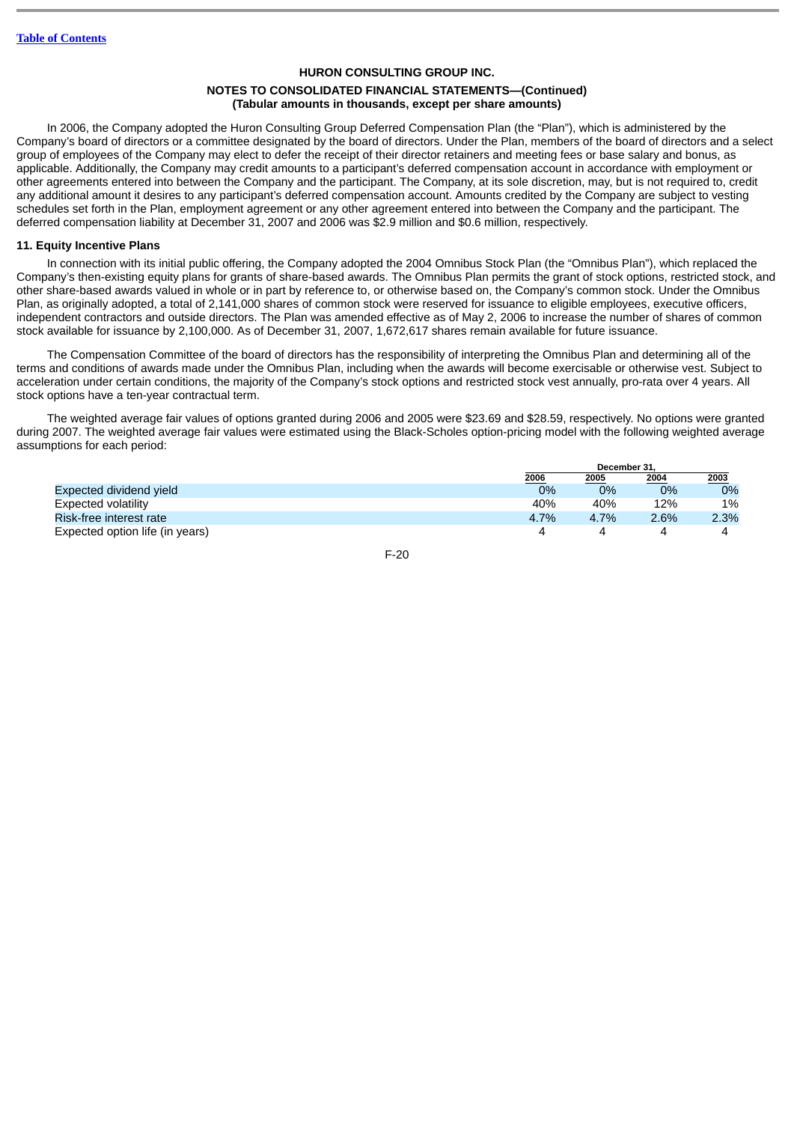## **NOTES TO CONSOLIDATED FINANCIAL STATEMENTS—(Continued) (Tabular amounts in thousands, except per share amounts)**

In 2006, the Company adopted the Huron Consulting Group Deferred Compensation Plan (the "Plan"), which is administered by the Company's board of directors or a committee designated by the board of directors. Under the Plan, members of the board of directors and a select group of employees of the Company may elect to defer the receipt of their director retainers and meeting fees or base salary and bonus, as applicable. Additionally, the Company may credit amounts to a participant's deferred compensation account in accordance with employment or other agreements entered into between the Company and the participant. The Company, at its sole discretion, may, but is not required to, credit any additional amount it desires to any participant's deferred compensation account. Amounts credited by the Company are subject to vesting schedules set forth in the Plan, employment agreement or any other agreement entered into between the Company and the participant. The deferred compensation liability at December 31, 2007 and 2006 was \$2.9 million and \$0.6 million, respectively.

#### **11. Equity Incentive Plans**

In connection with its initial public offering, the Company adopted the 2004 Omnibus Stock Plan (the "Omnibus Plan"), which replaced the Company's then-existing equity plans for grants of share-based awards. The Omnibus Plan permits the grant of stock options, restricted stock, and other share-based awards valued in whole or in part by reference to, or otherwise based on, the Company's common stock. Under the Omnibus Plan, as originally adopted, a total of 2,141,000 shares of common stock were reserved for issuance to eligible employees, executive officers, independent contractors and outside directors. The Plan was amended effective as of May 2, 2006 to increase the number of shares of common stock available for issuance by 2,100,000. As of December 31, 2007, 1,672,617 shares remain available for future issuance.

The Compensation Committee of the board of directors has the responsibility of interpreting the Omnibus Plan and determining all of the terms and conditions of awards made under the Omnibus Plan, including when the awards will become exercisable or otherwise vest. Subject to acceleration under certain conditions, the majority of the Company's stock options and restricted stock vest annually, pro-rata over 4 years. All stock options have a ten-year contractual term.

The weighted average fair values of options granted during 2006 and 2005 were \$23.69 and \$28.59, respectively. No options were granted during 2007. The weighted average fair values were estimated using the Black-Scholes option-pricing model with the following weighted average assumptions for each period:

|                                 |      | ------------ |      |      |  |
|---------------------------------|------|--------------|------|------|--|
|                                 | 2006 | 2005         | 2004 | 2003 |  |
| Expected dividend yield         | 0%   | 0%           | 0%   | 0%   |  |
| <b>Expected volatility</b>      | 40%  | 40%          | 12%  | 1%   |  |
| Risk-free interest rate         | 4.7% | 4.7%         | 2.6% | 2.3% |  |
| Expected option life (in years) |      |              |      |      |  |

**December 31,**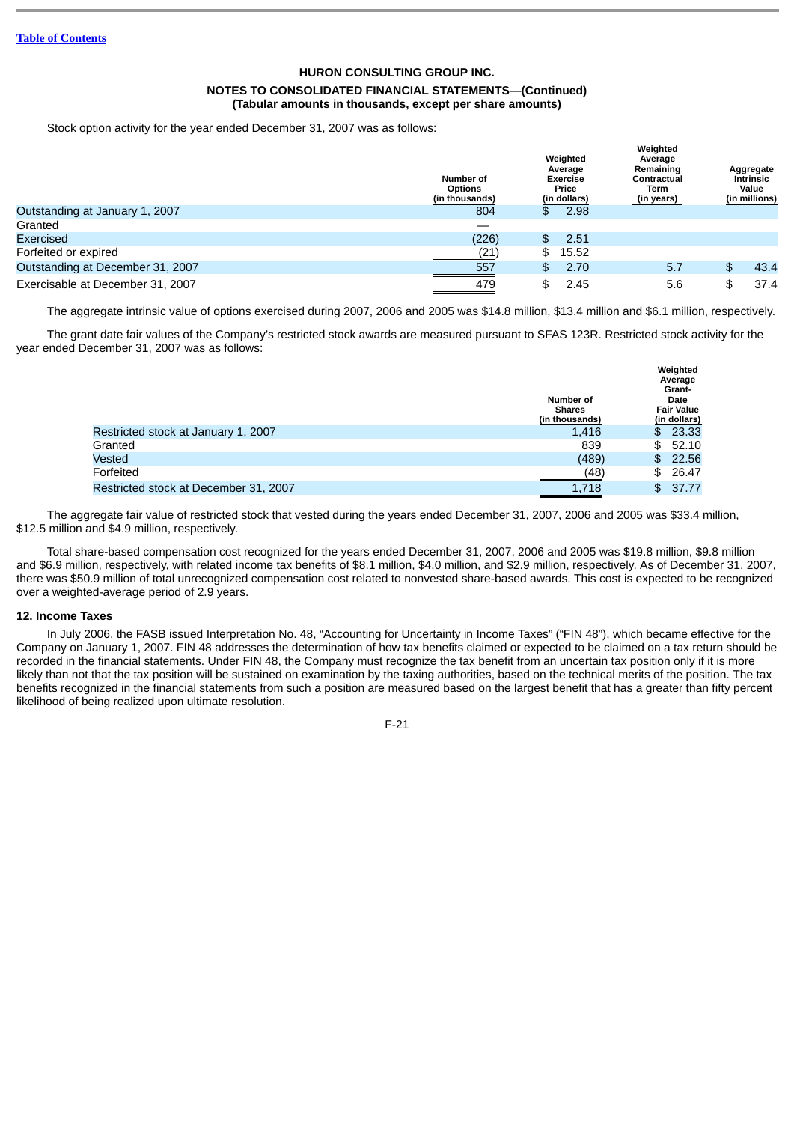# **HURON CONSULTING GROUP INC. NOTES TO CONSOLIDATED FINANCIAL STATEMENTS—(Continued) (Tabular amounts in thousands, except per share amounts)**

Stock option activity for the year ended December 31, 2007 was as follows:

|                                  | Number of<br><b>Options</b><br>(in thousands) | Weighted<br>Average<br>Exercise<br>Price<br>(in dollars) | Weighted<br>Average<br>Remaining<br>Contractual<br>Term<br>(in years) | Aggregate<br><b>Intrinsic</b><br>Value<br>(in millions) |      |
|----------------------------------|-----------------------------------------------|----------------------------------------------------------|-----------------------------------------------------------------------|---------------------------------------------------------|------|
| Outstanding at January 1, 2007   | 804                                           | 2.98<br>\$.                                              |                                                                       |                                                         |      |
| Granted                          |                                               |                                                          |                                                                       |                                                         |      |
| Exercised                        | (226)                                         | 2.51<br>\$                                               |                                                                       |                                                         |      |
| Forfeited or expired             | (21)                                          | \$15.52                                                  |                                                                       |                                                         |      |
| Outstanding at December 31, 2007 | 557                                           | 2.70<br>\$                                               | 5.7                                                                   | \$                                                      | 43.4 |
| Exercisable at December 31, 2007 | 479                                           | 2.45<br>\$                                               | 5.6                                                                   | \$                                                      | 37.4 |

The aggregate intrinsic value of options exercised during 2007, 2006 and 2005 was \$14.8 million, \$13.4 million and \$6.1 million, respectively.

The grant date fair values of the Company's restricted stock awards are measured pursuant to SFAS 123R. Restricted stock activity for the year ended December 31, 2007 was as follows:

|                                       | Number of<br><b>Shares</b><br>(in thousands) | Weighted<br>Average<br>Grant-<br>Date<br><b>Fair Value</b><br>(in dollars) |
|---------------------------------------|----------------------------------------------|----------------------------------------------------------------------------|
| Restricted stock at January 1, 2007   | 1,416                                        | 23.33<br>\$.                                                               |
| Granted                               | 839                                          | 52.10<br>\$.                                                               |
| Vested                                | (489)                                        | 22.56<br>\$.                                                               |
| Forfeited                             | (48)                                         | 26.47<br>\$                                                                |
| Restricted stock at December 31, 2007 | 1,718                                        | 37.77<br>\$.                                                               |

The aggregate fair value of restricted stock that vested during the years ended December 31, 2007, 2006 and 2005 was \$33.4 million, \$12.5 million and \$4.9 million, respectively.

Total share-based compensation cost recognized for the years ended December 31, 2007, 2006 and 2005 was \$19.8 million, \$9.8 million and \$6.9 million, respectively, with related income tax benefits of \$8.1 million, \$4.0 million, and \$2.9 million, respectively. As of December 31, 2007, there was \$50.9 million of total unrecognized compensation cost related to nonvested share-based awards. This cost is expected to be recognized over a weighted-average period of 2.9 years.

#### **12. Income Taxes**

In July 2006, the FASB issued Interpretation No. 48, "Accounting for Uncertainty in Income Taxes" ("FIN 48"), which became effective for the Company on January 1, 2007. FIN 48 addresses the determination of how tax benefits claimed or expected to be claimed on a tax return should be recorded in the financial statements. Under FIN 48, the Company must recognize the tax benefit from an uncertain tax position only if it is more likely than not that the tax position will be sustained on examination by the taxing authorities, based on the technical merits of the position. The tax benefits recognized in the financial statements from such a position are measured based on the largest benefit that has a greater than fifty percent likelihood of being realized upon ultimate resolution.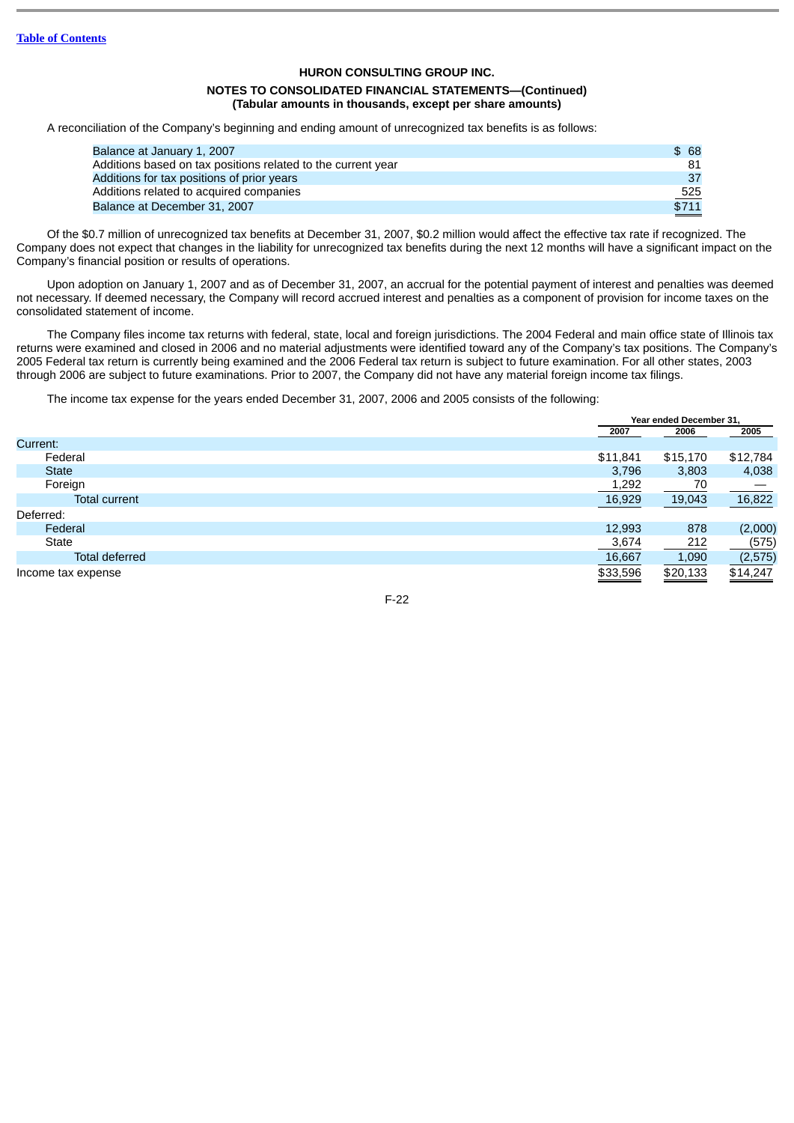## **NOTES TO CONSOLIDATED FINANCIAL STATEMENTS—(Continued) (Tabular amounts in thousands, except per share amounts)**

A reconciliation of the Company's beginning and ending amount of unrecognized tax benefits is as follows:

| Balance at January 1, 2007                                   | \$68                        |
|--------------------------------------------------------------|-----------------------------|
| Additions based on tax positions related to the current year | 81                          |
| Additions for tax positions of prior years                   | 37                          |
| Additions related to acquired companies                      | 525<br>$\sim$ $\sim$ $\sim$ |
| Balance at December 31, 2007                                 | \$711                       |

Of the \$0.7 million of unrecognized tax benefits at December 31, 2007, \$0.2 million would affect the effective tax rate if recognized. The Company does not expect that changes in the liability for unrecognized tax benefits during the next 12 months will have a significant impact on the Company's financial position or results of operations.

Upon adoption on January 1, 2007 and as of December 31, 2007, an accrual for the potential payment of interest and penalties was deemed not necessary. If deemed necessary, the Company will record accrued interest and penalties as a component of provision for income taxes on the consolidated statement of income.

The Company files income tax returns with federal, state, local and foreign jurisdictions. The 2004 Federal and main office state of Illinois tax returns were examined and closed in 2006 and no material adjustments were identified toward any of the Company's tax positions. The Company's 2005 Federal tax return is currently being examined and the 2006 Federal tax return is subject to future examination. For all other states, 2003 through 2006 are subject to future examinations. Prior to 2007, the Company did not have any material foreign income tax filings.

The income tax expense for the years ended December 31, 2007, 2006 and 2005 consists of the following:

|                       |          | Year ended December 31. |          |  |  |  |
|-----------------------|----------|-------------------------|----------|--|--|--|
|                       | 2007     | 2006                    | 2005     |  |  |  |
| Current:              |          |                         |          |  |  |  |
| Federal               | \$11,841 | \$15,170                | \$12,784 |  |  |  |
| <b>State</b>          | 3,796    | 3,803                   | 4,038    |  |  |  |
| Foreign               | 1,292    | 70                      |          |  |  |  |
| <b>Total current</b>  | 16,929   | 19,043                  | 16,822   |  |  |  |
| Deferred:             |          |                         |          |  |  |  |
| Federal               | 12,993   | 878                     | (2,000)  |  |  |  |
| <b>State</b>          | 3,674    | 212                     | (575)    |  |  |  |
| <b>Total deferred</b> | 16,667   | 1,090                   | (2,575)  |  |  |  |
| Income tax expense    | \$33,596 | \$20,133                | \$14,247 |  |  |  |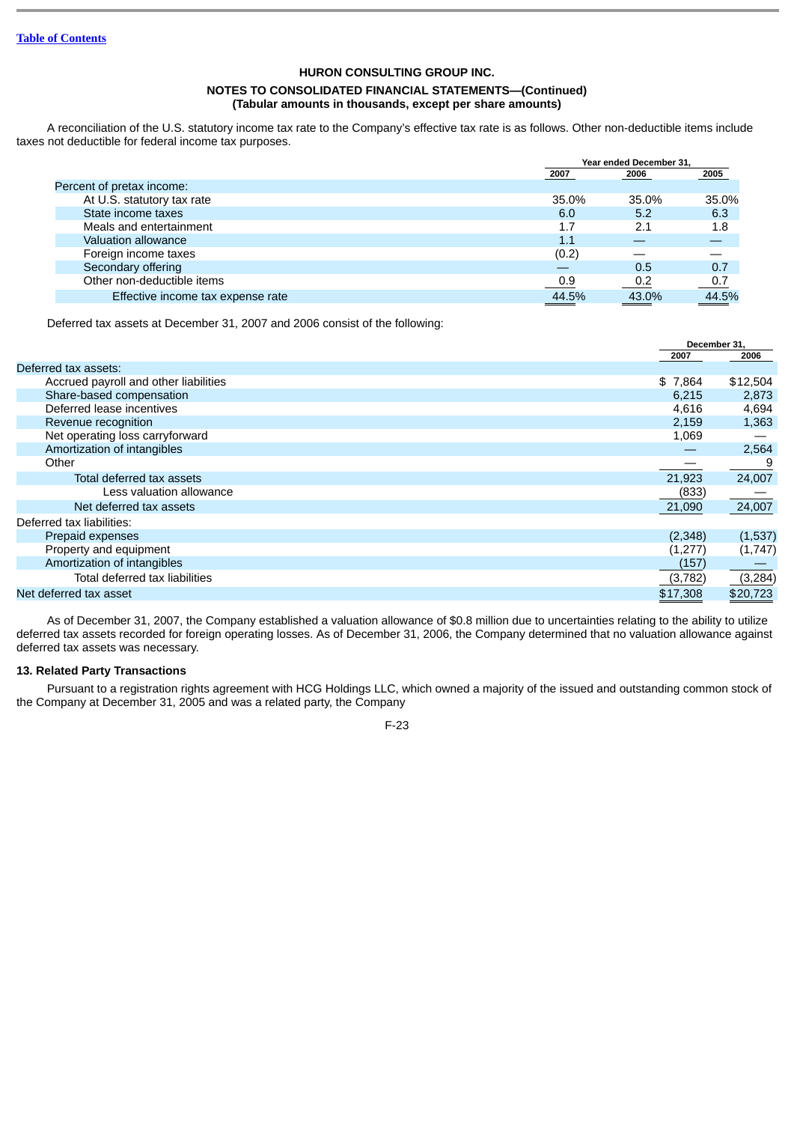## **NOTES TO CONSOLIDATED FINANCIAL STATEMENTS—(Continued) (Tabular amounts in thousands, except per share amounts)**

A reconciliation of the U.S. statutory income tax rate to the Company's effective tax rate is as follows. Other non-deductible items include taxes not deductible for federal income tax purposes.

|                                   |       | Year ended December 31. |       |  |  |
|-----------------------------------|-------|-------------------------|-------|--|--|
|                                   | 2007  | 2006                    | 2005  |  |  |
| Percent of pretax income:         |       |                         |       |  |  |
| At U.S. statutory tax rate        | 35.0% | 35.0%                   | 35.0% |  |  |
| State income taxes                | 6.0   | 5.2                     | 6.3   |  |  |
| Meals and entertainment           | 1.7   | 2.1                     | 1.8   |  |  |
| Valuation allowance               | 1.1   |                         |       |  |  |
| Foreign income taxes              | (0.2) |                         |       |  |  |
| Secondary offering                |       | 0.5                     | 0.7   |  |  |
| Other non-deductible items        | 0.9   | 0.2                     | 0.7   |  |  |
| Effective income tax expense rate | 44.5% | 43.0%                   | 44.5% |  |  |

Deferred tax assets at December 31, 2007 and 2006 consist of the following:

|                                       |          | December 31, |
|---------------------------------------|----------|--------------|
|                                       | 2007     | 2006         |
| Deferred tax assets:                  |          |              |
| Accrued payroll and other liabilities | \$7,864  | \$12,504     |
| Share-based compensation              | 6,215    | 2,873        |
| Deferred lease incentives             | 4,616    | 4,694        |
| Revenue recognition                   | 2,159    | 1,363        |
| Net operating loss carryforward       | 1,069    |              |
| Amortization of intangibles           |          | 2,564        |
| Other                                 |          |              |
| Total deferred tax assets             | 21,923   | 24,007       |
| Less valuation allowance              | (833)    |              |
| Net deferred tax assets               | 21,090   | 24,007       |
| Deferred tax liabilities:             |          |              |
| Prepaid expenses                      | (2,348)  | (1,537)      |
| Property and equipment                | (1,277)  | (1,747)      |
| Amortization of intangibles           | (157)    |              |
| Total deferred tax liabilities        | (3, 782) | (3, 284)     |
| Net deferred tax asset                | \$17,308 | \$20,723     |

As of December 31, 2007, the Company established a valuation allowance of \$0.8 million due to uncertainties relating to the ability to utilize deferred tax assets recorded for foreign operating losses. As of December 31, 2006, the Company determined that no valuation allowance against deferred tax assets was necessary.

# **13. Related Party Transactions**

Pursuant to a registration rights agreement with HCG Holdings LLC, which owned a majority of the issued and outstanding common stock of the Company at December 31, 2005 and was a related party, the Company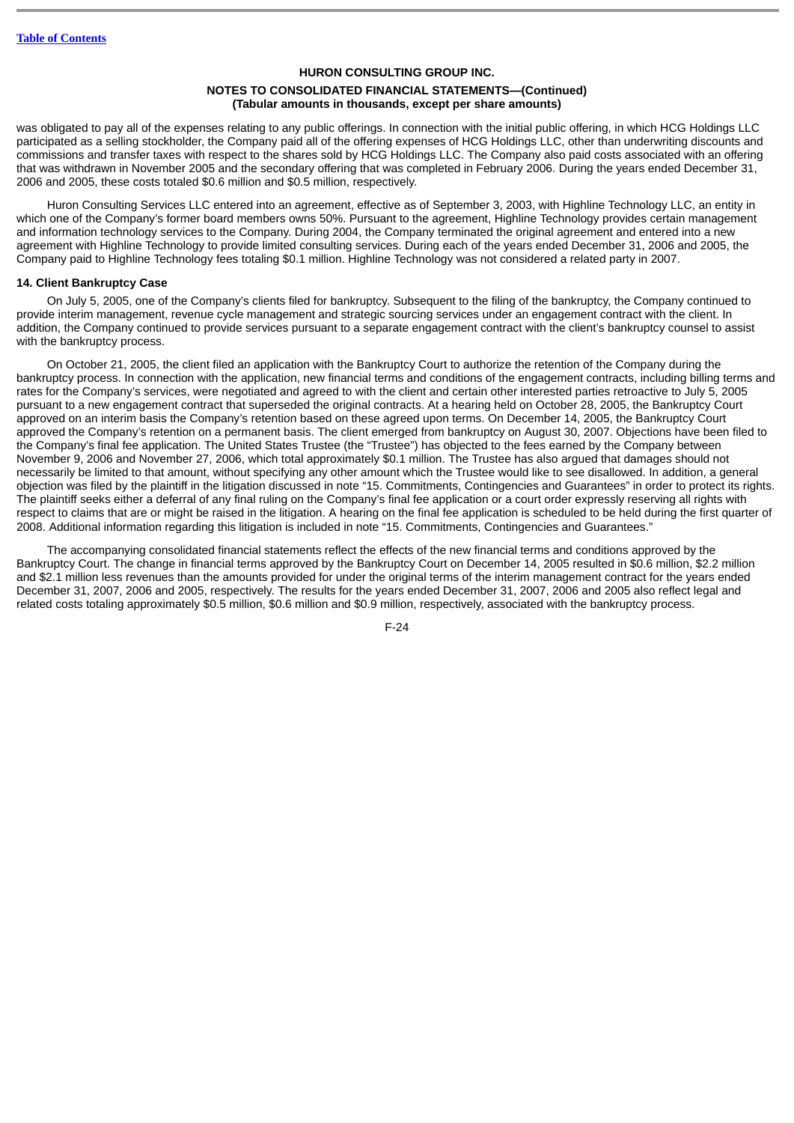## **NOTES TO CONSOLIDATED FINANCIAL STATEMENTS—(Continued) (Tabular amounts in thousands, except per share amounts)**

was obligated to pay all of the expenses relating to any public offerings. In connection with the initial public offering, in which HCG Holdings LLC participated as a selling stockholder, the Company paid all of the offering expenses of HCG Holdings LLC, other than underwriting discounts and commissions and transfer taxes with respect to the shares sold by HCG Holdings LLC. The Company also paid costs associated with an offering that was withdrawn in November 2005 and the secondary offering that was completed in February 2006. During the years ended December 31, 2006 and 2005, these costs totaled \$0.6 million and \$0.5 million, respectively.

Huron Consulting Services LLC entered into an agreement, effective as of September 3, 2003, with Highline Technology LLC, an entity in which one of the Company's former board members owns 50%. Pursuant to the agreement, Highline Technology provides certain management and information technology services to the Company. During 2004, the Company terminated the original agreement and entered into a new agreement with Highline Technology to provide limited consulting services. During each of the years ended December 31, 2006 and 2005, the Company paid to Highline Technology fees totaling \$0.1 million. Highline Technology was not considered a related party in 2007.

#### **14. Client Bankruptcy Case**

On July 5, 2005, one of the Company's clients filed for bankruptcy. Subsequent to the filing of the bankruptcy, the Company continued to provide interim management, revenue cycle management and strategic sourcing services under an engagement contract with the client. In addition, the Company continued to provide services pursuant to a separate engagement contract with the client's bankruptcy counsel to assist with the bankruptcy process.

On October 21, 2005, the client filed an application with the Bankruptcy Court to authorize the retention of the Company during the bankruptcy process. In connection with the application, new financial terms and conditions of the engagement contracts, including billing terms and rates for the Company's services, were negotiated and agreed to with the client and certain other interested parties retroactive to July 5, 2005 pursuant to a new engagement contract that superseded the original contracts. At a hearing held on October 28, 2005, the Bankruptcy Court approved on an interim basis the Company's retention based on these agreed upon terms. On December 14, 2005, the Bankruptcy Court approved the Company's retention on a permanent basis. The client emerged from bankruptcy on August 30, 2007. Objections have been filed to the Company's final fee application. The United States Trustee (the "Trustee") has objected to the fees earned by the Company between November 9, 2006 and November 27, 2006, which total approximately \$0.1 million. The Trustee has also argued that damages should not necessarily be limited to that amount, without specifying any other amount which the Trustee would like to see disallowed. In addition, a general objection was filed by the plaintiff in the litigation discussed in note "15. Commitments, Contingencies and Guarantees" in order to protect its rights. The plaintiff seeks either a deferral of any final ruling on the Company's final fee application or a court order expressly reserving all rights with respect to claims that are or might be raised in the litigation. A hearing on the final fee application is scheduled to be held during the first quarter of 2008. Additional information regarding this litigation is included in note "15. Commitments, Contingencies and Guarantees."

The accompanying consolidated financial statements reflect the effects of the new financial terms and conditions approved by the Bankruptcy Court. The change in financial terms approved by the Bankruptcy Court on December 14, 2005 resulted in \$0.6 million, \$2.2 million and \$2.1 million less revenues than the amounts provided for under the original terms of the interim management contract for the years ended December 31, 2007, 2006 and 2005, respectively. The results for the years ended December 31, 2007, 2006 and 2005 also reflect legal and related costs totaling approximately \$0.5 million, \$0.6 million and \$0.9 million, respectively, associated with the bankruptcy process.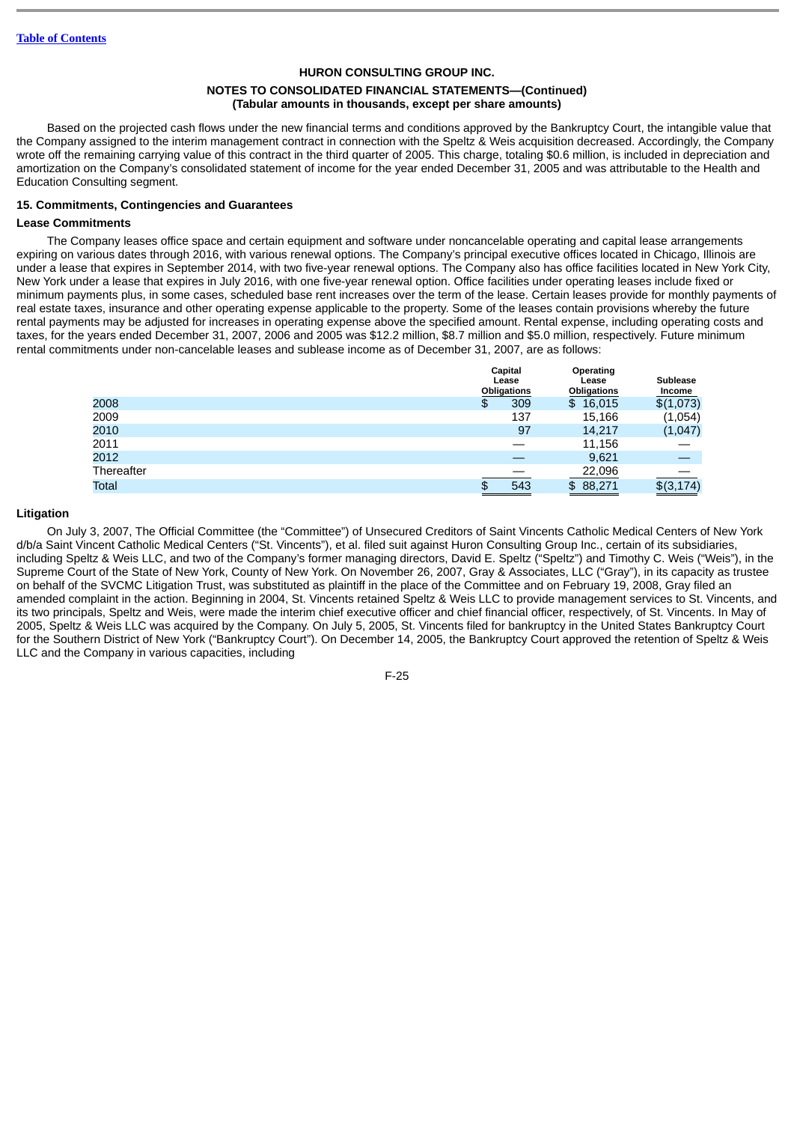## **NOTES TO CONSOLIDATED FINANCIAL STATEMENTS—(Continued) (Tabular amounts in thousands, except per share amounts)**

Based on the projected cash flows under the new financial terms and conditions approved by the Bankruptcy Court, the intangible value that the Company assigned to the interim management contract in connection with the Speltz & Weis acquisition decreased. Accordingly, the Company wrote off the remaining carrying value of this contract in the third quarter of 2005. This charge, totaling \$0.6 million, is included in depreciation and amortization on the Company's consolidated statement of income for the year ended December 31, 2005 and was attributable to the Health and Education Consulting segment.

#### **15. Commitments, Contingencies and Guarantees**

#### **Lease Commitments**

The Company leases office space and certain equipment and software under noncancelable operating and capital lease arrangements expiring on various dates through 2016, with various renewal options. The Company's principal executive offices located in Chicago, Illinois are under a lease that expires in September 2014, with two five-year renewal options. The Company also has office facilities located in New York City, New York under a lease that expires in July 2016, with one five-year renewal option. Office facilities under operating leases include fixed or minimum payments plus, in some cases, scheduled base rent increases over the term of the lease. Certain leases provide for monthly payments of real estate taxes, insurance and other operating expense applicable to the property. Some of the leases contain provisions whereby the future rental payments may be adjusted for increases in operating expense above the specified amount. Rental expense, including operating costs and taxes, for the years ended December 31, 2007, 2006 and 2005 was \$12.2 million, \$8.7 million and \$5.0 million, respectively. Future minimum rental commitments under non-cancelable leases and sublease income as of December 31, 2007, are as follows:

|              | Capital<br>Lease<br>Obligations | Operating<br>Lease<br><b>Obligations</b> | <b>Sublease</b><br>Income |
|--------------|---------------------------------|------------------------------------------|---------------------------|
| 2008         | 309<br>\$                       | \$16,015                                 | \$(1,073)                 |
| 2009         | 137                             | 15,166                                   | (1,054)                   |
| 2010         | 97                              | 14,217                                   | (1,047)                   |
| 2011         |                                 | 11.156                                   |                           |
| 2012         |                                 | 9.621                                    |                           |
| Thereafter   |                                 | 22,096                                   |                           |
| <b>Total</b> | 543<br>\$                       | \$ 88,271                                | \$(3,174)                 |
|              |                                 |                                          |                           |

#### **Litigation**

On July 3, 2007, The Official Committee (the "Committee") of Unsecured Creditors of Saint Vincents Catholic Medical Centers of New York d/b/a Saint Vincent Catholic Medical Centers ("St. Vincents"), et al. filed suit against Huron Consulting Group Inc., certain of its subsidiaries, including Speltz & Weis LLC, and two of the Company's former managing directors, David E. Speltz ("Speltz") and Timothy C. Weis ("Weis"), in the Supreme Court of the State of New York, County of New York. On November 26, 2007, Gray & Associates, LLC ("Gray"), in its capacity as trustee on behalf of the SVCMC Litigation Trust, was substituted as plaintiff in the place of the Committee and on February 19, 2008, Gray filed an amended complaint in the action. Beginning in 2004, St. Vincents retained Speltz & Weis LLC to provide management services to St. Vincents, and its two principals, Speltz and Weis, were made the interim chief executive officer and chief financial officer, respectively, of St. Vincents. In May of 2005, Speltz & Weis LLC was acquired by the Company. On July 5, 2005, St. Vincents filed for bankruptcy in the United States Bankruptcy Court for the Southern District of New York ("Bankruptcy Court"). On December 14, 2005, the Bankruptcy Court approved the retention of Speltz & Weis LLC and the Company in various capacities, including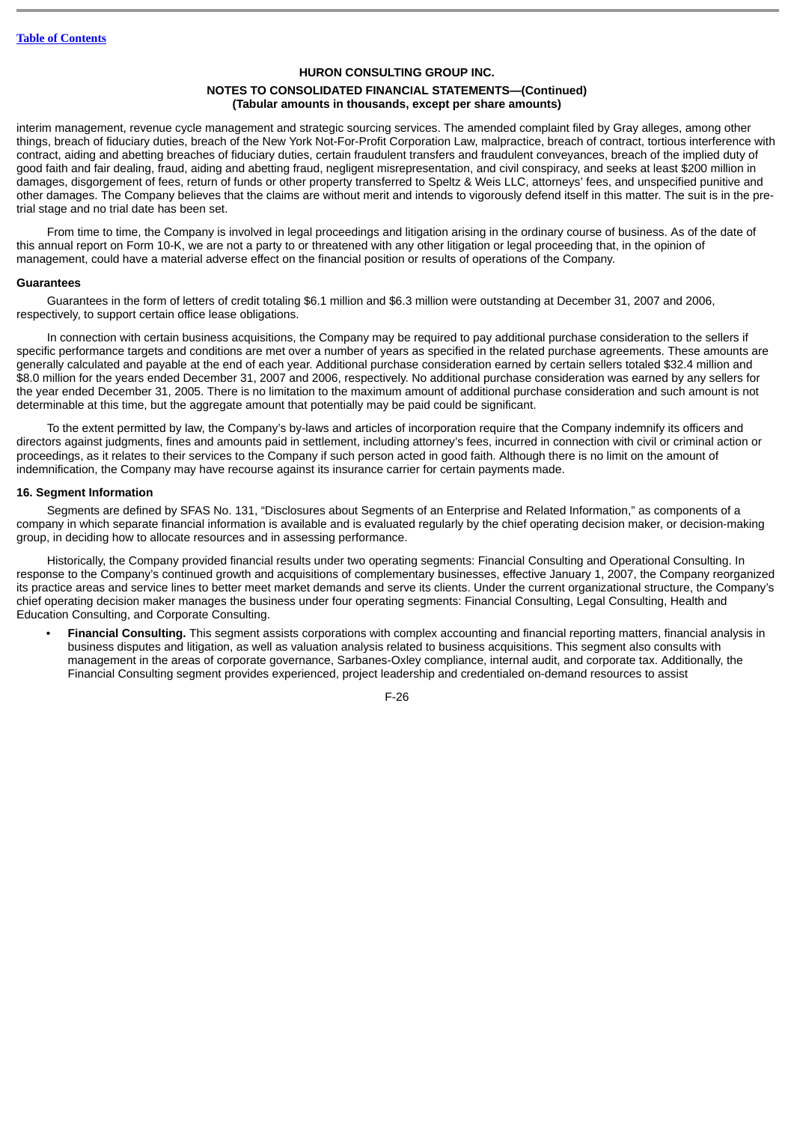## **NOTES TO CONSOLIDATED FINANCIAL STATEMENTS—(Continued) (Tabular amounts in thousands, except per share amounts)**

interim management, revenue cycle management and strategic sourcing services. The amended complaint filed by Gray alleges, among other things, breach of fiduciary duties, breach of the New York Not-For-Profit Corporation Law, malpractice, breach of contract, tortious interference with contract, aiding and abetting breaches of fiduciary duties, certain fraudulent transfers and fraudulent conveyances, breach of the implied duty of good faith and fair dealing, fraud, aiding and abetting fraud, negligent misrepresentation, and civil conspiracy, and seeks at least \$200 million in damages, disgorgement of fees, return of funds or other property transferred to Speltz & Weis LLC, attorneys' fees, and unspecified punitive and other damages. The Company believes that the claims are without merit and intends to vigorously defend itself in this matter. The suit is in the pretrial stage and no trial date has been set.

From time to time, the Company is involved in legal proceedings and litigation arising in the ordinary course of business. As of the date of this annual report on Form 10-K, we are not a party to or threatened with any other litigation or legal proceeding that, in the opinion of management, could have a material adverse effect on the financial position or results of operations of the Company.

#### **Guarantees**

Guarantees in the form of letters of credit totaling \$6.1 million and \$6.3 million were outstanding at December 31, 2007 and 2006, respectively, to support certain office lease obligations.

In connection with certain business acquisitions, the Company may be required to pay additional purchase consideration to the sellers if specific performance targets and conditions are met over a number of years as specified in the related purchase agreements. These amounts are generally calculated and payable at the end of each year. Additional purchase consideration earned by certain sellers totaled \$32.4 million and \$8.0 million for the years ended December 31, 2007 and 2006, respectively. No additional purchase consideration was earned by any sellers for the year ended December 31, 2005. There is no limitation to the maximum amount of additional purchase consideration and such amount is not determinable at this time, but the aggregate amount that potentially may be paid could be significant.

To the extent permitted by law, the Company's by-laws and articles of incorporation require that the Company indemnify its officers and directors against judgments, fines and amounts paid in settlement, including attorney's fees, incurred in connection with civil or criminal action or proceedings, as it relates to their services to the Company if such person acted in good faith. Although there is no limit on the amount of indemnification, the Company may have recourse against its insurance carrier for certain payments made.

## **16. Segment Information**

Segments are defined by SFAS No. 131, "Disclosures about Segments of an Enterprise and Related Information," as components of a company in which separate financial information is available and is evaluated regularly by the chief operating decision maker, or decision-making group, in deciding how to allocate resources and in assessing performance.

Historically, the Company provided financial results under two operating segments: Financial Consulting and Operational Consulting. In response to the Company's continued growth and acquisitions of complementary businesses, effective January 1, 2007, the Company reorganized its practice areas and service lines to better meet market demands and serve its clients. Under the current organizational structure, the Company's chief operating decision maker manages the business under four operating segments: Financial Consulting, Legal Consulting, Health and Education Consulting, and Corporate Consulting.

• **Financial Consulting.** This segment assists corporations with complex accounting and financial reporting matters, financial analysis in business disputes and litigation, as well as valuation analysis related to business acquisitions. This segment also consults with management in the areas of corporate governance, Sarbanes-Oxley compliance, internal audit, and corporate tax. Additionally, the Financial Consulting segment provides experienced, project leadership and credentialed on-demand resources to assist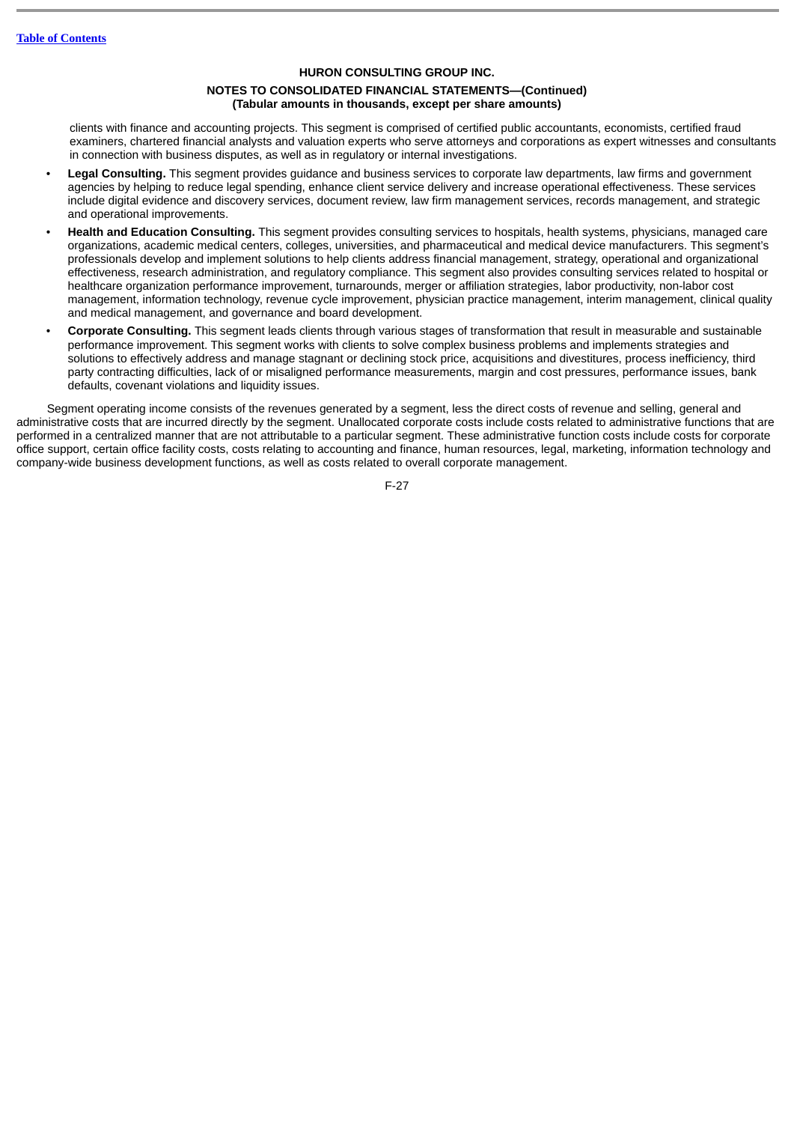## **NOTES TO CONSOLIDATED FINANCIAL STATEMENTS—(Continued) (Tabular amounts in thousands, except per share amounts)**

clients with finance and accounting projects. This segment is comprised of certified public accountants, economists, certified fraud examiners, chartered financial analysts and valuation experts who serve attorneys and corporations as expert witnesses and consultants in connection with business disputes, as well as in regulatory or internal investigations.

- **Legal Consulting.** This segment provides guidance and business services to corporate law departments, law firms and government agencies by helping to reduce legal spending, enhance client service delivery and increase operational effectiveness. These services include digital evidence and discovery services, document review, law firm management services, records management, and strategic and operational improvements.
- **Health and Education Consulting.** This segment provides consulting services to hospitals, health systems, physicians, managed care organizations, academic medical centers, colleges, universities, and pharmaceutical and medical device manufacturers. This segment's professionals develop and implement solutions to help clients address financial management, strategy, operational and organizational effectiveness, research administration, and regulatory compliance. This segment also provides consulting services related to hospital or healthcare organization performance improvement, turnarounds, merger or affiliation strategies, labor productivity, non-labor cost management, information technology, revenue cycle improvement, physician practice management, interim management, clinical quality and medical management, and governance and board development.
- **Corporate Consulting.** This segment leads clients through various stages of transformation that result in measurable and sustainable performance improvement. This segment works with clients to solve complex business problems and implements strategies and solutions to effectively address and manage stagnant or declining stock price, acquisitions and divestitures, process inefficiency, third party contracting difficulties, lack of or misaligned performance measurements, margin and cost pressures, performance issues, bank defaults, covenant violations and liquidity issues.

Segment operating income consists of the revenues generated by a segment, less the direct costs of revenue and selling, general and administrative costs that are incurred directly by the segment. Unallocated corporate costs include costs related to administrative functions that are performed in a centralized manner that are not attributable to a particular segment. These administrative function costs include costs for corporate office support, certain office facility costs, costs relating to accounting and finance, human resources, legal, marketing, information technology and company-wide business development functions, as well as costs related to overall corporate management.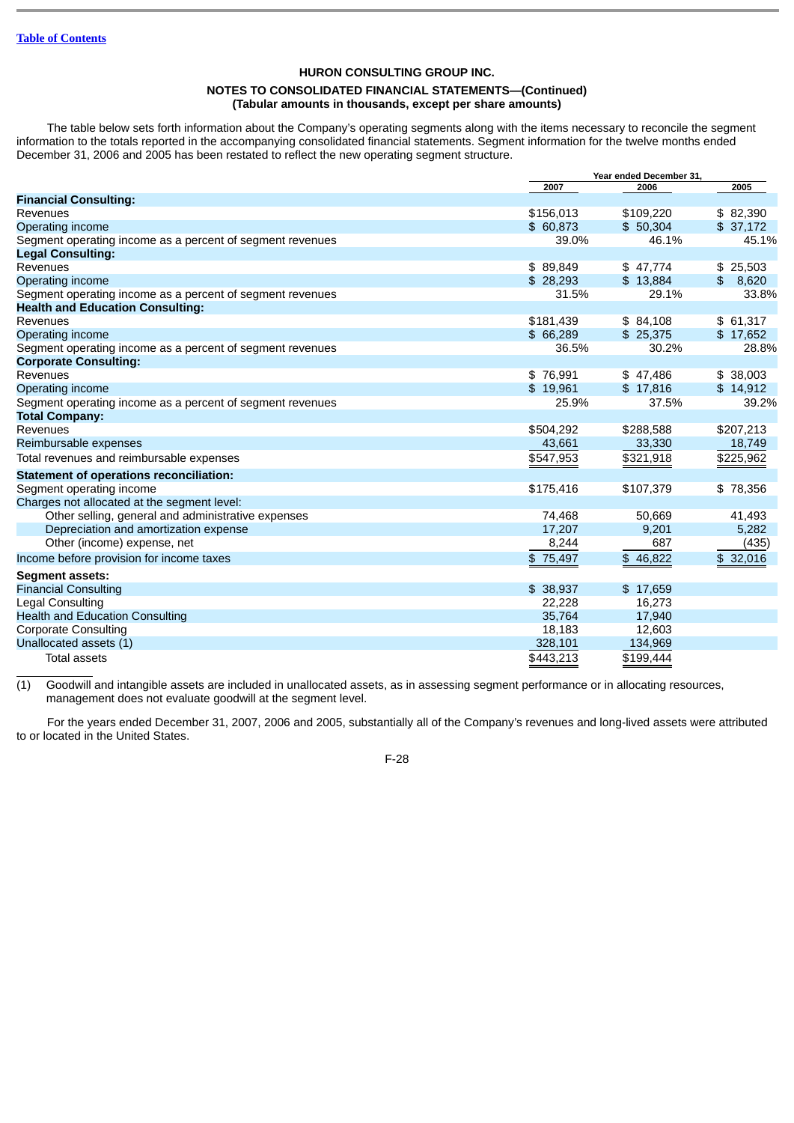## **NOTES TO CONSOLIDATED FINANCIAL STATEMENTS—(Continued) (Tabular amounts in thousands, except per share amounts)**

The table below sets forth information about the Company's operating segments along with the items necessary to reconcile the segment information to the totals reported in the accompanying consolidated financial statements. Segment information for the twelve months ended December 31, 2006 and 2005 has been restated to reflect the new operating segment structure.

|                                                           |           | Year ended December 31, |                      |
|-----------------------------------------------------------|-----------|-------------------------|----------------------|
|                                                           | 2007      | 2006                    | 2005                 |
| <b>Financial Consulting:</b>                              |           |                         |                      |
| Revenues                                                  | \$156,013 | \$109,220               | \$82,390             |
| Operating income                                          | \$60,873  | \$50,304                | \$37,172             |
| Segment operating income as a percent of segment revenues | 39.0%     | 46.1%                   | 45.1%                |
| <b>Legal Consulting:</b>                                  |           |                         |                      |
| Revenues                                                  | \$89,849  | \$47,774                | \$25,503             |
| Operating income                                          | \$28,293  | \$13,884                | $$^{\circ}$<br>8.620 |
| Segment operating income as a percent of segment revenues | 31.5%     | 29.1%                   | 33.8%                |
| <b>Health and Education Consulting:</b>                   |           |                         |                      |
| Revenues                                                  | \$181,439 | \$84,108                | \$61,317             |
| Operating income                                          | \$66,289  | \$25,375                | \$17,652             |
| Segment operating income as a percent of segment revenues | 36.5%     | 30.2%                   | 28.8%                |
| <b>Corporate Consulting:</b>                              |           |                         |                      |
| Revenues                                                  | \$76,991  | \$47,486                | \$38,003             |
| Operating income                                          | \$19,961  | \$17,816                | \$14,912             |
| Segment operating income as a percent of segment revenues | 25.9%     | 37.5%                   | 39.2%                |
| <b>Total Company:</b>                                     |           |                         |                      |
| Revenues                                                  | \$504,292 | \$288,588               | \$207,213            |
| Reimbursable expenses                                     | 43,661    | 33,330                  | 18,749               |
| Total revenues and reimbursable expenses                  | \$547,953 | \$321,918               | \$225,962            |
| <b>Statement of operations reconciliation:</b>            |           |                         |                      |
| Segment operating income                                  | \$175,416 | \$107,379               | \$78,356             |
| Charges not allocated at the segment level:               |           |                         |                      |
| Other selling, general and administrative expenses        | 74,468    | 50,669                  | 41,493               |
| Depreciation and amortization expense                     | 17,207    | 9,201                   | 5,282                |
| Other (income) expense, net                               | 8,244     | 687                     | (435)                |
| Income before provision for income taxes                  | \$75,497  | \$46,822                | \$32,016             |
|                                                           |           |                         |                      |
| <b>Segment assets:</b><br><b>Financial Consulting</b>     | \$38,937  |                         |                      |
|                                                           |           | \$17,659                |                      |
| <b>Legal Consulting</b>                                   | 22,228    | 16,273                  |                      |
| <b>Health and Education Consulting</b>                    | 35,764    | 17,940                  |                      |
| <b>Corporate Consulting</b>                               | 18,183    | 12,603                  |                      |
| Unallocated assets (1)                                    | 328,101   | 134,969                 |                      |
| <b>Total assets</b>                                       | \$443.213 | \$199.444               |                      |

(1) Goodwill and intangible assets are included in unallocated assets, as in assessing segment performance or in allocating resources, management does not evaluate goodwill at the segment level.

For the years ended December 31, 2007, 2006 and 2005, substantially all of the Company's revenues and long-lived assets were attributed to or located in the United States.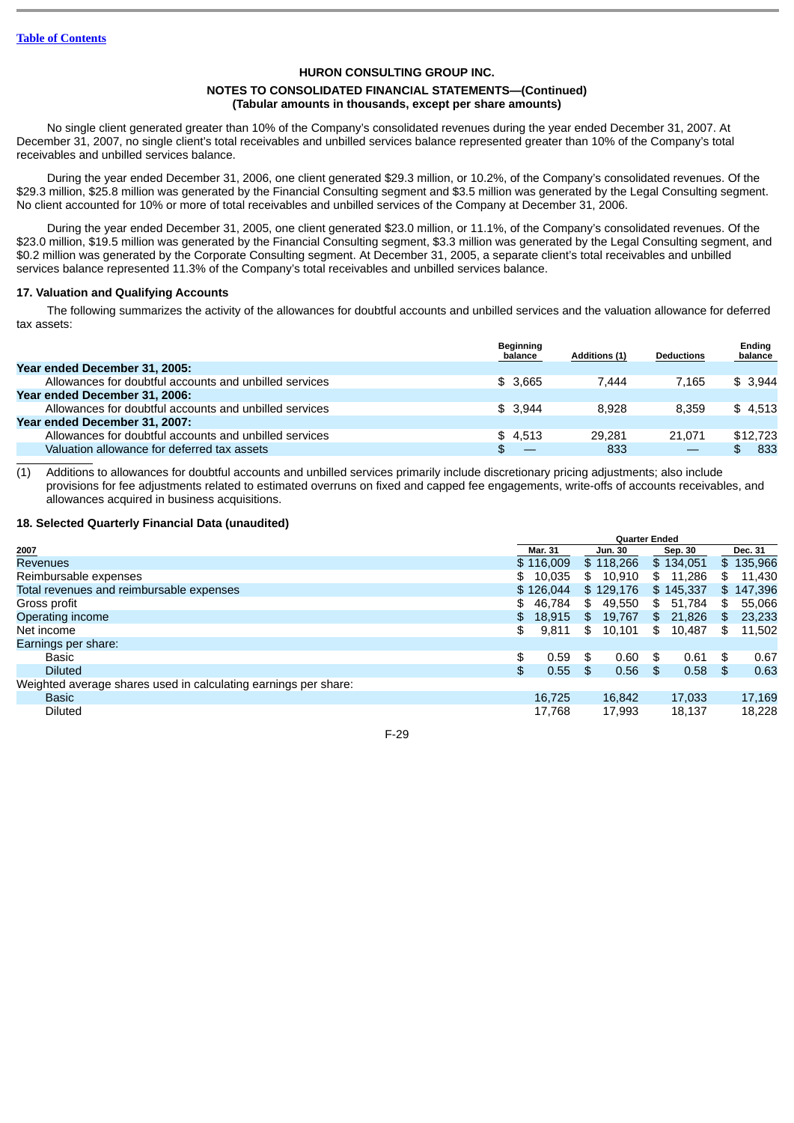## **NOTES TO CONSOLIDATED FINANCIAL STATEMENTS—(Continued) (Tabular amounts in thousands, except per share amounts)**

No single client generated greater than 10% of the Company's consolidated revenues during the year ended December 31, 2007. At December 31, 2007, no single client's total receivables and unbilled services balance represented greater than 10% of the Company's total receivables and unbilled services balance.

During the year ended December 31, 2006, one client generated \$29.3 million, or 10.2%, of the Company's consolidated revenues. Of the \$29.3 million, \$25.8 million was generated by the Financial Consulting segment and \$3.5 million was generated by the Legal Consulting segment. No client accounted for 10% or more of total receivables and unbilled services of the Company at December 31, 2006.

During the year ended December 31, 2005, one client generated \$23.0 million, or 11.1%, of the Company's consolidated revenues. Of the \$23.0 million, \$19.5 million was generated by the Financial Consulting segment, \$3.3 million was generated by the Legal Consulting segment, and \$0.2 million was generated by the Corporate Consulting segment. At December 31, 2005, a separate client's total receivables and unbilled services balance represented 11.3% of the Company's total receivables and unbilled services balance.

## **17. Valuation and Qualifying Accounts**

The following summarizes the activity of the allowances for doubtful accounts and unbilled services and the valuation allowance for deferred tax assets:

|                                                        | <b>Beginning</b><br>balance | <b>Additions (1)</b> | <b>Deductions</b> | Ending<br>balance |
|--------------------------------------------------------|-----------------------------|----------------------|-------------------|-------------------|
| Year ended December 31, 2005:                          |                             |                      |                   |                   |
| Allowances for doubtful accounts and unbilled services | \$ 3.665                    | 7.444                | 7.165             | \$3.944           |
| Year ended December 31, 2006:                          |                             |                      |                   |                   |
| Allowances for doubtful accounts and unbilled services | \$3.944                     | 8.928                | 8.359             | \$4.513           |
| Year ended December 31, 2007:                          |                             |                      |                   |                   |
| Allowances for doubtful accounts and unbilled services | \$4.513                     | 29.281               | 21.071            | \$12,723          |
| Valuation allowance for deferred tax assets            |                             | 833                  |                   | 833               |

(1) Additions to allowances for doubtful accounts and unbilled services primarily include discretionary pricing adjustments; also include provisions for fee adjustments related to estimated overruns on fixed and capped fee engagements, write-offs of accounts receivables, and allowances acquired in business acquisitions.

## **18. Selected Quarterly Financial Data (unaudited)**

|                                                                 | <b>Ouarter Ended</b> |     |           |     |           |     |           |
|-----------------------------------------------------------------|----------------------|-----|-----------|-----|-----------|-----|-----------|
| 2007                                                            | Mar. 31              |     | Jun. 30   |     | Sep. 30   |     | Dec. 31   |
| <b>Revenues</b>                                                 | \$116.009            |     | \$118,266 |     | \$134,051 |     | \$135,966 |
| Reimbursable expenses                                           | \$10.035             | \$  | 10,910    | \$  | 11,286    | \$. | 11,430    |
| Total revenues and reimbursable expenses                        | \$126.044            |     | \$129,176 |     | \$145,337 |     | \$147,396 |
| Gross profit                                                    | \$<br>46,784         | \$  | 49,550    | \$  | 51,784    | \$  | 55,066    |
| Operating income                                                | \$<br>18.915         | \$  | 19,767    | \$  | 21,826    | \$  | 23,233    |
| Net income                                                      | \$<br>9.811          | \$  | 10,101    | \$  | 10,487    | \$. | 11,502    |
| Earnings per share:                                             |                      |     |           |     |           |     |           |
| <b>Basic</b>                                                    | \$<br>0.59           | \$. | 0.60      | \$  | 0.61      | \$. | 0.67      |
| <b>Diluted</b>                                                  | \$<br>0.55           | \$. | 0.56      | -\$ | 0.58      | \$  | 0.63      |
| Weighted average shares used in calculating earnings per share: |                      |     |           |     |           |     |           |
| <b>Basic</b>                                                    | 16,725               |     | 16,842    |     | 17,033    |     | 17,169    |
| <b>Diluted</b>                                                  | 17,768               |     | 17.993    |     | 18.137    |     | 18,228    |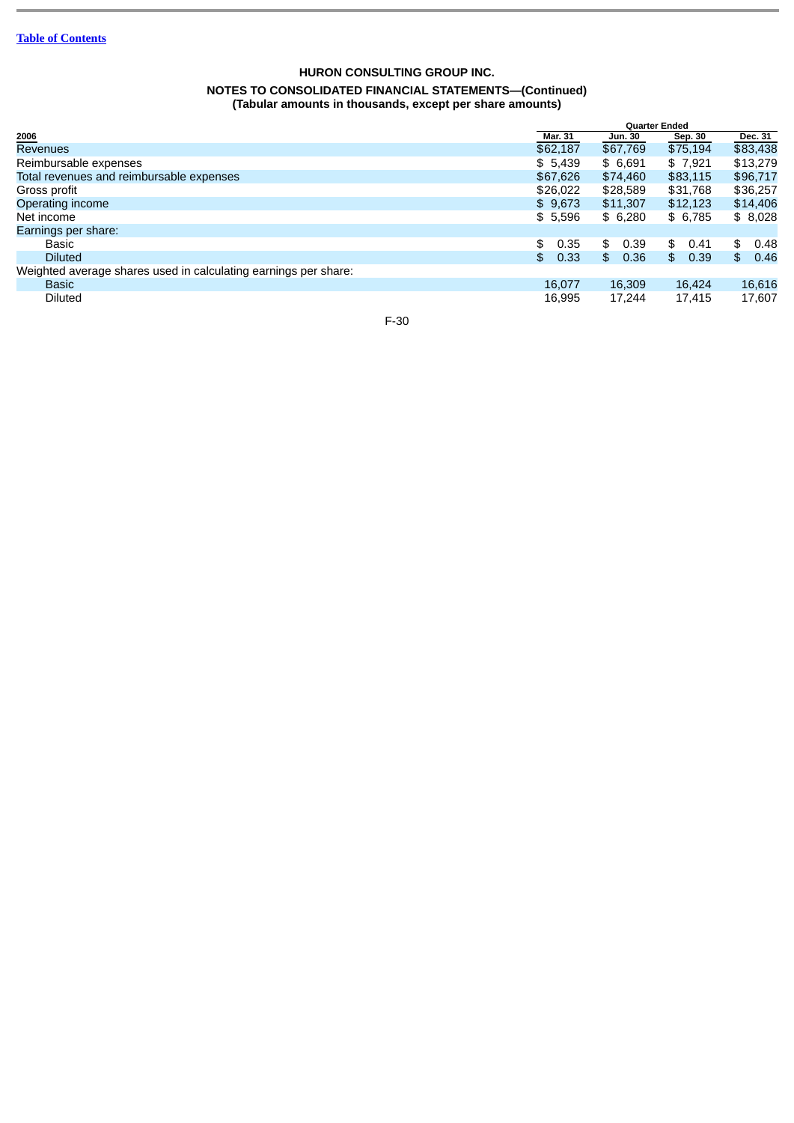#### **NOTES TO CONSOLIDATED FINANCIAL STATEMENTS—(Continued) (Tabular amounts in thousands, except per share amounts)**

|                                                                 |            | <b>Ouarter Ended</b> |                        |                |  |
|-----------------------------------------------------------------|------------|----------------------|------------------------|----------------|--|
| 2006                                                            | Mar. 31    | Jun. 30              | Sep. 30                | <b>Dec. 31</b> |  |
| <b>Revenues</b>                                                 | \$62,187   | \$67,769             | \$75,194               | \$83,438       |  |
| Reimbursable expenses                                           | \$5,439    | \$6,691              | \$7,921                | \$13,279       |  |
| Total revenues and reimbursable expenses                        | \$67,626   | \$74,460             | \$83,115               | \$96,717       |  |
| Gross profit                                                    | \$26,022   | \$28,589             | \$31,768               | \$36,257       |  |
| Operating income                                                | \$9,673    | \$11,307             | \$12,123               | \$14,406       |  |
| Net income                                                      | \$5,596    | \$6,280              | \$6,785                | \$8,028        |  |
| Earnings per share:                                             |            |                      |                        |                |  |
| <b>Basic</b>                                                    | \$<br>0.35 | 0.39<br>\$           | \$<br>0.41             | 0.48<br>\$     |  |
| <b>Diluted</b>                                                  | \$<br>0.33 | 0.36<br>\$           | $\mathfrak{L}$<br>0.39 | 0.46<br>\$     |  |
| Weighted average shares used in calculating earnings per share: |            |                      |                        |                |  |
| <b>Basic</b>                                                    | 16.077     | 16,309               | 16.424                 | 16,616         |  |
| <b>Diluted</b>                                                  | 16,995     | 17,244               | 17,415                 | 17,607         |  |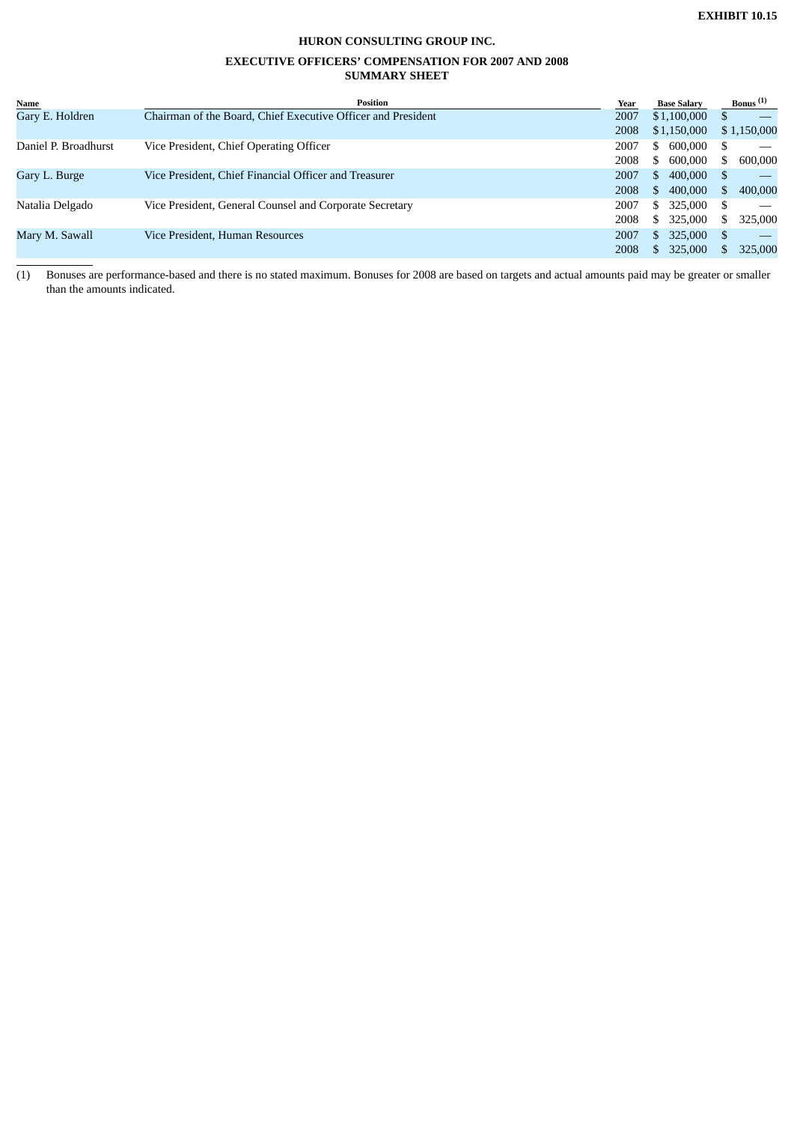# **EXECUTIVE OFFICERS' COMPENSATION FOR 2007 AND 2008 SUMMARY SHEET**

| Name                 | <b>Position</b>                                              | Year | <b>Base Salary</b> | Bonus <sup><math>(1)</math></sup> |
|----------------------|--------------------------------------------------------------|------|--------------------|-----------------------------------|
| Gary E. Holdren      | Chairman of the Board, Chief Executive Officer and President | 2007 | \$1,100,000        | S.                                |
|                      |                                                              | 2008 | \$1,150,000        | \$1,150,000                       |
| Daniel P. Broadhurst | Vice President, Chief Operating Officer                      | 2007 | 600,000<br>S.      | S                                 |
|                      |                                                              | 2008 | 600.000<br>S.      | 600,000<br>S                      |
| Gary L. Burge        | Vice President, Chief Financial Officer and Treasurer        | 2007 | 400,000<br>S.      | S                                 |
|                      |                                                              | 2008 | 400,000<br>S.      | 400,000<br>S.                     |
| Natalia Delgado      | Vice President, General Counsel and Corporate Secretary      | 2007 | 325,000<br>S.      | S                                 |
|                      |                                                              | 2008 | 325,000<br>S.      | 325,000<br>S                      |
| Mary M. Sawall       | Vice President, Human Resources                              | 2007 | 325,000<br>S.      | S                                 |
|                      |                                                              | 2008 | 325,000            | 325,000<br>S.                     |
|                      |                                                              |      |                    |                                   |

(1) Bonuses are performance-based and there is no stated maximum. Bonuses for 2008 are based on targets and actual amounts paid may be greater or smaller than the amounts indicated.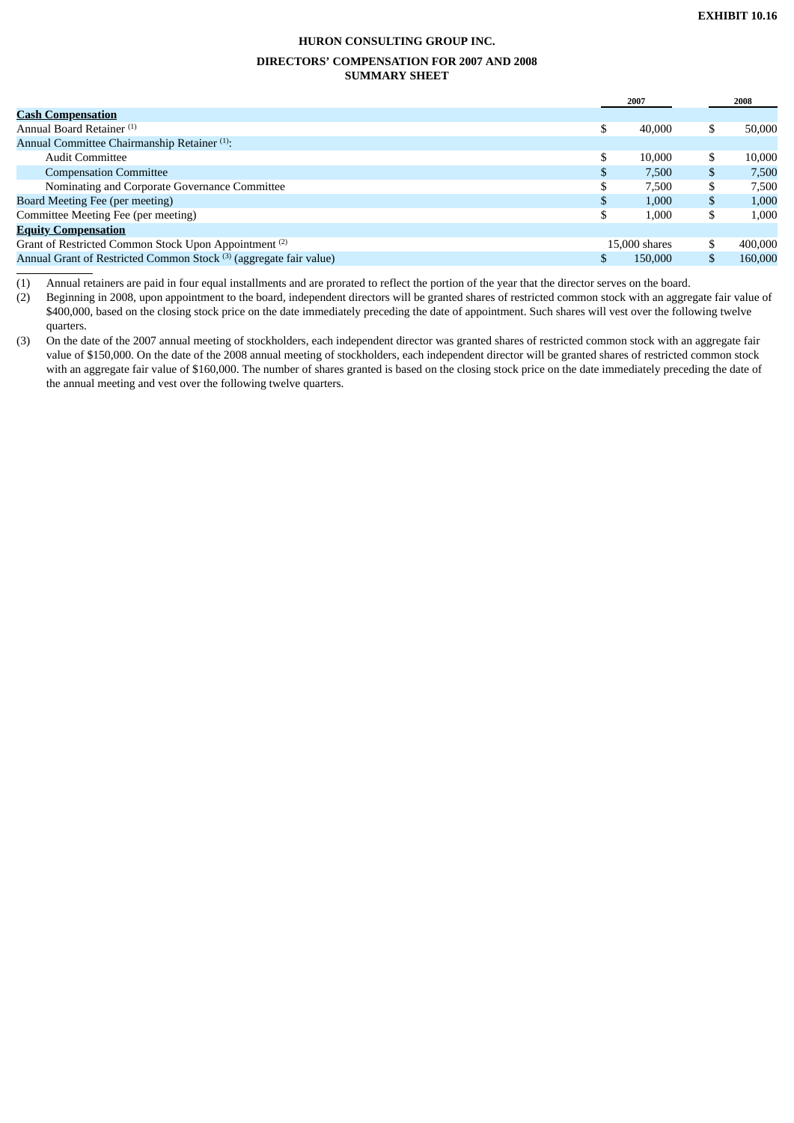# **DIRECTORS' COMPENSATION FOR 2007 AND 2008**

# **SUMMARY SHEET**

|                                                                               |         | 2007            | 2008          |
|-------------------------------------------------------------------------------|---------|-----------------|---------------|
| <b>Cash Compensation</b>                                                      |         |                 |               |
| Annual Board Retainer <sup>(1)</sup>                                          | ¢<br>٠D | 40,000          | \$<br>50,000  |
| Annual Committee Chairmanship Retainer (1):                                   |         |                 |               |
| <b>Audit Committee</b>                                                        |         | 10.000          | 10,000        |
| <b>Compensation Committee</b>                                                 | D       | 7,500           | \$<br>7,500   |
| Nominating and Corporate Governance Committee                                 |         | 7,500           | \$<br>7,500   |
| Board Meeting Fee (per meeting)                                               |         | 1.000           | \$<br>1,000   |
| Committee Meeting Fee (per meeting)                                           |         | 1.000           | \$<br>1,000   |
| <b>Equity Compensation</b>                                                    |         |                 |               |
| Grant of Restricted Common Stock Upon Appointment <sup>(2)</sup>              |         | $15.000$ shares | \$<br>400,000 |
| Annual Grant of Restricted Common Stock <sup>(3)</sup> (aggregate fair value) | S       | 150,000         | \$<br>160,000 |

(1) Annual retainers are paid in four equal installments and are prorated to reflect the portion of the year that the director serves on the board.

(2) Beginning in 2008, upon appointment to the board, independent directors will be granted shares of restricted common stock with an aggregate fair value of \$400,000, based on the closing stock price on the date immediately preceding the date of appointment. Such shares will vest over the following twelve quarters.

(3) On the date of the 2007 annual meeting of stockholders, each independent director was granted shares of restricted common stock with an aggregate fair value of \$150,000. On the date of the 2008 annual meeting of stockholders, each independent director will be granted shares of restricted common stock with an aggregate fair value of \$160,000. The number of shares granted is based on the closing stock price on the date immediately preceding the date of the annual meeting and vest over the following twelve quarters.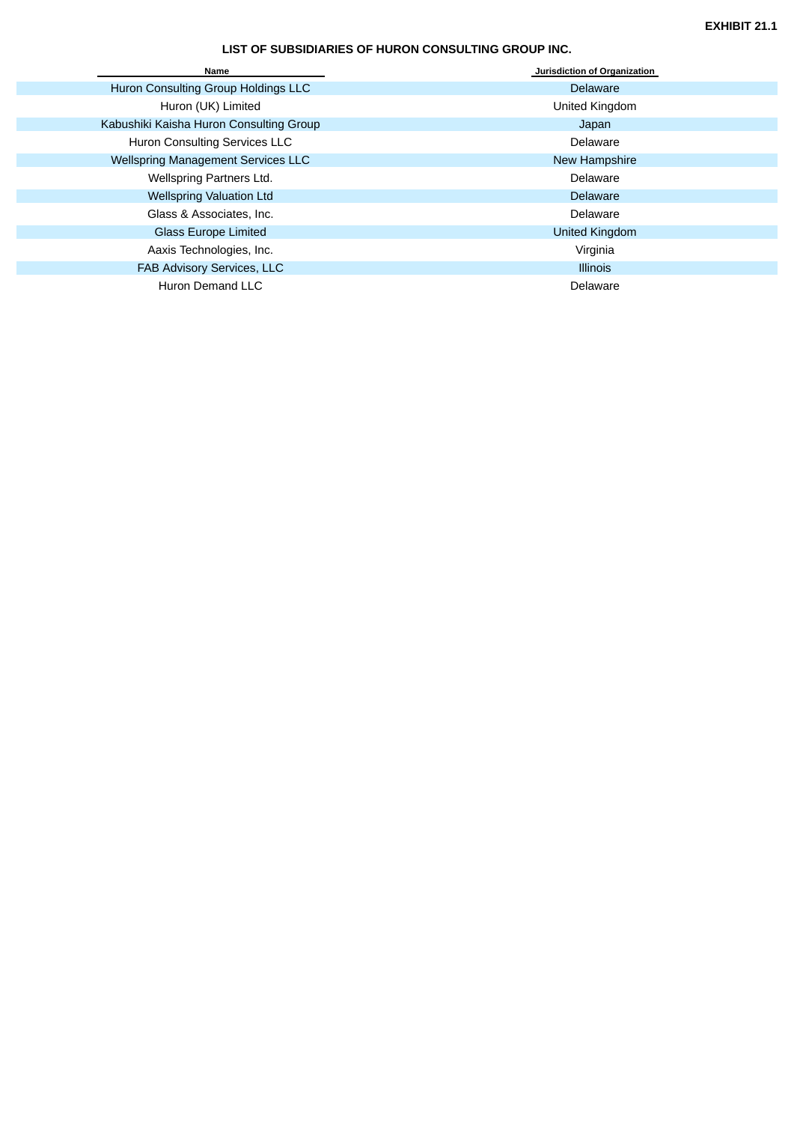# **LIST OF SUBSIDIARIES OF HURON CONSULTING GROUP INC.**

| <b>Name</b>                               | Jurisdiction of Organization |  |  |
|-------------------------------------------|------------------------------|--|--|
| Huron Consulting Group Holdings LLC       | <b>Delaware</b>              |  |  |
| Huron (UK) Limited                        | United Kingdom               |  |  |
| Kabushiki Kaisha Huron Consulting Group   | Japan                        |  |  |
| Huron Consulting Services LLC             | Delaware                     |  |  |
| <b>Wellspring Management Services LLC</b> | New Hampshire                |  |  |
| Wellspring Partners Ltd.                  | Delaware                     |  |  |
| <b>Wellspring Valuation Ltd</b>           | <b>Delaware</b>              |  |  |
| Glass & Associates, Inc.                  | Delaware                     |  |  |
| <b>Glass Europe Limited</b>               | United Kingdom               |  |  |
| Aaxis Technologies, Inc.                  | Virginia                     |  |  |
| FAB Advisory Services, LLC                | <b>Illinois</b>              |  |  |
| Huron Demand LLC                          | Delaware                     |  |  |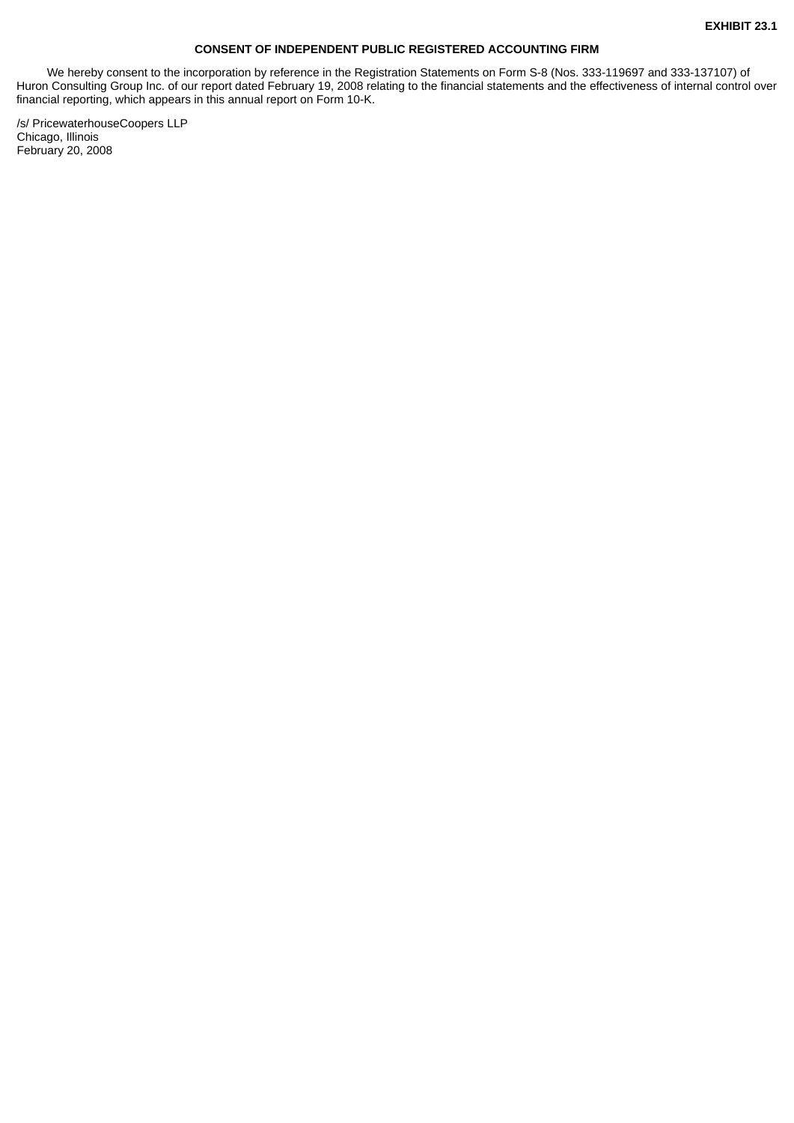## **CONSENT OF INDEPENDENT PUBLIC REGISTERED ACCOUNTING FIRM**

We hereby consent to the incorporation by reference in the Registration Statements on Form S-8 (Nos. 333-119697 and 333-137107) of Huron Consulting Group Inc. of our report dated February 19, 2008 relating to the financial statements and the effectiveness of internal control over financial reporting, which appears in this annual report on Form 10-K.

/s/ PricewaterhouseCoopers LLP Chicago, Illinois February 20, 2008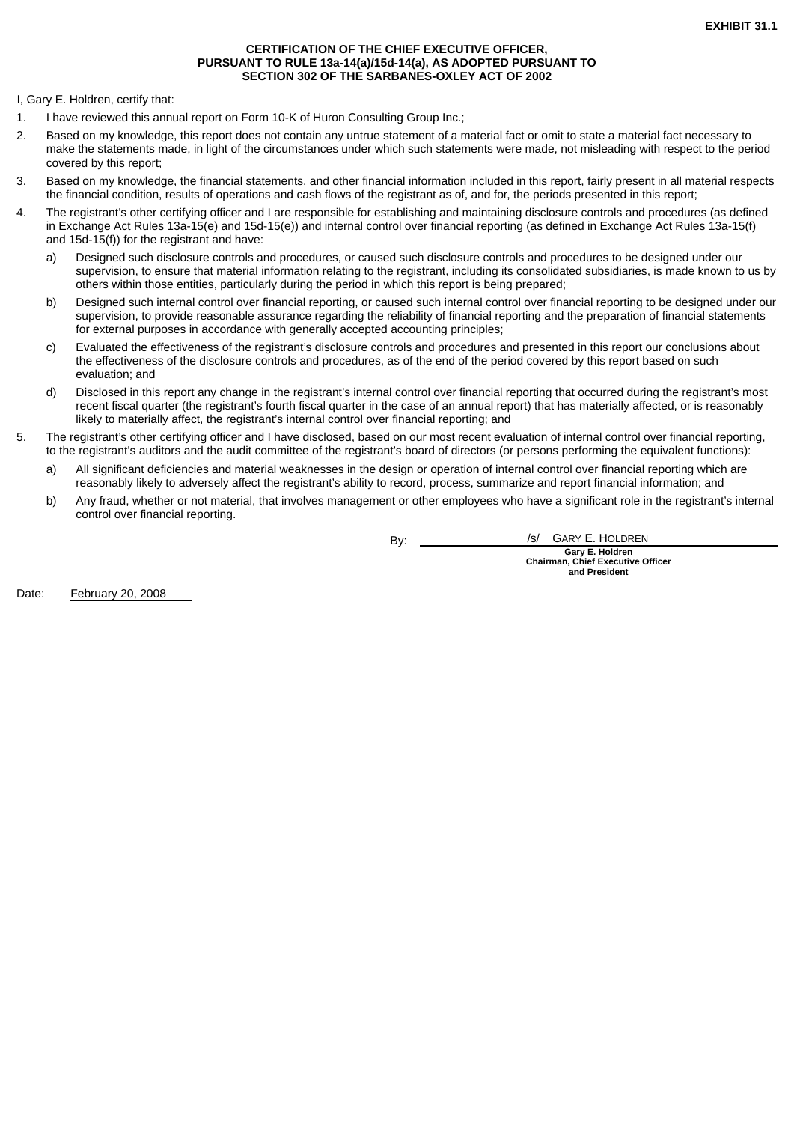## **CERTIFICATION OF THE CHIEF EXECUTIVE OFFICER, PURSUANT TO RULE 13a-14(a)/15d-14(a), AS ADOPTED PURSUANT TO SECTION 302 OF THE SARBANES-OXLEY ACT OF 2002**

I, Gary E. Holdren, certify that:

- 1. I have reviewed this annual report on Form 10-K of Huron Consulting Group Inc.;
- 2. Based on my knowledge, this report does not contain any untrue statement of a material fact or omit to state a material fact necessary to make the statements made, in light of the circumstances under which such statements were made, not misleading with respect to the period covered by this report;
- 3. Based on my knowledge, the financial statements, and other financial information included in this report, fairly present in all material respects the financial condition, results of operations and cash flows of the registrant as of, and for, the periods presented in this report;
- 4. The registrant's other certifying officer and I are responsible for establishing and maintaining disclosure controls and procedures (as defined in Exchange Act Rules 13a-15(e) and 15d-15(e)) and internal control over financial reporting (as defined in Exchange Act Rules 13a-15(f) and 15d-15(f)) for the registrant and have:
	- a) Designed such disclosure controls and procedures, or caused such disclosure controls and procedures to be designed under our supervision, to ensure that material information relating to the registrant, including its consolidated subsidiaries, is made known to us by others within those entities, particularly during the period in which this report is being prepared;
	- b) Designed such internal control over financial reporting, or caused such internal control over financial reporting to be designed under our supervision, to provide reasonable assurance regarding the reliability of financial reporting and the preparation of financial statements for external purposes in accordance with generally accepted accounting principles;
	- c) Evaluated the effectiveness of the registrant's disclosure controls and procedures and presented in this report our conclusions about the effectiveness of the disclosure controls and procedures, as of the end of the period covered by this report based on such evaluation; and
	- d) Disclosed in this report any change in the registrant's internal control over financial reporting that occurred during the registrant's most recent fiscal quarter (the registrant's fourth fiscal quarter in the case of an annual report) that has materially affected, or is reasonably likely to materially affect, the registrant's internal control over financial reporting; and
- 5. The registrant's other certifying officer and I have disclosed, based on our most recent evaluation of internal control over financial reporting, to the registrant's auditors and the audit committee of the registrant's board of directors (or persons performing the equivalent functions):
	- a) All significant deficiencies and material weaknesses in the design or operation of internal control over financial reporting which are reasonably likely to adversely affect the registrant's ability to record, process, summarize and report financial information; and
	- b) Any fraud, whether or not material, that involves management or other employees who have a significant role in the registrant's internal control over financial reporting.

Bv: /s/ GARY E. HOLDREN

**Gary E. Holdren Chairman, Chief Executive Officer and President**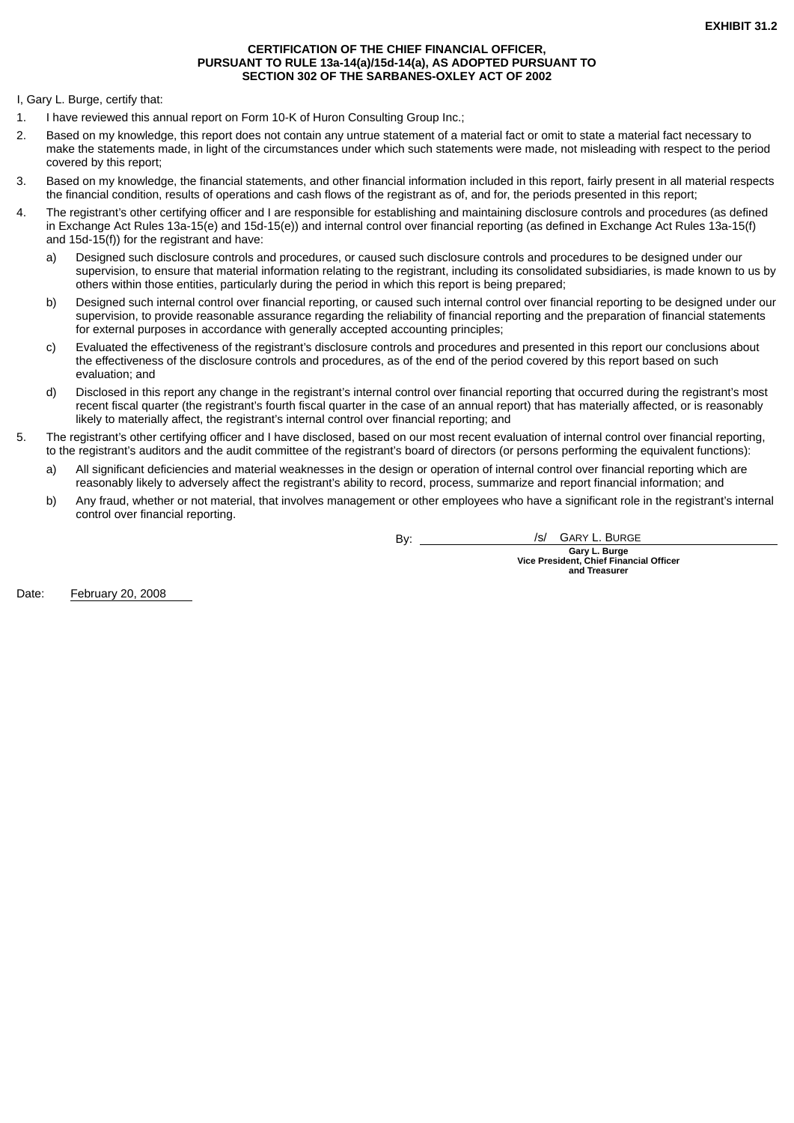## **CERTIFICATION OF THE CHIEF FINANCIAL OFFICER, PURSUANT TO RULE 13a-14(a)/15d-14(a), AS ADOPTED PURSUANT TO SECTION 302 OF THE SARBANES-OXLEY ACT OF 2002**

I, Gary L. Burge, certify that:

- 1. I have reviewed this annual report on Form 10-K of Huron Consulting Group Inc.;
- 2. Based on my knowledge, this report does not contain any untrue statement of a material fact or omit to state a material fact necessary to make the statements made, in light of the circumstances under which such statements were made, not misleading with respect to the period covered by this report;
- 3. Based on my knowledge, the financial statements, and other financial information included in this report, fairly present in all material respects the financial condition, results of operations and cash flows of the registrant as of, and for, the periods presented in this report;
- 4. The registrant's other certifying officer and I are responsible for establishing and maintaining disclosure controls and procedures (as defined in Exchange Act Rules 13a-15(e) and 15d-15(e)) and internal control over financial reporting (as defined in Exchange Act Rules 13a-15(f) and 15d-15(f)) for the registrant and have:
	- a) Designed such disclosure controls and procedures, or caused such disclosure controls and procedures to be designed under our supervision, to ensure that material information relating to the registrant, including its consolidated subsidiaries, is made known to us by others within those entities, particularly during the period in which this report is being prepared;
	- b) Designed such internal control over financial reporting, or caused such internal control over financial reporting to be designed under our supervision, to provide reasonable assurance regarding the reliability of financial reporting and the preparation of financial statements for external purposes in accordance with generally accepted accounting principles;
	- c) Evaluated the effectiveness of the registrant's disclosure controls and procedures and presented in this report our conclusions about the effectiveness of the disclosure controls and procedures, as of the end of the period covered by this report based on such evaluation; and
	- d) Disclosed in this report any change in the registrant's internal control over financial reporting that occurred during the registrant's most recent fiscal quarter (the registrant's fourth fiscal quarter in the case of an annual report) that has materially affected, or is reasonably likely to materially affect, the registrant's internal control over financial reporting; and
- 5. The registrant's other certifying officer and I have disclosed, based on our most recent evaluation of internal control over financial reporting, to the registrant's auditors and the audit committee of the registrant's board of directors (or persons performing the equivalent functions):
	- a) All significant deficiencies and material weaknesses in the design or operation of internal control over financial reporting which are reasonably likely to adversely affect the registrant's ability to record, process, summarize and report financial information; and
	- b) Any fraud, whether or not material, that involves management or other employees who have a significant role in the registrant's internal control over financial reporting.

By: /s/ GARY L. BURGE

**Gary L. Burge Vice President, Chief Financial Officer and Treasurer**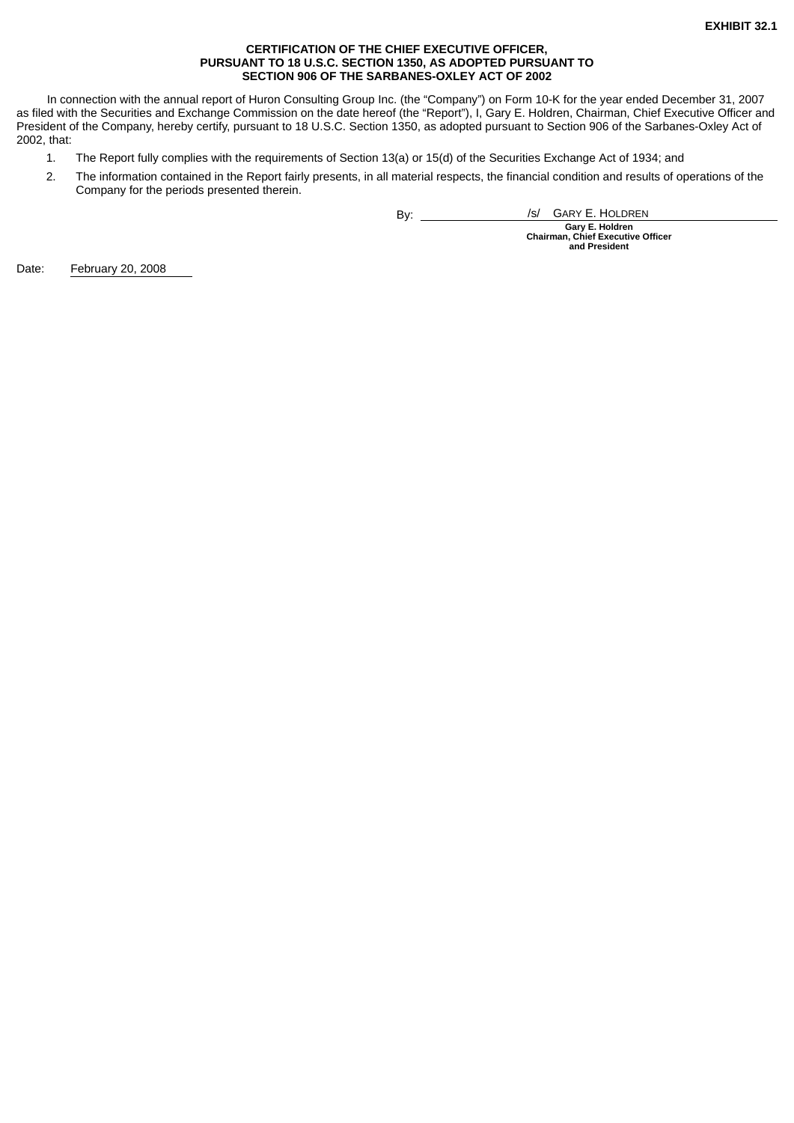## **CERTIFICATION OF THE CHIEF EXECUTIVE OFFICER, PURSUANT TO 18 U.S.C. SECTION 1350, AS ADOPTED PURSUANT TO SECTION 906 OF THE SARBANES-OXLEY ACT OF 2002**

In connection with the annual report of Huron Consulting Group Inc. (the "Company") on Form 10-K for the year ended December 31, 2007 as filed with the Securities and Exchange Commission on the date hereof (the "Report"), I, Gary E. Holdren, Chairman, Chief Executive Officer and President of the Company, hereby certify, pursuant to 18 U.S.C. Section 1350, as adopted pursuant to Section 906 of the Sarbanes-Oxley Act of 2002, that:

- 1. The Report fully complies with the requirements of Section 13(a) or 15(d) of the Securities Exchange Act of 1934; and
- 2. The information contained in the Report fairly presents, in all material respects, the financial condition and results of operations of the Company for the periods presented therein.

By: /s/ GARY E. HOLDREN

**Gary E. Holdren Chairman, Chief Executive Officer and President**